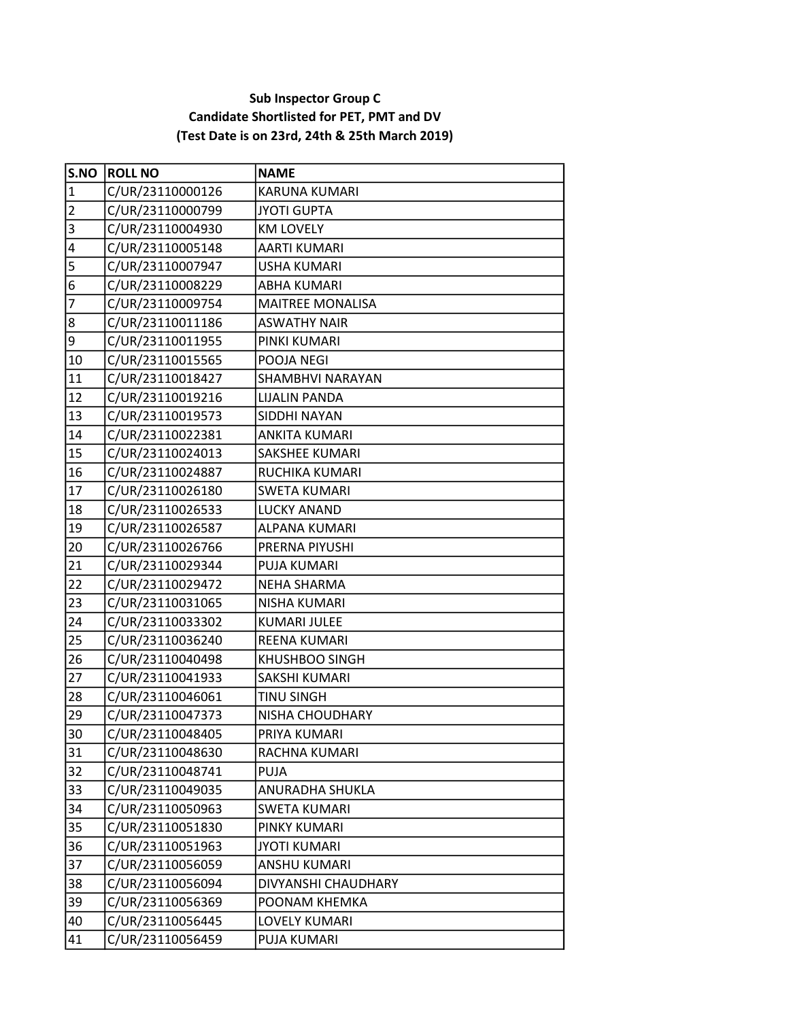## Sub Inspector Group C Candidate Shortlisted for PET, PMT and DV (Test Date is on 23rd, 24th & 25th March 2019)

| S.NO           | <b>ROLL NO</b>   | <b>NAME</b>             |
|----------------|------------------|-------------------------|
| $\mathbf{1}$   | C/UR/23110000126 | <b>KARUNA KUMARI</b>    |
| $\overline{2}$ | C/UR/23110000799 | <b>JYOTI GUPTA</b>      |
| 3              | C/UR/23110004930 | <b>KM LOVELY</b>        |
| 4              | C/UR/23110005148 | <b>AARTI KUMARI</b>     |
| 5              | C/UR/23110007947 | <b>USHA KUMARI</b>      |
| 6              | C/UR/23110008229 | <b>ABHA KUMARI</b>      |
| $\overline{7}$ | C/UR/23110009754 | <b>MAITREE MONALISA</b> |
| 8              | C/UR/23110011186 | <b>ASWATHY NAIR</b>     |
| 9              | C/UR/23110011955 | PINKI KUMARI            |
| 10             | C/UR/23110015565 | POOJA NEGI              |
| 11             | C/UR/23110018427 | SHAMBHVI NARAYAN        |
| 12             | C/UR/23110019216 | <b>LIJALIN PANDA</b>    |
| 13             | C/UR/23110019573 | SIDDHI NAYAN            |
| 14             | C/UR/23110022381 | <b>ANKITA KUMARI</b>    |
| 15             | C/UR/23110024013 | SAKSHEE KUMARI          |
| 16             | C/UR/23110024887 | RUCHIKA KUMARI          |
| 17             | C/UR/23110026180 | <b>SWETA KUMARI</b>     |
| 18             | C/UR/23110026533 | <b>LUCKY ANAND</b>      |
| 19             | C/UR/23110026587 | <b>ALPANA KUMARI</b>    |
| 20             | C/UR/23110026766 | PRERNA PIYUSHI          |
| 21             | C/UR/23110029344 | <b>PUJA KUMARI</b>      |
| 22             | C/UR/23110029472 | <b>NEHA SHARMA</b>      |
| 23             | C/UR/23110031065 | NISHA KUMARI            |
| 24             | C/UR/23110033302 | <b>KUMARI JULEE</b>     |
| 25             | C/UR/23110036240 | <b>REENA KUMARI</b>     |
| 26             | C/UR/23110040498 | <b>KHUSHBOO SINGH</b>   |
| 27             | C/UR/23110041933 | SAKSHI KUMARI           |
| 28             | C/UR/23110046061 | <b>TINU SINGH</b>       |
| 29             | C/UR/23110047373 | NISHA CHOUDHARY         |
| 30             | C/UR/23110048405 | PRIYA KUMARI            |
| 31             | C/UR/23110048630 | RACHNA KUMARI           |
| 32             | C/UR/23110048741 | <b>PUJA</b>             |
| 33             | C/UR/23110049035 | ANURADHA SHUKLA         |
| 34             | C/UR/23110050963 | <b>SWETA KUMARI</b>     |
| 35             | C/UR/23110051830 | PINKY KUMARI            |
| 36             | C/UR/23110051963 | <b>JYOTI KUMARI</b>     |
| 37             | C/UR/23110056059 | ANSHU KUMARI            |
| 38             | C/UR/23110056094 | DIVYANSHI CHAUDHARY     |
| 39             | C/UR/23110056369 | POONAM KHEMKA           |
| 40             | C/UR/23110056445 | LOVELY KUMARI           |
| 41             | C/UR/23110056459 | PUJA KUMARI             |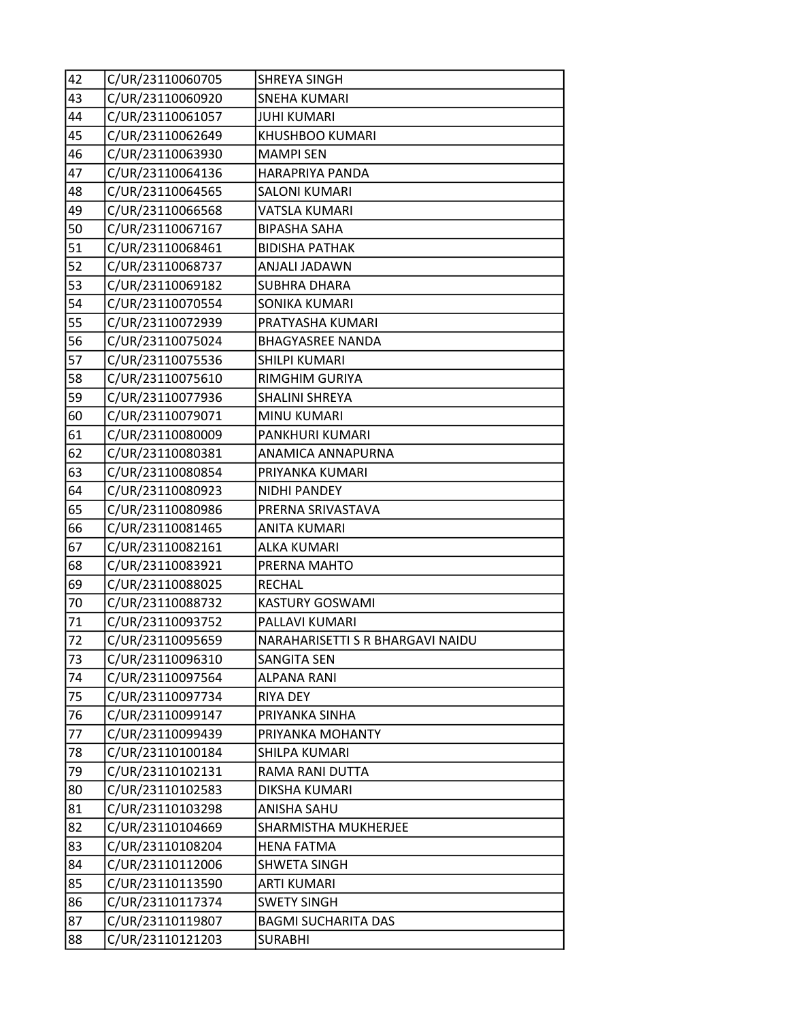| 42 | C/UR/23110060705 | <b>SHREYA SINGH</b>              |
|----|------------------|----------------------------------|
| 43 | C/UR/23110060920 | <b>SNEHA KUMARI</b>              |
| 44 | C/UR/23110061057 | <b>JUHI KUMARI</b>               |
| 45 | C/UR/23110062649 | <b>KHUSHBOO KUMARI</b>           |
| 46 | C/UR/23110063930 | <b>MAMPI SEN</b>                 |
| 47 | C/UR/23110064136 | HARAPRIYA PANDA                  |
| 48 | C/UR/23110064565 | <b>SALONI KUMARI</b>             |
| 49 | C/UR/23110066568 | VATSLA KUMARI                    |
| 50 | C/UR/23110067167 | <b>BIPASHA SAHA</b>              |
| 51 | C/UR/23110068461 | <b>BIDISHA PATHAK</b>            |
| 52 | C/UR/23110068737 | ANJALI JADAWN                    |
| 53 | C/UR/23110069182 | <b>SUBHRA DHARA</b>              |
| 54 | C/UR/23110070554 | SONIKA KUMARI                    |
| 55 | C/UR/23110072939 | PRATYASHA KUMARI                 |
| 56 | C/UR/23110075024 | <b>BHAGYASREE NANDA</b>          |
| 57 | C/UR/23110075536 | SHILPI KUMARI                    |
| 58 | C/UR/23110075610 | <b>RIMGHIM GURIYA</b>            |
| 59 | C/UR/23110077936 | <b>SHALINI SHREYA</b>            |
| 60 | C/UR/23110079071 | MINU KUMARI                      |
| 61 | C/UR/23110080009 | PANKHURI KUMARI                  |
| 62 | C/UR/23110080381 | ANAMICA ANNAPURNA                |
| 63 | C/UR/23110080854 | PRIYANKA KUMARI                  |
| 64 | C/UR/23110080923 | NIDHI PANDEY                     |
| 65 | C/UR/23110080986 | PRERNA SRIVASTAVA                |
| 66 | C/UR/23110081465 | <b>ANITA KUMARI</b>              |
| 67 | C/UR/23110082161 | <b>ALKA KUMARI</b>               |
| 68 | C/UR/23110083921 | PRERNA MAHTO                     |
| 69 | C/UR/23110088025 | <b>RECHAL</b>                    |
| 70 | C/UR/23110088732 | <b>KASTURY GOSWAMI</b>           |
| 71 | C/UR/23110093752 | PALLAVI KUMARI                   |
| 72 | C/UR/23110095659 | NARAHARISETTI S R BHARGAVI NAIDU |
| 73 | C/UR/23110096310 | SANGITA SEN                      |
| 74 | C/UR/23110097564 | <b>ALPANA RANI</b>               |
| 75 | C/UR/23110097734 | <b>RIYA DEY</b>                  |
| 76 | C/UR/23110099147 | PRIYANKA SINHA                   |
| 77 | C/UR/23110099439 | PRIYANKA MOHANTY                 |
| 78 | C/UR/23110100184 | SHILPA KUMARI                    |
| 79 | C/UR/23110102131 | RAMA RANI DUTTA                  |
| 80 | C/UR/23110102583 | DIKSHA KUMARI                    |
| 81 | C/UR/23110103298 | ANISHA SAHU                      |
| 82 | C/UR/23110104669 | SHARMISTHA MUKHERJEE             |
| 83 | C/UR/23110108204 | <b>HENA FATMA</b>                |
| 84 | C/UR/23110112006 | <b>SHWETA SINGH</b>              |
| 85 | C/UR/23110113590 | <b>ARTI KUMARI</b>               |
| 86 | C/UR/23110117374 | <b>SWETY SINGH</b>               |
| 87 | C/UR/23110119807 | <b>BAGMI SUCHARITA DAS</b>       |
| 88 | C/UR/23110121203 | <b>SURABHI</b>                   |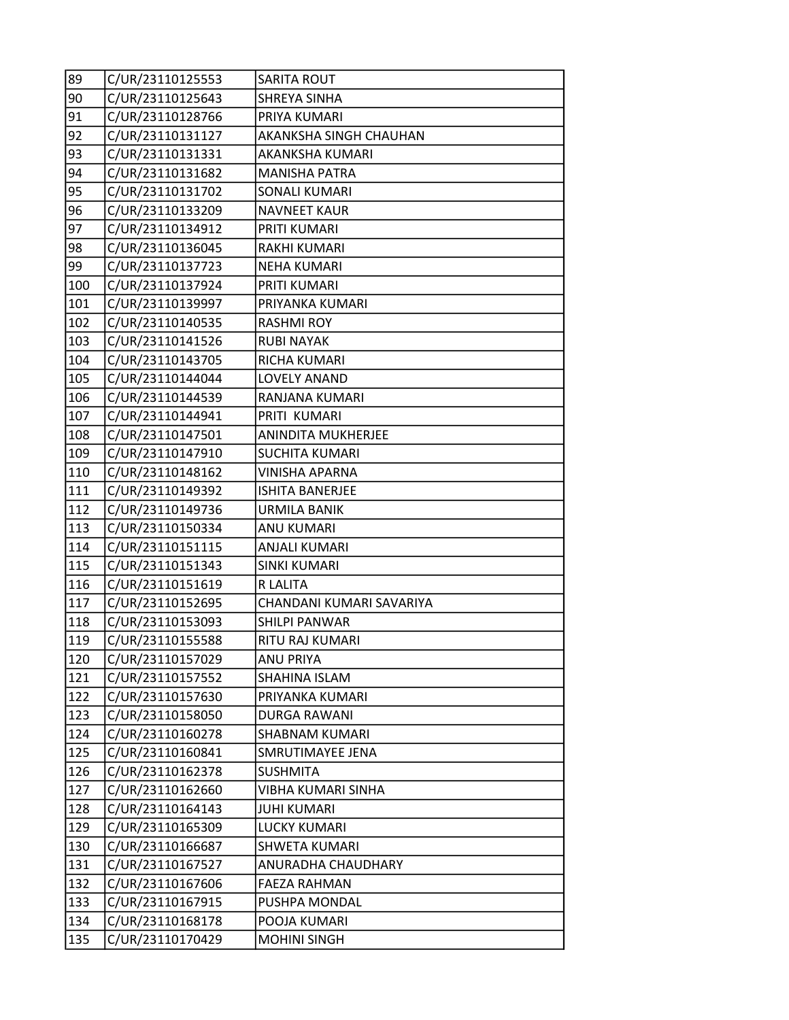| 89  | C/UR/23110125553 | <b>SARITA ROUT</b>        |
|-----|------------------|---------------------------|
| 90  | C/UR/23110125643 | SHREYA SINHA              |
| 91  | C/UR/23110128766 | PRIYA KUMARI              |
| 92  | C/UR/23110131127 | AKANKSHA SINGH CHAUHAN    |
| 93  | C/UR/23110131331 | AKANKSHA KUMARI           |
| 94  | C/UR/23110131682 | <b>MANISHA PATRA</b>      |
| 95  | C/UR/23110131702 | <b>SONALI KUMARI</b>      |
| 96  | C/UR/23110133209 | <b>NAVNEET KAUR</b>       |
| 97  | C/UR/23110134912 | PRITI KUMARI              |
| 98  | C/UR/23110136045 | RAKHI KUMARI              |
| 99  | C/UR/23110137723 | <b>NEHA KUMARI</b>        |
| 100 | C/UR/23110137924 | PRITI KUMARI              |
| 101 | C/UR/23110139997 | PRIYANKA KUMARI           |
| 102 | C/UR/23110140535 | <b>RASHMI ROY</b>         |
| 103 | C/UR/23110141526 | <b>RUBI NAYAK</b>         |
| 104 | C/UR/23110143705 | RICHA KUMARI              |
| 105 | C/UR/23110144044 | <b>LOVELY ANAND</b>       |
| 106 | C/UR/23110144539 | RANJANA KUMARI            |
| 107 | C/UR/23110144941 | PRITI KUMARI              |
| 108 | C/UR/23110147501 | ANINDITA MUKHERJEE        |
| 109 | C/UR/23110147910 | <b>SUCHITA KUMARI</b>     |
| 110 | C/UR/23110148162 | VINISHA APARNA            |
| 111 | C/UR/23110149392 | <b>ISHITA BANERJEE</b>    |
| 112 | C/UR/23110149736 | <b>URMILA BANIK</b>       |
| 113 | C/UR/23110150334 | <b>ANU KUMARI</b>         |
| 114 | C/UR/23110151115 | <b>ANJALI KUMARI</b>      |
| 115 | C/UR/23110151343 | <b>SINKI KUMARI</b>       |
| 116 | C/UR/23110151619 | <b>R LALITA</b>           |
| 117 | C/UR/23110152695 | CHANDANI KUMARI SAVARIYA  |
| 118 | C/UR/23110153093 | <b>SHILPI PANWAR</b>      |
| 119 | C/UR/23110155588 | RITU RAJ KUMARI           |
| 120 | C/UR/23110157029 | ANU PRIYA                 |
| 121 | C/UR/23110157552 | SHAHINA ISLAM             |
| 122 | C/UR/23110157630 | PRIYANKA KUMARI           |
| 123 | C/UR/23110158050 | <b>DURGA RAWANI</b>       |
| 124 | C/UR/23110160278 | SHABNAM KUMARI            |
| 125 | C/UR/23110160841 | SMRUTIMAYEE JENA          |
| 126 | C/UR/23110162378 | <b>SUSHMITA</b>           |
| 127 | C/UR/23110162660 | <b>VIBHA KUMARI SINHA</b> |
| 128 | C/UR/23110164143 | <b>JUHI KUMARI</b>        |
| 129 | C/UR/23110165309 | <b>LUCKY KUMARI</b>       |
| 130 | C/UR/23110166687 | SHWETA KUMARI             |
| 131 | C/UR/23110167527 | ANURADHA CHAUDHARY        |
| 132 | C/UR/23110167606 | FAEZA RAHMAN              |
| 133 | C/UR/23110167915 | PUSHPA MONDAL             |
| 134 | C/UR/23110168178 | POOJA KUMARI              |
| 135 | C/UR/23110170429 | <b>MOHINI SINGH</b>       |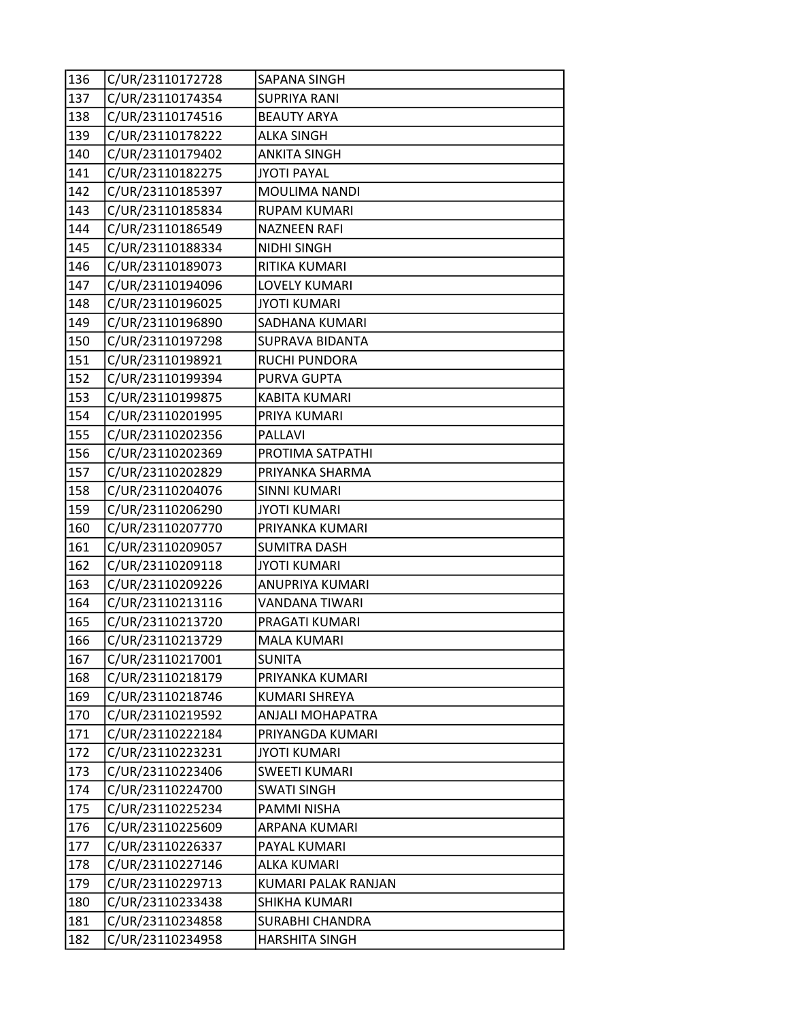| 136 | C/UR/23110172728 | SAPANA SINGH            |
|-----|------------------|-------------------------|
| 137 | C/UR/23110174354 | <b>SUPRIYA RANI</b>     |
| 138 | C/UR/23110174516 | <b>BEAUTY ARYA</b>      |
| 139 | C/UR/23110178222 | <b>ALKA SINGH</b>       |
| 140 | C/UR/23110179402 | <b>ANKITA SINGH</b>     |
| 141 | C/UR/23110182275 | <b>JYOTI PAYAL</b>      |
| 142 | C/UR/23110185397 | MOULIMA NANDI           |
| 143 | C/UR/23110185834 | <b>RUPAM KUMARI</b>     |
| 144 | C/UR/23110186549 | <b>NAZNEEN RAFI</b>     |
| 145 | C/UR/23110188334 | <b>NIDHI SINGH</b>      |
| 146 | C/UR/23110189073 | RITIKA KUMARI           |
| 147 | C/UR/23110194096 | LOVELY KUMARI           |
| 148 | C/UR/23110196025 | <b>JYOTI KUMARI</b>     |
| 149 | C/UR/23110196890 | SADHANA KUMARI          |
| 150 | C/UR/23110197298 | <b>SUPRAVA BIDANTA</b>  |
| 151 | C/UR/23110198921 | RUCHI PUNDORA           |
| 152 | C/UR/23110199394 | PURVA GUPTA             |
| 153 | C/UR/23110199875 | <b>KABITA KUMARI</b>    |
| 154 | C/UR/23110201995 | PRIYA KUMARI            |
| 155 | C/UR/23110202356 | PALLAVI                 |
| 156 | C/UR/23110202369 | PROTIMA SATPATHI        |
| 157 | C/UR/23110202829 | PRIYANKA SHARMA         |
| 158 | C/UR/23110204076 | <b>SINNI KUMARI</b>     |
| 159 | C/UR/23110206290 | <b>JYOTI KUMARI</b>     |
| 160 | C/UR/23110207770 | PRIYANKA KUMARI         |
| 161 | C/UR/23110209057 | <b>SUMITRA DASH</b>     |
| 162 | C/UR/23110209118 | <b>JYOTI KUMARI</b>     |
| 163 | C/UR/23110209226 | ANUPRIYA KUMARI         |
| 164 | C/UR/23110213116 | VANDANA TIWARI          |
| 165 | C/UR/23110213720 | PRAGATI KUMARI          |
| 166 | C/UR/23110213729 | <b>MALA KUMARI</b>      |
| 167 | C/UR/23110217001 | <b>SUNITA</b>           |
| 168 | C/UR/23110218179 | PRIYANKA KUMARI         |
| 169 | C/UR/23110218746 | <b>KUMARI SHREYA</b>    |
| 170 | C/UR/23110219592 | <b>ANJALI MOHAPATRA</b> |
| 171 | C/UR/23110222184 | PRIYANGDA KUMARI        |
| 172 | C/UR/23110223231 | <b>JYOTI KUMARI</b>     |
| 173 | C/UR/23110223406 | <b>SWEETI KUMARI</b>    |
| 174 | C/UR/23110224700 | <b>SWATI SINGH</b>      |
| 175 | C/UR/23110225234 | PAMMI NISHA             |
| 176 | C/UR/23110225609 | ARPANA KUMARI           |
| 177 | C/UR/23110226337 | PAYAL KUMARI            |
| 178 | C/UR/23110227146 | <b>ALKA KUMARI</b>      |
| 179 | C/UR/23110229713 | KUMARI PALAK RANJAN     |
| 180 | C/UR/23110233438 | SHIKHA KUMARI           |
| 181 | C/UR/23110234858 | <b>SURABHI CHANDRA</b>  |
| 182 | C/UR/23110234958 | <b>HARSHITA SINGH</b>   |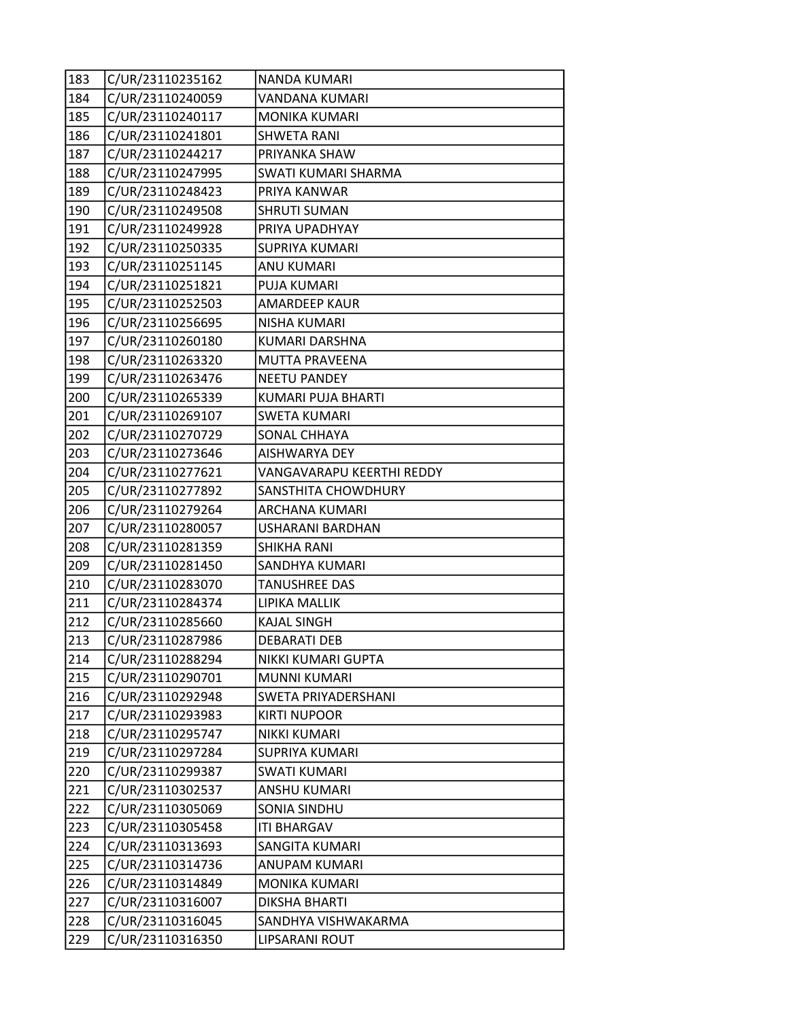| 183 | C/UR/23110235162 | NANDA KUMARI               |
|-----|------------------|----------------------------|
| 184 | C/UR/23110240059 | VANDANA KUMARI             |
| 185 | C/UR/23110240117 | <b>MONIKA KUMARI</b>       |
| 186 | C/UR/23110241801 | <b>SHWETA RANI</b>         |
| 187 | C/UR/23110244217 | PRIYANKA SHAW              |
| 188 | C/UR/23110247995 | SWATI KUMARI SHARMA        |
| 189 | C/UR/23110248423 | PRIYA KANWAR               |
| 190 | C/UR/23110249508 | <b>SHRUTI SUMAN</b>        |
| 191 | C/UR/23110249928 | PRIYA UPADHYAY             |
| 192 | C/UR/23110250335 | <b>SUPRIYA KUMARI</b>      |
| 193 | C/UR/23110251145 | <b>ANU KUMARI</b>          |
| 194 | C/UR/23110251821 | PUJA KUMARI                |
| 195 | C/UR/23110252503 | AMARDEEP KAUR              |
| 196 | C/UR/23110256695 | <b>NISHA KUMARI</b>        |
| 197 | C/UR/23110260180 | KUMARI DARSHNA             |
| 198 | C/UR/23110263320 | MUTTA PRAVEENA             |
| 199 | C/UR/23110263476 | <b>NEETU PANDEY</b>        |
| 200 | C/UR/23110265339 | KUMARI PUJA BHARTI         |
| 201 | C/UR/23110269107 | <b>SWETA KUMARI</b>        |
| 202 | C/UR/23110270729 | SONAL CHHAYA               |
| 203 | C/UR/23110273646 | AISHWARYA DEY              |
| 204 | C/UR/23110277621 | VANGAVARAPU KEERTHI REDDY  |
| 205 | C/UR/23110277892 | SANSTHITA CHOWDHURY        |
| 206 | C/UR/23110279264 | ARCHANA KUMARI             |
| 207 | C/UR/23110280057 | USHARANI BARDHAN           |
| 208 | C/UR/23110281359 | <b>SHIKHA RANI</b>         |
| 209 | C/UR/23110281450 | SANDHYA KUMARI             |
| 210 | C/UR/23110283070 | <b>TANUSHREE DAS</b>       |
| 211 | C/UR/23110284374 | LIPIKA MALLIK              |
| 212 | C/UR/23110285660 | <b>KAJAL SINGH</b>         |
| 213 | C/UR/23110287986 | <b>DEBARATI DEB</b>        |
| 214 | C/UR/23110288294 | NIKKI KUMARI GUPTA         |
| 215 | C/UR/23110290701 | <b>MUNNI KUMARI</b>        |
| 216 | C/UR/23110292948 | <b>SWETA PRIYADERSHANI</b> |
| 217 | C/UR/23110293983 | <b>KIRTI NUPOOR</b>        |
| 218 | C/UR/23110295747 | <b>NIKKI KUMARI</b>        |
| 219 | C/UR/23110297284 | <b>SUPRIYA KUMARI</b>      |
| 220 | C/UR/23110299387 | <b>SWATI KUMARI</b>        |
| 221 | C/UR/23110302537 | ANSHU KUMARI               |
| 222 | C/UR/23110305069 | <b>SONIA SINDHU</b>        |
| 223 | C/UR/23110305458 | <b>ITI BHARGAV</b>         |
| 224 | C/UR/23110313693 | SANGITA KUMARI             |
| 225 | C/UR/23110314736 | ANUPAM KUMARI              |
| 226 | C/UR/23110314849 | MONIKA KUMARI              |
| 227 | C/UR/23110316007 | <b>DIKSHA BHARTI</b>       |
| 228 | C/UR/23110316045 | SANDHYA VISHWAKARMA        |
| 229 | C/UR/23110316350 | LIPSARANI ROUT             |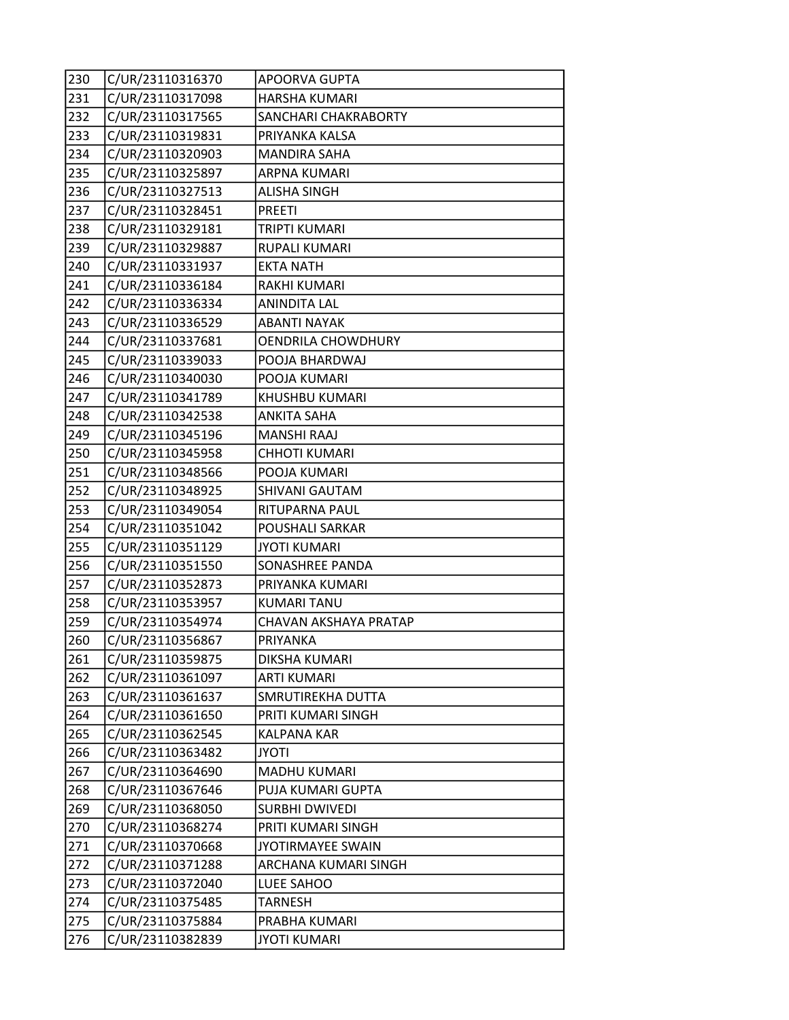| 230 | C/UR/23110316370 | APOORVA GUPTA         |
|-----|------------------|-----------------------|
| 231 | C/UR/23110317098 | HARSHA KUMARI         |
| 232 | C/UR/23110317565 | SANCHARI CHAKRABORTY  |
| 233 | C/UR/23110319831 | PRIYANKA KALSA        |
| 234 | C/UR/23110320903 | <b>MANDIRA SAHA</b>   |
| 235 | C/UR/23110325897 | <b>ARPNA KUMARI</b>   |
| 236 | C/UR/23110327513 | <b>ALISHA SINGH</b>   |
| 237 | C/UR/23110328451 | PREETI                |
| 238 | C/UR/23110329181 | TRIPTI KUMARI         |
| 239 | C/UR/23110329887 | RUPALI KUMARI         |
| 240 | C/UR/23110331937 | <b>EKTA NATH</b>      |
| 241 | C/UR/23110336184 | RAKHI KUMARI          |
| 242 | C/UR/23110336334 | <b>ANINDITA LAL</b>   |
| 243 | C/UR/23110336529 | <b>ABANTI NAYAK</b>   |
| 244 | C/UR/23110337681 | OENDRILA CHOWDHURY    |
| 245 | C/UR/23110339033 | POOJA BHARDWAJ        |
| 246 | C/UR/23110340030 | POOJA KUMARI          |
| 247 | C/UR/23110341789 | KHUSHBU KUMARI        |
| 248 | C/UR/23110342538 | <b>ANKITA SAHA</b>    |
| 249 | C/UR/23110345196 | <b>MANSHI RAAJ</b>    |
| 250 | C/UR/23110345958 | <b>CHHOTI KUMARI</b>  |
| 251 | C/UR/23110348566 | POOJA KUMARI          |
| 252 | C/UR/23110348925 | SHIVANI GAUTAM        |
| 253 | C/UR/23110349054 | RITUPARNA PAUL        |
| 254 | C/UR/23110351042 | POUSHALI SARKAR       |
| 255 | C/UR/23110351129 | <b>JYOTI KUMARI</b>   |
| 256 | C/UR/23110351550 | SONASHREE PANDA       |
| 257 | C/UR/23110352873 | PRIYANKA KUMARI       |
| 258 | C/UR/23110353957 | <b>KUMARI TANU</b>    |
| 259 | C/UR/23110354974 | CHAVAN AKSHAYA PRATAP |
| 260 | C/UR/23110356867 | PRIYANKA              |
| 261 | C/UR/23110359875 | DIKSHA KUMARI         |
| 262 | C/UR/23110361097 | <b>ARTI KUMARI</b>    |
| 263 | C/UR/23110361637 | SMRUTIREKHA DUTTA     |
| 264 | C/UR/23110361650 | PRITI KUMARI SINGH    |
| 265 | C/UR/23110362545 | <b>KALPANA KAR</b>    |
| 266 | C/UR/23110363482 | JYOTI                 |
| 267 | C/UR/23110364690 | <b>MADHU KUMARI</b>   |
| 268 | C/UR/23110367646 | PUJA KUMARI GUPTA     |
| 269 | C/UR/23110368050 | <b>SURBHI DWIVEDI</b> |
| 270 | C/UR/23110368274 | PRITI KUMARI SINGH    |
| 271 | C/UR/23110370668 | JYOTIRMAYEE SWAIN     |
| 272 | C/UR/23110371288 | ARCHANA KUMARI SINGH  |
| 273 | C/UR/23110372040 | LUEE SAHOO            |
| 274 | C/UR/23110375485 | TARNESH               |
| 275 | C/UR/23110375884 | PRABHA KUMARI         |
| 276 | C/UR/23110382839 | <b>JYOTI KUMARI</b>   |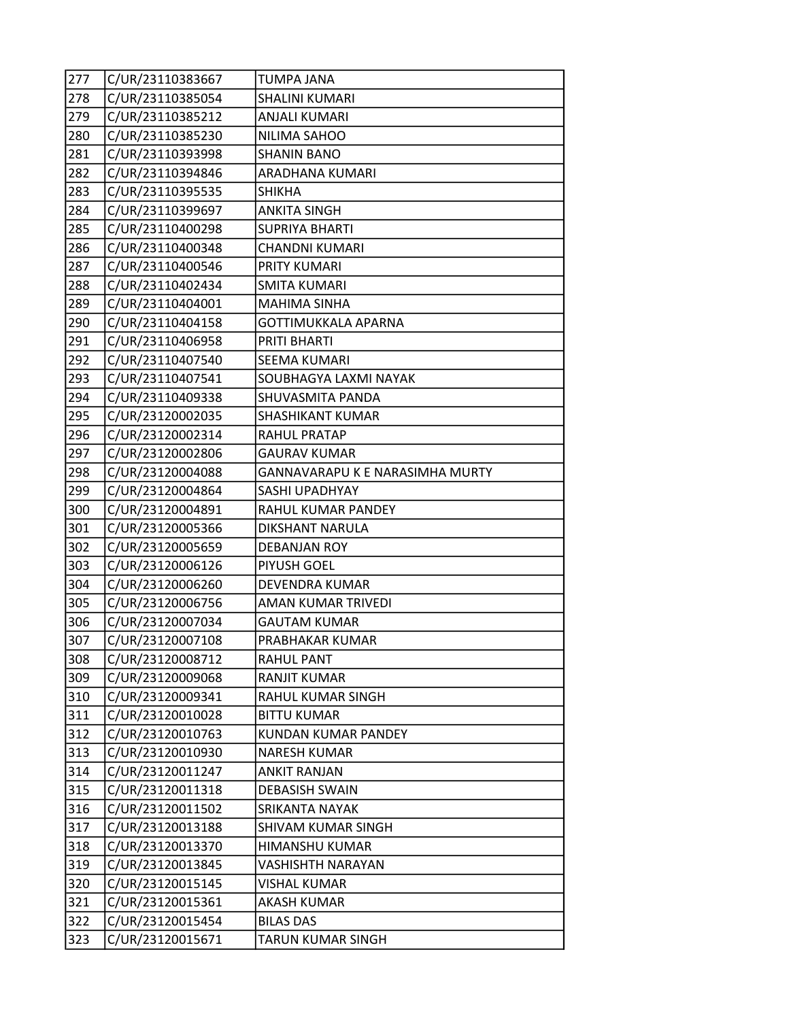| 277 | C/UR/23110383667 | TUMPA JANA                      |
|-----|------------------|---------------------------------|
| 278 | C/UR/23110385054 | <b>SHALINI KUMARI</b>           |
| 279 | C/UR/23110385212 | <b>ANJALI KUMARI</b>            |
| 280 | C/UR/23110385230 | NILIMA SAHOO                    |
| 281 | C/UR/23110393998 | <b>SHANIN BANO</b>              |
| 282 | C/UR/23110394846 | ARADHANA KUMARI                 |
| 283 | C/UR/23110395535 | <b>SHIKHA</b>                   |
| 284 | C/UR/23110399697 | <b>ANKITA SINGH</b>             |
| 285 | C/UR/23110400298 | <b>SUPRIYA BHARTI</b>           |
| 286 | C/UR/23110400348 | <b>CHANDNI KUMARI</b>           |
| 287 | C/UR/23110400546 | PRITY KUMARI                    |
| 288 | C/UR/23110402434 | <b>SMITA KUMARI</b>             |
| 289 | C/UR/23110404001 | <b>MAHIMA SINHA</b>             |
| 290 | C/UR/23110404158 | GOTTIMUKKALA APARNA             |
| 291 | C/UR/23110406958 | PRITI BHARTI                    |
| 292 | C/UR/23110407540 | <b>SEEMA KUMARI</b>             |
| 293 | C/UR/23110407541 | SOUBHAGYA LAXMI NAYAK           |
| 294 | C/UR/23110409338 | SHUVASMITA PANDA                |
| 295 | C/UR/23120002035 | SHASHIKANT KUMAR                |
| 296 | C/UR/23120002314 | <b>RAHUL PRATAP</b>             |
| 297 | C/UR/23120002806 | <b>GAURAV KUMAR</b>             |
| 298 | C/UR/23120004088 | GANNAVARAPU K E NARASIMHA MURTY |
| 299 | C/UR/23120004864 | SASHI UPADHYAY                  |
| 300 | C/UR/23120004891 | RAHUL KUMAR PANDEY              |
| 301 | C/UR/23120005366 | DIKSHANT NARULA                 |
| 302 | C/UR/23120005659 | <b>DEBANJAN ROY</b>             |
| 303 | C/UR/23120006126 | PIYUSH GOEL                     |
| 304 | C/UR/23120006260 | DEVENDRA KUMAR                  |
| 305 | C/UR/23120006756 | AMAN KUMAR TRIVEDI              |
| 306 | C/UR/23120007034 | <b>GAUTAM KUMAR</b>             |
| 307 | C/UR/23120007108 | PRABHAKAR KUMAR                 |
| 308 | C/UR/23120008712 | <b>RAHUL PANT</b>               |
| 309 | C/UR/23120009068 | RANJIT KUMAR                    |
| 310 | C/UR/23120009341 | RAHUL KUMAR SINGH               |
| 311 | C/UR/23120010028 | <b>BITTU KUMAR</b>              |
| 312 | C/UR/23120010763 | KUNDAN KUMAR PANDEY             |
| 313 | C/UR/23120010930 | <b>NARESH KUMAR</b>             |
| 314 | C/UR/23120011247 | <b>ANKIT RANJAN</b>             |
| 315 | C/UR/23120011318 | <b>DEBASISH SWAIN</b>           |
| 316 | C/UR/23120011502 | SRIKANTA NAYAK                  |
| 317 | C/UR/23120013188 | SHIVAM KUMAR SINGH              |
| 318 | C/UR/23120013370 | <b>HIMANSHU KUMAR</b>           |
| 319 | C/UR/23120013845 | <b>VASHISHTH NARAYAN</b>        |
| 320 | C/UR/23120015145 | VISHAL KUMAR                    |
| 321 | C/UR/23120015361 | <b>AKASH KUMAR</b>              |
| 322 | C/UR/23120015454 | <b>BILAS DAS</b>                |
| 323 | C/UR/23120015671 | TARUN KUMAR SINGH               |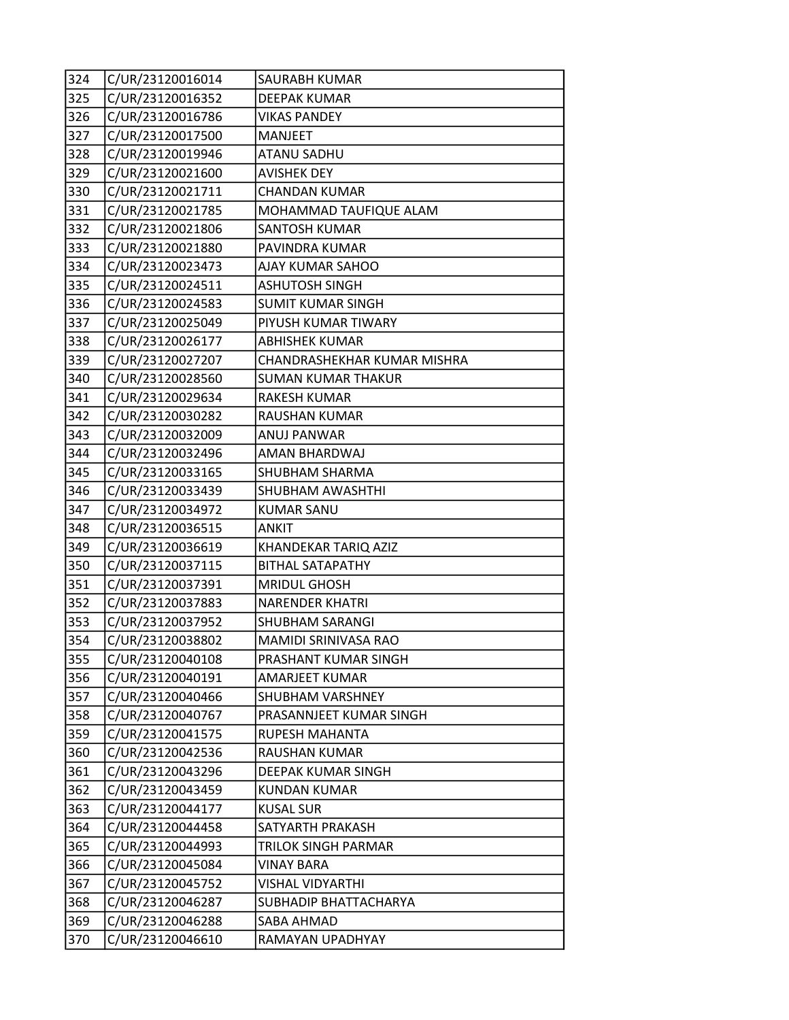| 324 | C/UR/23120016014 | SAURABH KUMAR               |
|-----|------------------|-----------------------------|
| 325 | C/UR/23120016352 | <b>DEEPAK KUMAR</b>         |
| 326 | C/UR/23120016786 | <b>VIKAS PANDEY</b>         |
| 327 | C/UR/23120017500 | <b>MANJEET</b>              |
| 328 | C/UR/23120019946 | <b>ATANU SADHU</b>          |
| 329 | C/UR/23120021600 | <b>AVISHEK DEY</b>          |
| 330 | C/UR/23120021711 | <b>CHANDAN KUMAR</b>        |
| 331 | C/UR/23120021785 | MOHAMMAD TAUFIQUE ALAM      |
| 332 | C/UR/23120021806 | <b>SANTOSH KUMAR</b>        |
| 333 | C/UR/23120021880 | PAVINDRA KUMAR              |
| 334 | C/UR/23120023473 | AJAY KUMAR SAHOO            |
| 335 | C/UR/23120024511 | <b>ASHUTOSH SINGH</b>       |
| 336 | C/UR/23120024583 | <b>SUMIT KUMAR SINGH</b>    |
| 337 | C/UR/23120025049 | PIYUSH KUMAR TIWARY         |
| 338 | C/UR/23120026177 | <b>ABHISHEK KUMAR</b>       |
| 339 | C/UR/23120027207 | CHANDRASHEKHAR KUMAR MISHRA |
| 340 | C/UR/23120028560 | <b>SUMAN KUMAR THAKUR</b>   |
| 341 | C/UR/23120029634 | <b>RAKESH KUMAR</b>         |
| 342 | C/UR/23120030282 | <b>RAUSHAN KUMAR</b>        |
| 343 | C/UR/23120032009 | ANUJ PANWAR                 |
| 344 | C/UR/23120032496 | AMAN BHARDWAJ               |
| 345 | C/UR/23120033165 | <b>SHUBHAM SHARMA</b>       |
| 346 | C/UR/23120033439 | <b>SHUBHAM AWASHTHI</b>     |
| 347 | C/UR/23120034972 | <b>KUMAR SANU</b>           |
| 348 | C/UR/23120036515 | <b>ANKIT</b>                |
| 349 | C/UR/23120036619 | KHANDEKAR TARIQ AZIZ        |
| 350 | C/UR/23120037115 | <b>BITHAL SATAPATHY</b>     |
| 351 | C/UR/23120037391 | <b>MRIDUL GHOSH</b>         |
| 352 | C/UR/23120037883 | <b>NARENDER KHATRI</b>      |
| 353 | C/UR/23120037952 | <b>SHUBHAM SARANGI</b>      |
| 354 | C/UR/23120038802 | <b>MAMIDI SRINIVASA RAO</b> |
| 355 | C/UR/23120040108 | PRASHANT KUMAR SINGH        |
| 356 | C/UR/23120040191 | <b>AMARJEET KUMAR</b>       |
| 357 | C/UR/23120040466 | <b>SHUBHAM VARSHNEY</b>     |
| 358 | C/UR/23120040767 | PRASANNJEET KUMAR SINGH     |
| 359 | C/UR/23120041575 | <b>RUPESH MAHANTA</b>       |
| 360 | C/UR/23120042536 | RAUSHAN KUMAR               |
| 361 | C/UR/23120043296 | <b>DEEPAK KUMAR SINGH</b>   |
| 362 | C/UR/23120043459 | KUNDAN KUMAR                |
| 363 | C/UR/23120044177 | <b>KUSAL SUR</b>            |
| 364 | C/UR/23120044458 | SATYARTH PRAKASH            |
| 365 | C/UR/23120044993 | TRILOK SINGH PARMAR         |
| 366 | C/UR/23120045084 | <b>VINAY BARA</b>           |
| 367 | C/UR/23120045752 | <b>VISHAL VIDYARTHI</b>     |
| 368 | C/UR/23120046287 | SUBHADIP BHATTACHARYA       |
| 369 | C/UR/23120046288 | SABA AHMAD                  |
| 370 | C/UR/23120046610 | RAMAYAN UPADHYAY            |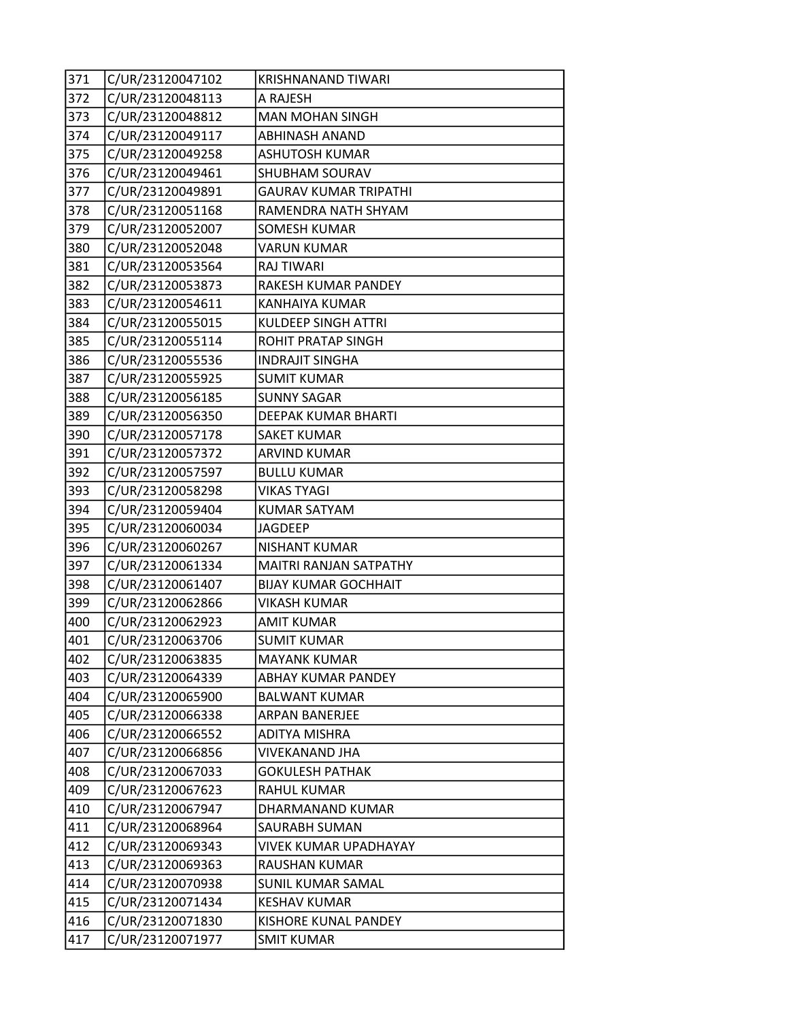| 371 | C/UR/23120047102 | <b>KRISHNANAND TIWARI</b>    |
|-----|------------------|------------------------------|
| 372 | C/UR/23120048113 | A RAJESH                     |
| 373 | C/UR/23120048812 | <b>MAN MOHAN SINGH</b>       |
| 374 | C/UR/23120049117 | <b>ABHINASH ANAND</b>        |
| 375 | C/UR/23120049258 | <b>ASHUTOSH KUMAR</b>        |
| 376 | C/UR/23120049461 | SHUBHAM SOURAV               |
| 377 | C/UR/23120049891 | <b>GAURAV KUMAR TRIPATHI</b> |
| 378 | C/UR/23120051168 | RAMENDRA NATH SHYAM          |
| 379 | C/UR/23120052007 | <b>SOMESH KUMAR</b>          |
| 380 | C/UR/23120052048 | <b>VARUN KUMAR</b>           |
| 381 | C/UR/23120053564 | <b>RAJ TIWARI</b>            |
| 382 | C/UR/23120053873 | RAKESH KUMAR PANDEY          |
| 383 | C/UR/23120054611 | <b>KANHAIYA KUMAR</b>        |
| 384 | C/UR/23120055015 | <b>KULDEEP SINGH ATTRI</b>   |
| 385 | C/UR/23120055114 | ROHIT PRATAP SINGH           |
| 386 | C/UR/23120055536 | <b>INDRAJIT SINGHA</b>       |
| 387 | C/UR/23120055925 | <b>SUMIT KUMAR</b>           |
| 388 | C/UR/23120056185 | <b>SUNNY SAGAR</b>           |
| 389 | C/UR/23120056350 | DEEPAK KUMAR BHARTI          |
| 390 | C/UR/23120057178 | <b>SAKET KUMAR</b>           |
| 391 | C/UR/23120057372 | <b>ARVIND KUMAR</b>          |
| 392 | C/UR/23120057597 | <b>BULLU KUMAR</b>           |
| 393 | C/UR/23120058298 | <b>VIKAS TYAGI</b>           |
| 394 | C/UR/23120059404 | <b>KUMAR SATYAM</b>          |
| 395 | C/UR/23120060034 | <b>JAGDEEP</b>               |
| 396 | C/UR/23120060267 | NISHANT KUMAR                |
| 397 | C/UR/23120061334 | MAITRI RANJAN SATPATHY       |
| 398 | C/UR/23120061407 | <b>BIJAY KUMAR GOCHHAIT</b>  |
| 399 | C/UR/23120062866 | <b>VIKASH KUMAR</b>          |
| 400 | C/UR/23120062923 | AMIT KUMAR                   |
| 401 | C/UR/23120063706 | <b>SUMIT KUMAR</b>           |
| 402 | C/UR/23120063835 | <b>MAYANK KUMAR</b>          |
| 403 | C/UR/23120064339 | <b>ABHAY KUMAR PANDEY</b>    |
| 404 | C/UR/23120065900 | <b>BALWANT KUMAR</b>         |
| 405 | C/UR/23120066338 | <b>ARPAN BANERJEE</b>        |
| 406 | C/UR/23120066552 | <b>ADITYA MISHRA</b>         |
| 407 | C/UR/23120066856 | <b>VIVEKANAND JHA</b>        |
| 408 | C/UR/23120067033 | <b>GOKULESH PATHAK</b>       |
| 409 | C/UR/23120067623 | RAHUL KUMAR                  |
| 410 | C/UR/23120067947 | DHARMANAND KUMAR             |
| 411 | C/UR/23120068964 | SAURABH SUMAN                |
| 412 | C/UR/23120069343 | <b>VIVEK KUMAR UPADHAYAY</b> |
| 413 | C/UR/23120069363 | RAUSHAN KUMAR                |
| 414 | C/UR/23120070938 | SUNIL KUMAR SAMAL            |
| 415 | C/UR/23120071434 | <b>KESHAV KUMAR</b>          |
| 416 | C/UR/23120071830 | KISHORE KUNAL PANDEY         |
| 417 | C/UR/23120071977 | <b>SMIT KUMAR</b>            |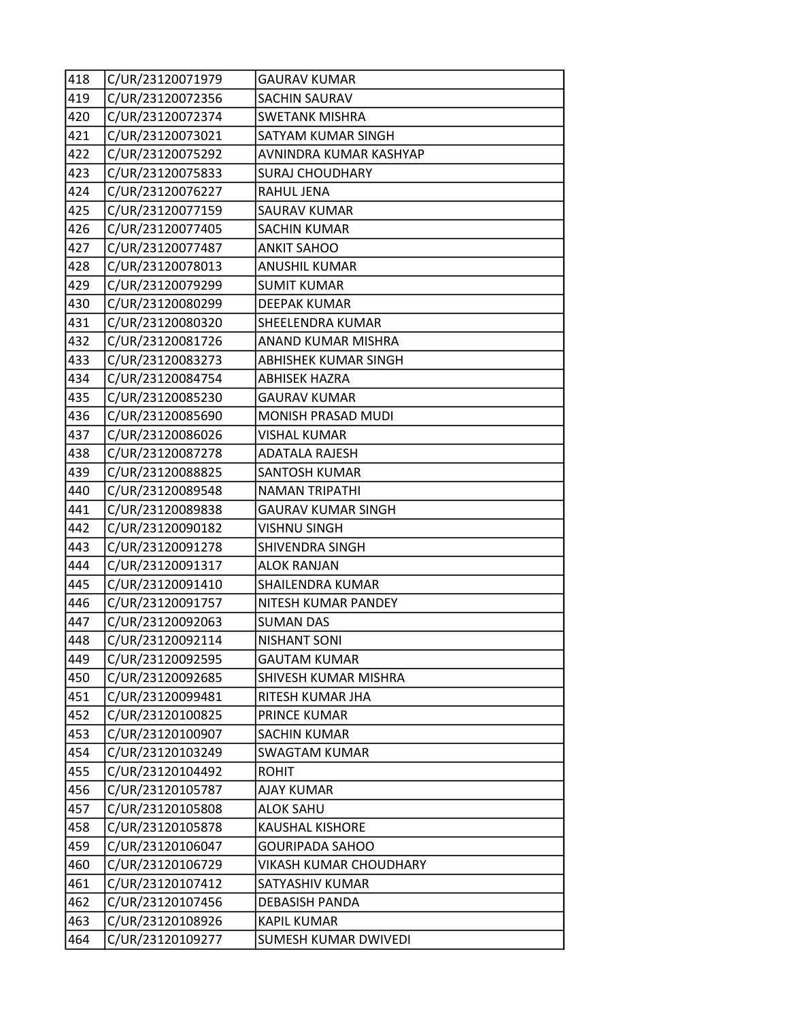| 418 | C/UR/23120071979 | <b>GAURAV KUMAR</b>           |
|-----|------------------|-------------------------------|
| 419 | C/UR/23120072356 | SACHIN SAURAV                 |
| 420 | C/UR/23120072374 | <b>SWETANK MISHRA</b>         |
| 421 | C/UR/23120073021 | SATYAM KUMAR SINGH            |
| 422 | C/UR/23120075292 | AVNINDRA KUMAR KASHYAP        |
| 423 | C/UR/23120075833 | <b>SURAJ CHOUDHARY</b>        |
| 424 | C/UR/23120076227 | RAHUL JENA                    |
| 425 | C/UR/23120077159 | <b>SAURAV KUMAR</b>           |
| 426 | C/UR/23120077405 | <b>SACHIN KUMAR</b>           |
| 427 | C/UR/23120077487 | <b>ANKIT SAHOO</b>            |
| 428 | C/UR/23120078013 | <b>ANUSHIL KUMAR</b>          |
| 429 | C/UR/23120079299 | <b>SUMIT KUMAR</b>            |
| 430 | C/UR/23120080299 | <b>DEEPAK KUMAR</b>           |
| 431 | C/UR/23120080320 | SHEELENDRA KUMAR              |
| 432 | C/UR/23120081726 | ANAND KUMAR MISHRA            |
| 433 | C/UR/23120083273 | <b>ABHISHEK KUMAR SINGH</b>   |
| 434 | C/UR/23120084754 | <b>ABHISEK HAZRA</b>          |
| 435 | C/UR/23120085230 | <b>GAURAV KUMAR</b>           |
| 436 | C/UR/23120085690 | MONISH PRASAD MUDI            |
| 437 | C/UR/23120086026 | <b>VISHAL KUMAR</b>           |
| 438 | C/UR/23120087278 | <b>ADATALA RAJESH</b>         |
| 439 | C/UR/23120088825 | SANTOSH KUMAR                 |
| 440 | C/UR/23120089548 | <b>NAMAN TRIPATHI</b>         |
| 441 | C/UR/23120089838 | <b>GAURAV KUMAR SINGH</b>     |
| 442 | C/UR/23120090182 | <b>VISHNU SINGH</b>           |
| 443 | C/UR/23120091278 | SHIVENDRA SINGH               |
| 444 | C/UR/23120091317 | <b>ALOK RANJAN</b>            |
| 445 | C/UR/23120091410 | SHAILENDRA KUMAR              |
| 446 | C/UR/23120091757 | NITESH KUMAR PANDEY           |
| 447 | C/UR/23120092063 | <b>SUMAN DAS</b>              |
| 448 | C/UR/23120092114 | <b>NISHANT SONI</b>           |
| 449 | C/UR/23120092595 | GAUTAM KUMAR                  |
| 450 | C/UR/23120092685 | SHIVESH KUMAR MISHRA          |
| 451 | C/UR/23120099481 | RITESH KUMAR JHA              |
| 452 | C/UR/23120100825 | PRINCE KUMAR                  |
| 453 | C/UR/23120100907 | <b>SACHIN KUMAR</b>           |
| 454 | C/UR/23120103249 | <b>SWAGTAM KUMAR</b>          |
| 455 | C/UR/23120104492 | <b>ROHIT</b>                  |
| 456 | C/UR/23120105787 | <b>AJAY KUMAR</b>             |
| 457 | C/UR/23120105808 | <b>ALOK SAHU</b>              |
| 458 | C/UR/23120105878 | <b>KAUSHAL KISHORE</b>        |
| 459 | C/UR/23120106047 | <b>GOURIPADA SAHOO</b>        |
| 460 | C/UR/23120106729 | <b>VIKASH KUMAR CHOUDHARY</b> |
| 461 | C/UR/23120107412 | SATYASHIV KUMAR               |
| 462 | C/UR/23120107456 | <b>DEBASISH PANDA</b>         |
| 463 | C/UR/23120108926 | <b>KAPIL KUMAR</b>            |
| 464 | C/UR/23120109277 | SUMESH KUMAR DWIVEDI          |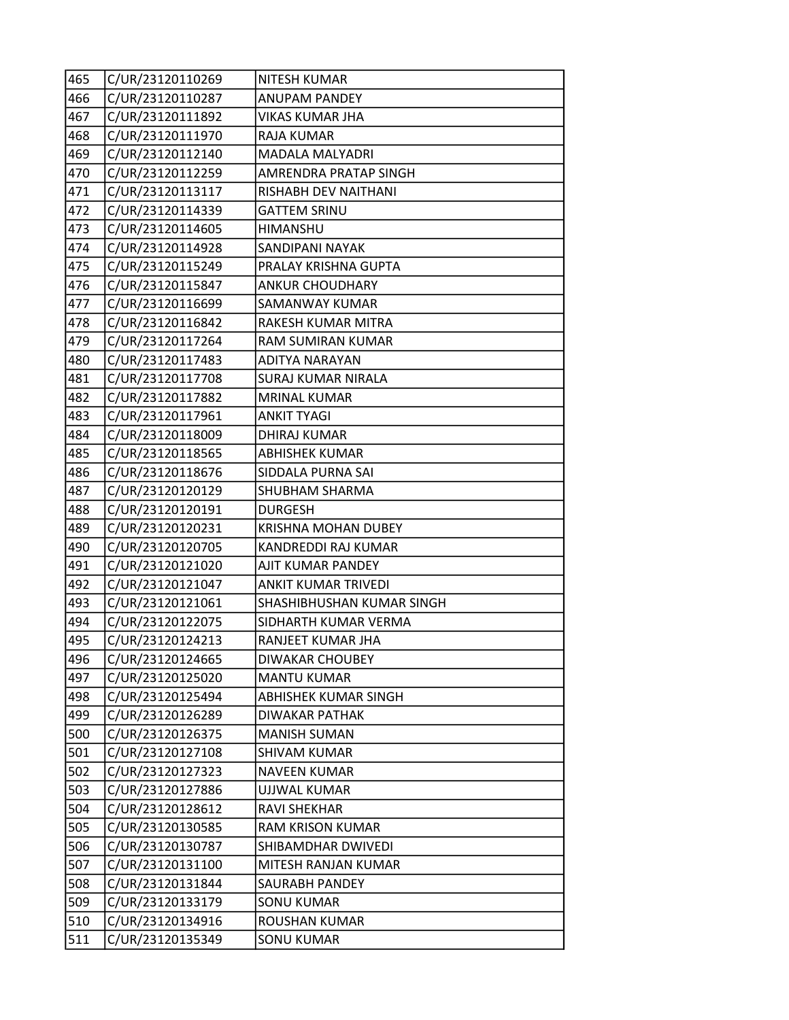| 465 | C/UR/23120110269 | <b>NITESH KUMAR</b>        |
|-----|------------------|----------------------------|
| 466 | C/UR/23120110287 | <b>ANUPAM PANDEY</b>       |
| 467 | C/UR/23120111892 | <b>VIKAS KUMAR JHA</b>     |
| 468 | C/UR/23120111970 | RAJA KUMAR                 |
| 469 | C/UR/23120112140 | MADALA MALYADRI            |
| 470 | C/UR/23120112259 | AMRENDRA PRATAP SINGH      |
| 471 | C/UR/23120113117 | RISHABH DEV NAITHANI       |
| 472 | C/UR/23120114339 | <b>GATTEM SRINU</b>        |
| 473 | C/UR/23120114605 | HIMANSHU                   |
| 474 | C/UR/23120114928 | SANDIPANI NAYAK            |
| 475 | C/UR/23120115249 | PRALAY KRISHNA GUPTA       |
| 476 | C/UR/23120115847 | <b>ANKUR CHOUDHARY</b>     |
| 477 | C/UR/23120116699 | SAMANWAY KUMAR             |
| 478 | C/UR/23120116842 | RAKESH KUMAR MITRA         |
| 479 | C/UR/23120117264 | RAM SUMIRAN KUMAR          |
| 480 | C/UR/23120117483 | ADITYA NARAYAN             |
| 481 | C/UR/23120117708 | <b>SURAJ KUMAR NIRALA</b>  |
| 482 | C/UR/23120117882 | <b>MRINAL KUMAR</b>        |
| 483 | C/UR/23120117961 | <b>ANKIT TYAGI</b>         |
| 484 | C/UR/23120118009 | <b>DHIRAJ KUMAR</b>        |
| 485 | C/UR/23120118565 | <b>ABHISHEK KUMAR</b>      |
| 486 | C/UR/23120118676 | SIDDALA PURNA SAI          |
| 487 | C/UR/23120120129 | SHUBHAM SHARMA             |
| 488 | C/UR/23120120191 | <b>DURGESH</b>             |
| 489 | C/UR/23120120231 | <b>KRISHNA MOHAN DUBEY</b> |
| 490 | C/UR/23120120705 | KANDREDDI RAJ KUMAR        |
| 491 | C/UR/23120121020 | AJIT KUMAR PANDEY          |
| 492 | C/UR/23120121047 | <b>ANKIT KUMAR TRIVEDI</b> |
| 493 | C/UR/23120121061 | SHASHIBHUSHAN KUMAR SINGH  |
| 494 | C/UR/23120122075 | SIDHARTH KUMAR VERMA       |
| 495 | C/UR/23120124213 | RANJEET KUMAR JHA          |
| 496 | C/UR/23120124665 | DIWAKAR CHOUBEY            |
| 497 | C/UR/23120125020 | <b>MANTU KUMAR</b>         |
| 498 | C/UR/23120125494 | ABHISHEK KUMAR SINGH       |
| 499 | C/UR/23120126289 | DIWAKAR PATHAK             |
| 500 | C/UR/23120126375 | <b>MANISH SUMAN</b>        |
| 501 | C/UR/23120127108 | <b>SHIVAM KUMAR</b>        |
| 502 | C/UR/23120127323 | <b>NAVEEN KUMAR</b>        |
| 503 | C/UR/23120127886 | <b>UJJWAL KUMAR</b>        |
| 504 | C/UR/23120128612 | RAVI SHEKHAR               |
| 505 | C/UR/23120130585 | <b>RAM KRISON KUMAR</b>    |
| 506 | C/UR/23120130787 | SHIBAMDHAR DWIVEDI         |
| 507 | C/UR/23120131100 | MITESH RANJAN KUMAR        |
| 508 | C/UR/23120131844 | SAURABH PANDEY             |
| 509 | C/UR/23120133179 | <b>SONU KUMAR</b>          |
| 510 | C/UR/23120134916 | ROUSHAN KUMAR              |
| 511 | C/UR/23120135349 | <b>SONU KUMAR</b>          |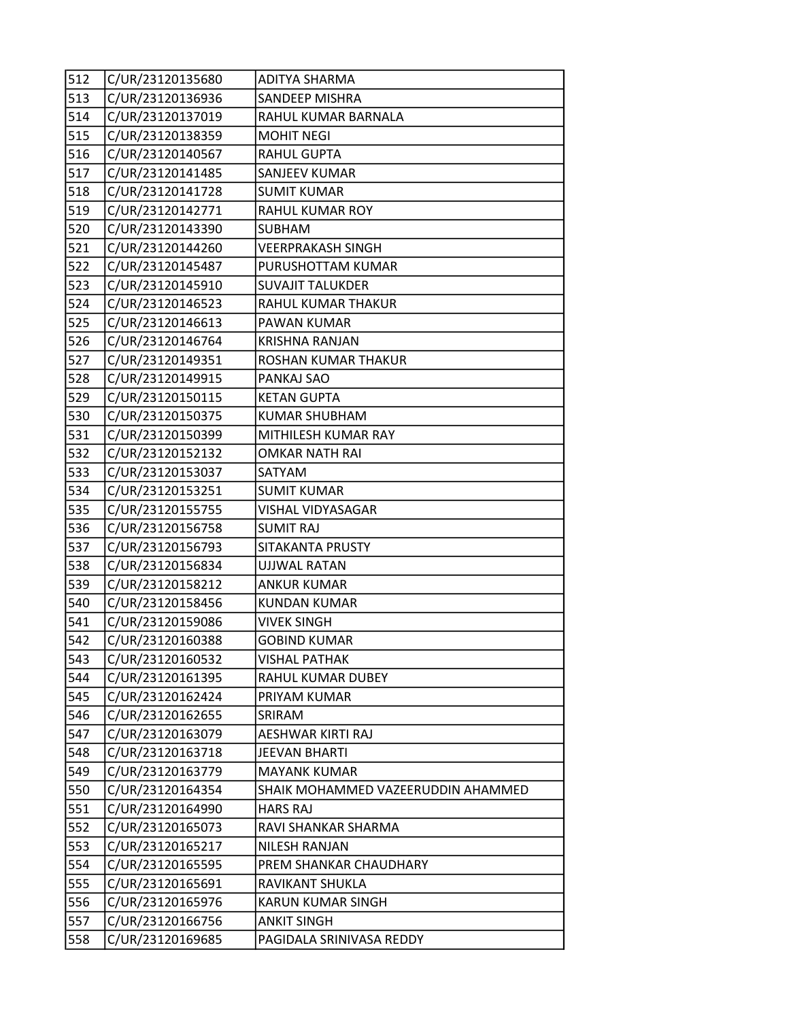| 512 | C/UR/23120135680 | <b>ADITYA SHARMA</b>               |
|-----|------------------|------------------------------------|
| 513 | C/UR/23120136936 | SANDEEP MISHRA                     |
| 514 | C/UR/23120137019 | RAHUL KUMAR BARNALA                |
| 515 | C/UR/23120138359 | <b>MOHIT NEGI</b>                  |
| 516 | C/UR/23120140567 | <b>RAHUL GUPTA</b>                 |
| 517 | C/UR/23120141485 | SANJEEV KUMAR                      |
| 518 | C/UR/23120141728 | <b>SUMIT KUMAR</b>                 |
| 519 | C/UR/23120142771 | RAHUL KUMAR ROY                    |
| 520 | C/UR/23120143390 | <b>SUBHAM</b>                      |
| 521 | C/UR/23120144260 | <b>VEERPRAKASH SINGH</b>           |
| 522 | C/UR/23120145487 | PURUSHOTTAM KUMAR                  |
| 523 | C/UR/23120145910 | <b>SUVAJIT TALUKDER</b>            |
| 524 | C/UR/23120146523 | RAHUL KUMAR THAKUR                 |
| 525 | C/UR/23120146613 | PAWAN KUMAR                        |
| 526 | C/UR/23120146764 | <b>KRISHNA RANJAN</b>              |
| 527 | C/UR/23120149351 | ROSHAN KUMAR THAKUR                |
| 528 | C/UR/23120149915 | PANKAJ SAO                         |
| 529 | C/UR/23120150115 | <b>KETAN GUPTA</b>                 |
| 530 | C/UR/23120150375 | <b>KUMAR SHUBHAM</b>               |
| 531 | C/UR/23120150399 | MITHILESH KUMAR RAY                |
| 532 | C/UR/23120152132 | <b>OMKAR NATH RAI</b>              |
| 533 | C/UR/23120153037 | SATYAM                             |
| 534 | C/UR/23120153251 | <b>SUMIT KUMAR</b>                 |
| 535 | C/UR/23120155755 | <b>VISHAL VIDYASAGAR</b>           |
| 536 | C/UR/23120156758 | <b>SUMIT RAJ</b>                   |
| 537 | C/UR/23120156793 | SITAKANTA PRUSTY                   |
| 538 | C/UR/23120156834 | <b>UJJWAL RATAN</b>                |
| 539 | C/UR/23120158212 | <b>ANKUR KUMAR</b>                 |
| 540 | C/UR/23120158456 | <b>KUNDAN KUMAR</b>                |
| 541 | C/UR/23120159086 | <b>VIVEK SINGH</b>                 |
| 542 | C/UR/23120160388 | <b>GOBIND KUMAR</b>                |
| 543 | C/UR/23120160532 | <b>VISHAL PATHAK</b>               |
| 544 | C/UR/23120161395 | RAHUL KUMAR DUBEY                  |
| 545 | C/UR/23120162424 | PRIYAM KUMAR                       |
| 546 | C/UR/23120162655 | SRIRAM                             |
| 547 | C/UR/23120163079 | AESHWAR KIRTI RAJ                  |
| 548 | C/UR/23120163718 | JEEVAN BHARTI                      |
| 549 | C/UR/23120163779 | <b>MAYANK KUMAR</b>                |
| 550 | C/UR/23120164354 | SHAIK MOHAMMED VAZEERUDDIN AHAMMED |
| 551 | C/UR/23120164990 | <b>HARS RAJ</b>                    |
| 552 | C/UR/23120165073 | RAVI SHANKAR SHARMA                |
| 553 | C/UR/23120165217 | NILESH RANJAN                      |
| 554 | C/UR/23120165595 | PREM SHANKAR CHAUDHARY             |
| 555 | C/UR/23120165691 | RAVIKANT SHUKLA                    |
| 556 | C/UR/23120165976 | KARUN KUMAR SINGH                  |
| 557 | C/UR/23120166756 | <b>ANKIT SINGH</b>                 |
| 558 | C/UR/23120169685 | PAGIDALA SRINIVASA REDDY           |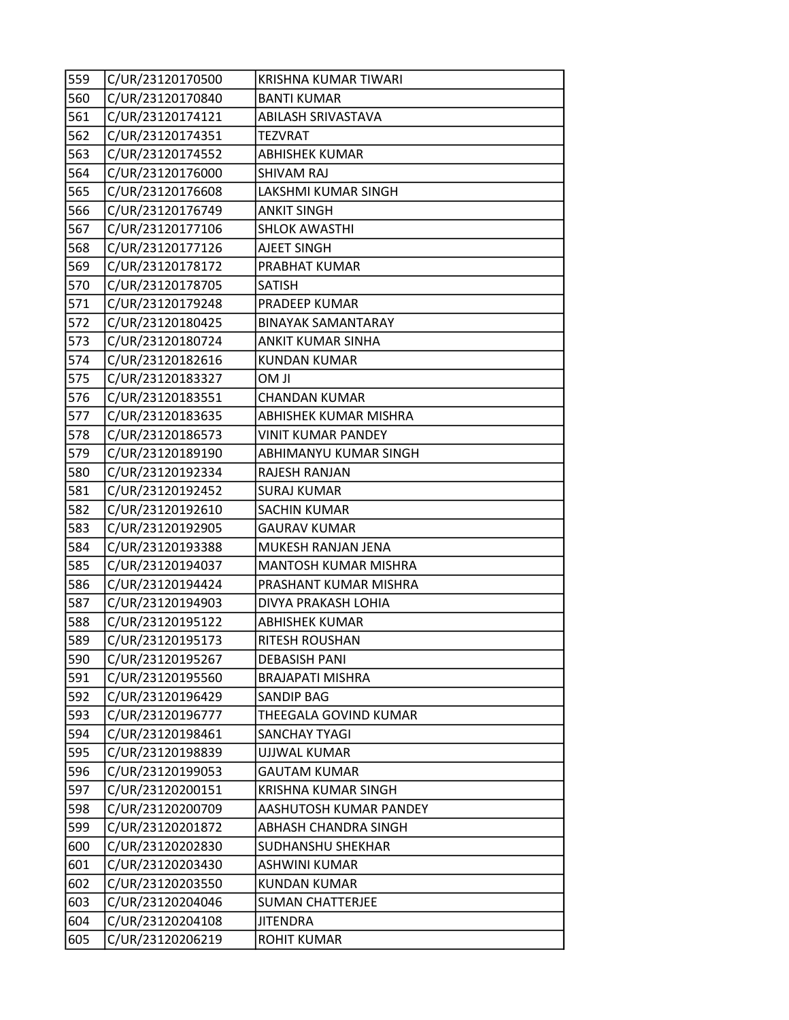| 559 | C/UR/23120170500 | KRISHNA KUMAR TIWARI         |
|-----|------------------|------------------------------|
| 560 | C/UR/23120170840 | <b>BANTI KUMAR</b>           |
| 561 | C/UR/23120174121 | ABILASH SRIVASTAVA           |
| 562 | C/UR/23120174351 | <b>TEZVRAT</b>               |
| 563 | C/UR/23120174552 | <b>ABHISHEK KUMAR</b>        |
| 564 | C/UR/23120176000 | SHIVAM RAJ                   |
| 565 | C/UR/23120176608 | LAKSHMI KUMAR SINGH          |
| 566 | C/UR/23120176749 | <b>ANKIT SINGH</b>           |
| 567 | C/UR/23120177106 | <b>SHLOK AWASTHI</b>         |
| 568 | C/UR/23120177126 | <b>AJEET SINGH</b>           |
| 569 | C/UR/23120178172 | PRABHAT KUMAR                |
| 570 | C/UR/23120178705 | <b>SATISH</b>                |
| 571 | C/UR/23120179248 | PRADEEP KUMAR                |
| 572 | C/UR/23120180425 | <b>BINAYAK SAMANTARAY</b>    |
| 573 | C/UR/23120180724 | <b>ANKIT KUMAR SINHA</b>     |
| 574 | C/UR/23120182616 | <b>KUNDAN KUMAR</b>          |
| 575 | C/UR/23120183327 | <b>Il MO</b>                 |
| 576 | C/UR/23120183551 | <b>CHANDAN KUMAR</b>         |
| 577 | C/UR/23120183635 | <b>ABHISHEK KUMAR MISHRA</b> |
| 578 | C/UR/23120186573 | VINIT KUMAR PANDEY           |
| 579 | C/UR/23120189190 | ABHIMANYU KUMAR SINGH        |
| 580 | C/UR/23120192334 | RAJESH RANJAN                |
| 581 | C/UR/23120192452 | <b>SURAJ KUMAR</b>           |
| 582 | C/UR/23120192610 | <b>SACHIN KUMAR</b>          |
| 583 | C/UR/23120192905 | <b>GAURAV KUMAR</b>          |
| 584 | C/UR/23120193388 | MUKESH RANJAN JENA           |
| 585 | C/UR/23120194037 | MANTOSH KUMAR MISHRA         |
| 586 | C/UR/23120194424 | PRASHANT KUMAR MISHRA        |
| 587 | C/UR/23120194903 | DIVYA PRAKASH LOHIA          |
| 588 | C/UR/23120195122 | <b>ABHISHEK KUMAR</b>        |
| 589 | C/UR/23120195173 | RITESH ROUSHAN               |
| 590 | C/UR/23120195267 | <b>DEBASISH PANI</b>         |
| 591 | C/UR/23120195560 | <b>BRAJAPATI MISHRA</b>      |
| 592 | C/UR/23120196429 | SANDIP BAG                   |
| 593 | C/UR/23120196777 | THEEGALA GOVIND KUMAR        |
| 594 | C/UR/23120198461 | <b>SANCHAY TYAGI</b>         |
| 595 | C/UR/23120198839 | UJJWAL KUMAR                 |
| 596 | C/UR/23120199053 | <b>GAUTAM KUMAR</b>          |
| 597 | C/UR/23120200151 | <b>KRISHNA KUMAR SINGH</b>   |
| 598 | C/UR/23120200709 | AASHUTOSH KUMAR PANDEY       |
| 599 | C/UR/23120201872 | ABHASH CHANDRA SINGH         |
| 600 | C/UR/23120202830 | SUDHANSHU SHEKHAR            |
| 601 | C/UR/23120203430 | <b>ASHWINI KUMAR</b>         |
| 602 | C/UR/23120203550 | <b>KUNDAN KUMAR</b>          |
| 603 | C/UR/23120204046 | <b>SUMAN CHATTERJEE</b>      |
| 604 | C/UR/23120204108 | <b>JITENDRA</b>              |
| 605 | C/UR/23120206219 | <b>ROHIT KUMAR</b>           |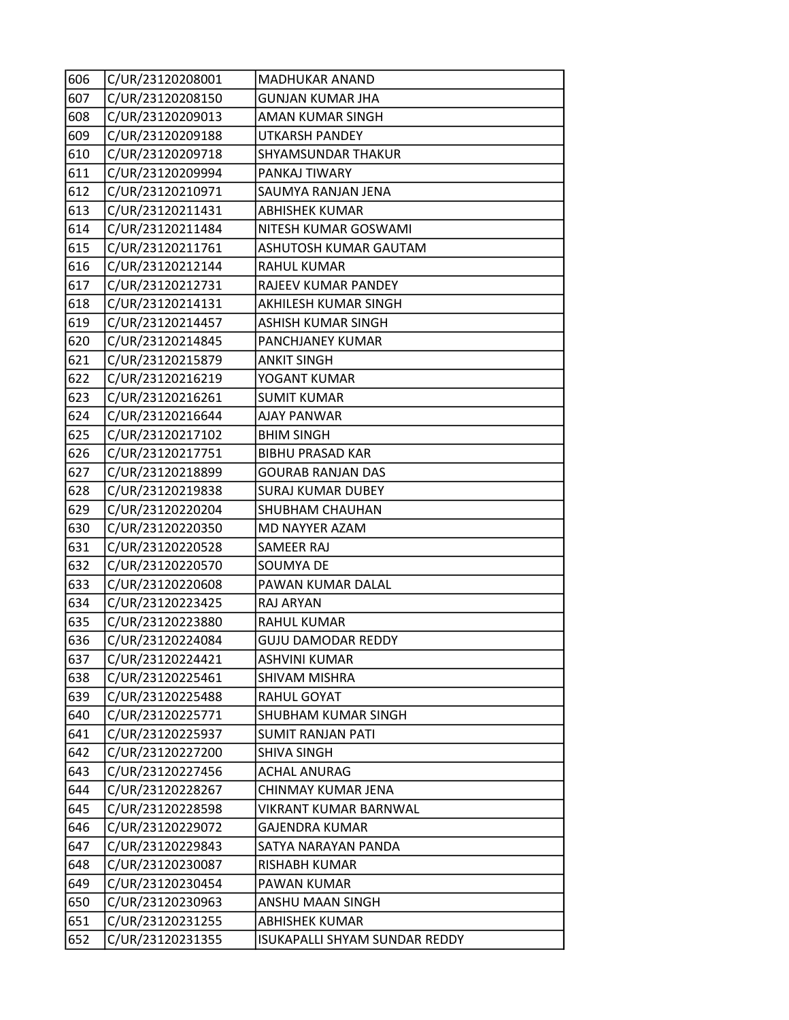| 606 | C/UR/23120208001 | MADHUKAR ANAND                |
|-----|------------------|-------------------------------|
| 607 | C/UR/23120208150 | <b>GUNJAN KUMAR JHA</b>       |
| 608 | C/UR/23120209013 | AMAN KUMAR SINGH              |
| 609 | C/UR/23120209188 | <b>UTKARSH PANDEY</b>         |
| 610 | C/UR/23120209718 | SHYAMSUNDAR THAKUR            |
| 611 | C/UR/23120209994 | PANKAJ TIWARY                 |
| 612 | C/UR/23120210971 | SAUMYA RANJAN JENA            |
| 613 | C/UR/23120211431 | <b>ABHISHEK KUMAR</b>         |
| 614 | C/UR/23120211484 | NITESH KUMAR GOSWAMI          |
| 615 | C/UR/23120211761 | ASHUTOSH KUMAR GAUTAM         |
| 616 | C/UR/23120212144 | <b>RAHUL KUMAR</b>            |
| 617 | C/UR/23120212731 | RAJEEV KUMAR PANDEY           |
| 618 | C/UR/23120214131 | AKHILESH KUMAR SINGH          |
| 619 | C/UR/23120214457 | <b>ASHISH KUMAR SINGH</b>     |
| 620 | C/UR/23120214845 | PANCHJANEY KUMAR              |
| 621 | C/UR/23120215879 | <b>ANKIT SINGH</b>            |
| 622 | C/UR/23120216219 | YOGANT KUMAR                  |
| 623 | C/UR/23120216261 | <b>SUMIT KUMAR</b>            |
| 624 | C/UR/23120216644 | <b>AJAY PANWAR</b>            |
| 625 | C/UR/23120217102 | <b>BHIM SINGH</b>             |
| 626 | C/UR/23120217751 | <b>BIBHU PRASAD KAR</b>       |
| 627 | C/UR/23120218899 | <b>GOURAB RANJAN DAS</b>      |
| 628 | C/UR/23120219838 | <b>SURAJ KUMAR DUBEY</b>      |
| 629 | C/UR/23120220204 | SHUBHAM CHAUHAN               |
| 630 | C/UR/23120220350 | MD NAYYER AZAM                |
| 631 | C/UR/23120220528 | SAMEER RAJ                    |
| 632 | C/UR/23120220570 | SOUMYA DE                     |
| 633 | C/UR/23120220608 | PAWAN KUMAR DALAL             |
| 634 | C/UR/23120223425 | RAJ ARYAN                     |
| 635 | C/UR/23120223880 | <b>RAHUL KUMAR</b>            |
| 636 | C/UR/23120224084 | <b>GUJU DAMODAR REDDY</b>     |
| 637 | C/UR/23120224421 | ASHVINI KUMAR                 |
| 638 | C/UR/23120225461 | <b>SHIVAM MISHRA</b>          |
| 639 | C/UR/23120225488 | RAHUL GOYAT                   |
| 640 | C/UR/23120225771 | SHUBHAM KUMAR SINGH           |
| 641 | C/UR/23120225937 | <b>SUMIT RANJAN PATI</b>      |
| 642 | C/UR/23120227200 | <b>SHIVA SINGH</b>            |
| 643 | C/UR/23120227456 | <b>ACHAL ANURAG</b>           |
| 644 | C/UR/23120228267 | CHINMAY KUMAR JENA            |
| 645 | C/UR/23120228598 | VIKRANT KUMAR BARNWAL         |
| 646 | C/UR/23120229072 | <b>GAJENDRA KUMAR</b>         |
| 647 | C/UR/23120229843 | SATYA NARAYAN PANDA           |
| 648 | C/UR/23120230087 | RISHABH KUMAR                 |
| 649 | C/UR/23120230454 | PAWAN KUMAR                   |
| 650 | C/UR/23120230963 | ANSHU MAAN SINGH              |
| 651 | C/UR/23120231255 | <b>ABHISHEK KUMAR</b>         |
| 652 | C/UR/23120231355 | ISUKAPALLI SHYAM SUNDAR REDDY |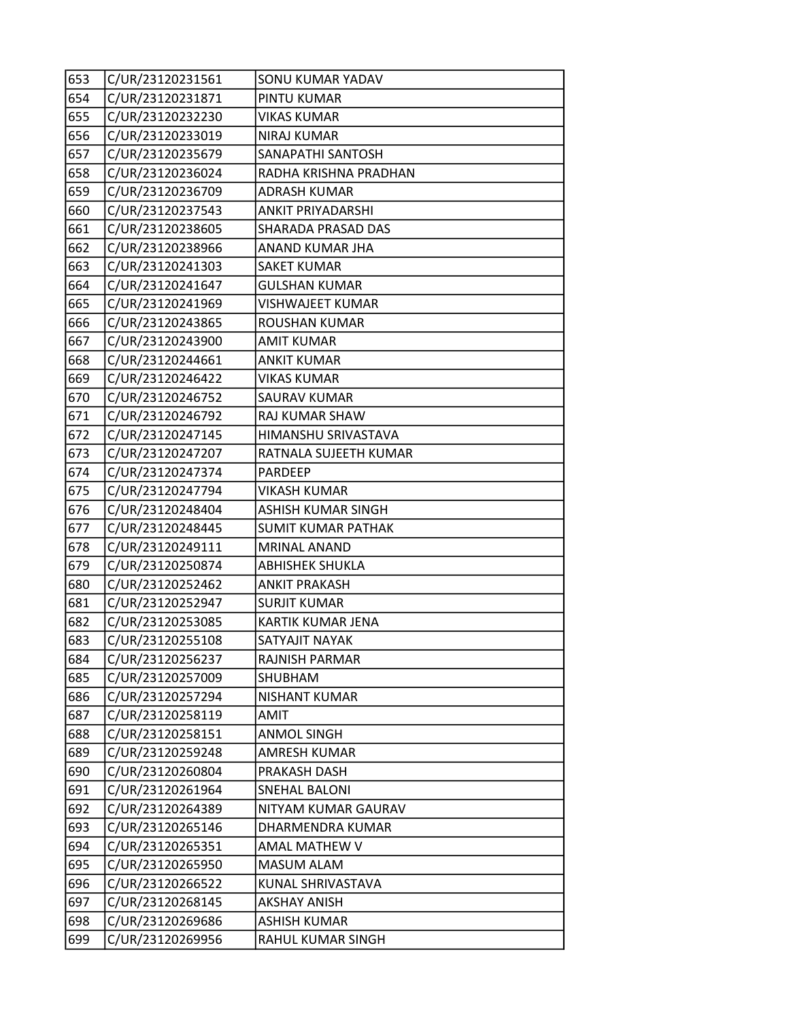| 653 | C/UR/23120231561 | SONU KUMAR YADAV          |
|-----|------------------|---------------------------|
| 654 | C/UR/23120231871 | PINTU KUMAR               |
| 655 | C/UR/23120232230 | <b>VIKAS KUMAR</b>        |
| 656 | C/UR/23120233019 | <b>NIRAJ KUMAR</b>        |
| 657 | C/UR/23120235679 | SANAPATHI SANTOSH         |
| 658 | C/UR/23120236024 | RADHA KRISHNA PRADHAN     |
| 659 | C/UR/23120236709 | <b>ADRASH KUMAR</b>       |
| 660 | C/UR/23120237543 | <b>ANKIT PRIYADARSHI</b>  |
| 661 | C/UR/23120238605 | SHARADA PRASAD DAS        |
| 662 | C/UR/23120238966 | ANAND KUMAR JHA           |
| 663 | C/UR/23120241303 | <b>SAKET KUMAR</b>        |
| 664 | C/UR/23120241647 | <b>GULSHAN KUMAR</b>      |
| 665 | C/UR/23120241969 | <b>VISHWAJEET KUMAR</b>   |
| 666 | C/UR/23120243865 | ROUSHAN KUMAR             |
| 667 | C/UR/23120243900 | <b>AMIT KUMAR</b>         |
| 668 | C/UR/23120244661 | <b>ANKIT KUMAR</b>        |
| 669 | C/UR/23120246422 | <b>VIKAS KUMAR</b>        |
| 670 | C/UR/23120246752 | <b>SAURAV KUMAR</b>       |
| 671 | C/UR/23120246792 | RAJ KUMAR SHAW            |
| 672 | C/UR/23120247145 | HIMANSHU SRIVASTAVA       |
| 673 | C/UR/23120247207 | RATNALA SUJEETH KUMAR     |
| 674 | C/UR/23120247374 | <b>PARDEEP</b>            |
| 675 | C/UR/23120247794 | <b>VIKASH KUMAR</b>       |
| 676 | C/UR/23120248404 | <b>ASHISH KUMAR SINGH</b> |
| 677 | C/UR/23120248445 | <b>SUMIT KUMAR PATHAK</b> |
| 678 | C/UR/23120249111 | MRINAL ANAND              |
| 679 | C/UR/23120250874 | <b>ABHISHEK SHUKLA</b>    |
| 680 | C/UR/23120252462 | <b>ANKIT PRAKASH</b>      |
| 681 | C/UR/23120252947 | <b>SURJIT KUMAR</b>       |
| 682 | C/UR/23120253085 | KARTIK KUMAR JENA         |
| 683 | C/UR/23120255108 | SATYAJIT NAYAK            |
| 684 | C/UR/23120256237 | RAJNISH PARMAR            |
| 685 | C/UR/23120257009 | SHUBHAM                   |
| 686 | C/UR/23120257294 | <b>NISHANT KUMAR</b>      |
| 687 | C/UR/23120258119 | AMIT                      |
| 688 | C/UR/23120258151 | <b>ANMOL SINGH</b>        |
| 689 | C/UR/23120259248 | AMRESH KUMAR              |
| 690 | C/UR/23120260804 | PRAKASH DASH              |
| 691 | C/UR/23120261964 | SNEHAL BALONI             |
| 692 | C/UR/23120264389 | NITYAM KUMAR GAURAV       |
| 693 | C/UR/23120265146 | DHARMENDRA KUMAR          |
| 694 | C/UR/23120265351 | AMAL MATHEW V             |
| 695 | C/UR/23120265950 | MASUM ALAM                |
| 696 | C/UR/23120266522 | KUNAL SHRIVASTAVA         |
| 697 | C/UR/23120268145 | <b>AKSHAY ANISH</b>       |
| 698 | C/UR/23120269686 | <b>ASHISH KUMAR</b>       |
| 699 | C/UR/23120269956 | RAHUL KUMAR SINGH         |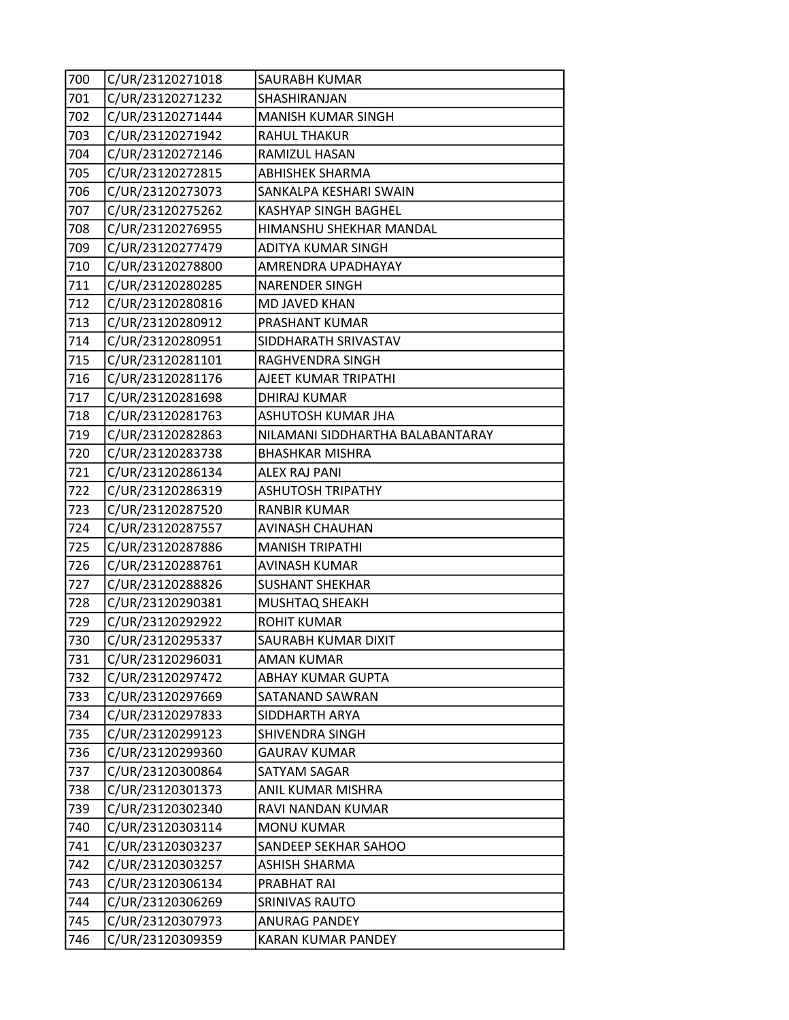| 700 | C/UR/23120271018 | SAURABH KUMAR                    |
|-----|------------------|----------------------------------|
| 701 | C/UR/23120271232 | SHASHIRANJAN                     |
| 702 | C/UR/23120271444 | MANISH KUMAR SINGH               |
| 703 | C/UR/23120271942 | <b>RAHUL THAKUR</b>              |
| 704 | C/UR/23120272146 | RAMIZUL HASAN                    |
| 705 | C/UR/23120272815 | <b>ABHISHEK SHARMA</b>           |
| 706 | C/UR/23120273073 | SANKALPA KESHARI SWAIN           |
| 707 | C/UR/23120275262 | KASHYAP SINGH BAGHEL             |
| 708 | C/UR/23120276955 | HIMANSHU SHEKHAR MANDAL          |
| 709 | C/UR/23120277479 | ADITYA KUMAR SINGH               |
| 710 | C/UR/23120278800 | AMRENDRA UPADHAYAY               |
| 711 | C/UR/23120280285 | <b>NARENDER SINGH</b>            |
| 712 | C/UR/23120280816 | MD JAVED KHAN                    |
| 713 | C/UR/23120280912 | PRASHANT KUMAR                   |
| 714 | C/UR/23120280951 | SIDDHARATH SRIVASTAV             |
| 715 | C/UR/23120281101 | RAGHVENDRA SINGH                 |
| 716 | C/UR/23120281176 | AJEET KUMAR TRIPATHI             |
| 717 | C/UR/23120281698 | DHIRAJ KUMAR                     |
| 718 | C/UR/23120281763 | ASHUTOSH KUMAR JHA               |
| 719 | C/UR/23120282863 | NILAMANI SIDDHARTHA BALABANTARAY |
| 720 | C/UR/23120283738 | <b>BHASHKAR MISHRA</b>           |
| 721 | C/UR/23120286134 | <b>ALEX RAJ PANI</b>             |
| 722 | C/UR/23120286319 | <b>ASHUTOSH TRIPATHY</b>         |
| 723 | C/UR/23120287520 | <b>RANBIR KUMAR</b>              |
| 724 | C/UR/23120287557 | AVINASH CHAUHAN                  |
| 725 | C/UR/23120287886 | <b>MANISH TRIPATHI</b>           |
| 726 | C/UR/23120288761 | <b>AVINASH KUMAR</b>             |
| 727 | C/UR/23120288826 | <b>SUSHANT SHEKHAR</b>           |
| 728 | C/UR/23120290381 | <b>MUSHTAQ SHEAKH</b>            |
| 729 | C/UR/23120292922 | <b>ROHIT KUMAR</b>               |
| 730 | C/UR/23120295337 | SAURABH KUMAR DIXIT              |
| 731 | C/UR/23120296031 | <b>AMAN KUMAR</b>                |
| 732 | C/UR/23120297472 | ABHAY KUMAR GUPTA                |
| 733 | C/UR/23120297669 | SATANAND SAWRAN                  |
| 734 | C/UR/23120297833 | SIDDHARTH ARYA                   |
| 735 | C/UR/23120299123 | <b>SHIVENDRA SINGH</b>           |
| 736 | C/UR/23120299360 | GAURAV KUMAR                     |
| 737 | C/UR/23120300864 | SATYAM SAGAR                     |
| 738 | C/UR/23120301373 | ANIL KUMAR MISHRA                |
| 739 | C/UR/23120302340 | RAVI NANDAN KUMAR                |
| 740 | C/UR/23120303114 | <b>MONU KUMAR</b>                |
| 741 | C/UR/23120303237 | SANDEEP SEKHAR SAHOO             |
| 742 | C/UR/23120303257 | ASHISH SHARMA                    |
| 743 | C/UR/23120306134 | PRABHAT RAI                      |
| 744 | C/UR/23120306269 | SRINIVAS RAUTO                   |
| 745 | C/UR/23120307973 | <b>ANURAG PANDEY</b>             |
| 746 | C/UR/23120309359 | <b>KARAN KUMAR PANDEY</b>        |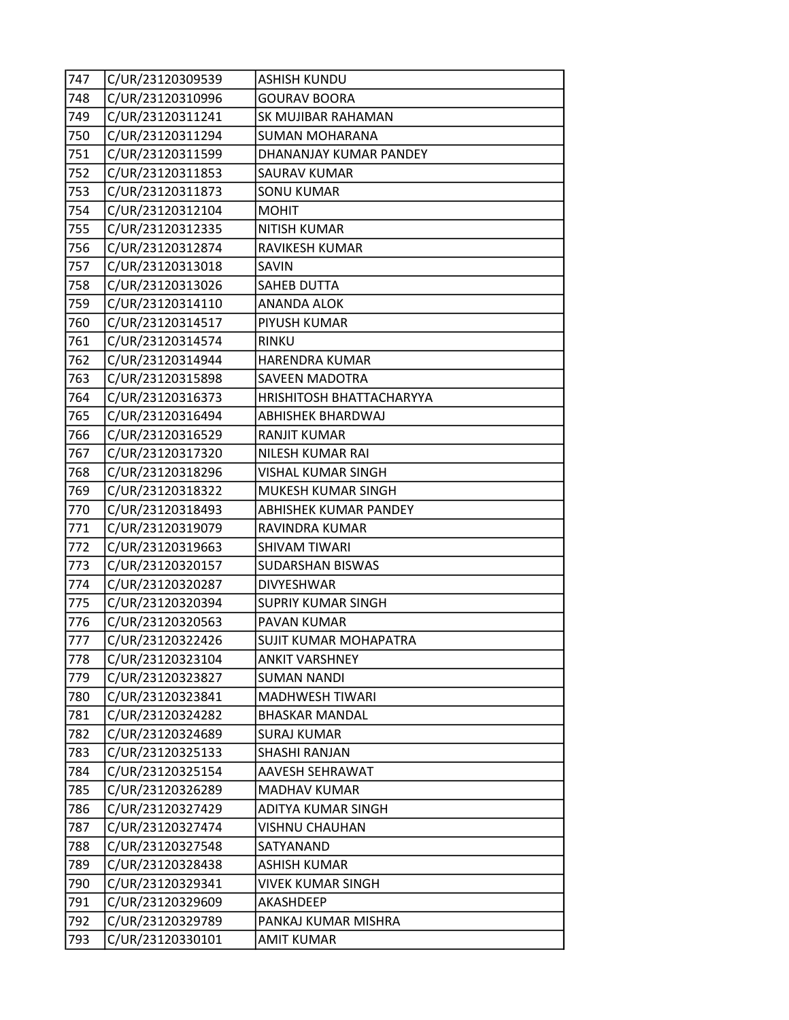| 747 | C/UR/23120309539 | <b>ASHISH KUNDU</b>          |
|-----|------------------|------------------------------|
| 748 | C/UR/23120310996 | <b>GOURAV BOORA</b>          |
| 749 | C/UR/23120311241 | SK MUJIBAR RAHAMAN           |
| 750 | C/UR/23120311294 | <b>SUMAN MOHARANA</b>        |
| 751 | C/UR/23120311599 | DHANANJAY KUMAR PANDEY       |
| 752 | C/UR/23120311853 | <b>SAURAV KUMAR</b>          |
| 753 | C/UR/23120311873 | <b>SONU KUMAR</b>            |
| 754 | C/UR/23120312104 | <b>MOHIT</b>                 |
| 755 | C/UR/23120312335 | <b>NITISH KUMAR</b>          |
| 756 | C/UR/23120312874 | RAVIKESH KUMAR               |
| 757 | C/UR/23120313018 | SAVIN                        |
| 758 | C/UR/23120313026 | <b>SAHEB DUTTA</b>           |
| 759 | C/UR/23120314110 | <b>ANANDA ALOK</b>           |
| 760 | C/UR/23120314517 | PIYUSH KUMAR                 |
| 761 | C/UR/23120314574 | <b>RINKU</b>                 |
| 762 | C/UR/23120314944 | <b>HARENDRA KUMAR</b>        |
| 763 | C/UR/23120315898 | <b>SAVEEN MADOTRA</b>        |
| 764 | C/UR/23120316373 | HRISHITOSH BHATTACHARYYA     |
| 765 | C/UR/23120316494 | <b>ABHISHEK BHARDWAJ</b>     |
| 766 | C/UR/23120316529 | <b>RANJIT KUMAR</b>          |
| 767 | C/UR/23120317320 | NILESH KUMAR RAI             |
| 768 | C/UR/23120318296 | <b>VISHAL KUMAR SINGH</b>    |
| 769 | C/UR/23120318322 | MUKESH KUMAR SINGH           |
| 770 | C/UR/23120318493 | <b>ABHISHEK KUMAR PANDEY</b> |
| 771 | C/UR/23120319079 | RAVINDRA KUMAR               |
| 772 | C/UR/23120319663 | <b>SHIVAM TIWARI</b>         |
| 773 | C/UR/23120320157 | SUDARSHAN BISWAS             |
| 774 | C/UR/23120320287 | <b>DIVYESHWAR</b>            |
| 775 | C/UR/23120320394 | <b>SUPRIY KUMAR SINGH</b>    |
| 776 | C/UR/23120320563 | <b>PAVAN KUMAR</b>           |
| 777 | C/UR/23120322426 | SUJIT KUMAR MOHAPATRA        |
| 778 | C/UR/23120323104 | <b>ANKIT VARSHNEY</b>        |
| 779 | C/UR/23120323827 | <b>SUMAN NANDI</b>           |
| 780 | C/UR/23120323841 | <b>MADHWESH TIWARI</b>       |
| 781 | C/UR/23120324282 | <b>BHASKAR MANDAL</b>        |
| 782 | C/UR/23120324689 | <b>SURAJ KUMAR</b>           |
| 783 | C/UR/23120325133 | <b>SHASHI RANJAN</b>         |
| 784 | C/UR/23120325154 | AAVESH SEHRAWAT              |
| 785 | C/UR/23120326289 | <b>MADHAV KUMAR</b>          |
| 786 | C/UR/23120327429 | <b>ADITYA KUMAR SINGH</b>    |
| 787 | C/UR/23120327474 | <b>VISHNU CHAUHAN</b>        |
| 788 | C/UR/23120327548 | SATYANAND                    |
| 789 | C/UR/23120328438 | <b>ASHISH KUMAR</b>          |
| 790 | C/UR/23120329341 | VIVEK KUMAR SINGH            |
| 791 | C/UR/23120329609 | AKASHDEEP                    |
| 792 | C/UR/23120329789 | PANKAJ KUMAR MISHRA          |
| 793 | C/UR/23120330101 | <b>AMIT KUMAR</b>            |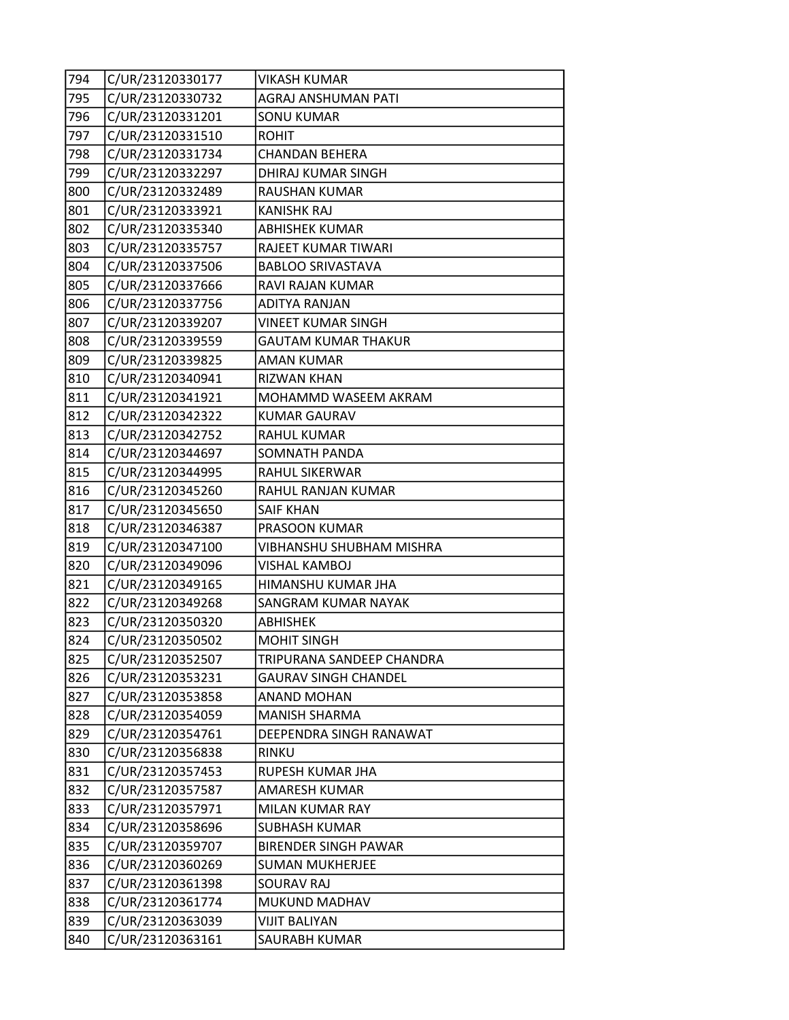| 794 | C/UR/23120330177 | <b>VIKASH KUMAR</b>         |
|-----|------------------|-----------------------------|
| 795 | C/UR/23120330732 | AGRAJ ANSHUMAN PATI         |
| 796 | C/UR/23120331201 | <b>SONU KUMAR</b>           |
| 797 | C/UR/23120331510 | <b>ROHIT</b>                |
| 798 | C/UR/23120331734 | <b>CHANDAN BEHERA</b>       |
| 799 | C/UR/23120332297 | DHIRAJ KUMAR SINGH          |
| 800 | C/UR/23120332489 | RAUSHAN KUMAR               |
| 801 | C/UR/23120333921 | <b>KANISHK RAJ</b>          |
| 802 | C/UR/23120335340 | <b>ABHISHEK KUMAR</b>       |
| 803 | C/UR/23120335757 | RAJEET KUMAR TIWARI         |
| 804 | C/UR/23120337506 | <b>BABLOO SRIVASTAVA</b>    |
| 805 | C/UR/23120337666 | RAVI RAJAN KUMAR            |
| 806 | C/UR/23120337756 | <b>ADITYA RANJAN</b>        |
| 807 | C/UR/23120339207 | <b>VINEET KUMAR SINGH</b>   |
| 808 | C/UR/23120339559 | <b>GAUTAM KUMAR THAKUR</b>  |
| 809 | C/UR/23120339825 | AMAN KUMAR                  |
| 810 | C/UR/23120340941 | <b>RIZWAN KHAN</b>          |
| 811 | C/UR/23120341921 | MOHAMMD WASEEM AKRAM        |
| 812 | C/UR/23120342322 | <b>KUMAR GAURAV</b>         |
| 813 | C/UR/23120342752 | <b>RAHUL KUMAR</b>          |
| 814 | C/UR/23120344697 | SOMNATH PANDA               |
| 815 | C/UR/23120344995 | RAHUL SIKERWAR              |
| 816 | C/UR/23120345260 | RAHUL RANJAN KUMAR          |
| 817 | C/UR/23120345650 | <b>SAIF KHAN</b>            |
| 818 | C/UR/23120346387 | PRASOON KUMAR               |
| 819 | C/UR/23120347100 | VIBHANSHU SHUBHAM MISHRA    |
| 820 | C/UR/23120349096 | <b>VISHAL KAMBOJ</b>        |
| 821 | C/UR/23120349165 | HIMANSHU KUMAR JHA          |
| 822 | C/UR/23120349268 | SANGRAM KUMAR NAYAK         |
| 823 | C/UR/23120350320 | ABHISHEK                    |
| 824 | C/UR/23120350502 | <b>MOHIT SINGH</b>          |
| 825 | C/UR/23120352507 | TRIPURANA SANDEEP CHANDRA   |
| 826 | C/UR/23120353231 | <b>GAURAV SINGH CHANDEL</b> |
| 827 | C/UR/23120353858 | ANAND MOHAN                 |
| 828 | C/UR/23120354059 | <b>MANISH SHARMA</b>        |
| 829 | C/UR/23120354761 | DEEPENDRA SINGH RANAWAT     |
| 830 | C/UR/23120356838 | <b>RINKU</b>                |
| 831 | C/UR/23120357453 | RUPESH KUMAR JHA            |
| 832 | C/UR/23120357587 | AMARESH KUMAR               |
| 833 | C/UR/23120357971 | MILAN KUMAR RAY             |
| 834 | C/UR/23120358696 | <b>SUBHASH KUMAR</b>        |
| 835 | C/UR/23120359707 | <b>BIRENDER SINGH PAWAR</b> |
| 836 | C/UR/23120360269 | <b>SUMAN MUKHERJEE</b>      |
| 837 | C/UR/23120361398 | SOURAV RAJ                  |
| 838 | C/UR/23120361774 | MUKUND MADHAV               |
| 839 | C/UR/23120363039 | <b>VIJIT BALIYAN</b>        |
| 840 | C/UR/23120363161 | SAURABH KUMAR               |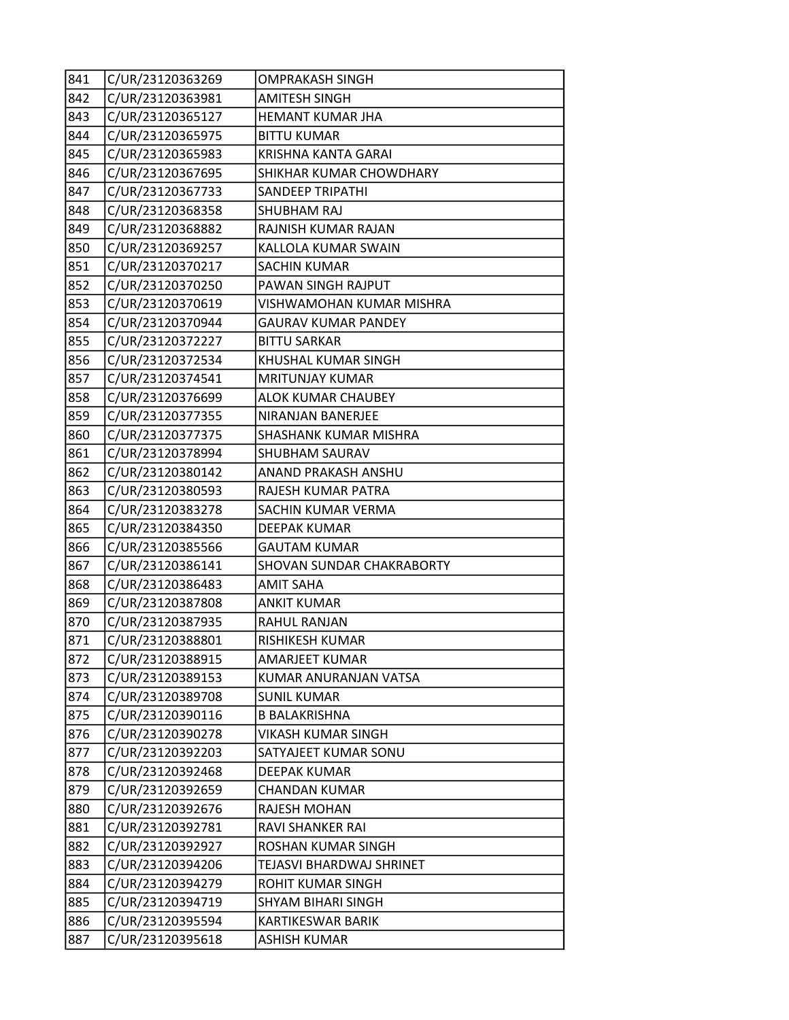| 841 | C/UR/23120363269 | <b>OMPRAKASH SINGH</b>     |
|-----|------------------|----------------------------|
| 842 | C/UR/23120363981 | <b>AMITESH SINGH</b>       |
| 843 | C/UR/23120365127 | HEMANT KUMAR JHA           |
| 844 | C/UR/23120365975 | <b>BITTU KUMAR</b>         |
| 845 | C/UR/23120365983 | <b>KRISHNA KANTA GARAI</b> |
| 846 | C/UR/23120367695 | SHIKHAR KUMAR CHOWDHARY    |
| 847 | C/UR/23120367733 | <b>SANDEEP TRIPATHI</b>    |
| 848 | C/UR/23120368358 | SHUBHAM RAJ                |
| 849 | C/UR/23120368882 | RAJNISH KUMAR RAJAN        |
| 850 | C/UR/23120369257 | KALLOLA KUMAR SWAIN        |
| 851 | C/UR/23120370217 | SACHIN KUMAR               |
| 852 | C/UR/23120370250 | PAWAN SINGH RAJPUT         |
| 853 | C/UR/23120370619 | VISHWAMOHAN KUMAR MISHRA   |
| 854 | C/UR/23120370944 | <b>GAURAV KUMAR PANDEY</b> |
| 855 | C/UR/23120372227 | <b>BITTU SARKAR</b>        |
| 856 | C/UR/23120372534 | KHUSHAL KUMAR SINGH        |
| 857 | C/UR/23120374541 | <b>MRITUNJAY KUMAR</b>     |
| 858 | C/UR/23120376699 | <b>ALOK KUMAR CHAUBEY</b>  |
| 859 | C/UR/23120377355 | NIRANJAN BANERJEE          |
| 860 | C/UR/23120377375 | SHASHANK KUMAR MISHRA      |
| 861 | C/UR/23120378994 | SHUBHAM SAURAV             |
| 862 | C/UR/23120380142 | ANAND PRAKASH ANSHU        |
| 863 | C/UR/23120380593 | RAJESH KUMAR PATRA         |
| 864 | C/UR/23120383278 | SACHIN KUMAR VERMA         |
| 865 | C/UR/23120384350 | <b>DEEPAK KUMAR</b>        |
| 866 | C/UR/23120385566 | <b>GAUTAM KUMAR</b>        |
| 867 | C/UR/23120386141 | SHOVAN SUNDAR CHAKRABORTY  |
| 868 | C/UR/23120386483 | <b>AMIT SAHA</b>           |
| 869 | C/UR/23120387808 | <b>ANKIT KUMAR</b>         |
| 870 | C/UR/23120387935 | RAHUL RANJAN               |
| 871 | C/UR/23120388801 | RISHIKESH KUMAR            |
| 872 | C/UR/23120388915 | <b>AMARJEET KUMAR</b>      |
| 873 | C/UR/23120389153 | KUMAR ANURANJAN VATSA      |
| 874 | C/UR/23120389708 | <b>SUNIL KUMAR</b>         |
| 875 | C/UR/23120390116 | <b>B BALAKRISHNA</b>       |
| 876 | C/UR/23120390278 | VIKASH KUMAR SINGH         |
| 877 | C/UR/23120392203 | SATYAJEET KUMAR SONU       |
| 878 | C/UR/23120392468 | <b>DEEPAK KUMAR</b>        |
| 879 | C/UR/23120392659 | <b>CHANDAN KUMAR</b>       |
| 880 | C/UR/23120392676 | <b>RAJESH MOHAN</b>        |
| 881 | C/UR/23120392781 | RAVI SHANKER RAI           |
| 882 | C/UR/23120392927 | ROSHAN KUMAR SINGH         |
| 883 | C/UR/23120394206 | TEJASVI BHARDWAJ SHRINET   |
| 884 | C/UR/23120394279 | ROHIT KUMAR SINGH          |
| 885 | C/UR/23120394719 | SHYAM BIHARI SINGH         |
| 886 | C/UR/23120395594 | KARTIKESWAR BARIK          |
| 887 | C/UR/23120395618 | <b>ASHISH KUMAR</b>        |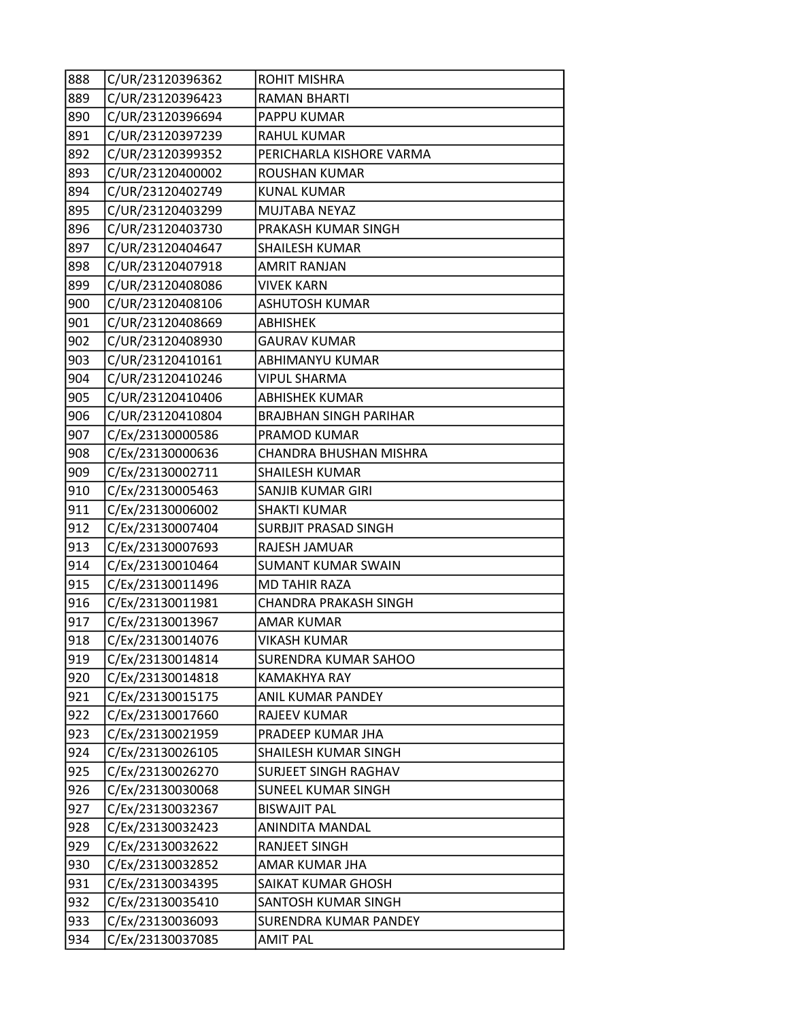| 888 | C/UR/23120396362 | <b>ROHIT MISHRA</b>           |
|-----|------------------|-------------------------------|
| 889 | C/UR/23120396423 | <b>RAMAN BHARTI</b>           |
| 890 | C/UR/23120396694 | <b>PAPPU KUMAR</b>            |
| 891 | C/UR/23120397239 | <b>RAHUL KUMAR</b>            |
| 892 | C/UR/23120399352 | PERICHARLA KISHORE VARMA      |
| 893 | C/UR/23120400002 | <b>ROUSHAN KUMAR</b>          |
| 894 | C/UR/23120402749 | <b>KUNAL KUMAR</b>            |
| 895 | C/UR/23120403299 | MUJTABA NEYAZ                 |
| 896 | C/UR/23120403730 | PRAKASH KUMAR SINGH           |
| 897 | C/UR/23120404647 | <b>SHAILESH KUMAR</b>         |
| 898 | C/UR/23120407918 | <b>AMRIT RANJAN</b>           |
| 899 | C/UR/23120408086 | <b>VIVEK KARN</b>             |
| 900 | C/UR/23120408106 | <b>ASHUTOSH KUMAR</b>         |
| 901 | C/UR/23120408669 | <b>ABHISHEK</b>               |
| 902 | C/UR/23120408930 | <b>GAURAV KUMAR</b>           |
| 903 | C/UR/23120410161 | ABHIMANYU KUMAR               |
| 904 | C/UR/23120410246 | <b>VIPUL SHARMA</b>           |
| 905 | C/UR/23120410406 | <b>ABHISHEK KUMAR</b>         |
| 906 | C/UR/23120410804 | <b>BRAJBHAN SINGH PARIHAR</b> |
| 907 | C/Ex/23130000586 | <b>PRAMOD KUMAR</b>           |
| 908 | C/Ex/23130000636 | CHANDRA BHUSHAN MISHRA        |
| 909 | C/Ex/23130002711 | <b>SHAILESH KUMAR</b>         |
| 910 | C/Ex/23130005463 | SANJIB KUMAR GIRI             |
| 911 | C/Ex/23130006002 | <b>SHAKTI KUMAR</b>           |
| 912 | C/Ex/23130007404 | <b>SURBJIT PRASAD SINGH</b>   |
| 913 | C/Ex/23130007693 | RAJESH JAMUAR                 |
| 914 | C/Ex/23130010464 | <b>SUMANT KUMAR SWAIN</b>     |
| 915 | C/Ex/23130011496 | <b>MD TAHIR RAZA</b>          |
| 916 | C/Ex/23130011981 | <b>CHANDRA PRAKASH SINGH</b>  |
| 917 | C/Ex/23130013967 | AMAR KUMAR                    |
| 918 | C/Ex/23130014076 | <b>VIKASH KUMAR</b>           |
| 919 | C/Ex/23130014814 | SURENDRA KUMAR SAHOO          |
| 920 | C/Ex/23130014818 | KAMAKHYA RAY                  |
| 921 | C/Ex/23130015175 | <b>ANIL KUMAR PANDEY</b>      |
| 922 | C/Ex/23130017660 | RAJEEV KUMAR                  |
| 923 | C/Ex/23130021959 | PRADEEP KUMAR JHA             |
| 924 | C/Ex/23130026105 | SHAILESH KUMAR SINGH          |
| 925 | C/Ex/23130026270 | SURJEET SINGH RAGHAV          |
| 926 | C/Ex/23130030068 | SUNEEL KUMAR SINGH            |
| 927 | C/Ex/23130032367 | <b>BISWAJIT PAL</b>           |
| 928 | C/Ex/23130032423 | ANINDITA MANDAL               |
| 929 | C/Ex/23130032622 | RANJEET SINGH                 |
| 930 | C/Ex/23130032852 | AMAR KUMAR JHA                |
| 931 | C/Ex/23130034395 | SAIKAT KUMAR GHOSH            |
| 932 | C/Ex/23130035410 | SANTOSH KUMAR SINGH           |
| 933 | C/Ex/23130036093 | <b>SURENDRA KUMAR PANDEY</b>  |
| 934 | C/Ex/23130037085 | <b>AMIT PAL</b>               |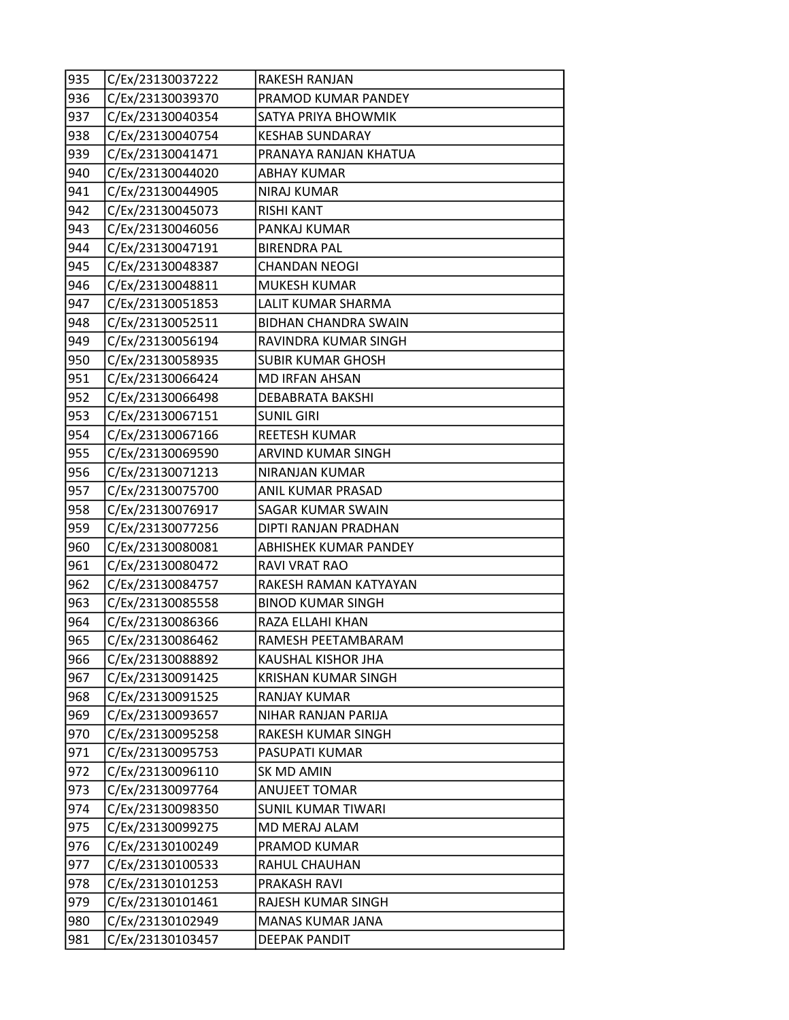| 935 | C/Ex/23130037222 | RAKESH RANJAN               |
|-----|------------------|-----------------------------|
| 936 | C/Ex/23130039370 | PRAMOD KUMAR PANDEY         |
| 937 | C/Ex/23130040354 | SATYA PRIYA BHOWMIK         |
| 938 | C/Ex/23130040754 | <b>KESHAB SUNDARAY</b>      |
| 939 | C/Ex/23130041471 | PRANAYA RANJAN KHATUA       |
| 940 | C/Ex/23130044020 | ABHAY KUMAR                 |
| 941 | C/Ex/23130044905 | <b>NIRAJ KUMAR</b>          |
| 942 | C/Ex/23130045073 | <b>RISHI KANT</b>           |
| 943 | C/Ex/23130046056 | PANKAJ KUMAR                |
| 944 | C/Ex/23130047191 | <b>BIRENDRA PAL</b>         |
| 945 | C/Ex/23130048387 | <b>CHANDAN NEOGI</b>        |
| 946 | C/Ex/23130048811 | <b>MUKESH KUMAR</b>         |
| 947 | C/Ex/23130051853 | LALIT KUMAR SHARMA          |
| 948 | C/Ex/23130052511 | <b>BIDHAN CHANDRA SWAIN</b> |
| 949 | C/Ex/23130056194 | RAVINDRA KUMAR SINGH        |
| 950 | C/Ex/23130058935 | <b>SUBIR KUMAR GHOSH</b>    |
| 951 | C/Ex/23130066424 | <b>MD IRFAN AHSAN</b>       |
| 952 | C/Ex/23130066498 | DEBABRATA BAKSHI            |
| 953 | C/Ex/23130067151 | <b>SUNIL GIRI</b>           |
| 954 | C/Ex/23130067166 | REETESH KUMAR               |
| 955 | C/Ex/23130069590 | ARVIND KUMAR SINGH          |
| 956 | C/Ex/23130071213 | NIRANJAN KUMAR              |
| 957 | C/Ex/23130075700 | ANIL KUMAR PRASAD           |
| 958 | C/Ex/23130076917 | SAGAR KUMAR SWAIN           |
| 959 | C/Ex/23130077256 | DIPTI RANJAN PRADHAN        |
| 960 | C/Ex/23130080081 | ABHISHEK KUMAR PANDEY       |
| 961 | C/Ex/23130080472 | RAVI VRAT RAO               |
| 962 | C/Ex/23130084757 | RAKESH RAMAN KATYAYAN       |
| 963 | C/Ex/23130085558 | <b>BINOD KUMAR SINGH</b>    |
| 964 | C/Ex/23130086366 | RAZA ELLAHI KHAN            |
| 965 | C/Ex/23130086462 | RAMESH PEETAMBARAM          |
| 966 | C/Ex/23130088892 | KAUSHAL KISHOR JHA          |
| 967 | C/Ex/23130091425 | <b>KRISHAN KUMAR SINGH</b>  |
| 968 | C/Ex/23130091525 | RANJAY KUMAR                |
| 969 | C/Ex/23130093657 | NIHAR RANJAN PARIJA         |
| 970 | C/Ex/23130095258 | RAKESH KUMAR SINGH          |
| 971 | C/Ex/23130095753 | PASUPATI KUMAR              |
| 972 | C/Ex/23130096110 | SK MD AMIN                  |
| 973 | C/Ex/23130097764 | <b>ANUJEET TOMAR</b>        |
| 974 | C/Ex/23130098350 | <b>SUNIL KUMAR TIWARI</b>   |
| 975 | C/Ex/23130099275 | MD MERAJ ALAM               |
| 976 | C/Ex/23130100249 | PRAMOD KUMAR                |
| 977 | C/Ex/23130100533 | RAHUL CHAUHAN               |
| 978 | C/Ex/23130101253 | PRAKASH RAVI                |
| 979 | C/Ex/23130101461 | RAJESH KUMAR SINGH          |
| 980 | C/Ex/23130102949 | MANAS KUMAR JANA            |
| 981 | C/Ex/23130103457 | <b>DEEPAK PANDIT</b>        |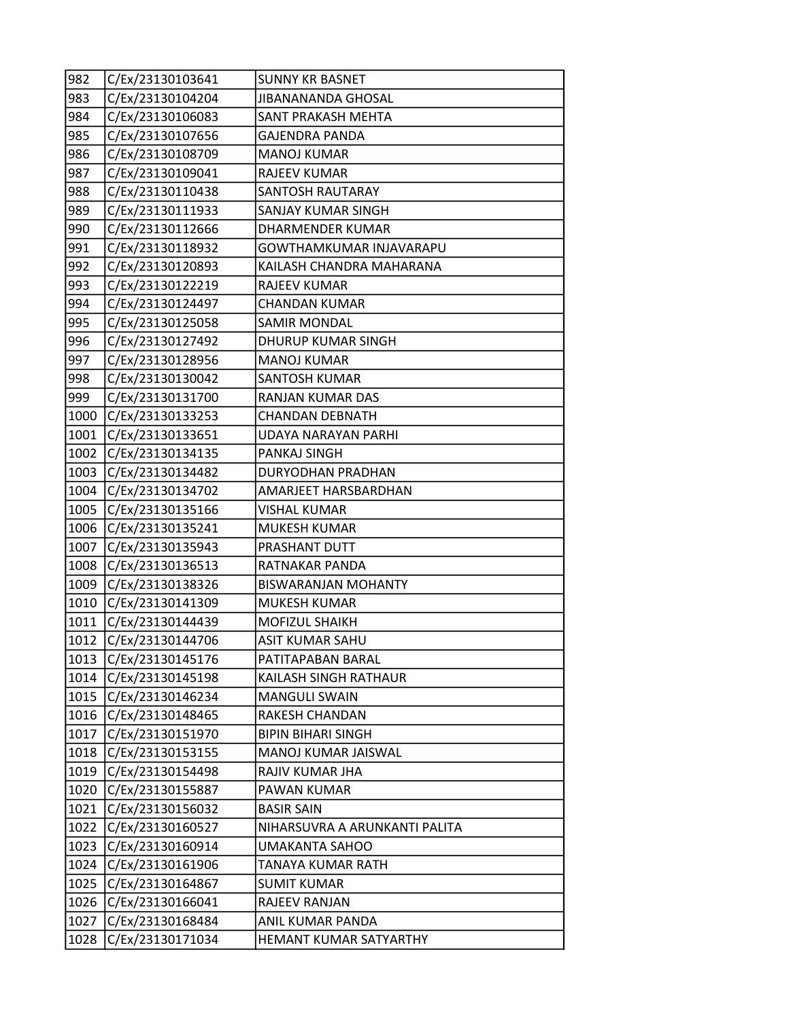| 982  | C/Ex/23130103641 | <b>SUNNY KR BASNET</b>        |
|------|------------------|-------------------------------|
| 983  | C/Ex/23130104204 | <b>JIBANANANDA GHOSAL</b>     |
| 984  | C/Ex/23130106083 | <b>SANT PRAKASH MEHTA</b>     |
| 985  | C/Ex/23130107656 | <b>GAJENDRA PANDA</b>         |
| 986  | C/Ex/23130108709 | <b>MANOJ KUMAR</b>            |
| 987  | C/Ex/23130109041 | <b>RAJEEV KUMAR</b>           |
| 988  | C/Ex/23130110438 | <b>SANTOSH RAUTARAY</b>       |
| 989  | C/Ex/23130111933 | SANJAY KUMAR SINGH            |
| 990  | C/Ex/23130112666 | <b>DHARMENDER KUMAR</b>       |
| 991  | C/Ex/23130118932 | GOWTHAMKUMAR INJAVARAPU       |
| 992  | C/Ex/23130120893 | KAILASH CHANDRA MAHARANA      |
| 993  | C/Ex/23130122219 | <b>RAJEEV KUMAR</b>           |
| 994  | C/Ex/23130124497 | CHANDAN KUMAR                 |
| 995  | C/Ex/23130125058 | <b>SAMIR MONDAL</b>           |
| 996  | C/Ex/23130127492 | <b>DHURUP KUMAR SINGH</b>     |
| 997  | C/Ex/23130128956 | <b>MANOJ KUMAR</b>            |
| 998  | C/Ex/23130130042 | <b>SANTOSH KUMAR</b>          |
| 999  | C/Ex/23130131700 | RANJAN KUMAR DAS              |
| 1000 | C/Ex/23130133253 | <b>CHANDAN DEBNATH</b>        |
| 1001 | C/Ex/23130133651 | UDAYA NARAYAN PARHI           |
| 1002 | C/Ex/23130134135 | <b>PANKAJ SINGH</b>           |
| 1003 | C/Ex/23130134482 | DURYODHAN PRADHAN             |
| 1004 | C/Ex/23130134702 | AMARJEET HARSBARDHAN          |
| 1005 | C/Ex/23130135166 | <b>VISHAL KUMAR</b>           |
| 1006 | C/Ex/23130135241 | <b>MUKESH KUMAR</b>           |
| 1007 | C/Ex/23130135943 | PRASHANT DUTT                 |
| 1008 | C/Ex/23130136513 | RATNAKAR PANDA                |
| 1009 | C/Ex/23130138326 | <b>BISWARANJAN MOHANTY</b>    |
| 1010 | C/Ex/23130141309 | <b>MUKESH KUMAR</b>           |
| 1011 | C/Ex/23130144439 | <b>MOFIZUL SHAIKH</b>         |
| 1012 | C/Ex/23130144706 | <b>ASIT KUMAR SAHU</b>        |
| 1013 | C/Ex/23130145176 | PATITAPABAN BARAL             |
| 1014 | C/Ex/23130145198 | KAILASH SINGH RATHAUR         |
| 1015 | C/Ex/23130146234 | <b>MANGULI SWAIN</b>          |
| 1016 | C/Ex/23130148465 | RAKESH CHANDAN                |
| 1017 | C/Ex/23130151970 | <b>BIPIN BIHARI SINGH</b>     |
| 1018 | C/Ex/23130153155 | MANOJ KUMAR JAISWAL           |
| 1019 | C/Ex/23130154498 | RAJIV KUMAR JHA               |
| 1020 | C/Ex/23130155887 | <b>PAWAN KUMAR</b>            |
| 1021 | C/Ex/23130156032 | <b>BASIR SAIN</b>             |
| 1022 | C/Ex/23130160527 | NIHARSUVRA A ARUNKANTI PALITA |
| 1023 | C/Ex/23130160914 | UMAKANTA SAHOO                |
| 1024 | C/Ex/23130161906 | TANAYA KUMAR RATH             |
| 1025 | C/Ex/23130164867 | <b>SUMIT KUMAR</b>            |
| 1026 | C/Ex/23130166041 | RAJEEV RANJAN                 |
| 1027 | C/Ex/23130168484 | ANIL KUMAR PANDA              |
| 1028 | C/Ex/23130171034 | HEMANT KUMAR SATYARTHY        |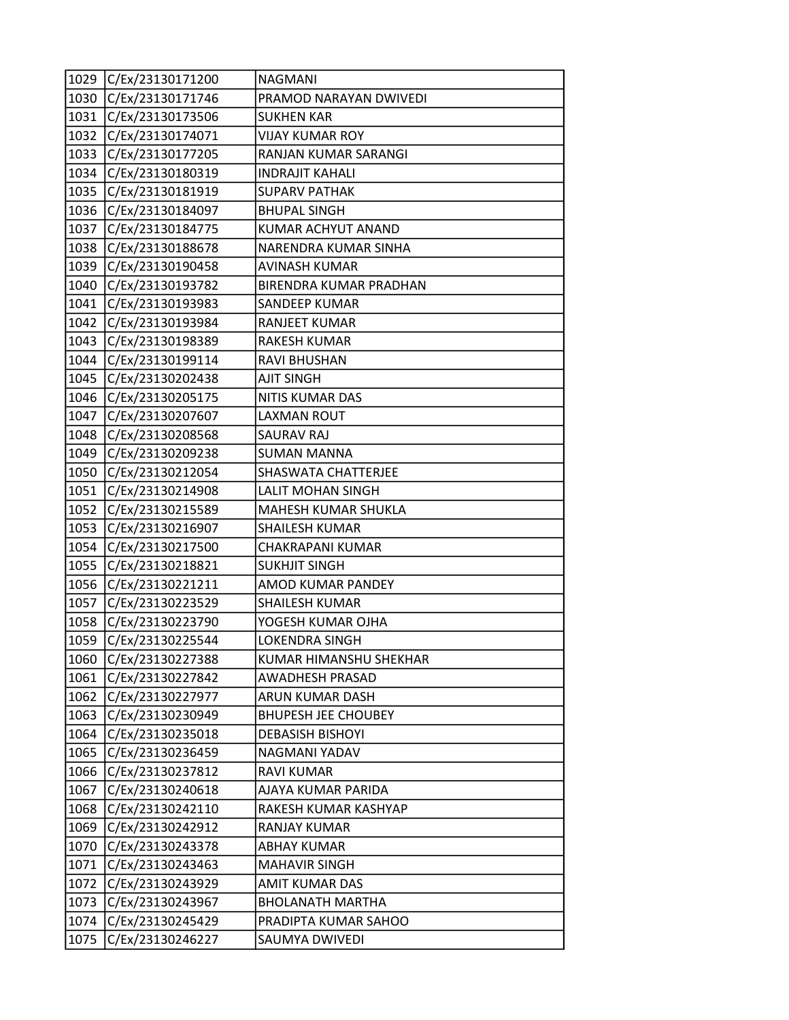| 1029 | C/Ex/23130171200 | <b>NAGMANI</b>             |
|------|------------------|----------------------------|
| 1030 | C/Ex/23130171746 | PRAMOD NARAYAN DWIVEDI     |
| 1031 | C/Ex/23130173506 | <b>SUKHEN KAR</b>          |
| 1032 | C/Ex/23130174071 | <b>VIJAY KUMAR ROY</b>     |
| 1033 | C/Ex/23130177205 | RANJAN KUMAR SARANGI       |
| 1034 | C/Ex/23130180319 | <b>INDRAJIT KAHALI</b>     |
| 1035 | C/Ex/23130181919 | <b>SUPARV PATHAK</b>       |
| 1036 | C/Ex/23130184097 | <b>BHUPAL SINGH</b>        |
| 1037 | C/Ex/23130184775 | KUMAR ACHYUT ANAND         |
| 1038 | C/Ex/23130188678 | NARENDRA KUMAR SINHA       |
| 1039 | C/Ex/23130190458 | <b>AVINASH KUMAR</b>       |
| 1040 | C/Ex/23130193782 | BIRENDRA KUMAR PRADHAN     |
| 1041 | C/Ex/23130193983 | SANDEEP KUMAR              |
| 1042 | C/Ex/23130193984 | <b>RANJEET KUMAR</b>       |
| 1043 | C/Ex/23130198389 | RAKESH KUMAR               |
| 1044 | C/Ex/23130199114 | RAVI BHUSHAN               |
| 1045 | C/Ex/23130202438 | <b>AJIT SINGH</b>          |
| 1046 | C/Ex/23130205175 | NITIS KUMAR DAS            |
| 1047 | C/Ex/23130207607 | <b>LAXMAN ROUT</b>         |
| 1048 | C/Ex/23130208568 | SAURAV RAJ                 |
| 1049 | C/Ex/23130209238 | <b>SUMAN MANNA</b>         |
| 1050 | C/Ex/23130212054 | SHASWATA CHATTERJEE        |
| 1051 | C/Ex/23130214908 | <b>LALIT MOHAN SINGH</b>   |
| 1052 | C/Ex/23130215589 | MAHESH KUMAR SHUKLA        |
| 1053 | C/Ex/23130216907 | SHAILESH KUMAR             |
| 1054 | C/Ex/23130217500 | CHAKRAPANI KUMAR           |
| 1055 | C/Ex/23130218821 | <b>SUKHJIT SINGH</b>       |
| 1056 | C/Ex/23130221211 | AMOD KUMAR PANDEY          |
| 1057 | C/Ex/23130223529 | SHAILESH KUMAR             |
| 1058 | C/Ex/23130223790 | YOGESH KUMAR OJHA          |
| 1059 | C/Ex/23130225544 | LOKENDRA SINGH             |
| 1060 | C/Ex/23130227388 | KUMAR HIMANSHU SHEKHAR     |
| 1061 | C/Ex/23130227842 | <b>AWADHESH PRASAD</b>     |
| 1062 | C/Ex/23130227977 | ARUN KUMAR DASH            |
| 1063 | C/Ex/23130230949 | <b>BHUPESH JEE CHOUBEY</b> |
| 1064 | C/Ex/23130235018 | <b>DEBASISH BISHOYI</b>    |
| 1065 | C/Ex/23130236459 | NAGMANI YADAV              |
| 1066 | C/Ex/23130237812 | <b>RAVI KUMAR</b>          |
| 1067 | C/Ex/23130240618 | AJAYA KUMAR PARIDA         |
| 1068 | C/Ex/23130242110 | RAKESH KUMAR KASHYAP       |
| 1069 | C/Ex/23130242912 | RANJAY KUMAR               |
| 1070 | C/Ex/23130243378 | <b>ABHAY KUMAR</b>         |
| 1071 | C/Ex/23130243463 | <b>MAHAVIR SINGH</b>       |
| 1072 | C/Ex/23130243929 | AMIT KUMAR DAS             |
| 1073 | C/Ex/23130243967 | <b>BHOLANATH MARTHA</b>    |
| 1074 | C/Ex/23130245429 | PRADIPTA KUMAR SAHOO       |
| 1075 | C/Ex/23130246227 | SAUMYA DWIVEDI             |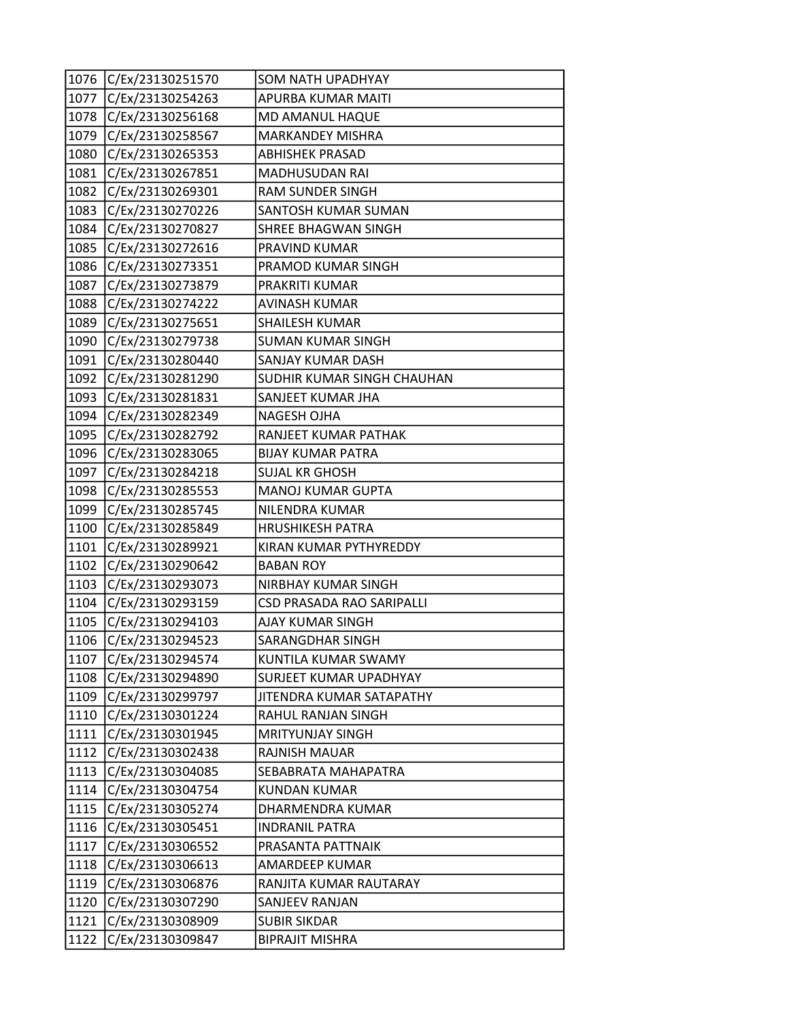|      | 1076 C/Ex/23130251570 | <b>SOM NATH UPADHYAY</b>   |
|------|-----------------------|----------------------------|
| 1077 | C/Ex/23130254263      | APURBA KUMAR MAITI         |
| 1078 | C/Ex/23130256168      | MD AMANUL HAQUE            |
| 1079 | C/Ex/23130258567      | <b>MARKANDEY MISHRA</b>    |
| 1080 | C/Ex/23130265353      | <b>ABHISHEK PRASAD</b>     |
| 1081 | C/Ex/23130267851      | MADHUSUDAN RAI             |
| 1082 | C/Ex/23130269301      | <b>RAM SUNDER SINGH</b>    |
| 1083 | C/Ex/23130270226      | SANTOSH KUMAR SUMAN        |
| 1084 | C/Ex/23130270827      | SHREE BHAGWAN SINGH        |
| 1085 | C/Ex/23130272616      | PRAVIND KUMAR              |
| 1086 | C/Ex/23130273351      | PRAMOD KUMAR SINGH         |
| 1087 | C/Ex/23130273879      | PRAKRITI KUMAR             |
| 1088 | C/Ex/23130274222      | AVINASH KUMAR              |
| 1089 | C/Ex/23130275651      | <b>SHAILESH KUMAR</b>      |
| 1090 | C/Ex/23130279738      | <b>SUMAN KUMAR SINGH</b>   |
| 1091 | C/Ex/23130280440      | SANJAY KUMAR DASH          |
| 1092 | C/Ex/23130281290      | SUDHIR KUMAR SINGH CHAUHAN |
| 1093 | C/Ex/23130281831      | SANJEET KUMAR JHA          |
| 1094 | C/Ex/23130282349      | <b>NAGESH OJHA</b>         |
| 1095 | C/Ex/23130282792      | RANJEET KUMAR PATHAK       |
| 1096 | C/Ex/23130283065      | <b>BIJAY KUMAR PATRA</b>   |
| 1097 | C/Ex/23130284218      | SUJAL KR GHOSH             |
| 1098 | C/Ex/23130285553      | <b>MANOJ KUMAR GUPTA</b>   |
| 1099 | C/Ex/23130285745      | NILENDRA KUMAR             |
| 1100 | C/Ex/23130285849      | <b>HRUSHIKESH PATRA</b>    |
| 1101 | C/Ex/23130289921      | KIRAN KUMAR PYTHYREDDY     |
| 1102 | C/Ex/23130290642      | <b>BABAN ROY</b>           |
| 1103 | C/Ex/23130293073      | NIRBHAY KUMAR SINGH        |
| 1104 | C/Ex/23130293159      | CSD PRASADA RAO SARIPALLI  |
| 1105 | C/Ex/23130294103      | AJAY KUMAR SINGH           |
| 1106 | C/Ex/23130294523      | SARANGDHAR SINGH           |
| 1107 | C/Ex/23130294574      | KUNTILA KUMAR SWAMY        |
| 1108 | C/Ex/23130294890      | SURJEET KUMAR UPADHYAY     |
| 1109 | C/Ex/23130299797      | JITENDRA KUMAR SATAPATHY   |
| 1110 | C/Ex/23130301224      | RAHUL RANJAN SINGH         |
| 1111 | C/Ex/23130301945      | <b>MRITYUNJAY SINGH</b>    |
| 1112 | C/Ex/23130302438      | RAJNISH MAUAR              |
| 1113 | C/Ex/23130304085      | SEBABRATA MAHAPATRA        |
| 1114 | C/Ex/23130304754      | <b>KUNDAN KUMAR</b>        |
| 1115 | C/Ex/23130305274      | DHARMENDRA KUMAR           |
| 1116 | C/Ex/23130305451      | <b>INDRANIL PATRA</b>      |
| 1117 | C/Ex/23130306552      | PRASANTA PATTNAIK          |
| 1118 | C/Ex/23130306613      | AMARDEEP KUMAR             |
| 1119 | C/Ex/23130306876      | RANJITA KUMAR RAUTARAY     |
| 1120 | C/Ex/23130307290      | SANJEEV RANJAN             |
| 1121 | C/Ex/23130308909      | <b>SUBIR SIKDAR</b>        |
| 1122 | C/Ex/23130309847      | <b>BIPRAJIT MISHRA</b>     |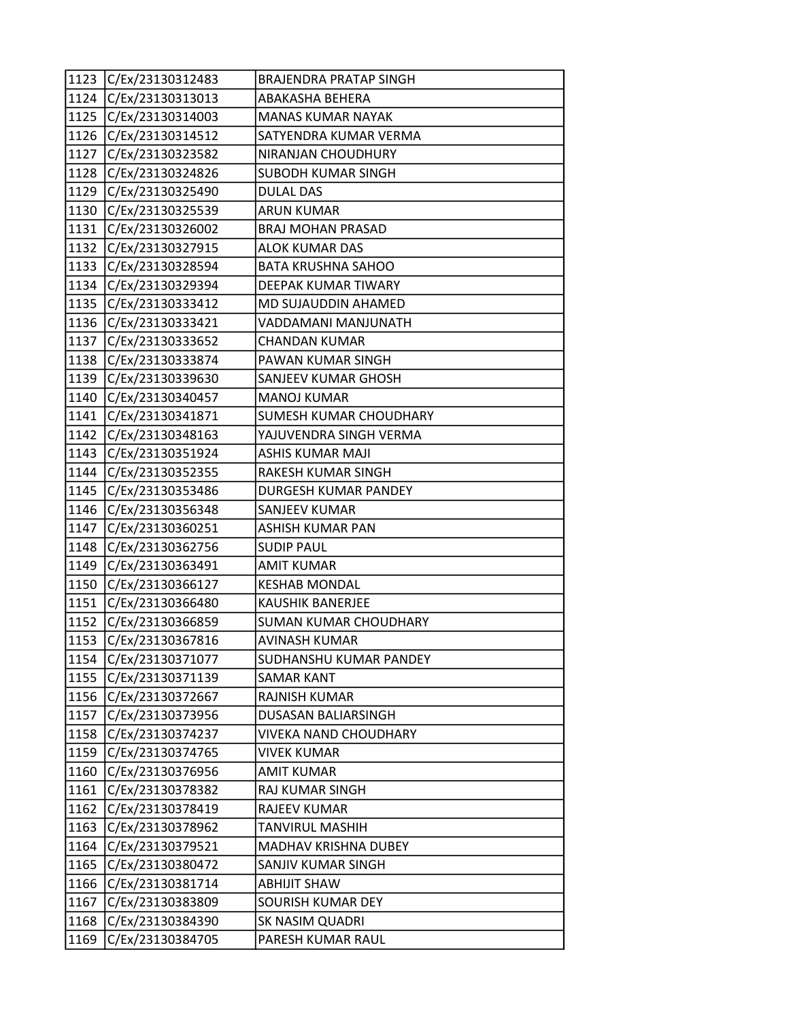|      | 1123 C/Ex/23130312483 | BRAJENDRA PRATAP SINGH       |
|------|-----------------------|------------------------------|
| 1124 | C/Ex/23130313013      | ABAKASHA BEHERA              |
| 1125 | C/Ex/23130314003      | <b>MANAS KUMAR NAYAK</b>     |
| 1126 | C/Ex/23130314512      | SATYENDRA KUMAR VERMA        |
| 1127 | C/Ex/23130323582      | NIRANJAN CHOUDHURY           |
| 1128 | C/Ex/23130324826      | <b>SUBODH KUMAR SINGH</b>    |
| 1129 | C/Ex/23130325490      | <b>DULAL DAS</b>             |
| 1130 | C/Ex/23130325539      | ARUN KUMAR                   |
| 1131 | C/Ex/23130326002      | <b>BRAJ MOHAN PRASAD</b>     |
| 1132 | C/Ex/23130327915      | <b>ALOK KUMAR DAS</b>        |
| 1133 | C/Ex/23130328594      | <b>BATA KRUSHNA SAHOO</b>    |
|      | 1134 C/Ex/23130329394 | DEEPAK KUMAR TIWARY          |
| 1135 | C/Ex/23130333412      | MD SUJAUDDIN AHAMED          |
| 1136 | C/Ex/23130333421      | VADDAMANI MANJUNATH          |
| 1137 | C/Ex/23130333652      | <b>CHANDAN KUMAR</b>         |
| 1138 | C/Ex/23130333874      | PAWAN KUMAR SINGH            |
| 1139 | C/Ex/23130339630      | SANJEEV KUMAR GHOSH          |
| 1140 | C/Ex/23130340457      | <b>MANOJ KUMAR</b>           |
| 1141 | C/Ex/23130341871      | SUMESH KUMAR CHOUDHARY       |
| 1142 | C/Ex/23130348163      | YAJUVENDRA SINGH VERMA       |
| 1143 | C/Ex/23130351924      | ASHIS KUMAR MAJI             |
| 1144 | C/Ex/23130352355      | RAKESH KUMAR SINGH           |
| 1145 | C/Ex/23130353486      | DURGESH KUMAR PANDEY         |
| 1146 | C/Ex/23130356348      | SANJEEV KUMAR                |
| 1147 | C/Ex/23130360251      | <b>ASHISH KUMAR PAN</b>      |
| 1148 | C/Ex/23130362756      | <b>SUDIP PAUL</b>            |
| 1149 | C/Ex/23130363491      | <b>AMIT KUMAR</b>            |
| 1150 | C/Ex/23130366127      | <b>KESHAB MONDAL</b>         |
| 1151 | C/Ex/23130366480      | <b>KAUSHIK BANERJEE</b>      |
| 1152 | C/Ex/23130366859      | <b>SUMAN KUMAR CHOUDHARY</b> |
| 1153 | C/Ex/23130367816      | <b>AVINASH KUMAR</b>         |
|      | 1154 C/Ex/23130371077 | SUDHANSHU KUMAR PANDEY       |
| 1155 | C/Ex/23130371139      | <b>SAMAR KANT</b>            |
| 1156 | C/Ex/23130372667      | RAJNISH KUMAR                |
| 1157 | C/Ex/23130373956      | <b>DUSASAN BALIARSINGH</b>   |
| 1158 | C/Ex/23130374237      | <b>VIVEKA NAND CHOUDHARY</b> |
| 1159 | C/Ex/23130374765      | VIVEK KUMAR                  |
| 1160 | C/Ex/23130376956      | <b>AMIT KUMAR</b>            |
| 1161 | C/Ex/23130378382      | RAJ KUMAR SINGH              |
| 1162 | C/Ex/23130378419      | <b>RAJEEV KUMAR</b>          |
| 1163 | C/Ex/23130378962      | TANVIRUL MASHIH              |
| 1164 | C/Ex/23130379521      | MADHAV KRISHNA DUBEY         |
| 1165 | C/Ex/23130380472      | SANJIV KUMAR SINGH           |
| 1166 | C/Ex/23130381714      | <b>ABHIJIT SHAW</b>          |
| 1167 | C/Ex/23130383809      | SOURISH KUMAR DEY            |
| 1168 | C/Ex/23130384390      | SK NASIM QUADRI              |
| 1169 | C/Ex/23130384705      | PARESH KUMAR RAUL            |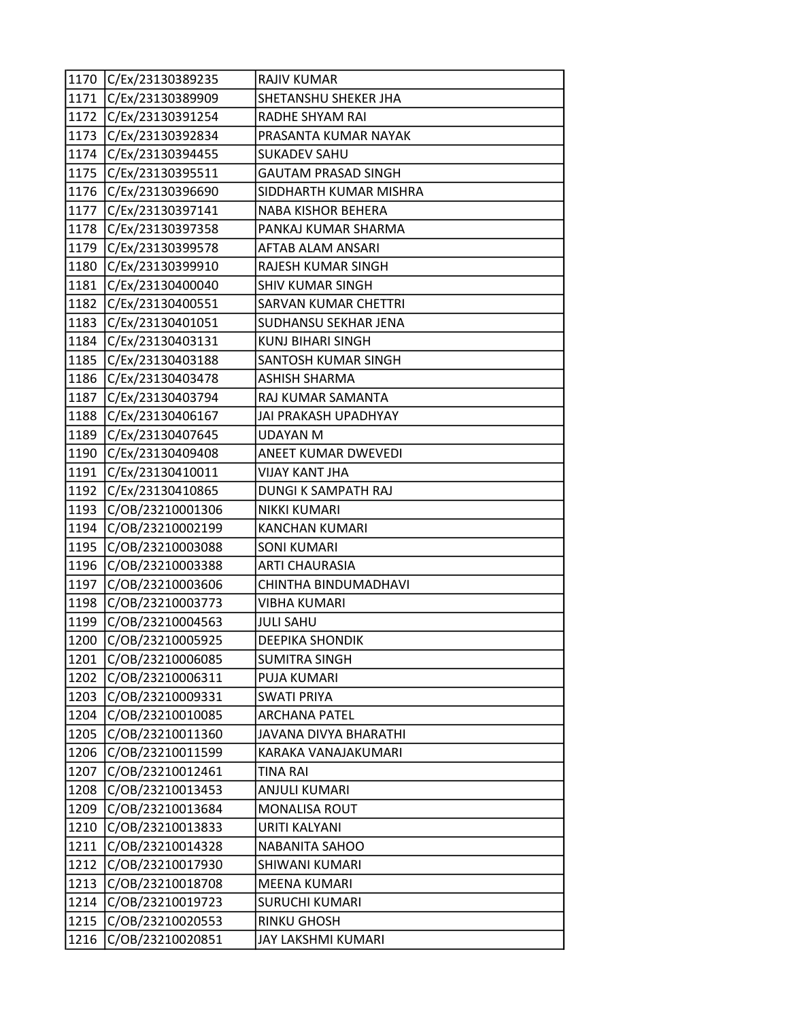|        | 1170 C/Ex/23130389235 | <b>RAJIV KUMAR</b>          |
|--------|-----------------------|-----------------------------|
|        | 1171 C/Ex/23130389909 | SHETANSHU SHEKER JHA        |
|        | 1172 C/Ex/23130391254 | RADHE SHYAM RAI             |
| 1173   | C/Ex/23130392834      | PRASANTA KUMAR NAYAK        |
| 1174   | C/Ex/23130394455      | <b>SUKADEV SAHU</b>         |
| 1175   | C/Ex/23130395511      | <b>GAUTAM PRASAD SINGH</b>  |
| 1176   | C/Ex/23130396690      | SIDDHARTH KUMAR MISHRA      |
| 1177   | C/Ex/23130397141      | NABA KISHOR BEHERA          |
| 1178   | C/Ex/23130397358      | PANKAJ KUMAR SHARMA         |
| 1179   | C/Ex/23130399578      | AFTAB ALAM ANSARI           |
| 1180   | C/Ex/23130399910      | RAJESH KUMAR SINGH          |
| 1181   | C/Ex/23130400040      | <b>SHIV KUMAR SINGH</b>     |
| 1182   | C/Ex/23130400551      | <b>SARVAN KUMAR CHETTRI</b> |
| 1183   | C/Ex/23130401051      | SUDHANSU SEKHAR JENA        |
| 1184   | C/Ex/23130403131      | <b>KUNJ BIHARI SINGH</b>    |
| 1185   | C/Ex/23130403188      | SANTOSH KUMAR SINGH         |
| 1186   | C/Ex/23130403478      | <b>ASHISH SHARMA</b>        |
| 1187   | C/Ex/23130403794      | RAJ KUMAR SAMANTA           |
| 1188   | C/Ex/23130406167      | JAI PRAKASH UPADHYAY        |
| 1189   | C/Ex/23130407645      | <b>UDAYAN M</b>             |
| 1190   | C/Ex/23130409408      | ANEET KUMAR DWEVEDI         |
| 1191   | C/Ex/23130410011      | VIJAY KANT JHA              |
| 1192   | C/Ex/23130410865      | DUNGI K SAMPATH RAJ         |
| 1193   | C/OB/23210001306      | <b>NIKKI KUMARI</b>         |
| 1194   | C/OB/23210002199      | <b>KANCHAN KUMARI</b>       |
| 1195   | C/OB/23210003088      | <b>SONI KUMARI</b>          |
| 1196   | C/OB/23210003388      | <b>ARTI CHAURASIA</b>       |
| 1197   | C/OB/23210003606      | CHINTHA BINDUMADHAVI        |
| 1198   | C/OB/23210003773      | <b>VIBHA KUMARI</b>         |
| 1199   | C/OB/23210004563      | <b>JULI SAHU</b>            |
| 1200   | C/OB/23210005925      | <b>DEEPIKA SHONDIK</b>      |
| $1201$ | C/OB/23210006085      | <b>SUMITRA SINGH</b>        |
| 1202   | C/OB/23210006311      | PUJA KUMARI                 |
| 1203   | C/OB/23210009331      | <b>SWATI PRIYA</b>          |
| 1204   | C/OB/23210010085      | <b>ARCHANA PATEL</b>        |
| 1205   | C/OB/23210011360      | JAVANA DIVYA BHARATHI       |
| 1206   | C/OB/23210011599      | KARAKA VANAJAKUMARI         |
| 1207   | C/OB/23210012461      | <b>TINA RAI</b>             |
| 1208   | C/OB/23210013453      | ANJULI KUMARI               |
| 1209   | C/OB/23210013684      | <b>MONALISA ROUT</b>        |
| 1210   | C/OB/23210013833      | URITI KALYANI               |
| 1211   | C/OB/23210014328      | <b>NABANITA SAHOO</b>       |
| 1212   | C/OB/23210017930      | SHIWANI KUMARI              |
| 1213   | C/OB/23210018708      | <b>MEENA KUMARI</b>         |
| 1214   | C/OB/23210019723      | <b>SURUCHI KUMARI</b>       |
| 1215   | C/OB/23210020553      | <b>RINKU GHOSH</b>          |
| 1216   | C/OB/23210020851      | JAY LAKSHMI KUMARI          |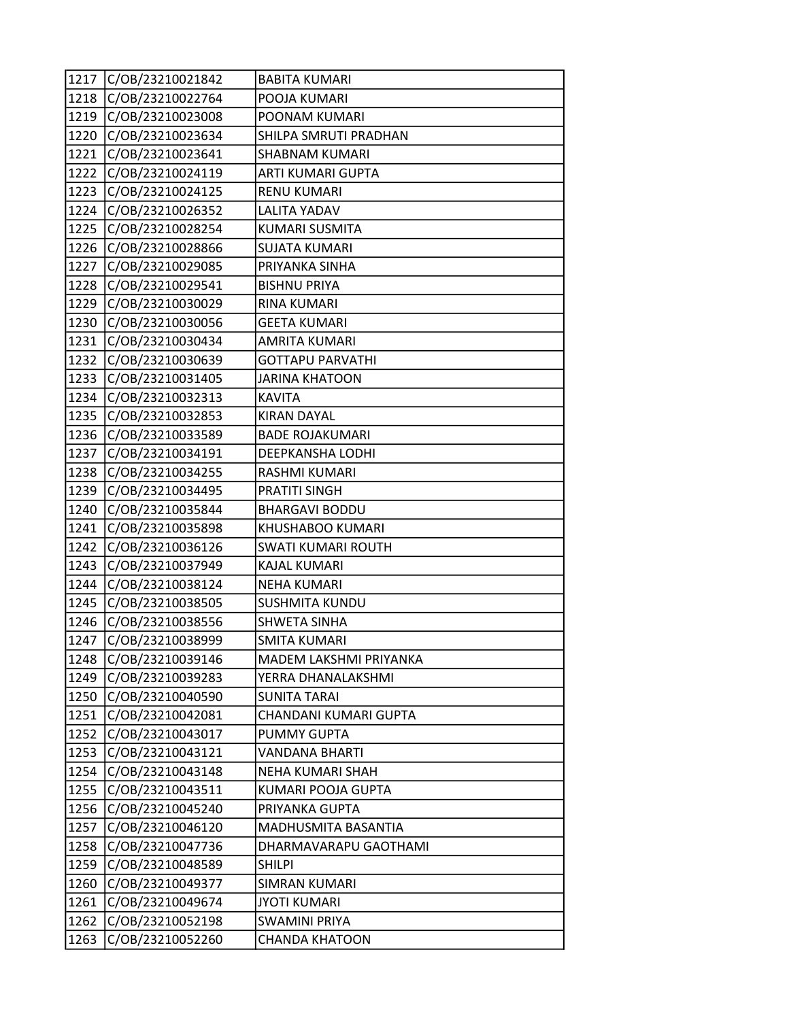| 1217 | C/OB/23210021842 | <b>BABITA KUMARI</b>    |
|------|------------------|-------------------------|
| 1218 | C/OB/23210022764 | POOJA KUMARI            |
| 1219 | C/OB/23210023008 | POONAM KUMARI           |
| 1220 | C/OB/23210023634 | SHILPA SMRUTI PRADHAN   |
| 1221 | C/OB/23210023641 | <b>SHABNAM KUMARI</b>   |
| 1222 | C/OB/23210024119 | ARTI KUMARI GUPTA       |
| 1223 | C/OB/23210024125 | <b>RENU KUMARI</b>      |
| 1224 | C/OB/23210026352 | <b>LALITA YADAV</b>     |
| 1225 | C/OB/23210028254 | <b>KUMARI SUSMITA</b>   |
| 1226 | C/OB/23210028866 | <b>SUJATA KUMARI</b>    |
| 1227 | C/OB/23210029085 | PRIYANKA SINHA          |
| 1228 | C/OB/23210029541 | <b>BISHNU PRIYA</b>     |
| 1229 | C/OB/23210030029 | <b>RINA KUMARI</b>      |
| 1230 | C/OB/23210030056 | <b>GEETA KUMARI</b>     |
| 1231 | C/OB/23210030434 | <b>AMRITA KUMARI</b>    |
| 1232 | C/OB/23210030639 | <b>GOTTAPU PARVATHI</b> |
| 1233 | C/OB/23210031405 | <b>JARINA KHATOON</b>   |
| 1234 | C/OB/23210032313 | <b>KAVITA</b>           |
| 1235 | C/OB/23210032853 | <b>KIRAN DAYAL</b>      |
| 1236 | C/OB/23210033589 | <b>BADE ROJAKUMARI</b>  |
| 1237 | C/OB/23210034191 | DEEPKANSHA LODHI        |
| 1238 | C/OB/23210034255 | RASHMI KUMARI           |
| 1239 | C/OB/23210034495 | <b>PRATITI SINGH</b>    |
| 1240 | C/OB/23210035844 | <b>BHARGAVI BODDU</b>   |
| 1241 | C/OB/23210035898 | KHUSHABOO KUMARI        |
| 1242 | C/OB/23210036126 | SWATI KUMARI ROUTH      |
| 1243 | C/OB/23210037949 | <b>KAJAL KUMARI</b>     |
| 1244 | C/OB/23210038124 | <b>NEHA KUMARI</b>      |
| 1245 | C/OB/23210038505 | <b>SUSHMITA KUNDU</b>   |
| 1246 | C/OB/23210038556 | <b>SHWETA SINHA</b>     |
| 1247 | C/OB/23210038999 | <b>SMITA KUMARI</b>     |
| 1248 | C/OB/23210039146 | MADEM LAKSHMI PRIYANKA  |
| 1249 | C/OB/23210039283 | YERRA DHANALAKSHMI      |
| 1250 | C/OB/23210040590 | <b>SUNITA TARAI</b>     |
| 1251 | C/OB/23210042081 | CHANDANI KUMARI GUPTA   |
| 1252 | C/OB/23210043017 | <b>PUMMY GUPTA</b>      |
| 1253 | C/OB/23210043121 | VANDANA BHARTI          |
| 1254 | C/OB/23210043148 | NEHA KUMARI SHAH        |
| 1255 | C/OB/23210043511 | KUMARI POOJA GUPTA      |
| 1256 | C/OB/23210045240 | PRIYANKA GUPTA          |
| 1257 | C/OB/23210046120 | MADHUSMITA BASANTIA     |
| 1258 | C/OB/23210047736 | DHARMAVARAPU GAOTHAMI   |
| 1259 | C/OB/23210048589 | <b>SHILPI</b>           |
| 1260 | C/OB/23210049377 | SIMRAN KUMARI           |
| 1261 | C/OB/23210049674 | <b>JYOTI KUMARI</b>     |
| 1262 | C/OB/23210052198 | <b>SWAMINI PRIYA</b>    |
| 1263 | C/OB/23210052260 | <b>CHANDA KHATOON</b>   |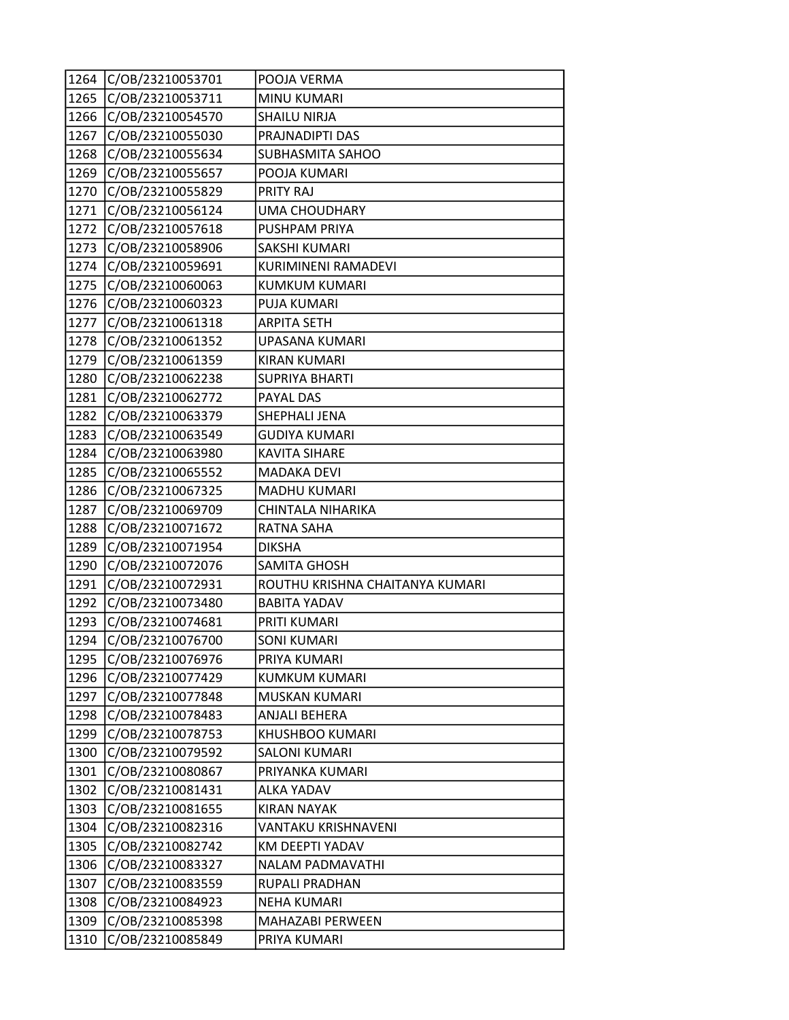| 1264 | C/OB/23210053701 | POOJA VERMA                     |
|------|------------------|---------------------------------|
| 1265 | C/OB/23210053711 | <b>MINU KUMARI</b>              |
| 1266 | C/OB/23210054570 | <b>SHAILU NIRJA</b>             |
| 1267 | C/OB/23210055030 | PRAJNADIPTI DAS                 |
| 1268 | C/OB/23210055634 | SUBHASMITA SAHOO                |
| 1269 | C/OB/23210055657 | POOJA KUMARI                    |
| 1270 | C/OB/23210055829 | PRITY RAJ                       |
| 1271 | C/OB/23210056124 | <b>UMA CHOUDHARY</b>            |
| 1272 | C/OB/23210057618 | PUSHPAM PRIYA                   |
| 1273 | C/OB/23210058906 | <b>SAKSHI KUMARI</b>            |
| 1274 | C/OB/23210059691 | KURIMINENI RAMADEVI             |
| 1275 | C/OB/23210060063 | KUMKUM KUMARI                   |
| 1276 | C/OB/23210060323 | PUJA KUMARI                     |
| 1277 | C/OB/23210061318 | <b>ARPITA SETH</b>              |
| 1278 | C/OB/23210061352 | UPASANA KUMARI                  |
| 1279 | C/OB/23210061359 | <b>KIRAN KUMARI</b>             |
| 1280 | C/OB/23210062238 | <b>SUPRIYA BHARTI</b>           |
| 1281 | C/OB/23210062772 | PAYAL DAS                       |
| 1282 | C/OB/23210063379 | SHEPHALI JENA                   |
| 1283 | C/OB/23210063549 | <b>GUDIYA KUMARI</b>            |
| 1284 | C/OB/23210063980 | <b>KAVITA SIHARE</b>            |
| 1285 | C/OB/23210065552 | <b>MADAKA DEVI</b>              |
| 1286 | C/OB/23210067325 | <b>MADHU KUMARI</b>             |
| 1287 | C/OB/23210069709 | CHINTALA NIHARIKA               |
| 1288 | C/OB/23210071672 | <b>RATNA SAHA</b>               |
| 1289 | C/OB/23210071954 | <b>DIKSHA</b>                   |
| 1290 | C/OB/23210072076 | <b>SAMITA GHOSH</b>             |
| 1291 | C/OB/23210072931 | ROUTHU KRISHNA CHAITANYA KUMARI |
| 1292 | C/OB/23210073480 | <b>BABITA YADAV</b>             |
| 1293 | C/OB/23210074681 | PRITI KUMARI                    |
| 1294 | C/OB/23210076700 | <b>SONI KUMARI</b>              |
| 1295 | C/OB/23210076976 | PRIYA KUMARI                    |
| 1296 | C/OB/23210077429 | <b>KUMKUM KUMARI</b>            |
| 1297 | C/OB/23210077848 | MUSKAN KUMARI                   |
| 1298 | C/OB/23210078483 | <b>ANJALI BEHERA</b>            |
| 1299 | C/OB/23210078753 | <b>KHUSHBOO KUMARI</b>          |
| 1300 | C/OB/23210079592 | <b>SALONI KUMARI</b>            |
| 1301 | C/OB/23210080867 | PRIYANKA KUMARI                 |
| 1302 | C/OB/23210081431 | <b>ALKA YADAV</b>               |
| 1303 | C/OB/23210081655 | <b>KIRAN NAYAK</b>              |
| 1304 | C/OB/23210082316 | <b>VANTAKU KRISHNAVENI</b>      |
| 1305 | C/OB/23210082742 | KM DEEPTI YADAV                 |
| 1306 | C/OB/23210083327 | NALAM PADMAVATHI                |
| 1307 | C/OB/23210083559 | RUPALI PRADHAN                  |
| 1308 | C/OB/23210084923 | <b>NEHA KUMARI</b>              |
| 1309 | C/OB/23210085398 | MAHAZABI PERWEEN                |
| 1310 | C/OB/23210085849 | PRIYA KUMARI                    |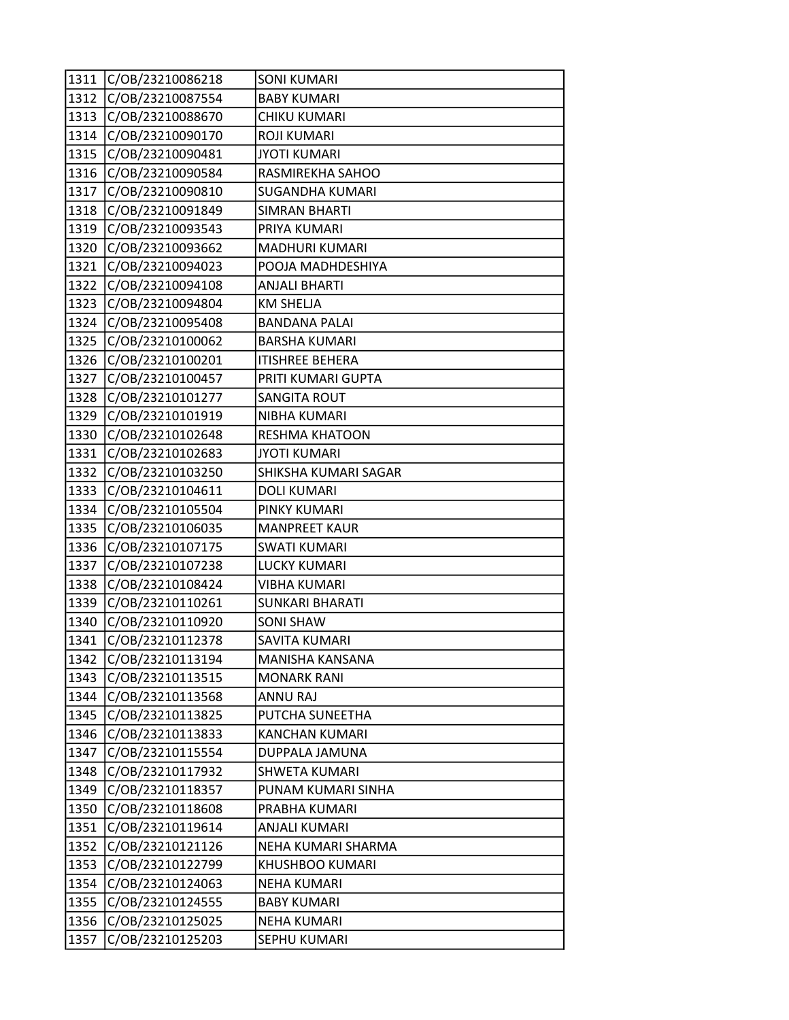| 1311 | C/OB/23210086218 | <b>SONI KUMARI</b>     |
|------|------------------|------------------------|
| 1312 | C/OB/23210087554 | <b>BABY KUMARI</b>     |
| 1313 | C/OB/23210088670 | CHIKU KUMARI           |
| 1314 | C/OB/23210090170 | <b>ROJI KUMARI</b>     |
| 1315 | C/OB/23210090481 | <b>JYOTI KUMARI</b>    |
| 1316 | C/OB/23210090584 | RASMIREKHA SAHOO       |
| 1317 | C/OB/23210090810 | <b>SUGANDHA KUMARI</b> |
| 1318 | C/OB/23210091849 | <b>SIMRAN BHARTI</b>   |
| 1319 | C/OB/23210093543 | PRIYA KUMARI           |
| 1320 | C/OB/23210093662 | <b>MADHURI KUMARI</b>  |
| 1321 | C/OB/23210094023 | POOJA MADHDESHIYA      |
| 1322 | C/OB/23210094108 | <b>ANJALI BHARTI</b>   |
| 1323 | C/OB/23210094804 | <b>KM SHELJA</b>       |
| 1324 | C/OB/23210095408 | <b>BANDANA PALAI</b>   |
| 1325 | C/OB/23210100062 | <b>BARSHA KUMARI</b>   |
| 1326 | C/OB/23210100201 | <b>ITISHREE BEHERA</b> |
| 1327 | C/OB/23210100457 | PRITI KUMARI GUPTA     |
| 1328 | C/OB/23210101277 | <b>SANGITA ROUT</b>    |
| 1329 | C/OB/23210101919 | NIBHA KUMARI           |
| 1330 | C/OB/23210102648 | <b>RESHMA KHATOON</b>  |
| 1331 | C/OB/23210102683 | <b>JYOTI KUMARI</b>    |
| 1332 | C/OB/23210103250 | SHIKSHA KUMARI SAGAR   |
| 1333 | C/OB/23210104611 | <b>DOLI KUMARI</b>     |
| 1334 | C/OB/23210105504 | PINKY KUMARI           |
| 1335 | C/OB/23210106035 | <b>MANPREET KAUR</b>   |
| 1336 | C/OB/23210107175 | <b>SWATI KUMARI</b>    |
| 1337 | C/OB/23210107238 | LUCKY KUMARI           |
| 1338 | C/OB/23210108424 | <b>VIBHA KUMARI</b>    |
| 1339 | C/OB/23210110261 | <b>SUNKARI BHARATI</b> |
| 1340 | C/OB/23210110920 | <b>SONI SHAW</b>       |
| 1341 | C/OB/23210112378 | SAVITA KUMARI          |
| 1342 | C/OB/23210113194 | MANISHA KANSANA        |
| 1343 | C/OB/23210113515 | <b>MONARK RANI</b>     |
| 1344 | C/OB/23210113568 | <b>ANNU RAJ</b>        |
| 1345 | C/OB/23210113825 | PUTCHA SUNEETHA        |
| 1346 | C/OB/23210113833 | <b>KANCHAN KUMARI</b>  |
| 1347 | C/OB/23210115554 | DUPPALA JAMUNA         |
| 1348 | C/OB/23210117932 | SHWETA KUMARI          |
| 1349 | C/OB/23210118357 | PUNAM KUMARI SINHA     |
| 1350 | C/OB/23210118608 | PRABHA KUMARI          |
| 1351 | C/OB/23210119614 | <b>ANJALI KUMARI</b>   |
| 1352 | C/OB/23210121126 | NEHA KUMARI SHARMA     |
| 1353 | C/OB/23210122799 | KHUSHBOO KUMARI        |
| 1354 | C/OB/23210124063 | <b>NEHA KUMARI</b>     |
| 1355 | C/OB/23210124555 | <b>BABY KUMARI</b>     |
| 1356 | C/OB/23210125025 | <b>NEHA KUMARI</b>     |
| 1357 | C/OB/23210125203 | SEPHU KUMARI           |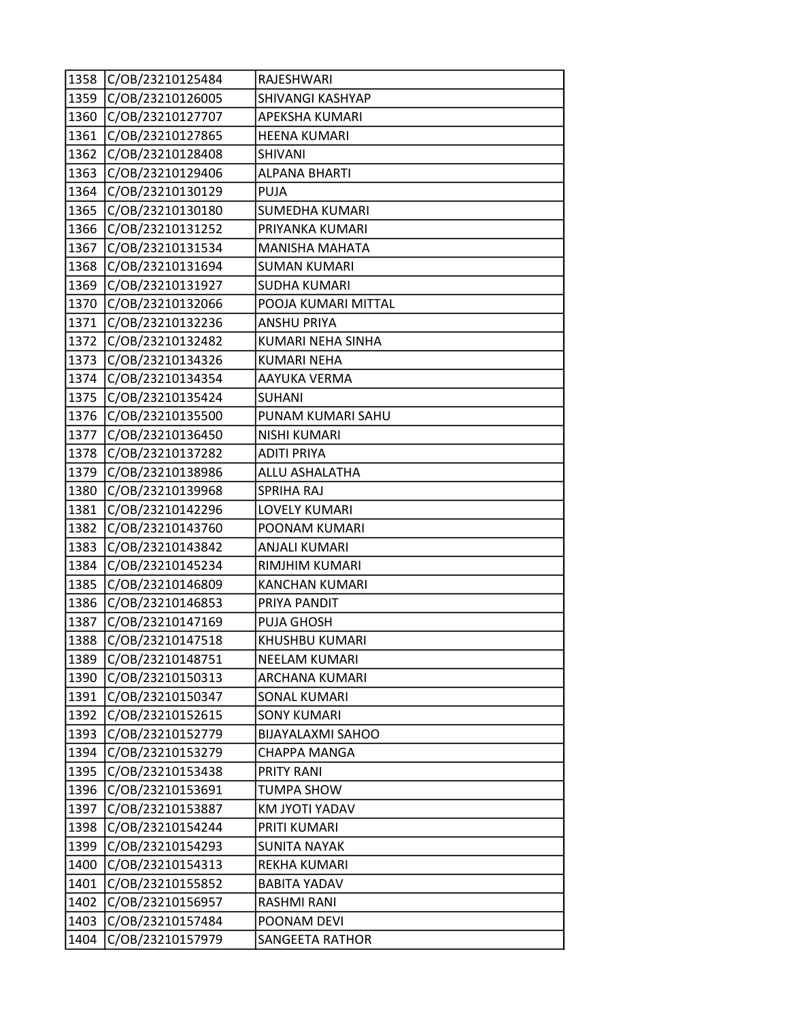| 1358 | C/OB/23210125484 | RAJESHWARI               |
|------|------------------|--------------------------|
| 1359 | C/OB/23210126005 | SHIVANGI KASHYAP         |
| 1360 | C/OB/23210127707 | APEKSHA KUMARI           |
| 1361 | C/OB/23210127865 | <b>HEENA KUMARI</b>      |
| 1362 | C/OB/23210128408 | SHIVANI                  |
| 1363 | C/OB/23210129406 | <b>ALPANA BHARTI</b>     |
| 1364 | C/OB/23210130129 | <b>PUJA</b>              |
| 1365 | C/OB/23210130180 | SUMEDHA KUMARI           |
| 1366 | C/OB/23210131252 | PRIYANKA KUMARI          |
| 1367 | C/OB/23210131534 | <b>MANISHA MAHATA</b>    |
| 1368 | C/OB/23210131694 | <b>SUMAN KUMARI</b>      |
| 1369 | C/OB/23210131927 | <b>SUDHA KUMARI</b>      |
| 1370 | C/OB/23210132066 | POOJA KUMARI MITTAL      |
| 1371 | C/OB/23210132236 | <b>ANSHU PRIYA</b>       |
| 1372 | C/OB/23210132482 | KUMARI NEHA SINHA        |
| 1373 | C/OB/23210134326 | <b>KUMARI NEHA</b>       |
| 1374 | C/OB/23210134354 | AAYUKA VERMA             |
| 1375 | C/OB/23210135424 | <b>SUHANI</b>            |
| 1376 | C/OB/23210135500 | PUNAM KUMARI SAHU        |
| 1377 | C/OB/23210136450 | <b>NISHI KUMARI</b>      |
| 1378 | C/OB/23210137282 | <b>ADITI PRIYA</b>       |
| 1379 | C/OB/23210138986 | ALLU ASHALATHA           |
| 1380 | C/OB/23210139968 | <b>SPRIHA RAJ</b>        |
| 1381 | C/OB/23210142296 | <b>LOVELY KUMARI</b>     |
| 1382 | C/OB/23210143760 | POONAM KUMARI            |
| 1383 | C/OB/23210143842 | ANJALI KUMARI            |
| 1384 | C/OB/23210145234 | RIMJHIM KUMARI           |
| 1385 | C/OB/23210146809 | <b>KANCHAN KUMARI</b>    |
| 1386 | C/OB/23210146853 | PRIYA PANDIT             |
| 1387 | C/OB/23210147169 | PUJA GHOSH               |
| 1388 | C/OB/23210147518 | KHUSHBU KUMARI           |
| 1389 | C/OB/23210148751 | <b>NEELAM KUMARI</b>     |
| 1390 | C/OB/23210150313 | ARCHANA KUMARI           |
| 1391 | C/OB/23210150347 | SONAL KUMARI             |
| 1392 | C/OB/23210152615 | <b>SONY KUMARI</b>       |
| 1393 | C/OB/23210152779 | <b>BIJAYALAXMI SAHOO</b> |
| 1394 | C/OB/23210153279 | CHAPPA MANGA             |
| 1395 | C/OB/23210153438 | <b>PRITY RANI</b>        |
| 1396 | C/OB/23210153691 | <b>TUMPA SHOW</b>        |
| 1397 | C/OB/23210153887 | KM JYOTI YADAV           |
| 1398 | C/OB/23210154244 | PRITI KUMARI             |
| 1399 | C/OB/23210154293 | <b>SUNITA NAYAK</b>      |
| 1400 | C/OB/23210154313 | REKHA KUMARI             |
| 1401 | C/OB/23210155852 | <b>BABITA YADAV</b>      |
| 1402 | C/OB/23210156957 | RASHMI RANI              |
| 1403 | C/OB/23210157484 | POONAM DEVI              |
| 1404 | C/OB/23210157979 | <b>SANGEETA RATHOR</b>   |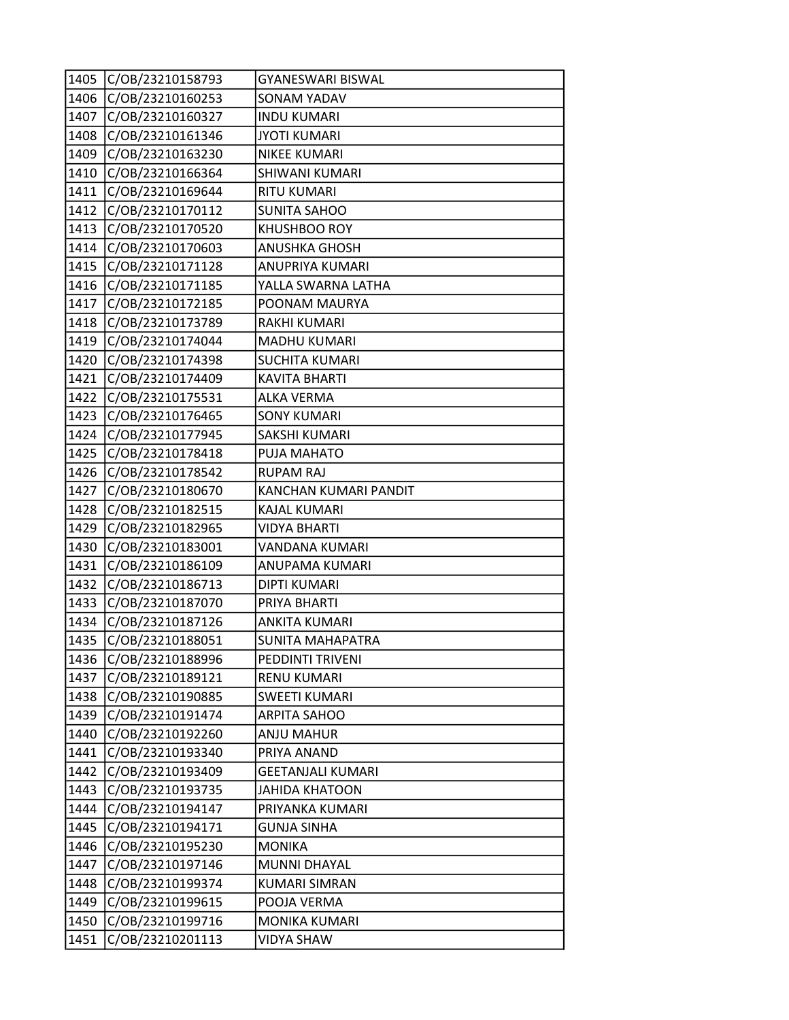| 1405 | C/OB/23210158793 | GYANESWARI BISWAL        |
|------|------------------|--------------------------|
| 1406 | C/OB/23210160253 | SONAM YADAV              |
| 1407 | C/OB/23210160327 | <b>INDU KUMARI</b>       |
| 1408 | C/OB/23210161346 | <b>JYOTI KUMARI</b>      |
| 1409 | C/OB/23210163230 | <b>NIKEE KUMARI</b>      |
| 1410 | C/OB/23210166364 | SHIWANI KUMARI           |
| 1411 | C/OB/23210169644 | <b>RITU KUMARI</b>       |
| 1412 | C/OB/23210170112 | <b>SUNITA SAHOO</b>      |
| 1413 | C/OB/23210170520 | KHUSHBOO ROY             |
| 1414 | C/OB/23210170603 | <b>ANUSHKA GHOSH</b>     |
| 1415 | C/OB/23210171128 | ANUPRIYA KUMARI          |
| 1416 | C/OB/23210171185 | YALLA SWARNA LATHA       |
| 1417 | C/OB/23210172185 | POONAM MAURYA            |
| 1418 | C/OB/23210173789 | <b>RAKHI KUMARI</b>      |
| 1419 | C/OB/23210174044 | <b>MADHU KUMARI</b>      |
| 1420 | C/OB/23210174398 | <b>SUCHITA KUMARI</b>    |
| 1421 | C/OB/23210174409 | <b>KAVITA BHARTI</b>     |
| 1422 | C/OB/23210175531 | <b>ALKA VERMA</b>        |
| 1423 | C/OB/23210176465 | <b>SONY KUMARI</b>       |
| 1424 | C/OB/23210177945 | SAKSHI KUMARI            |
| 1425 | C/OB/23210178418 | PUJA MAHATO              |
| 1426 | C/OB/23210178542 | <b>RUPAM RAJ</b>         |
| 1427 | C/OB/23210180670 | KANCHAN KUMARI PANDIT    |
| 1428 | C/OB/23210182515 | <b>KAJAL KUMARI</b>      |
| 1429 | C/OB/23210182965 | <b>VIDYA BHARTI</b>      |
| 1430 | C/OB/23210183001 | VANDANA KUMARI           |
| 1431 | C/OB/23210186109 | ANUPAMA KUMARI           |
| 1432 | C/OB/23210186713 | <b>DIPTI KUMARI</b>      |
| 1433 | C/OB/23210187070 | PRIYA BHARTI             |
| 1434 | C/OB/23210187126 | <b>ANKITA KUMARI</b>     |
| 1435 | C/OB/23210188051 | <b>SUNITA MAHAPATRA</b>  |
| 1436 | C/OB/23210188996 | PEDDINTI TRIVENI         |
| 1437 | C/OB/23210189121 | <b>RENU KUMARI</b>       |
| 1438 | C/OB/23210190885 | <b>SWEETI KUMARI</b>     |
| 1439 | C/OB/23210191474 | <b>ARPITA SAHOO</b>      |
| 1440 | C/OB/23210192260 | <b>ANJU MAHUR</b>        |
| 1441 | C/OB/23210193340 | PRIYA ANAND              |
| 1442 | C/OB/23210193409 | <b>GEETANJALI KUMARI</b> |
| 1443 | C/OB/23210193735 | <b>JAHIDA KHATOON</b>    |
| 1444 | C/OB/23210194147 | PRIYANKA KUMARI          |
| 1445 | C/OB/23210194171 | <b>GUNJA SINHA</b>       |
| 1446 | C/OB/23210195230 | <b>MONIKA</b>            |
| 1447 | C/OB/23210197146 | MUNNI DHAYAL             |
| 1448 | C/OB/23210199374 | <b>KUMARI SIMRAN</b>     |
| 1449 | C/OB/23210199615 | POOJA VERMA              |
| 1450 | C/OB/23210199716 | MONIKA KUMARI            |
| 1451 | C/OB/23210201113 | <b>VIDYA SHAW</b>        |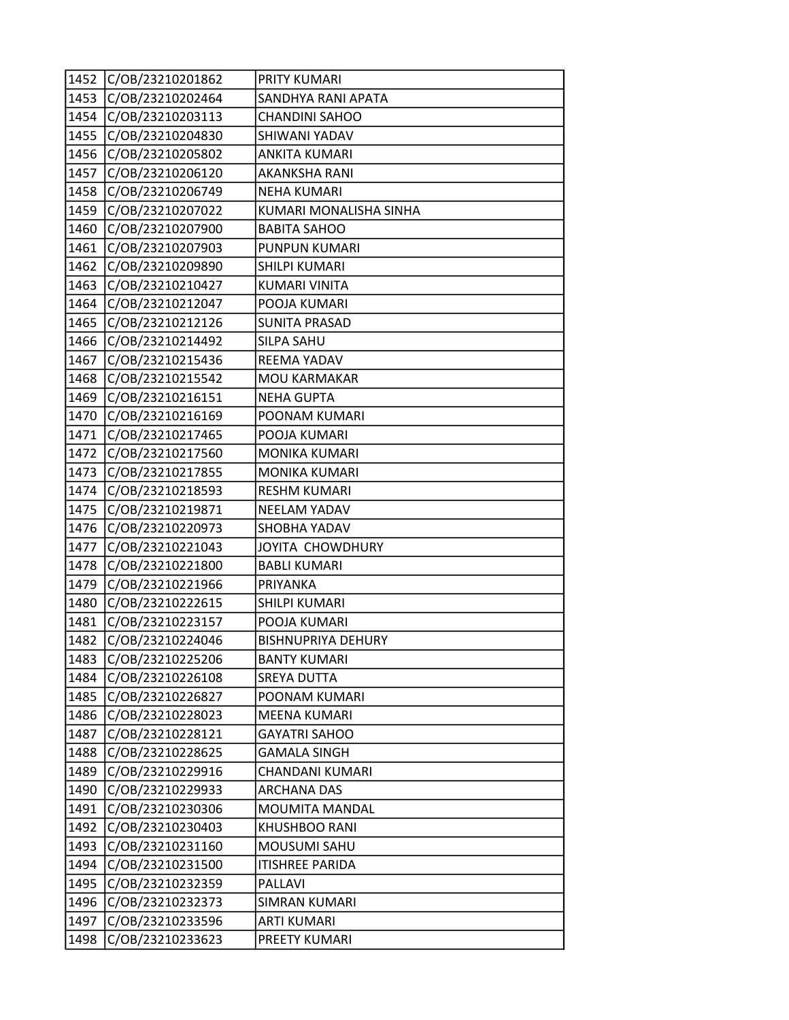| 1452 | C/OB/23210201862 | PRITY KUMARI              |
|------|------------------|---------------------------|
| 1453 | C/OB/23210202464 | SANDHYA RANI APATA        |
| 1454 | C/OB/23210203113 | <b>CHANDINI SAHOO</b>     |
| 1455 | C/OB/23210204830 | SHIWANI YADAV             |
| 1456 | C/OB/23210205802 | <b>ANKITA KUMARI</b>      |
| 1457 | C/OB/23210206120 | <b>AKANKSHA RANI</b>      |
| 1458 | C/OB/23210206749 | <b>NEHA KUMARI</b>        |
| 1459 | C/OB/23210207022 | KUMARI MONALISHA SINHA    |
| 1460 | C/OB/23210207900 | <b>BABITA SAHOO</b>       |
| 1461 | C/OB/23210207903 | PUNPUN KUMARI             |
| 1462 | C/OB/23210209890 | SHILPI KUMARI             |
| 1463 | C/OB/23210210427 | <b>KUMARI VINITA</b>      |
| 1464 | C/OB/23210212047 | POOJA KUMARI              |
| 1465 | C/OB/23210212126 | <b>SUNITA PRASAD</b>      |
| 1466 | C/OB/23210214492 | <b>SILPA SAHU</b>         |
| 1467 | C/OB/23210215436 | REEMA YADAV               |
| 1468 | C/OB/23210215542 | <b>MOU KARMAKAR</b>       |
| 1469 | C/OB/23210216151 | <b>NEHA GUPTA</b>         |
| 1470 | C/OB/23210216169 | POONAM KUMARI             |
| 1471 | C/OB/23210217465 | POOJA KUMARI              |
| 1472 | C/OB/23210217560 | MONIKA KUMARI             |
| 1473 | C/OB/23210217855 | MONIKA KUMARI             |
| 1474 | C/OB/23210218593 | <b>RESHM KUMARI</b>       |
| 1475 | C/OB/23210219871 | <b>NEELAM YADAV</b>       |
| 1476 | C/OB/23210220973 | SHOBHA YADAV              |
| 1477 | C/OB/23210221043 | JOYITA CHOWDHURY          |
| 1478 | C/OB/23210221800 | <b>BABLI KUMARI</b>       |
| 1479 | C/OB/23210221966 | PRIYANKA                  |
| 1480 | C/OB/23210222615 | SHILPI KUMARI             |
| 1481 | C/OB/23210223157 | POOJA KUMARI              |
| 1482 | C/OB/23210224046 | <b>BISHNUPRIYA DEHURY</b> |
| 1483 | C/OB/23210225206 | <b>BANTY KUMARI</b>       |
| 1484 | C/OB/23210226108 | <b>SREYA DUTTA</b>        |
| 1485 | C/OB/23210226827 | POONAM KUMARI             |
| 1486 | C/OB/23210228023 | <b>MEENA KUMARI</b>       |
| 1487 | C/OB/23210228121 | <b>GAYATRI SAHOO</b>      |
| 1488 | C/OB/23210228625 | <b>GAMALA SINGH</b>       |
| 1489 | C/OB/23210229916 | CHANDANI KUMARI           |
| 1490 | C/OB/23210229933 | <b>ARCHANA DAS</b>        |
| 1491 | C/OB/23210230306 | MOUMITA MANDAL            |
| 1492 | C/OB/23210230403 | <b>KHUSHBOO RANI</b>      |
| 1493 | C/OB/23210231160 | MOUSUMI SAHU              |
| 1494 | C/OB/23210231500 | <b>ITISHREE PARIDA</b>    |
| 1495 | C/OB/23210232359 | PALLAVI                   |
| 1496 | C/OB/23210232373 | <b>SIMRAN KUMARI</b>      |
| 1497 | C/OB/23210233596 | <b>ARTI KUMARI</b>        |
| 1498 | C/OB/23210233623 | PREETY KUMARI             |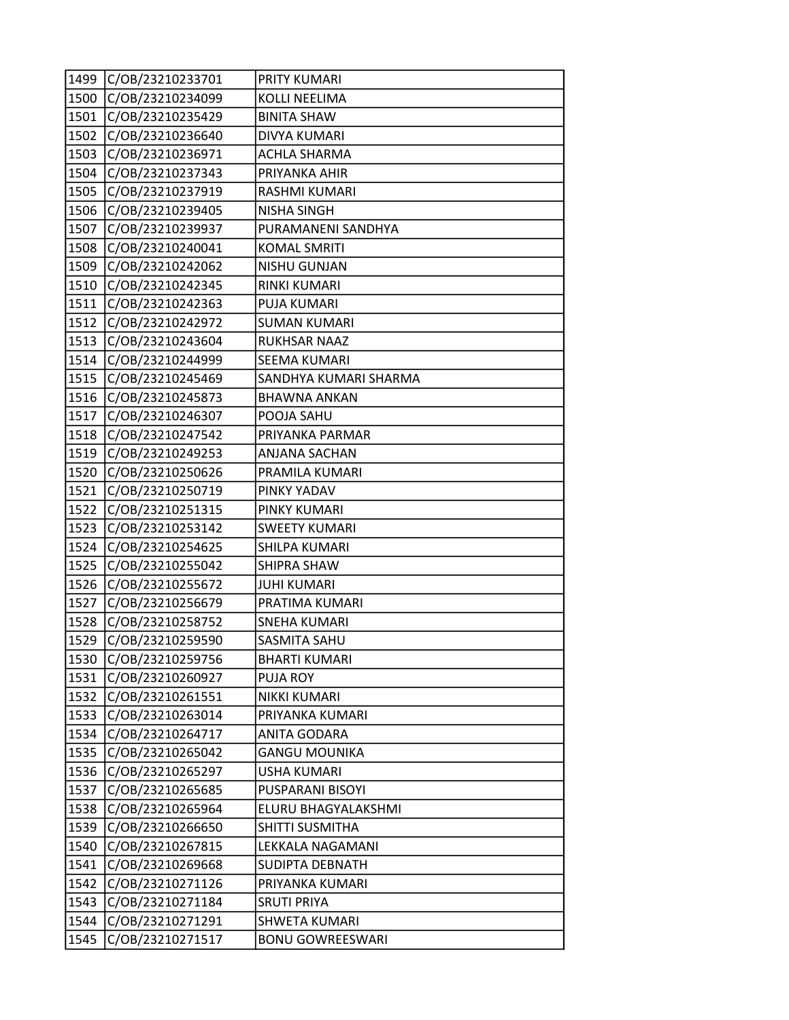| 1499 | C/OB/23210233701 | PRITY KUMARI            |
|------|------------------|-------------------------|
| 1500 | C/OB/23210234099 | <b>KOLLI NEELIMA</b>    |
| 1501 | C/OB/23210235429 | <b>BINITA SHAW</b>      |
| 1502 | C/OB/23210236640 | <b>DIVYA KUMARI</b>     |
| 1503 | C/OB/23210236971 | <b>ACHLA SHARMA</b>     |
| 1504 | C/OB/23210237343 | PRIYANKA AHIR           |
| 1505 | C/OB/23210237919 | RASHMI KUMARI           |
| 1506 | C/OB/23210239405 | <b>NISHA SINGH</b>      |
| 1507 | C/OB/23210239937 | PURAMANENI SANDHYA      |
| 1508 | C/OB/23210240041 | <b>KOMAL SMRITI</b>     |
| 1509 | C/OB/23210242062 | <b>NISHU GUNJAN</b>     |
| 1510 | C/OB/23210242345 | RINKI KUMARI            |
| 1511 | C/OB/23210242363 | PUJA KUMARI             |
| 1512 | C/OB/23210242972 | <b>SUMAN KUMARI</b>     |
| 1513 | C/OB/23210243604 | <b>RUKHSAR NAAZ</b>     |
| 1514 | C/OB/23210244999 | <b>SEEMA KUMARI</b>     |
| 1515 | C/OB/23210245469 | SANDHYA KUMARI SHARMA   |
| 1516 | C/OB/23210245873 | <b>BHAWNA ANKAN</b>     |
| 1517 | C/OB/23210246307 | POOJA SAHU              |
| 1518 | C/OB/23210247542 | PRIYANKA PARMAR         |
| 1519 | C/OB/23210249253 | ANJANA SACHAN           |
| 1520 | C/OB/23210250626 | PRAMILA KUMARI          |
| 1521 | C/OB/23210250719 | PINKY YADAV             |
| 1522 | C/OB/23210251315 | PINKY KUMARI            |
| 1523 | C/OB/23210253142 | <b>SWEETY KUMARI</b>    |
| 1524 | C/OB/23210254625 | SHILPA KUMARI           |
| 1525 | C/OB/23210255042 | <b>SHIPRA SHAW</b>      |
| 1526 | C/OB/23210255672 | <b>JUHI KUMARI</b>      |
| 1527 | C/OB/23210256679 | PRATIMA KUMARI          |
| 1528 | C/OB/23210258752 | <b>SNEHA KUMARI</b>     |
| 1529 | C/OB/23210259590 | SASMITA SAHU            |
| 1530 | C/OB/23210259756 | <b>BHARTI KUMARI</b>    |
| 1531 | C/OB/23210260927 | PUJA ROY                |
| 1532 | C/OB/23210261551 | <b>NIKKI KUMARI</b>     |
| 1533 | C/OB/23210263014 | PRIYANKA KUMARI         |
| 1534 | C/OB/23210264717 | <b>ANITA GODARA</b>     |
| 1535 | C/OB/23210265042 | GANGU MOUNIKA           |
| 1536 | C/OB/23210265297 | <b>USHA KUMARI</b>      |
| 1537 | C/OB/23210265685 | PUSPARANI BISOYI        |
| 1538 | C/OB/23210265964 | ELURU BHAGYALAKSHMI     |
| 1539 | C/OB/23210266650 | SHITTI SUSMITHA         |
| 1540 | C/OB/23210267815 | LEKKALA NAGAMANI        |
| 1541 | C/OB/23210269668 | <b>SUDIPTA DEBNATH</b>  |
| 1542 | C/OB/23210271126 | PRIYANKA KUMARI         |
| 1543 | C/OB/23210271184 | <b>SRUTI PRIYA</b>      |
| 1544 | C/OB/23210271291 | SHWETA KUMARI           |
| 1545 | C/OB/23210271517 | <b>BONU GOWREESWARI</b> |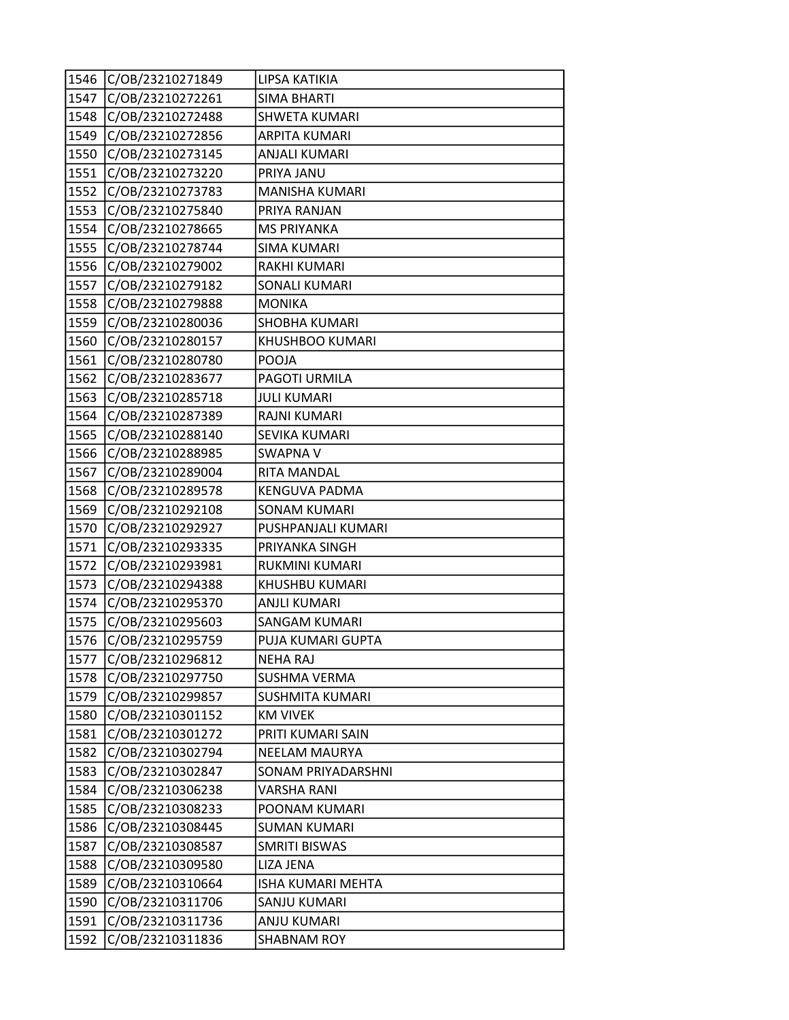| 1546 | C/OB/23210271849 | LIPSA KATIKIA            |
|------|------------------|--------------------------|
| 1547 | C/OB/23210272261 | <b>SIMA BHARTI</b>       |
| 1548 | C/OB/23210272488 | <b>SHWETA KUMARI</b>     |
| 1549 | C/OB/23210272856 | <b>ARPITA KUMARI</b>     |
| 1550 | C/OB/23210273145 | <b>ANJALI KUMARI</b>     |
| 1551 | C/OB/23210273220 | PRIYA JANU               |
| 1552 | C/OB/23210273783 | <b>MANISHA KUMARI</b>    |
| 1553 | C/OB/23210275840 | PRIYA RANJAN             |
| 1554 | C/OB/23210278665 | <b>MS PRIYANKA</b>       |
| 1555 | C/OB/23210278744 | <b>SIMA KUMARI</b>       |
| 1556 | C/OB/23210279002 | RAKHI KUMARI             |
| 1557 | C/OB/23210279182 | <b>SONALI KUMARI</b>     |
| 1558 | C/OB/23210279888 | <b>MONIKA</b>            |
| 1559 | C/OB/23210280036 | SHOBHA KUMARI            |
| 1560 | C/OB/23210280157 | KHUSHBOO KUMARI          |
| 1561 | C/OB/23210280780 | POOJA                    |
| 1562 | C/OB/23210283677 | PAGOTI URMILA            |
| 1563 | C/OB/23210285718 | <b>JULI KUMARI</b>       |
| 1564 | C/OB/23210287389 | RAJNI KUMARI             |
| 1565 | C/OB/23210288140 | SEVIKA KUMARI            |
| 1566 | C/OB/23210288985 | <b>SWAPNA V</b>          |
| 1567 | C/OB/23210289004 | RITA MANDAL              |
| 1568 | C/OB/23210289578 | <b>KENGUVA PADMA</b>     |
| 1569 | C/OB/23210292108 | <b>SONAM KUMARI</b>      |
| 1570 | C/OB/23210292927 | PUSHPANJALI KUMARI       |
| 1571 | C/OB/23210293335 | PRIYANKA SINGH           |
| 1572 | C/OB/23210293981 | <b>RUKMINI KUMARI</b>    |
| 1573 | C/OB/23210294388 | KHUSHBU KUMARI           |
| 1574 | C/OB/23210295370 | <b>ANJLI KUMARI</b>      |
| 1575 | C/OB/23210295603 | <b>SANGAM KUMARI</b>     |
| 1576 | C/OB/23210295759 | PUJA KUMARI GUPTA        |
| 1577 | C/OB/23210296812 | <b>NEHA RAJ</b>          |
| 1578 | C/OB/23210297750 | <b>SUSHMA VERMA</b>      |
| 1579 | C/OB/23210299857 | <b>SUSHMITA KUMARI</b>   |
| 1580 | C/OB/23210301152 | <b>KM VIVEK</b>          |
| 1581 | C/OB/23210301272 | PRITI KUMARI SAIN        |
| 1582 | C/OB/23210302794 | NEELAM MAURYA            |
| 1583 | C/OB/23210302847 | SONAM PRIYADARSHNI       |
| 1584 | C/OB/23210306238 | <b>VARSHA RANI</b>       |
| 1585 | C/OB/23210308233 | POONAM KUMARI            |
| 1586 | C/OB/23210308445 | <b>SUMAN KUMARI</b>      |
| 1587 | C/OB/23210308587 | SMRITI BISWAS            |
| 1588 | C/OB/23210309580 | LIZA JENA                |
| 1589 | C/OB/23210310664 | <b>ISHA KUMARI MEHTA</b> |
| 1590 | C/OB/23210311706 | SANJU KUMARI             |
| 1591 | C/OB/23210311736 | ANJU KUMARI              |
| 1592 | C/OB/23210311836 | <b>SHABNAM ROY</b>       |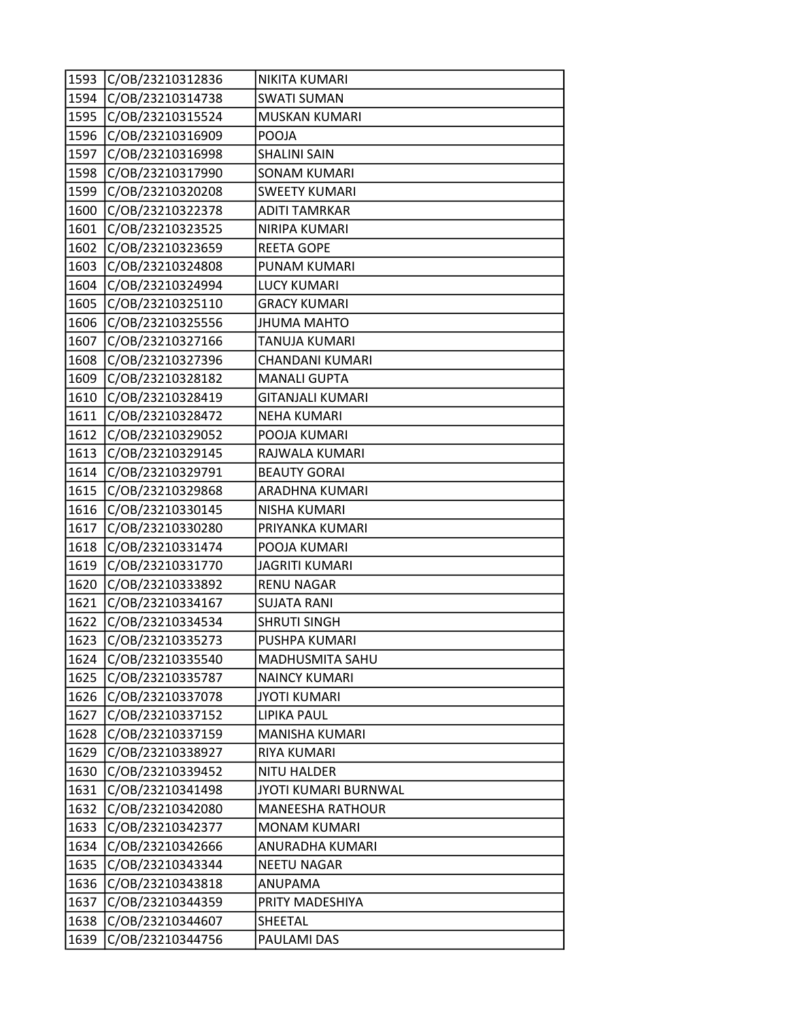| 1593 | C/OB/23210312836 | NIKITA KUMARI           |
|------|------------------|-------------------------|
| 1594 | C/OB/23210314738 | <b>SWATI SUMAN</b>      |
| 1595 | C/OB/23210315524 | MUSKAN KUMARI           |
| 1596 | C/OB/23210316909 | POOJA                   |
| 1597 | C/OB/23210316998 | <b>SHALINI SAIN</b>     |
| 1598 | C/OB/23210317990 | <b>SONAM KUMARI</b>     |
| 1599 | C/OB/23210320208 | <b>SWEETY KUMARI</b>    |
| 1600 | C/OB/23210322378 | <b>ADITI TAMRKAR</b>    |
| 1601 | C/OB/23210323525 | NIRIPA KUMARI           |
| 1602 | C/OB/23210323659 | <b>REETA GOPE</b>       |
| 1603 | C/OB/23210324808 | PUNAM KUMARI            |
| 1604 | C/OB/23210324994 | <b>LUCY KUMARI</b>      |
| 1605 | C/OB/23210325110 | <b>GRACY KUMARI</b>     |
| 1606 | C/OB/23210325556 | <b>JHUMA MAHTO</b>      |
| 1607 | C/OB/23210327166 | TANUJA KUMARI           |
| 1608 | C/OB/23210327396 | CHANDANI KUMARI         |
| 1609 | C/OB/23210328182 | <b>MANALI GUPTA</b>     |
| 1610 | C/OB/23210328419 | <b>GITANJALI KUMARI</b> |
| 1611 | C/OB/23210328472 | <b>NEHA KUMARI</b>      |
| 1612 | C/OB/23210329052 | POOJA KUMARI            |
| 1613 | C/OB/23210329145 | RAJWALA KUMARI          |
| 1614 | C/OB/23210329791 | <b>BEAUTY GORAI</b>     |
| 1615 | C/OB/23210329868 | ARADHNA KUMARI          |
| 1616 | C/OB/23210330145 | <b>NISHA KUMARI</b>     |
| 1617 | C/OB/23210330280 | PRIYANKA KUMARI         |
| 1618 | C/OB/23210331474 | POOJA KUMARI            |
| 1619 | C/OB/23210331770 | <b>JAGRITI KUMARI</b>   |
| 1620 | C/OB/23210333892 | <b>RENU NAGAR</b>       |
| 1621 | C/OB/23210334167 | <b>SUJATA RANI</b>      |
| 1622 | C/OB/23210334534 | <b>SHRUTI SINGH</b>     |
| 1623 | C/OB/23210335273 | PUSHPA KUMARI           |
| 1624 | C/OB/23210335540 | <b>MADHUSMITA SAHU</b>  |
| 1625 | C/OB/23210335787 | <b>NAINCY KUMARI</b>    |
| 1626 | C/OB/23210337078 | <b>JYOTI KUMARI</b>     |
| 1627 | C/OB/23210337152 | <b>LIPIKA PAUL</b>      |
| 1628 | C/OB/23210337159 | <b>MANISHA KUMARI</b>   |
| 1629 | C/OB/23210338927 | RIYA KUMARI             |
| 1630 | C/OB/23210339452 | <b>NITU HALDER</b>      |
| 1631 | C/OB/23210341498 | JYOTI KUMARI BURNWAL    |
| 1632 | C/OB/23210342080 | <b>MANEESHA RATHOUR</b> |
| 1633 | C/OB/23210342377 | <b>MONAM KUMARI</b>     |
| 1634 | C/OB/23210342666 | ANURADHA KUMARI         |
| 1635 | C/OB/23210343344 | <b>NEETU NAGAR</b>      |
| 1636 | C/OB/23210343818 | ANUPAMA                 |
| 1637 | C/OB/23210344359 | PRITY MADESHIYA         |
| 1638 | C/OB/23210344607 | SHEETAL                 |
| 1639 | C/OB/23210344756 | PAULAMI DAS             |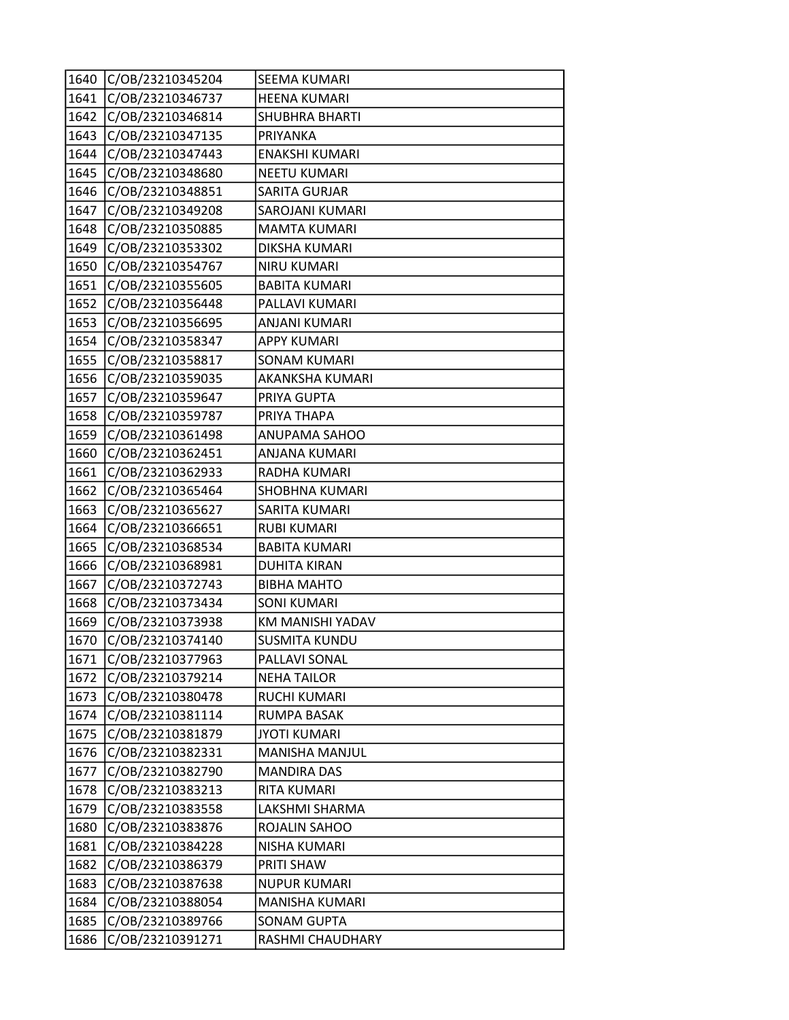| 1640 | C/OB/23210345204 | SEEMA KUMARI           |
|------|------------------|------------------------|
| 1641 | C/OB/23210346737 | <b>HEENA KUMARI</b>    |
| 1642 | C/OB/23210346814 | <b>SHUBHRA BHARTI</b>  |
| 1643 | C/OB/23210347135 | <b>PRIYANKA</b>        |
| 1644 | C/OB/23210347443 | <b>ENAKSHI KUMARI</b>  |
| 1645 | C/OB/23210348680 | <b>NEETU KUMARI</b>    |
| 1646 | C/OB/23210348851 | <b>SARITA GURJAR</b>   |
| 1647 | C/OB/23210349208 | <b>SAROJANI KUMARI</b> |
| 1648 | C/OB/23210350885 | <b>MAMTA KUMARI</b>    |
| 1649 | C/OB/23210353302 | <b>DIKSHA KUMARI</b>   |
| 1650 | C/OB/23210354767 | <b>NIRU KUMARI</b>     |
| 1651 | C/OB/23210355605 | <b>BABITA KUMARI</b>   |
| 1652 | C/OB/23210356448 | PALLAVI KUMARI         |
| 1653 | C/OB/23210356695 | <b>ANJANI KUMARI</b>   |
| 1654 | C/OB/23210358347 | <b>APPY KUMARI</b>     |
| 1655 | C/OB/23210358817 | <b>SONAM KUMARI</b>    |
| 1656 | C/OB/23210359035 | AKANKSHA KUMARI        |
| 1657 | C/OB/23210359647 | PRIYA GUPTA            |
| 1658 | C/OB/23210359787 | PRIYA THAPA            |
| 1659 | C/OB/23210361498 | ANUPAMA SAHOO          |
| 1660 | C/OB/23210362451 | ANJANA KUMARI          |
| 1661 | C/OB/23210362933 | RADHA KUMARI           |
| 1662 | C/OB/23210365464 | <b>SHOBHNA KUMARI</b>  |
| 1663 | C/OB/23210365627 | SARITA KUMARI          |
| 1664 | C/OB/23210366651 | <b>RUBI KUMARI</b>     |
| 1665 | C/OB/23210368534 | <b>BABITA KUMARI</b>   |
| 1666 | C/OB/23210368981 | <b>DUHITA KIRAN</b>    |
| 1667 | C/OB/23210372743 | <b>BIBHA MAHTO</b>     |
| 1668 | C/OB/23210373434 | <b>SONI KUMARI</b>     |
| 1669 | C/OB/23210373938 | KM MANISHI YADAV       |
| 1670 | C/OB/23210374140 | <b>SUSMITA KUNDU</b>   |
| 1671 | C/OB/23210377963 | PALLAVI SONAL          |
| 1672 | C/OB/23210379214 | <b>NEHA TAILOR</b>     |
| 1673 | C/OB/23210380478 | RUCHI KUMARI           |
| 1674 | C/OB/23210381114 | RUMPA BASAK            |
| 1675 | C/OB/23210381879 | <b>JYOTI KUMARI</b>    |
| 1676 | C/OB/23210382331 | MANISHA MANJUL         |
| 1677 | C/OB/23210382790 | <b>MANDIRA DAS</b>     |
| 1678 | C/OB/23210383213 | RITA KUMARI            |
| 1679 | C/OB/23210383558 | LAKSHMI SHARMA         |
| 1680 | C/OB/23210383876 | ROJALIN SAHOO          |
| 1681 | C/OB/23210384228 | NISHA KUMARI           |
| 1682 | C/OB/23210386379 | PRITI SHAW             |
| 1683 | C/OB/23210387638 | <b>NUPUR KUMARI</b>    |
| 1684 | C/OB/23210388054 | MANISHA KUMARI         |
| 1685 | C/OB/23210389766 | <b>SONAM GUPTA</b>     |
| 1686 | C/OB/23210391271 | RASHMI CHAUDHARY       |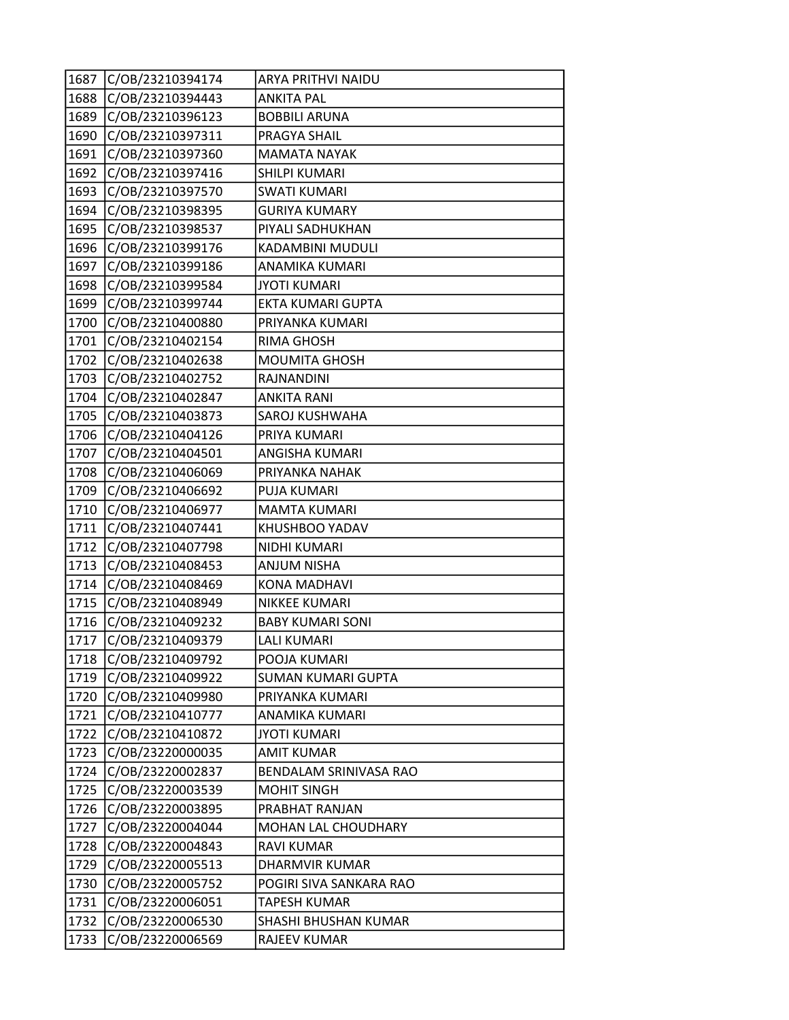| 1687 | C/OB/23210394174 | ARYA PRITHVI NAIDU        |
|------|------------------|---------------------------|
| 1688 | C/OB/23210394443 | <b>ANKITA PAL</b>         |
| 1689 | C/OB/23210396123 | <b>BOBBILI ARUNA</b>      |
| 1690 | C/OB/23210397311 | PRAGYA SHAIL              |
| 1691 | C/OB/23210397360 | <b>MAMATA NAYAK</b>       |
| 1692 | C/OB/23210397416 | SHILPI KUMARI             |
| 1693 | C/OB/23210397570 | <b>SWATI KUMARI</b>       |
| 1694 | C/OB/23210398395 | <b>GURIYA KUMARY</b>      |
| 1695 | C/OB/23210398537 | PIYALI SADHUKHAN          |
| 1696 | C/OB/23210399176 | KADAMBINI MUDULI          |
| 1697 | C/OB/23210399186 | ANAMIKA KUMARI            |
| 1698 | C/OB/23210399584 | <b>JYOTI KUMARI</b>       |
| 1699 | C/OB/23210399744 | EKTA KUMARI GUPTA         |
| 1700 | C/OB/23210400880 | PRIYANKA KUMARI           |
| 1701 | C/OB/23210402154 | <b>RIMA GHOSH</b>         |
| 1702 | C/OB/23210402638 | MOUMITA GHOSH             |
| 1703 | C/OB/23210402752 | <b>RAJNANDINI</b>         |
| 1704 | C/OB/23210402847 | <b>ANKITA RANI</b>        |
| 1705 | C/OB/23210403873 | SAROJ KUSHWAHA            |
| 1706 | C/OB/23210404126 | PRIYA KUMARI              |
| 1707 | C/OB/23210404501 | ANGISHA KUMARI            |
| 1708 | C/OB/23210406069 | PRIYANKA NAHAK            |
| 1709 | C/OB/23210406692 | PUJA KUMARI               |
| 1710 | C/OB/23210406977 | <b>MAMTA KUMARI</b>       |
| 1711 | C/OB/23210407441 | KHUSHBOO YADAV            |
| 1712 | C/OB/23210407798 | NIDHI KUMARI              |
| 1713 | C/OB/23210408453 | <b>ANJUM NISHA</b>        |
| 1714 | C/OB/23210408469 | <b>KONA MADHAVI</b>       |
| 1715 | C/OB/23210408949 | <b>NIKKEE KUMARI</b>      |
| 1716 | C/OB/23210409232 | <b>BABY KUMARI SONI</b>   |
| 1717 | C/OB/23210409379 | <b>LALI KUMARI</b>        |
| 1718 | C/OB/23210409792 | POOJA KUMARI              |
| 1719 | C/OB/23210409922 | <b>SUMAN KUMARI GUPTA</b> |
| 1720 | C/OB/23210409980 | PRIYANKA KUMARI           |
| 1721 | C/OB/23210410777 | ANAMIKA KUMARI            |
| 1722 | C/OB/23210410872 | <b>JYOTI KUMARI</b>       |
| 1723 | C/OB/23220000035 | <b>AMIT KUMAR</b>         |
| 1724 | C/OB/23220002837 | BENDALAM SRINIVASA RAO    |
| 1725 | C/OB/23220003539 | <b>MOHIT SINGH</b>        |
| 1726 | C/OB/23220003895 | PRABHAT RANJAN            |
| 1727 | C/OB/23220004044 | MOHAN LAL CHOUDHARY       |
| 1728 | C/OB/23220004843 | <b>RAVI KUMAR</b>         |
| 1729 | C/OB/23220005513 | DHARMVIR KUMAR            |
| 1730 | C/OB/23220005752 | POGIRI SIVA SANKARA RAO   |
| 1731 | C/OB/23220006051 | TAPESH KUMAR              |
| 1732 | C/OB/23220006530 | SHASHI BHUSHAN KUMAR      |
| 1733 | C/OB/23220006569 | RAJEEV KUMAR              |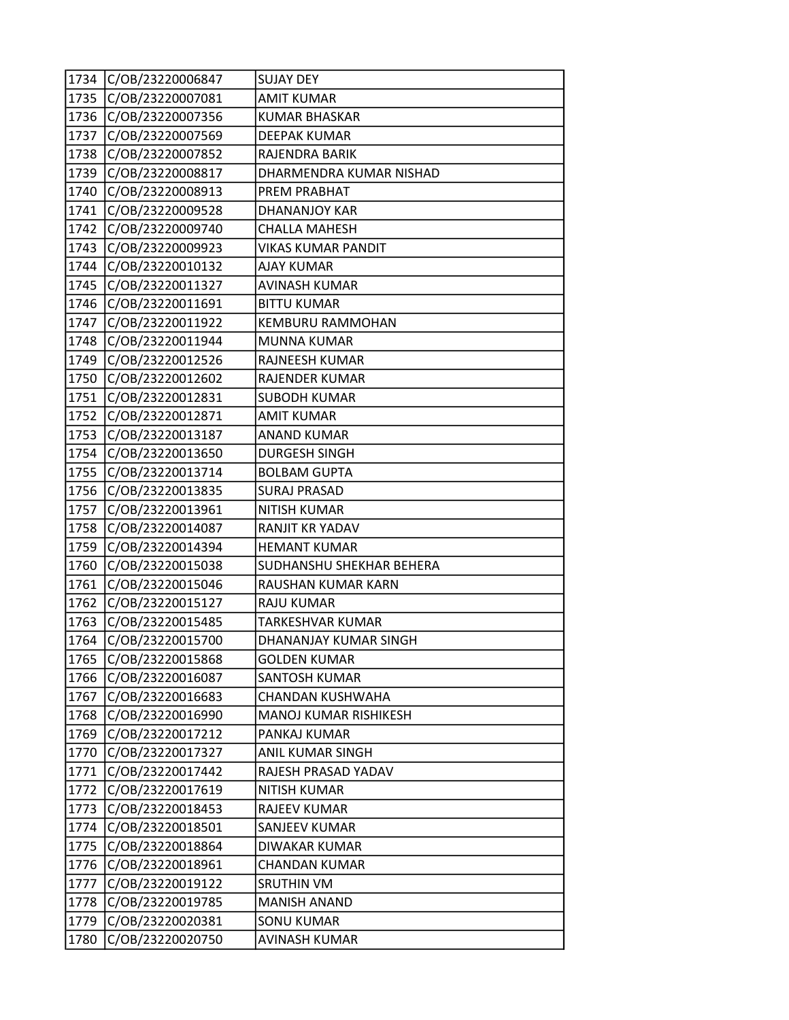| 1734 | C/OB/23220006847 | <b>SUJAY DEY</b>             |
|------|------------------|------------------------------|
| 1735 | C/OB/23220007081 | <b>AMIT KUMAR</b>            |
| 1736 | C/OB/23220007356 | <b>KUMAR BHASKAR</b>         |
| 1737 | C/OB/23220007569 | <b>DEEPAK KUMAR</b>          |
| 1738 | C/OB/23220007852 | RAJENDRA BARIK               |
| 1739 | C/OB/23220008817 | DHARMENDRA KUMAR NISHAD      |
| 1740 | C/OB/23220008913 | PREM PRABHAT                 |
| 1741 | C/OB/23220009528 | DHANANJOY KAR                |
| 1742 | C/OB/23220009740 | <b>CHALLA MAHESH</b>         |
| 1743 | C/OB/23220009923 | <b>VIKAS KUMAR PANDIT</b>    |
| 1744 | C/OB/23220010132 | <b>AJAY KUMAR</b>            |
| 1745 | C/OB/23220011327 | <b>AVINASH KUMAR</b>         |
| 1746 | C/OB/23220011691 | <b>BITTU KUMAR</b>           |
| 1747 | C/OB/23220011922 | <b>KEMBURU RAMMOHAN</b>      |
| 1748 | C/OB/23220011944 | <b>MUNNA KUMAR</b>           |
| 1749 | C/OB/23220012526 | <b>RAJNEESH KUMAR</b>        |
| 1750 | C/OB/23220012602 | <b>RAJENDER KUMAR</b>        |
| 1751 | C/OB/23220012831 | <b>SUBODH KUMAR</b>          |
| 1752 | C/OB/23220012871 | <b>AMIT KUMAR</b>            |
| 1753 | C/OB/23220013187 | <b>ANAND KUMAR</b>           |
| 1754 | C/OB/23220013650 | <b>DURGESH SINGH</b>         |
| 1755 | C/OB/23220013714 | <b>BOLBAM GUPTA</b>          |
| 1756 | C/OB/23220013835 | <b>SURAJ PRASAD</b>          |
| 1757 | C/OB/23220013961 | <b>NITISH KUMAR</b>          |
| 1758 | C/OB/23220014087 | <b>RANJIT KR YADAV</b>       |
| 1759 | C/OB/23220014394 | <b>HEMANT KUMAR</b>          |
| 1760 | C/OB/23220015038 | SUDHANSHU SHEKHAR BEHERA     |
| 1761 | C/OB/23220015046 | RAUSHAN KUMAR KARN           |
| 1762 | C/OB/23220015127 | <b>RAJU KUMAR</b>            |
| 1763 | C/OB/23220015485 | TARKESHVAR KUMAR             |
| 1764 | C/OB/23220015700 | DHANANJAY KUMAR SINGH        |
| 1765 | C/OB/23220015868 | <b>GOLDEN KUMAR</b>          |
| 1766 | C/OB/23220016087 | SANTOSH KUMAR                |
| 1767 | C/OB/23220016683 | CHANDAN KUSHWAHA             |
| 1768 | C/OB/23220016990 | <b>MANOJ KUMAR RISHIKESH</b> |
| 1769 | C/OB/23220017212 | PANKAJ KUMAR                 |
| 1770 | C/OB/23220017327 | ANIL KUMAR SINGH             |
| 1771 | C/OB/23220017442 | RAJESH PRASAD YADAV          |
| 1772 | C/OB/23220017619 | <b>NITISH KUMAR</b>          |
| 1773 | C/OB/23220018453 | RAJEEV KUMAR                 |
| 1774 | C/OB/23220018501 | SANJEEV KUMAR                |
| 1775 | C/OB/23220018864 | <b>DIWAKAR KUMAR</b>         |
| 1776 | C/OB/23220018961 | <b>CHANDAN KUMAR</b>         |
| 1777 | C/OB/23220019122 | <b>SRUTHIN VM</b>            |
| 1778 | C/OB/23220019785 | <b>MANISH ANAND</b>          |
| 1779 | C/OB/23220020381 | <b>SONU KUMAR</b>            |
| 1780 | C/OB/23220020750 | <b>AVINASH KUMAR</b>         |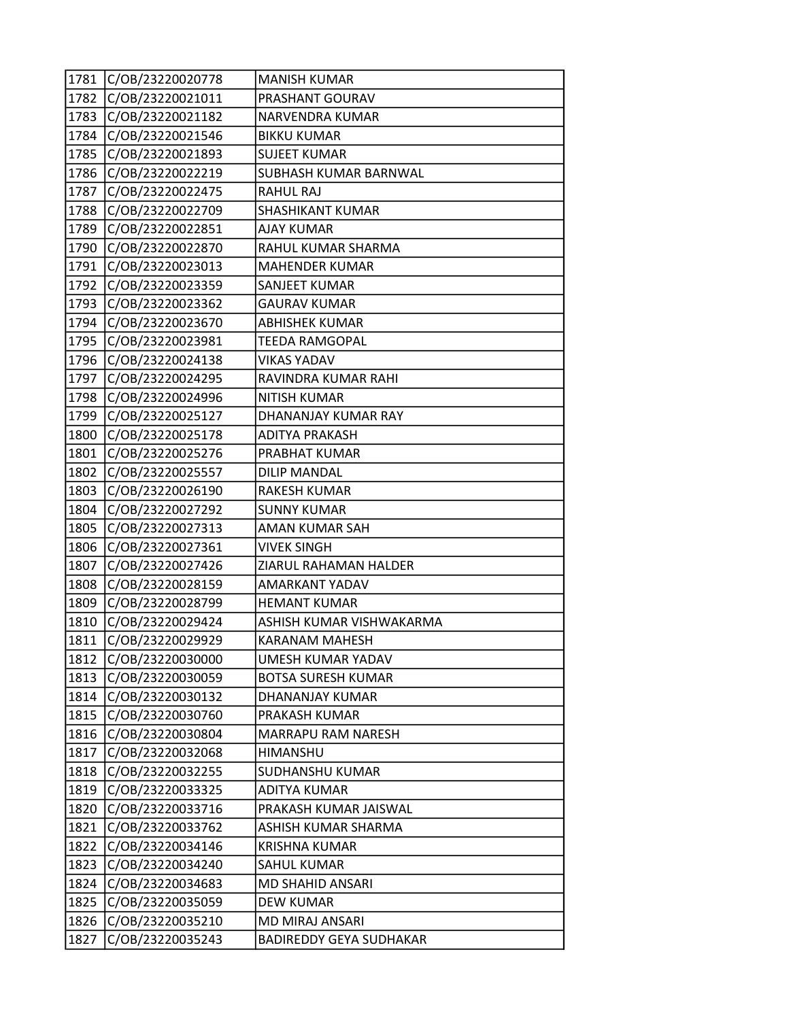| 1781 | C/OB/23220020778 | <b>MANISH KUMAR</b>            |
|------|------------------|--------------------------------|
| 1782 | C/OB/23220021011 | PRASHANT GOURAV                |
| 1783 | C/OB/23220021182 | NARVENDRA KUMAR                |
| 1784 | C/OB/23220021546 | <b>BIKKU KUMAR</b>             |
| 1785 | C/OB/23220021893 | <b>SUJEET KUMAR</b>            |
| 1786 | C/OB/23220022219 | SUBHASH KUMAR BARNWAL          |
| 1787 | C/OB/23220022475 | <b>RAHUL RAJ</b>               |
| 1788 | C/OB/23220022709 | SHASHIKANT KUMAR               |
| 1789 | C/OB/23220022851 | <b>AJAY KUMAR</b>              |
| 1790 | C/OB/23220022870 | RAHUL KUMAR SHARMA             |
| 1791 | C/OB/23220023013 | <b>MAHENDER KUMAR</b>          |
| 1792 | C/OB/23220023359 | SANJEET KUMAR                  |
| 1793 | C/OB/23220023362 | <b>GAURAV KUMAR</b>            |
| 1794 | C/OB/23220023670 | <b>ABHISHEK KUMAR</b>          |
| 1795 | C/OB/23220023981 | TEEDA RAMGOPAL                 |
| 1796 | C/OB/23220024138 | <b>VIKAS YADAV</b>             |
| 1797 | C/OB/23220024295 | RAVINDRA KUMAR RAHI            |
| 1798 | C/OB/23220024996 | <b>NITISH KUMAR</b>            |
| 1799 | C/OB/23220025127 | DHANANJAY KUMAR RAY            |
| 1800 | C/OB/23220025178 | <b>ADITYA PRAKASH</b>          |
| 1801 | C/OB/23220025276 | PRABHAT KUMAR                  |
| 1802 | C/OB/23220025557 | <b>DILIP MANDAL</b>            |
| 1803 | C/OB/23220026190 | <b>RAKESH KUMAR</b>            |
| 1804 | C/OB/23220027292 | <b>SUNNY KUMAR</b>             |
| 1805 | C/OB/23220027313 | AMAN KUMAR SAH                 |
| 1806 | C/OB/23220027361 | <b>VIVEK SINGH</b>             |
| 1807 | C/OB/23220027426 | ZIARUL RAHAMAN HALDER          |
| 1808 | C/OB/23220028159 | AMARKANT YADAV                 |
| 1809 | C/OB/23220028799 | <b>HEMANT KUMAR</b>            |
| 1810 | C/OB/23220029424 | ASHISH KUMAR VISHWAKARMA       |
| 1811 | C/OB/23220029929 | <b>KARANAM MAHESH</b>          |
| 1812 | C/OB/23220030000 | UMESH KUMAR YADAV              |
| 1813 | C/OB/23220030059 | <b>BOTSA SURESH KUMAR</b>      |
| 1814 | C/OB/23220030132 | DHANANJAY KUMAR                |
| 1815 | C/OB/23220030760 | PRAKASH KUMAR                  |
| 1816 | C/OB/23220030804 | MARRAPU RAM NARESH             |
| 1817 | C/OB/23220032068 | <b>HIMANSHU</b>                |
| 1818 | C/OB/23220032255 | <b>SUDHANSHU KUMAR</b>         |
| 1819 | C/OB/23220033325 | ADITYA KUMAR                   |
| 1820 | C/OB/23220033716 | PRAKASH KUMAR JAISWAL          |
| 1821 | C/OB/23220033762 | ASHISH KUMAR SHARMA            |
| 1822 | C/OB/23220034146 | <b>KRISHNA KUMAR</b>           |
| 1823 | C/OB/23220034240 | SAHUL KUMAR                    |
| 1824 | C/OB/23220034683 | <b>MD SHAHID ANSARI</b>        |
| 1825 | C/OB/23220035059 | <b>DEW KUMAR</b>               |
| 1826 | C/OB/23220035210 | <b>MD MIRAJ ANSARI</b>         |
| 1827 | C/OB/23220035243 | <b>BADIREDDY GEYA SUDHAKAR</b> |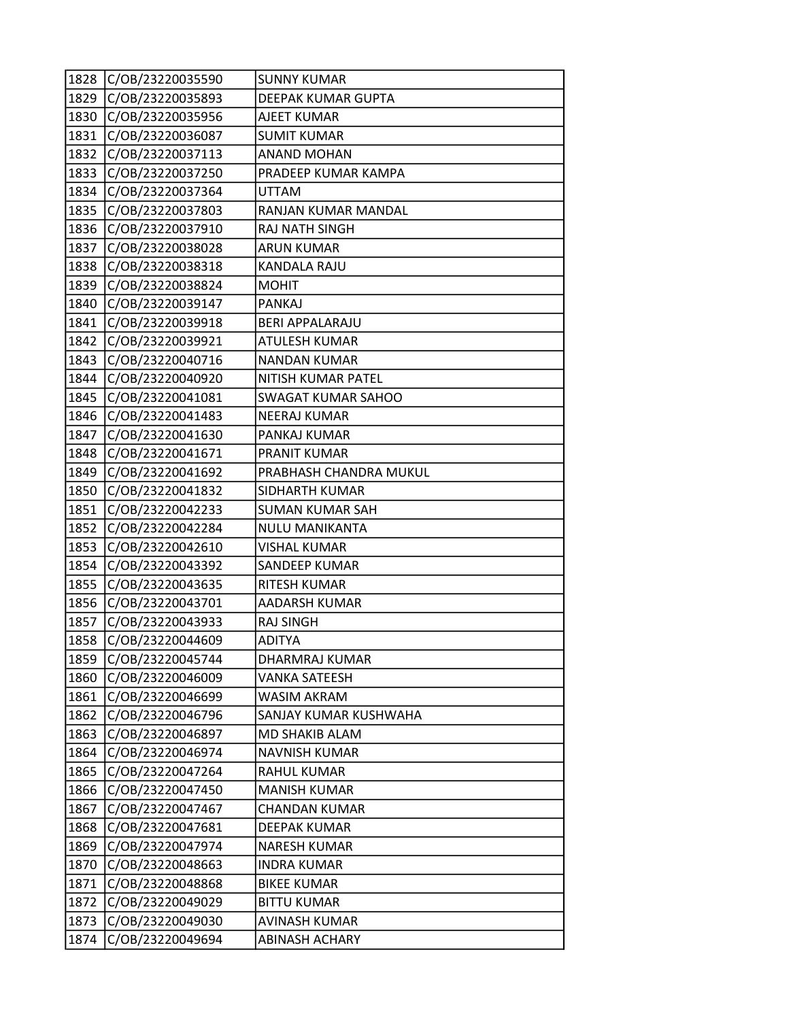| 1828 | C/OB/23220035590 | <b>SUNNY KUMAR</b>        |
|------|------------------|---------------------------|
| 1829 | C/OB/23220035893 | <b>DEEPAK KUMAR GUPTA</b> |
| 1830 | C/OB/23220035956 | <b>AJEET KUMAR</b>        |
| 1831 | C/OB/23220036087 | <b>SUMIT KUMAR</b>        |
| 1832 | C/OB/23220037113 | <b>ANAND MOHAN</b>        |
| 1833 | C/OB/23220037250 | PRADEEP KUMAR KAMPA       |
| 1834 | C/OB/23220037364 | <b>UTTAM</b>              |
| 1835 | C/OB/23220037803 | RANJAN KUMAR MANDAL       |
| 1836 | C/OB/23220037910 | RAJ NATH SINGH            |
| 1837 | C/OB/23220038028 | <b>ARUN KUMAR</b>         |
| 1838 | C/OB/23220038318 | <b>KANDALA RAJU</b>       |
| 1839 | C/OB/23220038824 | <b>MOHIT</b>              |
| 1840 | C/OB/23220039147 | <b>PANKAJ</b>             |
| 1841 | C/OB/23220039918 | <b>BERI APPALARAJU</b>    |
| 1842 | C/OB/23220039921 | <b>ATULESH KUMAR</b>      |
| 1843 | C/OB/23220040716 | <b>NANDAN KUMAR</b>       |
| 1844 | C/OB/23220040920 | NITISH KUMAR PATEL        |
| 1845 | C/OB/23220041081 | <b>SWAGAT KUMAR SAHOO</b> |
| 1846 | C/OB/23220041483 | <b>NEERAJ KUMAR</b>       |
| 1847 | C/OB/23220041630 | PANKAJ KUMAR              |
| 1848 | C/OB/23220041671 | PRANIT KUMAR              |
| 1849 | C/OB/23220041692 | PRABHASH CHANDRA MUKUL    |
| 1850 | C/OB/23220041832 | SIDHARTH KUMAR            |
| 1851 | C/OB/23220042233 | <b>SUMAN KUMAR SAH</b>    |
| 1852 | C/OB/23220042284 | <b>NULU MANIKANTA</b>     |
| 1853 | C/OB/23220042610 | <b>VISHAL KUMAR</b>       |
| 1854 | C/OB/23220043392 | SANDEEP KUMAR             |
| 1855 | C/OB/23220043635 | RITESH KUMAR              |
| 1856 | C/OB/23220043701 | AADARSH KUMAR             |
| 1857 | C/OB/23220043933 | <b>RAJ SINGH</b>          |
| 1858 | C/OB/23220044609 | <b>ADITYA</b>             |
| 1859 | C/OB/23220045744 | DHARMRAJ KUMAR            |
| 1860 | C/OB/23220046009 | VANKA SATEESH             |
| 1861 | C/OB/23220046699 | WASIM AKRAM               |
| 1862 | C/OB/23220046796 | SANJAY KUMAR KUSHWAHA     |
| 1863 | C/OB/23220046897 | MD SHAKIB ALAM            |
| 1864 | C/OB/23220046974 | NAVNISH KUMAR             |
| 1865 | C/OB/23220047264 | RAHUL KUMAR               |
| 1866 | C/OB/23220047450 | <b>MANISH KUMAR</b>       |
| 1867 | C/OB/23220047467 | <b>CHANDAN KUMAR</b>      |
| 1868 | C/OB/23220047681 | <b>DEEPAK KUMAR</b>       |
| 1869 | C/OB/23220047974 | <b>NARESH KUMAR</b>       |
| 1870 | C/OB/23220048663 | <b>INDRA KUMAR</b>        |
| 1871 | C/OB/23220048868 | <b>BIKEE KUMAR</b>        |
| 1872 | C/OB/23220049029 | <b>BITTU KUMAR</b>        |
| 1873 | C/OB/23220049030 | <b>AVINASH KUMAR</b>      |
| 1874 | C/OB/23220049694 | <b>ABINASH ACHARY</b>     |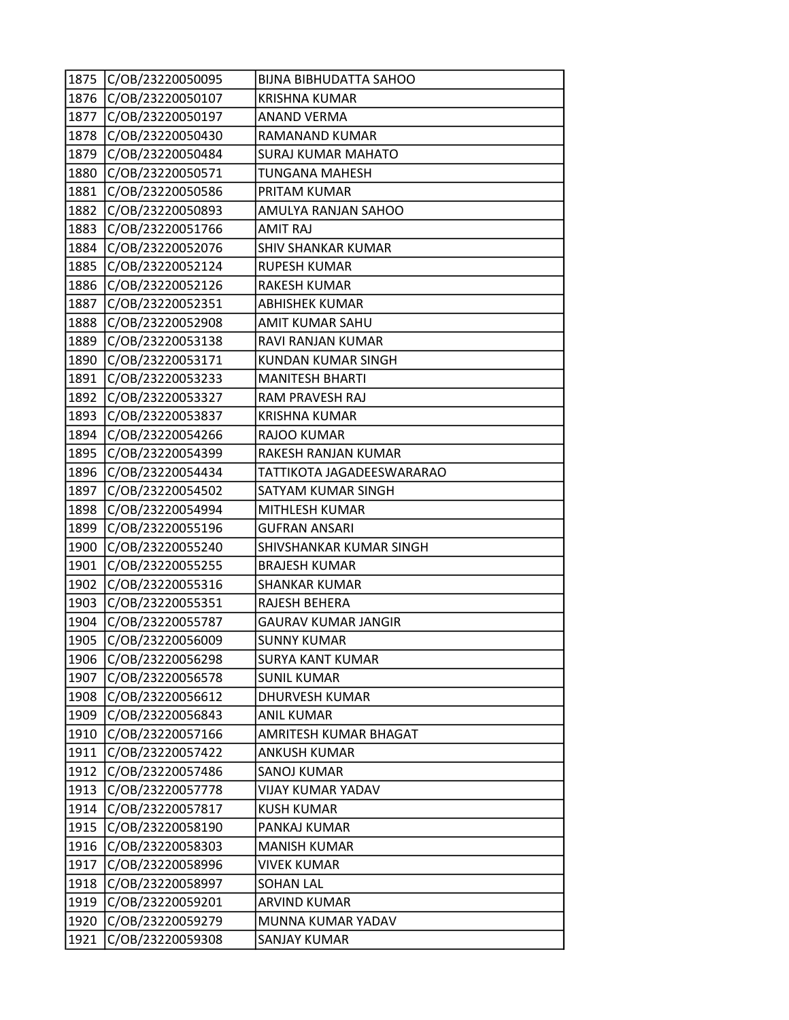| 1875 | C/OB/23220050095 | <b>BIJNA BIBHUDATTA SAHOO</b> |
|------|------------------|-------------------------------|
| 1876 | C/OB/23220050107 | <b>KRISHNA KUMAR</b>          |
| 1877 | C/OB/23220050197 | ANAND VERMA                   |
| 1878 | C/OB/23220050430 | RAMANAND KUMAR                |
| 1879 | C/OB/23220050484 | <b>SURAJ KUMAR MAHATO</b>     |
| 1880 | C/OB/23220050571 | TUNGANA MAHESH                |
| 1881 | C/OB/23220050586 | PRITAM KUMAR                  |
| 1882 | C/OB/23220050893 | AMULYA RANJAN SAHOO           |
| 1883 | C/OB/23220051766 | <b>AMIT RAJ</b>               |
| 1884 | C/OB/23220052076 | <b>SHIV SHANKAR KUMAR</b>     |
| 1885 | C/OB/23220052124 | <b>RUPESH KUMAR</b>           |
| 1886 | C/OB/23220052126 | <b>RAKESH KUMAR</b>           |
| 1887 | C/OB/23220052351 | <b>ABHISHEK KUMAR</b>         |
| 1888 | C/OB/23220052908 | AMIT KUMAR SAHU               |
| 1889 | C/OB/23220053138 | RAVI RANJAN KUMAR             |
| 1890 | C/OB/23220053171 | KUNDAN KUMAR SINGH            |
| 1891 | C/OB/23220053233 | <b>MANITESH BHARTI</b>        |
| 1892 | C/OB/23220053327 | RAM PRAVESH RAJ               |
| 1893 | C/OB/23220053837 | <b>KRISHNA KUMAR</b>          |
| 1894 | C/OB/23220054266 | RAJOO KUMAR                   |
| 1895 | C/OB/23220054399 | RAKESH RANJAN KUMAR           |
| 1896 | C/OB/23220054434 | TATTIKOTA JAGADEESWARARAO     |
| 1897 | C/OB/23220054502 | SATYAM KUMAR SINGH            |
| 1898 | C/OB/23220054994 | MITHLESH KUMAR                |
| 1899 | C/OB/23220055196 | <b>GUFRAN ANSARI</b>          |
| 1900 | C/OB/23220055240 | SHIVSHANKAR KUMAR SINGH       |
| 1901 | C/OB/23220055255 | <b>BRAJESH KUMAR</b>          |
| 1902 | C/OB/23220055316 | <b>SHANKAR KUMAR</b>          |
| 1903 | C/OB/23220055351 | RAJESH BEHERA                 |
| 1904 | C/OB/23220055787 | GAURAV KUMAR JANGIR           |
| 1905 | C/OB/23220056009 | <b>SUNNY KUMAR</b>            |
| 1906 | C/OB/23220056298 | <b>SURYA KANT KUMAR</b>       |
| 1907 | C/OB/23220056578 | <b>SUNIL KUMAR</b>            |
| 1908 | C/OB/23220056612 | <b>DHURVESH KUMAR</b>         |
| 1909 | C/OB/23220056843 | <b>ANIL KUMAR</b>             |
| 1910 | C/OB/23220057166 | AMRITESH KUMAR BHAGAT         |
| 1911 | C/OB/23220057422 | <b>ANKUSH KUMAR</b>           |
| 1912 | C/OB/23220057486 | <b>SANOJ KUMAR</b>            |
| 1913 | C/OB/23220057778 | <b>VIJAY KUMAR YADAV</b>      |
| 1914 | C/OB/23220057817 | <b>KUSH KUMAR</b>             |
| 1915 | C/OB/23220058190 | PANKAJ KUMAR                  |
| 1916 | C/OB/23220058303 | <b>MANISH KUMAR</b>           |
| 1917 | C/OB/23220058996 | <b>VIVEK KUMAR</b>            |
| 1918 | C/OB/23220058997 | <b>SOHAN LAL</b>              |
| 1919 | C/OB/23220059201 | ARVIND KUMAR                  |
| 1920 | C/OB/23220059279 | MUNNA KUMAR YADAV             |
| 1921 | C/OB/23220059308 | SANJAY KUMAR                  |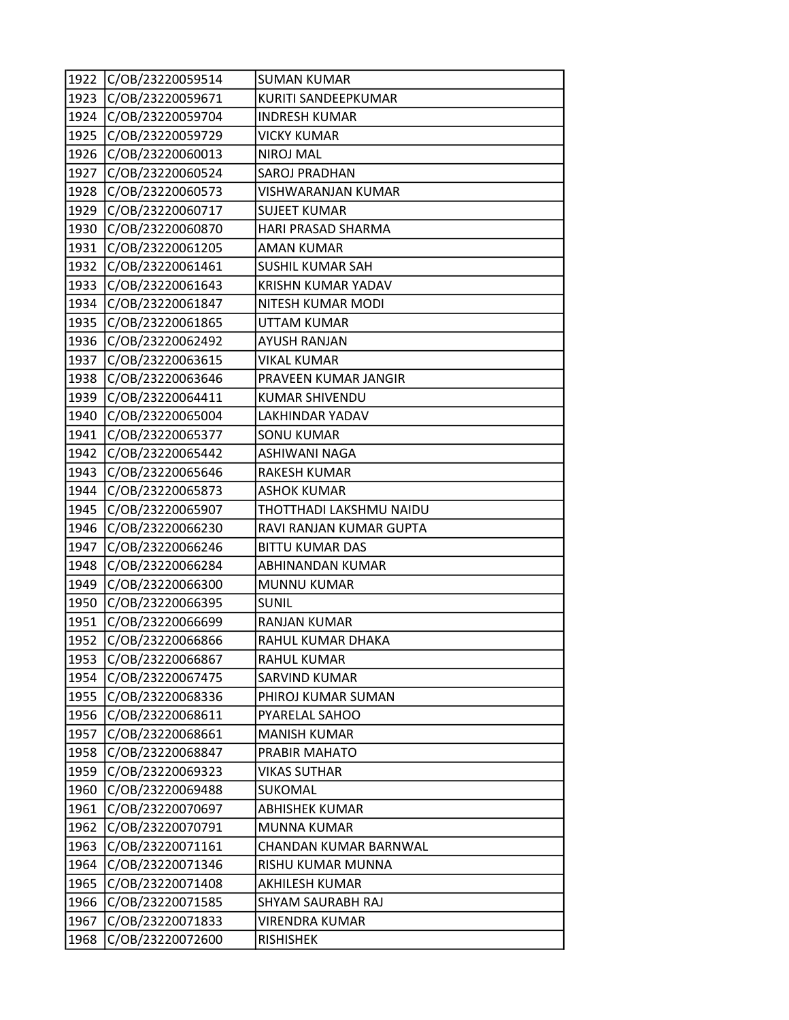| 1922 | C/OB/23220059514 | <b>SUMAN KUMAR</b>        |
|------|------------------|---------------------------|
| 1923 | C/OB/23220059671 | KURITI SANDEEPKUMAR       |
| 1924 | C/OB/23220059704 | <b>INDRESH KUMAR</b>      |
| 1925 | C/OB/23220059729 | <b>VICKY KUMAR</b>        |
| 1926 | C/OB/23220060013 | <b>NIROJ MAL</b>          |
| 1927 | C/OB/23220060524 | <b>SAROJ PRADHAN</b>      |
| 1928 | C/OB/23220060573 | VISHWARANJAN KUMAR        |
| 1929 | C/OB/23220060717 | <b>SUJEET KUMAR</b>       |
| 1930 | C/OB/23220060870 | HARI PRASAD SHARMA        |
| 1931 | C/OB/23220061205 | <b>AMAN KUMAR</b>         |
| 1932 | C/OB/23220061461 | <b>SUSHIL KUMAR SAH</b>   |
| 1933 | C/OB/23220061643 | <b>KRISHN KUMAR YADAV</b> |
| 1934 | C/OB/23220061847 | NITESH KUMAR MODI         |
| 1935 | C/OB/23220061865 | <b>UTTAM KUMAR</b>        |
| 1936 | C/OB/23220062492 | <b>AYUSH RANJAN</b>       |
| 1937 | C/OB/23220063615 | <b>VIKAL KUMAR</b>        |
| 1938 | C/OB/23220063646 | PRAVEEN KUMAR JANGIR      |
| 1939 | C/OB/23220064411 | <b>KUMAR SHIVENDU</b>     |
| 1940 | C/OB/23220065004 | LAKHINDAR YADAV           |
| 1941 | C/OB/23220065377 | <b>SONU KUMAR</b>         |
| 1942 | C/OB/23220065442 | ASHIWANI NAGA             |
| 1943 | C/OB/23220065646 | <b>RAKESH KUMAR</b>       |
| 1944 | C/OB/23220065873 | <b>ASHOK KUMAR</b>        |
| 1945 | C/OB/23220065907 | THOTTHADI LAKSHMU NAIDU   |
| 1946 | C/OB/23220066230 | RAVI RANJAN KUMAR GUPTA   |
| 1947 | C/OB/23220066246 | <b>BITTU KUMAR DAS</b>    |
| 1948 | C/OB/23220066284 | ABHINANDAN KUMAR          |
| 1949 | C/OB/23220066300 | <b>MUNNU KUMAR</b>        |
| 1950 | C/OB/23220066395 | <b>SUNIL</b>              |
| 1951 | C/OB/23220066699 | RANJAN KUMAR              |
| 1952 | C/OB/23220066866 | RAHUL KUMAR DHAKA         |
| 1953 | C/OB/23220066867 | <b>RAHUL KUMAR</b>        |
| 1954 | C/OB/23220067475 | <b>SARVIND KUMAR</b>      |
| 1955 | C/OB/23220068336 | PHIROJ KUMAR SUMAN        |
| 1956 | C/OB/23220068611 | PYARELAL SAHOO            |
| 1957 | C/OB/23220068661 | <b>MANISH KUMAR</b>       |
| 1958 | C/OB/23220068847 | PRABIR MAHATO             |
| 1959 | C/OB/23220069323 | <b>VIKAS SUTHAR</b>       |
| 1960 | C/OB/23220069488 | SUKOMAL                   |
| 1961 | C/OB/23220070697 | <b>ABHISHEK KUMAR</b>     |
| 1962 | C/OB/23220070791 | <b>MUNNA KUMAR</b>        |
| 1963 | C/OB/23220071161 | CHANDAN KUMAR BARNWAL     |
| 1964 | C/OB/23220071346 | RISHU KUMAR MUNNA         |
| 1965 | C/OB/23220071408 | AKHILESH KUMAR            |
| 1966 | C/OB/23220071585 | SHYAM SAURABH RAJ         |
| 1967 | C/OB/23220071833 | <b>VIRENDRA KUMAR</b>     |
| 1968 | C/OB/23220072600 | <b>RISHISHEK</b>          |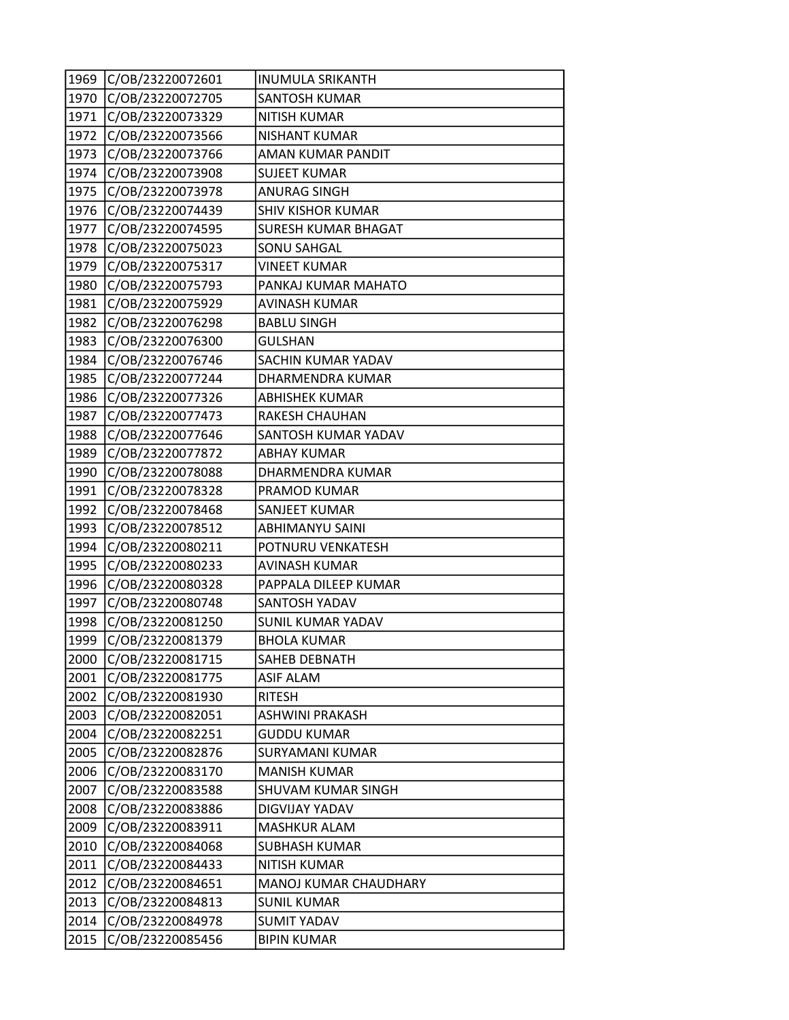| 1969 | C/OB/23220072601 | <b>INUMULA SRIKANTH</b>   |
|------|------------------|---------------------------|
| 1970 | C/OB/23220072705 | <b>SANTOSH KUMAR</b>      |
| 1971 | C/OB/23220073329 | <b>NITISH KUMAR</b>       |
| 1972 | C/OB/23220073566 | <b>NISHANT KUMAR</b>      |
| 1973 | C/OB/23220073766 | AMAN KUMAR PANDIT         |
| 1974 | C/OB/23220073908 | <b>SUJEET KUMAR</b>       |
| 1975 | C/OB/23220073978 | <b>ANURAG SINGH</b>       |
| 1976 | C/OB/23220074439 | <b>SHIV KISHOR KUMAR</b>  |
| 1977 | C/OB/23220074595 | SURESH KUMAR BHAGAT       |
| 1978 | C/OB/23220075023 | <b>SONU SAHGAL</b>        |
| 1979 | C/OB/23220075317 | <b>VINEET KUMAR</b>       |
| 1980 | C/OB/23220075793 | PANKAJ KUMAR MAHATO       |
| 1981 | C/OB/23220075929 | <b>AVINASH KUMAR</b>      |
| 1982 | C/OB/23220076298 | <b>BABLU SINGH</b>        |
| 1983 | C/OB/23220076300 | <b>GULSHAN</b>            |
| 1984 | C/OB/23220076746 | SACHIN KUMAR YADAV        |
| 1985 | C/OB/23220077244 | DHARMENDRA KUMAR          |
| 1986 | C/OB/23220077326 | <b>ABHISHEK KUMAR</b>     |
| 1987 | C/OB/23220077473 | <b>RAKESH CHAUHAN</b>     |
| 1988 | C/OB/23220077646 | SANTOSH KUMAR YADAV       |
| 1989 | C/OB/23220077872 | <b>ABHAY KUMAR</b>        |
| 1990 | C/OB/23220078088 | DHARMENDRA KUMAR          |
| 1991 | C/OB/23220078328 | PRAMOD KUMAR              |
| 1992 | C/OB/23220078468 | SANJEET KUMAR             |
| 1993 | C/OB/23220078512 | ABHIMANYU SAINI           |
| 1994 | C/OB/23220080211 | POTNURU VENKATESH         |
| 1995 | C/OB/23220080233 | <b>AVINASH KUMAR</b>      |
| 1996 | C/OB/23220080328 | PAPPALA DILEEP KUMAR      |
| 1997 | C/OB/23220080748 | <b>SANTOSH YADAV</b>      |
| 1998 | C/OB/23220081250 | <b>SUNIL KUMAR YADAV</b>  |
| 1999 | C/OB/23220081379 | <b>BHOLA KUMAR</b>        |
| 2000 | C/OB/23220081715 | SAHEB DEBNATH             |
| 2001 | C/OB/23220081775 | <b>ASIF ALAM</b>          |
| 2002 | C/OB/23220081930 | <b>RITESH</b>             |
| 2003 | C/OB/23220082051 | <b>ASHWINI PRAKASH</b>    |
| 2004 | C/OB/23220082251 | <b>GUDDU KUMAR</b>        |
| 2005 | C/OB/23220082876 | SURYAMANI KUMAR           |
| 2006 | C/OB/23220083170 | <b>MANISH KUMAR</b>       |
| 2007 | C/OB/23220083588 | <b>SHUVAM KUMAR SINGH</b> |
| 2008 | C/OB/23220083886 | DIGVIJAY YADAV            |
| 2009 | C/OB/23220083911 | <b>MASHKUR ALAM</b>       |
| 2010 | C/OB/23220084068 | <b>SUBHASH KUMAR</b>      |
| 2011 | C/OB/23220084433 | NITISH KUMAR              |
| 2012 | C/OB/23220084651 | MANOJ KUMAR CHAUDHARY     |
| 2013 | C/OB/23220084813 | <b>SUNIL KUMAR</b>        |
| 2014 | C/OB/23220084978 | <b>SUMIT YADAV</b>        |
| 2015 | C/OB/23220085456 | <b>BIPIN KUMAR</b>        |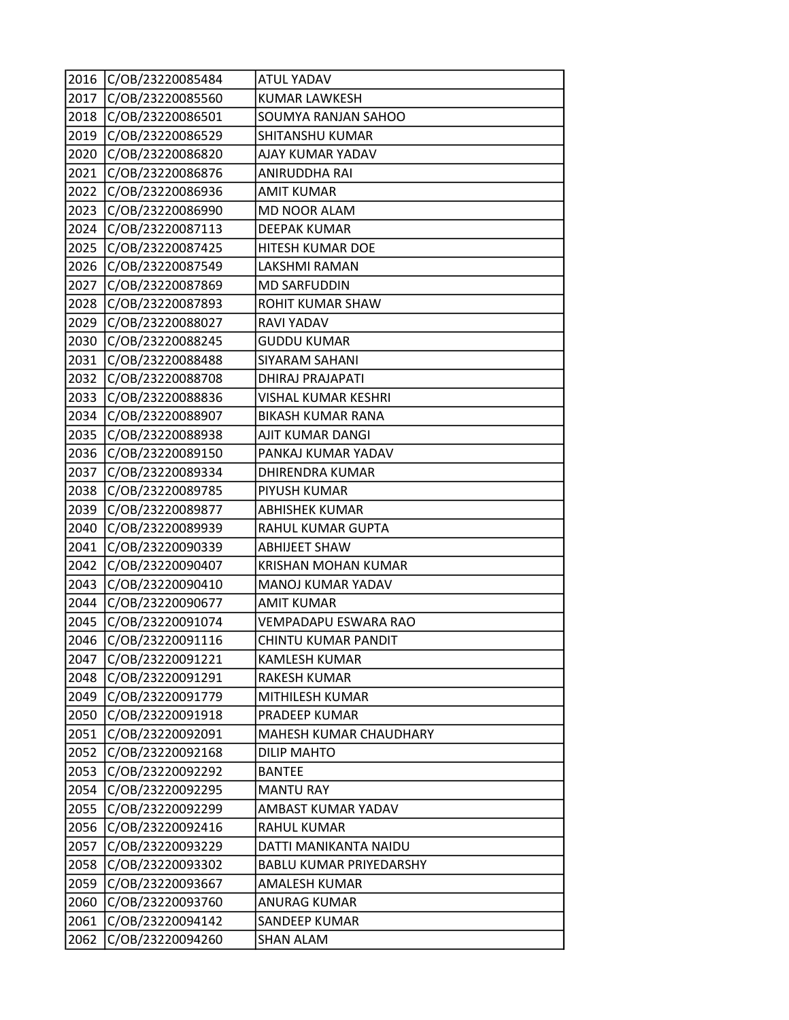| 2016 | C/OB/23220085484 | <b>ATUL YADAV</b>              |
|------|------------------|--------------------------------|
| 2017 | C/OB/23220085560 | <b>KUMAR LAWKESH</b>           |
| 2018 | C/OB/23220086501 | SOUMYA RANJAN SAHOO            |
| 2019 | C/OB/23220086529 | SHITANSHU KUMAR                |
| 2020 | C/OB/23220086820 | AJAY KUMAR YADAV               |
| 2021 | C/OB/23220086876 | ANIRUDDHA RAI                  |
| 2022 | C/OB/23220086936 | <b>AMIT KUMAR</b>              |
| 2023 | C/OB/23220086990 | <b>MD NOOR ALAM</b>            |
| 2024 | C/OB/23220087113 | <b>DEEPAK KUMAR</b>            |
| 2025 | C/OB/23220087425 | HITESH KUMAR DOE               |
| 2026 | C/OB/23220087549 | LAKSHMI RAMAN                  |
| 2027 | C/OB/23220087869 | <b>MD SARFUDDIN</b>            |
| 2028 | C/OB/23220087893 | ROHIT KUMAR SHAW               |
| 2029 | C/OB/23220088027 | <b>RAVI YADAV</b>              |
| 2030 | C/OB/23220088245 | <b>GUDDU KUMAR</b>             |
| 2031 | C/OB/23220088488 | SIYARAM SAHANI                 |
| 2032 | C/OB/23220088708 | <b>DHIRAJ PRAJAPATI</b>        |
| 2033 | C/OB/23220088836 | VISHAL KUMAR KESHRI            |
| 2034 | C/OB/23220088907 | <b>BIKASH KUMAR RANA</b>       |
| 2035 | C/OB/23220088938 | AJIT KUMAR DANGI               |
| 2036 | C/OB/23220089150 | PANKAJ KUMAR YADAV             |
| 2037 | C/OB/23220089334 | <b>DHIRENDRA KUMAR</b>         |
| 2038 | C/OB/23220089785 | PIYUSH KUMAR                   |
| 2039 | C/OB/23220089877 | <b>ABHISHEK KUMAR</b>          |
| 2040 | C/OB/23220089939 | RAHUL KUMAR GUPTA              |
| 2041 | C/OB/23220090339 | <b>ABHIJEET SHAW</b>           |
| 2042 | C/OB/23220090407 | <b>KRISHAN MOHAN KUMAR</b>     |
| 2043 | C/OB/23220090410 | MANOJ KUMAR YADAV              |
| 2044 | C/OB/23220090677 | <b>AMIT KUMAR</b>              |
| 2045 | C/OB/23220091074 | VEMPADAPU ESWARA RAO           |
| 2046 | C/OB/23220091116 | <b>CHINTU KUMAR PANDIT</b>     |
| 2047 | C/OB/23220091221 | <b>KAMLESH KUMAR</b>           |
| 2048 | C/OB/23220091291 | RAKESH KUMAR                   |
| 2049 | C/OB/23220091779 | MITHILESH KUMAR                |
| 2050 | C/OB/23220091918 | PRADEEP KUMAR                  |
| 2051 | C/OB/23220092091 | MAHESH KUMAR CHAUDHARY         |
| 2052 | C/OB/23220092168 | <b>DILIP MAHTO</b>             |
| 2053 | C/OB/23220092292 | <b>BANTEE</b>                  |
| 2054 | C/OB/23220092295 | <b>MANTU RAY</b>               |
| 2055 | C/OB/23220092299 | AMBAST KUMAR YADAV             |
| 2056 | C/OB/23220092416 | <b>RAHUL KUMAR</b>             |
| 2057 | C/OB/23220093229 | DATTI MANIKANTA NAIDU          |
| 2058 | C/OB/23220093302 | <b>BABLU KUMAR PRIYEDARSHY</b> |
| 2059 | C/OB/23220093667 | AMALESH KUMAR                  |
| 2060 | C/OB/23220093760 | <b>ANURAG KUMAR</b>            |
| 2061 | C/OB/23220094142 | SANDEEP KUMAR                  |
| 2062 | C/OB/23220094260 | <b>SHAN ALAM</b>               |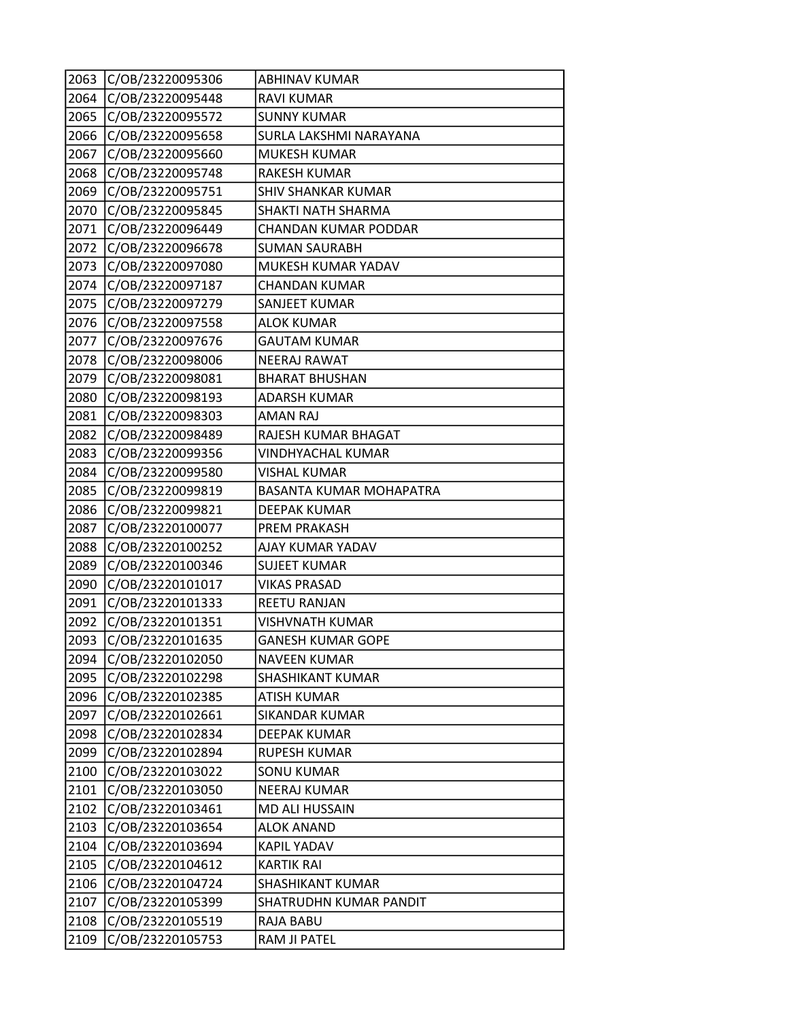| 2063 | C/OB/23220095306 | <b>ABHINAV KUMAR</b>      |
|------|------------------|---------------------------|
| 2064 | C/OB/23220095448 | <b>RAVI KUMAR</b>         |
| 2065 | C/OB/23220095572 | <b>SUNNY KUMAR</b>        |
| 2066 | C/OB/23220095658 | SURLA LAKSHMI NARAYANA    |
| 2067 | C/OB/23220095660 | <b>MUKESH KUMAR</b>       |
| 2068 | C/OB/23220095748 | <b>RAKESH KUMAR</b>       |
| 2069 | C/OB/23220095751 | <b>SHIV SHANKAR KUMAR</b> |
| 2070 | C/OB/23220095845 | SHAKTI NATH SHARMA        |
| 2071 | C/OB/23220096449 | CHANDAN KUMAR PODDAR      |
| 2072 | C/OB/23220096678 | <b>SUMAN SAURABH</b>      |
| 2073 | C/OB/23220097080 | MUKESH KUMAR YADAV        |
| 2074 | C/OB/23220097187 | <b>CHANDAN KUMAR</b>      |
| 2075 | C/OB/23220097279 | SANJEET KUMAR             |
| 2076 | C/OB/23220097558 | <b>ALOK KUMAR</b>         |
| 2077 | C/OB/23220097676 | <b>GAUTAM KUMAR</b>       |
| 2078 | C/OB/23220098006 | <b>NEERAJ RAWAT</b>       |
| 2079 | C/OB/23220098081 | <b>BHARAT BHUSHAN</b>     |
| 2080 | C/OB/23220098193 | <b>ADARSH KUMAR</b>       |
| 2081 | C/OB/23220098303 | <b>AMAN RAJ</b>           |
| 2082 | C/OB/23220098489 | RAJESH KUMAR BHAGAT       |
| 2083 | C/OB/23220099356 | VINDHYACHAL KUMAR         |
| 2084 | C/OB/23220099580 | <b>VISHAL KUMAR</b>       |
| 2085 | C/OB/23220099819 | BASANTA KUMAR MOHAPATRA   |
| 2086 | C/OB/23220099821 | <b>DEEPAK KUMAR</b>       |
| 2087 | C/OB/23220100077 | <b>PREM PRAKASH</b>       |
| 2088 | C/OB/23220100252 | AJAY KUMAR YADAV          |
| 2089 | C/OB/23220100346 | <b>SUJEET KUMAR</b>       |
| 2090 | C/OB/23220101017 | <b>VIKAS PRASAD</b>       |
| 2091 | C/OB/23220101333 | <b>REETU RANJAN</b>       |
| 2092 | C/OB/23220101351 | <b>VISHVNATH KUMAR</b>    |
| 2093 | C/OB/23220101635 | <b>GANESH KUMAR GOPE</b>  |
| 2094 | C/OB/23220102050 | <b>NAVEEN KUMAR</b>       |
| 2095 | C/OB/23220102298 | SHASHIKANT KUMAR          |
| 2096 | C/OB/23220102385 | <b>ATISH KUMAR</b>        |
| 2097 | C/OB/23220102661 | <b>SIKANDAR KUMAR</b>     |
| 2098 | C/OB/23220102834 | <b>DEEPAK KUMAR</b>       |
| 2099 | C/OB/23220102894 | <b>RUPESH KUMAR</b>       |
| 2100 | C/OB/23220103022 | <b>SONU KUMAR</b>         |
| 2101 | C/OB/23220103050 | <b>NEERAJ KUMAR</b>       |
| 2102 | C/OB/23220103461 | MD ALI HUSSAIN            |
| 2103 | C/OB/23220103654 | <b>ALOK ANAND</b>         |
| 2104 | C/OB/23220103694 | <b>KAPIL YADAV</b>        |
| 2105 | C/OB/23220104612 | <b>KARTIK RAI</b>         |
| 2106 | C/OB/23220104724 | SHASHIKANT KUMAR          |
| 2107 | C/OB/23220105399 | SHATRUDHN KUMAR PANDIT    |
| 2108 | C/OB/23220105519 | RAJA BABU                 |
| 2109 | C/OB/23220105753 | RAM JI PATEL              |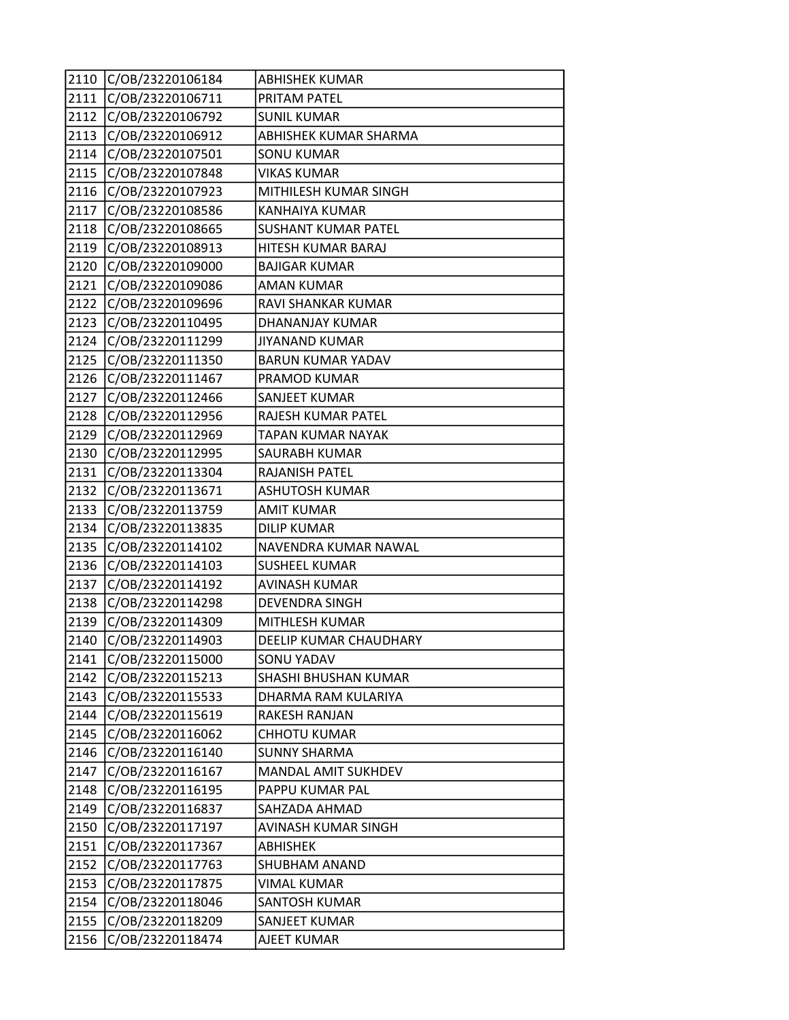| 2110 | C/OB/23220106184 | <b>ABHISHEK KUMAR</b>      |
|------|------------------|----------------------------|
| 2111 | C/OB/23220106711 | PRITAM PATEL               |
| 2112 | C/OB/23220106792 | <b>SUNIL KUMAR</b>         |
| 2113 | C/OB/23220106912 | ABHISHEK KUMAR SHARMA      |
| 2114 | C/OB/23220107501 | <b>SONU KUMAR</b>          |
| 2115 | C/OB/23220107848 | <b>VIKAS KUMAR</b>         |
| 2116 | C/OB/23220107923 | MITHILESH KUMAR SINGH      |
| 2117 | C/OB/23220108586 | <b>KANHAIYA KUMAR</b>      |
| 2118 | C/OB/23220108665 | <b>SUSHANT KUMAR PATEL</b> |
| 2119 | C/OB/23220108913 | HITESH KUMAR BARAJ         |
| 2120 | C/OB/23220109000 | <b>BAJIGAR KUMAR</b>       |
| 2121 | C/OB/23220109086 | <b>AMAN KUMAR</b>          |
| 2122 | C/OB/23220109696 | RAVI SHANKAR KUMAR         |
| 2123 | C/OB/23220110495 | DHANANJAY KUMAR            |
| 2124 | C/OB/23220111299 | <b>JIYANAND KUMAR</b>      |
| 2125 | C/OB/23220111350 | <b>BARUN KUMAR YADAV</b>   |
| 2126 | C/OB/23220111467 | PRAMOD KUMAR               |
| 2127 | C/OB/23220112466 | SANJEET KUMAR              |
| 2128 | C/OB/23220112956 | RAJESH KUMAR PATEL         |
| 2129 | C/OB/23220112969 | TAPAN KUMAR NAYAK          |
| 2130 | C/OB/23220112995 | SAURABH KUMAR              |
| 2131 | C/OB/23220113304 | RAJANISH PATEL             |
| 2132 | C/OB/23220113671 | <b>ASHUTOSH KUMAR</b>      |
| 2133 | C/OB/23220113759 | <b>AMIT KUMAR</b>          |
| 2134 | C/OB/23220113835 | <b>DILIP KUMAR</b>         |
| 2135 | C/OB/23220114102 | NAVENDRA KUMAR NAWAL       |
| 2136 | C/OB/23220114103 | <b>SUSHEEL KUMAR</b>       |
| 2137 | C/OB/23220114192 | <b>AVINASH KUMAR</b>       |
| 2138 | C/OB/23220114298 | <b>DEVENDRA SINGH</b>      |
| 2139 | C/OB/23220114309 | MITHLESH KUMAR             |
| 2140 | C/OB/23220114903 | DEELIP KUMAR CHAUDHARY     |
| 2141 | C/OB/23220115000 | <b>SONU YADAV</b>          |
| 2142 | C/OB/23220115213 | SHASHI BHUSHAN KUMAR       |
| 2143 | C/OB/23220115533 | DHARMA RAM KULARIYA        |
| 2144 | C/OB/23220115619 | RAKESH RANJAN              |
| 2145 | C/OB/23220116062 | <b>CHHOTU KUMAR</b>        |
| 2146 | C/OB/23220116140 | <b>SUNNY SHARMA</b>        |
| 2147 | C/OB/23220116167 | MANDAL AMIT SUKHDEV        |
| 2148 | C/OB/23220116195 | PAPPU KUMAR PAL            |
| 2149 | C/OB/23220116837 | SAHZADA AHMAD              |
| 2150 | C/OB/23220117197 | AVINASH KUMAR SINGH        |
| 2151 | C/OB/23220117367 | ABHISHEK                   |
| 2152 | C/OB/23220117763 | SHUBHAM ANAND              |
| 2153 | C/OB/23220117875 | <b>VIMAL KUMAR</b>         |
| 2154 | C/OB/23220118046 | SANTOSH KUMAR              |
| 2155 | C/OB/23220118209 | SANJEET KUMAR              |
| 2156 | C/OB/23220118474 | AJEET KUMAR                |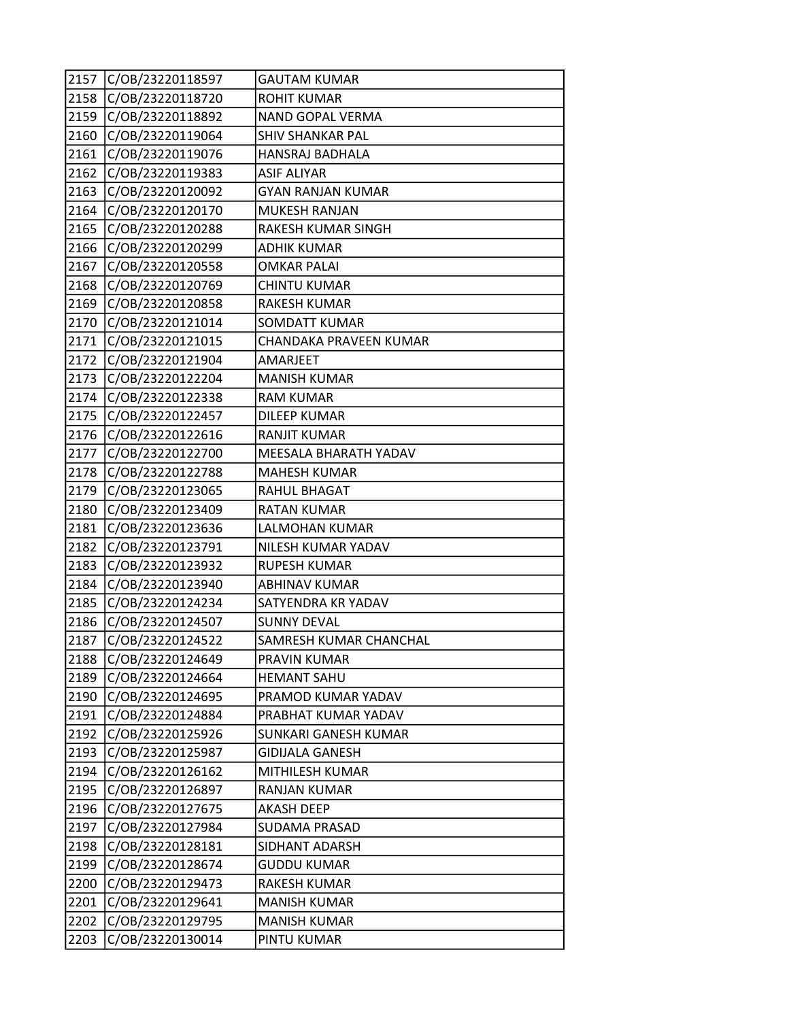| 2157 | C/OB/23220118597 | <b>GAUTAM KUMAR</b>      |
|------|------------------|--------------------------|
| 2158 | C/OB/23220118720 | <b>ROHIT KUMAR</b>       |
| 2159 | C/OB/23220118892 | NAND GOPAL VERMA         |
| 2160 | C/OB/23220119064 | <b>SHIV SHANKAR PAL</b>  |
| 2161 | C/OB/23220119076 | HANSRAJ BADHALA          |
| 2162 | C/OB/23220119383 | <b>ASIF ALIYAR</b>       |
| 2163 | C/OB/23220120092 | <b>GYAN RANJAN KUMAR</b> |
| 2164 | C/OB/23220120170 | MUKESH RANJAN            |
| 2165 | C/OB/23220120288 | RAKESH KUMAR SINGH       |
| 2166 | C/OB/23220120299 | <b>ADHIK KUMAR</b>       |
| 2167 | C/OB/23220120558 | <b>OMKAR PALAI</b>       |
| 2168 | C/OB/23220120769 | <b>CHINTU KUMAR</b>      |
| 2169 | C/OB/23220120858 | <b>RAKESH KUMAR</b>      |
| 2170 | C/OB/23220121014 | <b>SOMDATT KUMAR</b>     |
| 2171 | C/OB/23220121015 | CHANDAKA PRAVEEN KUMAR   |
| 2172 | C/OB/23220121904 | AMARJEET                 |
| 2173 | C/OB/23220122204 | <b>MANISH KUMAR</b>      |
| 2174 | C/OB/23220122338 | <b>RAM KUMAR</b>         |
| 2175 | C/OB/23220122457 | <b>DILEEP KUMAR</b>      |
| 2176 | C/OB/23220122616 | <b>RANJIT KUMAR</b>      |
| 2177 | C/OB/23220122700 | MEESALA BHARATH YADAV    |
| 2178 | C/OB/23220122788 | <b>MAHESH KUMAR</b>      |
| 2179 | C/OB/23220123065 | RAHUL BHAGAT             |
| 2180 | C/OB/23220123409 | <b>RATAN KUMAR</b>       |
| 2181 | C/OB/23220123636 | LALMOHAN KUMAR           |
| 2182 | C/OB/23220123791 | NILESH KUMAR YADAV       |
| 2183 | C/OB/23220123932 | <b>RUPESH KUMAR</b>      |
| 2184 | C/OB/23220123940 | <b>ABHINAV KUMAR</b>     |
| 2185 | C/OB/23220124234 | SATYENDRA KR YADAV       |
| 2186 | C/OB/23220124507 | <b>SUNNY DEVAL</b>       |
| 2187 | C/OB/23220124522 | SAMRESH KUMAR CHANCHAL   |
| 2188 | C/OB/23220124649 | PRAVIN KUMAR             |
| 2189 | C/OB/23220124664 | <b>HEMANT SAHU</b>       |
| 2190 | C/OB/23220124695 | PRAMOD KUMAR YADAV       |
| 2191 | C/OB/23220124884 | PRABHAT KUMAR YADAV      |
| 2192 | C/OB/23220125926 | SUNKARI GANESH KUMAR     |
| 2193 | C/OB/23220125987 | GIDIJALA GANESH          |
| 2194 | C/OB/23220126162 | MITHILESH KUMAR          |
| 2195 | C/OB/23220126897 | RANJAN KUMAR             |
| 2196 | C/OB/23220127675 | <b>AKASH DEEP</b>        |
| 2197 | C/OB/23220127984 | <b>SUDAMA PRASAD</b>     |
| 2198 | C/OB/23220128181 | SIDHANT ADARSH           |
| 2199 | C/OB/23220128674 | <b>GUDDU KUMAR</b>       |
| 2200 | C/OB/23220129473 | RAKESH KUMAR             |
| 2201 | C/OB/23220129641 | <b>MANISH KUMAR</b>      |
| 2202 | C/OB/23220129795 | <b>MANISH KUMAR</b>      |
| 2203 | C/OB/23220130014 | PINTU KUMAR              |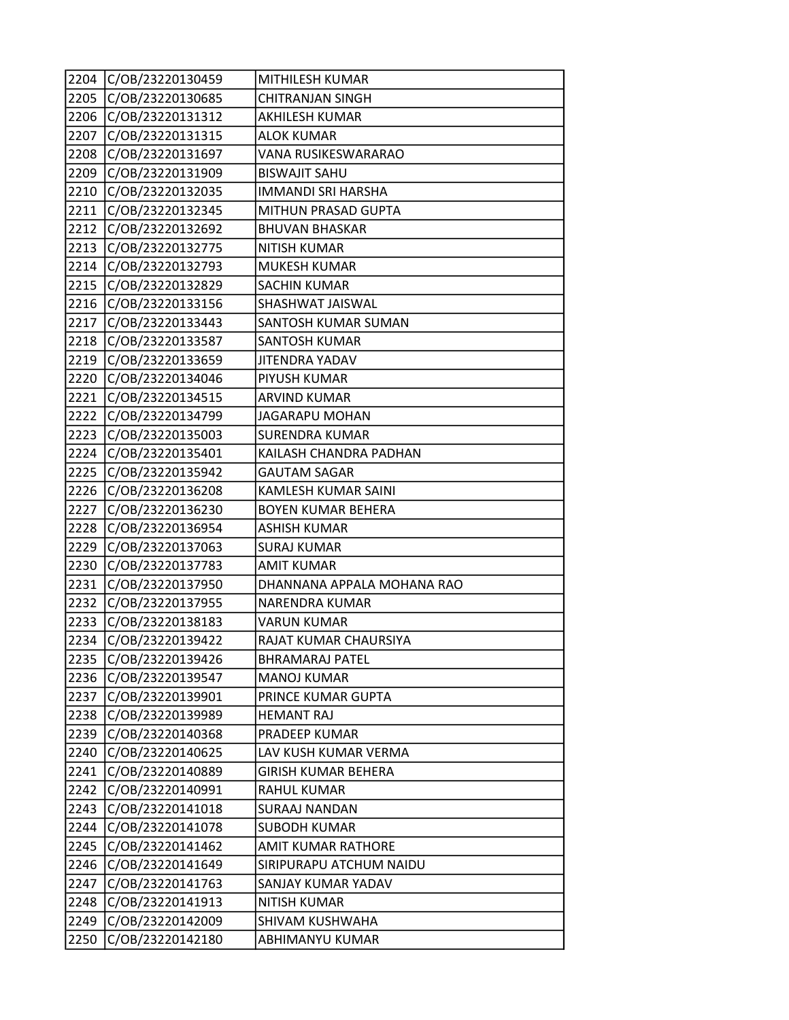| 2204 | C/OB/23220130459 | MITHILESH KUMAR            |
|------|------------------|----------------------------|
| 2205 | C/OB/23220130685 | <b>CHITRANJAN SINGH</b>    |
| 2206 | C/OB/23220131312 | AKHILESH KUMAR             |
| 2207 | C/OB/23220131315 | <b>ALOK KUMAR</b>          |
| 2208 | C/OB/23220131697 | VANA RUSIKESWARARAO        |
| 2209 | C/OB/23220131909 | <b>BISWAJIT SAHU</b>       |
| 2210 | C/OB/23220132035 | <b>IMMANDI SRI HARSHA</b>  |
| 2211 | C/OB/23220132345 | MITHUN PRASAD GUPTA        |
| 2212 | C/OB/23220132692 | <b>BHUVAN BHASKAR</b>      |
| 2213 | C/OB/23220132775 | <b>NITISH KUMAR</b>        |
| 2214 | C/OB/23220132793 | <b>MUKESH KUMAR</b>        |
| 2215 | C/OB/23220132829 | <b>SACHIN KUMAR</b>        |
| 2216 | C/OB/23220133156 | SHASHWAT JAISWAL           |
| 2217 | C/OB/23220133443 | SANTOSH KUMAR SUMAN        |
| 2218 | C/OB/23220133587 | SANTOSH KUMAR              |
| 2219 | C/OB/23220133659 | <b>JITENDRA YADAV</b>      |
| 2220 | C/OB/23220134046 | PIYUSH KUMAR               |
| 2221 | C/OB/23220134515 | <b>ARVIND KUMAR</b>        |
| 2222 | C/OB/23220134799 | <b>JAGARAPU MOHAN</b>      |
| 2223 | C/OB/23220135003 | <b>SURENDRA KUMAR</b>      |
| 2224 | C/OB/23220135401 | KAILASH CHANDRA PADHAN     |
| 2225 | C/OB/23220135942 | <b>GAUTAM SAGAR</b>        |
| 2226 | C/OB/23220136208 | KAMLESH KUMAR SAINI        |
| 2227 | C/OB/23220136230 | <b>BOYEN KUMAR BEHERA</b>  |
| 2228 | C/OB/23220136954 | <b>ASHISH KUMAR</b>        |
| 2229 | C/OB/23220137063 | <b>SURAJ KUMAR</b>         |
| 2230 | C/OB/23220137783 | <b>AMIT KUMAR</b>          |
| 2231 | C/OB/23220137950 | DHANNANA APPALA MOHANA RAO |
| 2232 | C/OB/23220137955 | NARENDRA KUMAR             |
| 2233 | C/OB/23220138183 | <b>VARUN KUMAR</b>         |
| 2234 | C/OB/23220139422 | RAJAT KUMAR CHAURSIYA      |
| 2235 | C/OB/23220139426 | <b>BHRAMARAJ PATEL</b>     |
| 2236 | C/OB/23220139547 | <b>MANOJ KUMAR</b>         |
| 2237 | C/OB/23220139901 | PRINCE KUMAR GUPTA         |
| 2238 | C/OB/23220139989 | <b>HEMANT RAJ</b>          |
| 2239 | C/OB/23220140368 | PRADEEP KUMAR              |
| 2240 | C/OB/23220140625 | LAV KUSH KUMAR VERMA       |
| 2241 | C/OB/23220140889 | <b>GIRISH KUMAR BEHERA</b> |
| 2242 | C/OB/23220140991 | <b>RAHUL KUMAR</b>         |
| 2243 | C/OB/23220141018 | <b>SURAAJ NANDAN</b>       |
| 2244 | C/OB/23220141078 | <b>SUBODH KUMAR</b>        |
| 2245 | C/OB/23220141462 | AMIT KUMAR RATHORE         |
| 2246 | C/OB/23220141649 | SIRIPURAPU ATCHUM NAIDU    |
| 2247 | C/OB/23220141763 | SANJAY KUMAR YADAV         |
| 2248 | C/OB/23220141913 | <b>NITISH KUMAR</b>        |
| 2249 | C/OB/23220142009 | SHIVAM KUSHWAHA            |
| 2250 | C/OB/23220142180 | ABHIMANYU KUMAR            |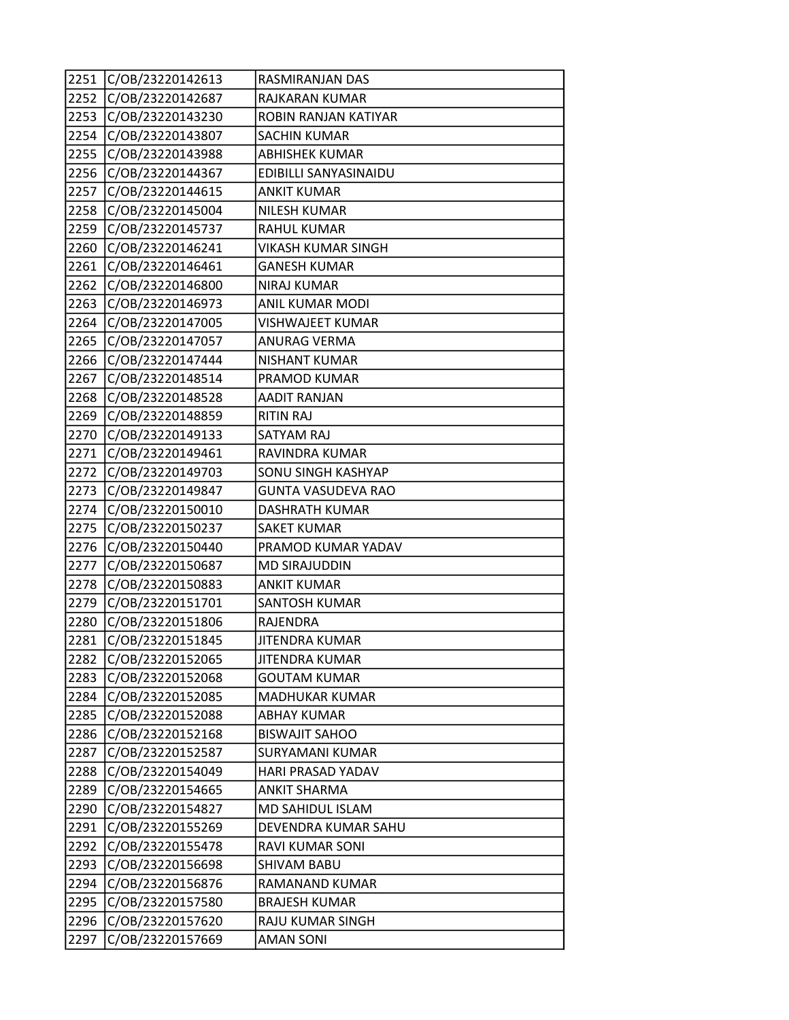| 2251 | C/OB/23220142613 | RASMIRANJAN DAS           |
|------|------------------|---------------------------|
| 2252 | C/OB/23220142687 | RAJKARAN KUMAR            |
| 2253 | C/OB/23220143230 | ROBIN RANJAN KATIYAR      |
| 2254 | C/OB/23220143807 | <b>SACHIN KUMAR</b>       |
| 2255 | C/OB/23220143988 | <b>ABHISHEK KUMAR</b>     |
| 2256 | C/OB/23220144367 | EDIBILLI SANYASINAIDU     |
| 2257 | C/OB/23220144615 | <b>ANKIT KUMAR</b>        |
| 2258 | C/OB/23220145004 | <b>NILESH KUMAR</b>       |
| 2259 | C/OB/23220145737 | <b>RAHUL KUMAR</b>        |
| 2260 | C/OB/23220146241 | <b>VIKASH KUMAR SINGH</b> |
| 2261 | C/OB/23220146461 | <b>GANESH KUMAR</b>       |
| 2262 | C/OB/23220146800 | <b>NIRAJ KUMAR</b>        |
| 2263 | C/OB/23220146973 | ANIL KUMAR MODI           |
| 2264 | C/OB/23220147005 | <b>VISHWAJEET KUMAR</b>   |
| 2265 | C/OB/23220147057 | ANURAG VERMA              |
| 2266 | C/OB/23220147444 | <b>NISHANT KUMAR</b>      |
| 2267 | C/OB/23220148514 | PRAMOD KUMAR              |
| 2268 | C/OB/23220148528 | <b>AADIT RANJAN</b>       |
| 2269 | C/OB/23220148859 | <b>RITIN RAJ</b>          |
| 2270 | C/OB/23220149133 | SATYAM RAJ                |
| 2271 | C/OB/23220149461 | RAVINDRA KUMAR            |
| 2272 | C/OB/23220149703 | SONU SINGH KASHYAP        |
| 2273 | C/OB/23220149847 | GUNTA VASUDEVA RAO        |
| 2274 | C/OB/23220150010 | <b>DASHRATH KUMAR</b>     |
| 2275 | C/OB/23220150237 | <b>SAKET KUMAR</b>        |
| 2276 | C/OB/23220150440 | PRAMOD KUMAR YADAV        |
| 2277 | C/OB/23220150687 | <b>MD SIRAJUDDIN</b>      |
| 2278 | C/OB/23220150883 | <b>ANKIT KUMAR</b>        |
| 2279 | C/OB/23220151701 | <b>SANTOSH KUMAR</b>      |
| 2280 | C/OB/23220151806 | RAJENDRA                  |
| 2281 | C/OB/23220151845 | <b>JITENDRA KUMAR</b>     |
| 2282 | C/OB/23220152065 | JITENDRA KUMAR            |
| 2283 | C/OB/23220152068 | <b>GOUTAM KUMAR</b>       |
| 2284 | C/OB/23220152085 | MADHUKAR KUMAR            |
| 2285 | C/OB/23220152088 | <b>ABHAY KUMAR</b>        |
| 2286 | C/OB/23220152168 | <b>BISWAJIT SAHOO</b>     |
| 2287 | C/OB/23220152587 | SURYAMANI KUMAR           |
| 2288 | C/OB/23220154049 | HARI PRASAD YADAV         |
| 2289 | C/OB/23220154665 | ANKIT SHARMA              |
| 2290 | C/OB/23220154827 | MD SAHIDUL ISLAM          |
| 2291 | C/OB/23220155269 | DEVENDRA KUMAR SAHU       |
| 2292 | C/OB/23220155478 | RAVI KUMAR SONI           |
| 2293 | C/OB/23220156698 | SHIVAM BABU               |
| 2294 | C/OB/23220156876 | RAMANAND KUMAR            |
| 2295 | C/OB/23220157580 | <b>BRAJESH KUMAR</b>      |
| 2296 | C/OB/23220157620 | RAJU KUMAR SINGH          |
| 2297 | C/OB/23220157669 | <b>AMAN SONI</b>          |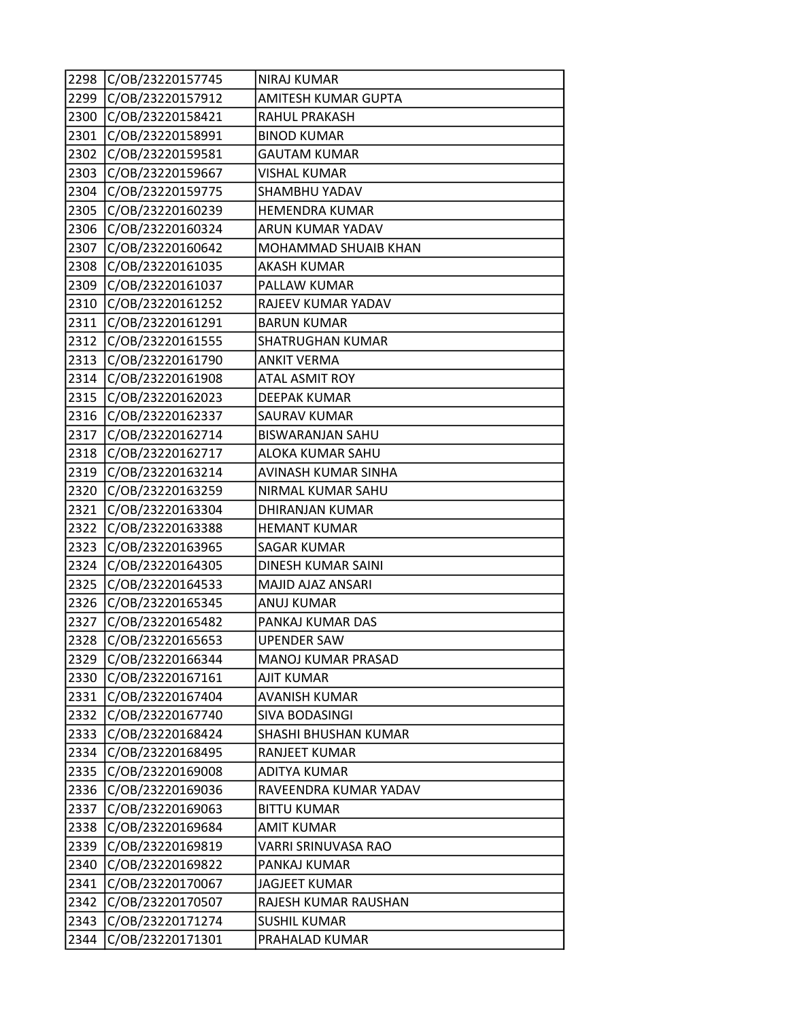| 2298 | C/OB/23220157745 | <b>NIRAJ KUMAR</b>         |
|------|------------------|----------------------------|
| 2299 | C/OB/23220157912 | <b>AMITESH KUMAR GUPTA</b> |
| 2300 | C/OB/23220158421 | RAHUL PRAKASH              |
| 2301 | C/OB/23220158991 | <b>BINOD KUMAR</b>         |
| 2302 | C/OB/23220159581 | <b>GAUTAM KUMAR</b>        |
| 2303 | C/OB/23220159667 | <b>VISHAL KUMAR</b>        |
| 2304 | C/OB/23220159775 | SHAMBHU YADAV              |
| 2305 | C/OB/23220160239 | <b>HEMENDRA KUMAR</b>      |
| 2306 | C/OB/23220160324 | ARUN KUMAR YADAV           |
| 2307 | C/OB/23220160642 | MOHAMMAD SHUAIB KHAN       |
| 2308 | C/OB/23220161035 | <b>AKASH KUMAR</b>         |
| 2309 | C/OB/23220161037 | PALLAW KUMAR               |
| 2310 | C/OB/23220161252 | RAJEEV KUMAR YADAV         |
| 2311 | C/OB/23220161291 | <b>BARUN KUMAR</b>         |
| 2312 | C/OB/23220161555 | SHATRUGHAN KUMAR           |
| 2313 | C/OB/23220161790 | <b>ANKIT VERMA</b>         |
| 2314 | C/OB/23220161908 | <b>ATAL ASMIT ROY</b>      |
| 2315 | C/OB/23220162023 | <b>DEEPAK KUMAR</b>        |
| 2316 | C/OB/23220162337 | SAURAV KUMAR               |
| 2317 | C/OB/23220162714 | <b>BISWARANJAN SAHU</b>    |
| 2318 | C/OB/23220162717 | ALOKA KUMAR SAHU           |
| 2319 | C/OB/23220163214 | AVINASH KUMAR SINHA        |
| 2320 | C/OB/23220163259 | NIRMAL KUMAR SAHU          |
| 2321 | C/OB/23220163304 | DHIRANJAN KUMAR            |
| 2322 | C/OB/23220163388 | <b>HEMANT KUMAR</b>        |
| 2323 | C/OB/23220163965 | SAGAR KUMAR                |
| 2324 | C/OB/23220164305 | DINESH KUMAR SAINI         |
| 2325 | C/OB/23220164533 | MAJID AJAZ ANSARI          |
| 2326 | C/OB/23220165345 | ANUJ KUMAR                 |
| 2327 | C/OB/23220165482 | PANKAJ KUMAR DAS           |
| 2328 | C/OB/23220165653 | UPENDER SAW                |
| 2329 | C/OB/23220166344 | MANOJ KUMAR PRASAD         |
| 2330 | C/OB/23220167161 | <b>AJIT KUMAR</b>          |
| 2331 | C/OB/23220167404 | <b>AVANISH KUMAR</b>       |
| 2332 | C/OB/23220167740 | SIVA BODASINGI             |
| 2333 | C/OB/23220168424 | SHASHI BHUSHAN KUMAR       |
| 2334 | C/OB/23220168495 | RANJEET KUMAR              |
| 2335 | C/OB/23220169008 | ADITYA KUMAR               |
| 2336 | C/OB/23220169036 | RAVEENDRA KUMAR YADAV      |
| 2337 | C/OB/23220169063 | <b>BITTU KUMAR</b>         |
| 2338 | C/OB/23220169684 | AMIT KUMAR                 |
| 2339 | C/OB/23220169819 | VARRI SRINUVASA RAO        |
| 2340 | C/OB/23220169822 | PANKAJ KUMAR               |
| 2341 | C/OB/23220170067 | <b>JAGJEET KUMAR</b>       |
| 2342 | C/OB/23220170507 | RAJESH KUMAR RAUSHAN       |
| 2343 | C/OB/23220171274 | <b>SUSHIL KUMAR</b>        |
| 2344 | C/OB/23220171301 | PRAHALAD KUMAR             |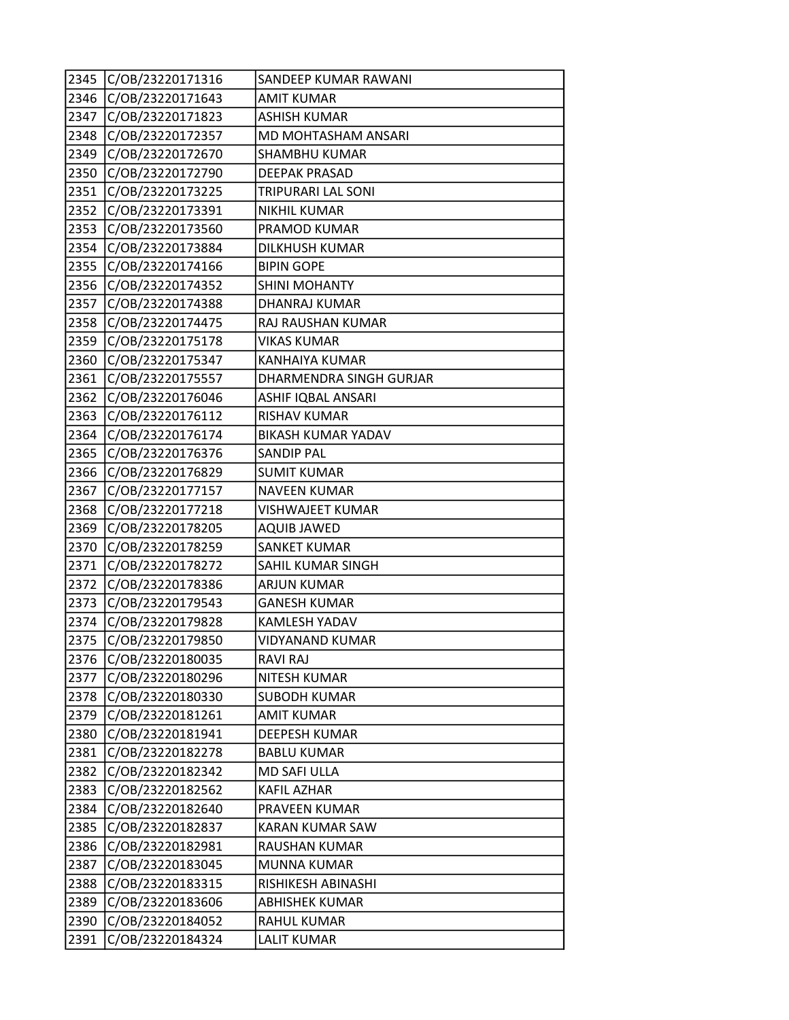| 2345 | C/OB/23220171316 | SANDEEP KUMAR RAWANI      |
|------|------------------|---------------------------|
| 2346 | C/OB/23220171643 | <b>AMIT KUMAR</b>         |
| 2347 | C/OB/23220171823 | <b>ASHISH KUMAR</b>       |
| 2348 | C/OB/23220172357 | MD MOHTASHAM ANSARI       |
| 2349 | C/OB/23220172670 | SHAMBHU KUMAR             |
| 2350 | C/OB/23220172790 | <b>DEEPAK PRASAD</b>      |
| 2351 | C/OB/23220173225 | TRIPURARI LAL SONI        |
| 2352 | C/OB/23220173391 | <b>NIKHIL KUMAR</b>       |
| 2353 | C/OB/23220173560 | PRAMOD KUMAR              |
| 2354 | C/OB/23220173884 | <b>DILKHUSH KUMAR</b>     |
| 2355 | C/OB/23220174166 | <b>BIPIN GOPE</b>         |
| 2356 | C/OB/23220174352 | <b>SHINI MOHANTY</b>      |
| 2357 | C/OB/23220174388 | DHANRAJ KUMAR             |
| 2358 | C/OB/23220174475 | RAJ RAUSHAN KUMAR         |
| 2359 | C/OB/23220175178 | <b>VIKAS KUMAR</b>        |
| 2360 | C/OB/23220175347 | <b>KANHAIYA KUMAR</b>     |
| 2361 | C/OB/23220175557 | DHARMENDRA SINGH GURJAR   |
| 2362 | C/OB/23220176046 | ASHIF IQBAL ANSARI        |
| 2363 | C/OB/23220176112 | RISHAV KUMAR              |
| 2364 | C/OB/23220176174 | <b>BIKASH KUMAR YADAV</b> |
| 2365 | C/OB/23220176376 | <b>SANDIP PAL</b>         |
| 2366 | C/OB/23220176829 | <b>SUMIT KUMAR</b>        |
| 2367 | C/OB/23220177157 | <b>NAVEEN KUMAR</b>       |
| 2368 | C/OB/23220177218 | <b>VISHWAJEET KUMAR</b>   |
| 2369 | C/OB/23220178205 | <b>AQUIB JAWED</b>        |
| 2370 | C/OB/23220178259 | <b>SANKET KUMAR</b>       |
| 2371 | C/OB/23220178272 | SAHIL KUMAR SINGH         |
| 2372 | C/OB/23220178386 | <b>ARJUN KUMAR</b>        |
| 2373 | C/OB/23220179543 | <b>GANESH KUMAR</b>       |
| 2374 | C/OB/23220179828 | KAMLESH YADAV             |
| 2375 | C/OB/23220179850 | <b>VIDYANAND KUMAR</b>    |
| 2376 | C/OB/23220180035 | <b>RAVI RAJ</b>           |
| 2377 | C/OB/23220180296 | NITESH KUMAR              |
| 2378 | C/OB/23220180330 | <b>SUBODH KUMAR</b>       |
| 2379 | C/OB/23220181261 | <b>AMIT KUMAR</b>         |
| 2380 | C/OB/23220181941 | <b>DEEPESH KUMAR</b>      |
| 2381 | C/OB/23220182278 | <b>BABLU KUMAR</b>        |
| 2382 | C/OB/23220182342 | MD SAFI ULLA              |
| 2383 | C/OB/23220182562 | <b>KAFIL AZHAR</b>        |
| 2384 | C/OB/23220182640 | PRAVEEN KUMAR             |
| 2385 | C/OB/23220182837 | <b>KARAN KUMAR SAW</b>    |
| 2386 | C/OB/23220182981 | RAUSHAN KUMAR             |
| 2387 | C/OB/23220183045 | MUNNA KUMAR               |
| 2388 | C/OB/23220183315 | RISHIKESH ABINASHI        |
| 2389 | C/OB/23220183606 | <b>ABHISHEK KUMAR</b>     |
| 2390 | C/OB/23220184052 | RAHUL KUMAR               |
| 2391 | C/OB/23220184324 | <b>LALIT KUMAR</b>        |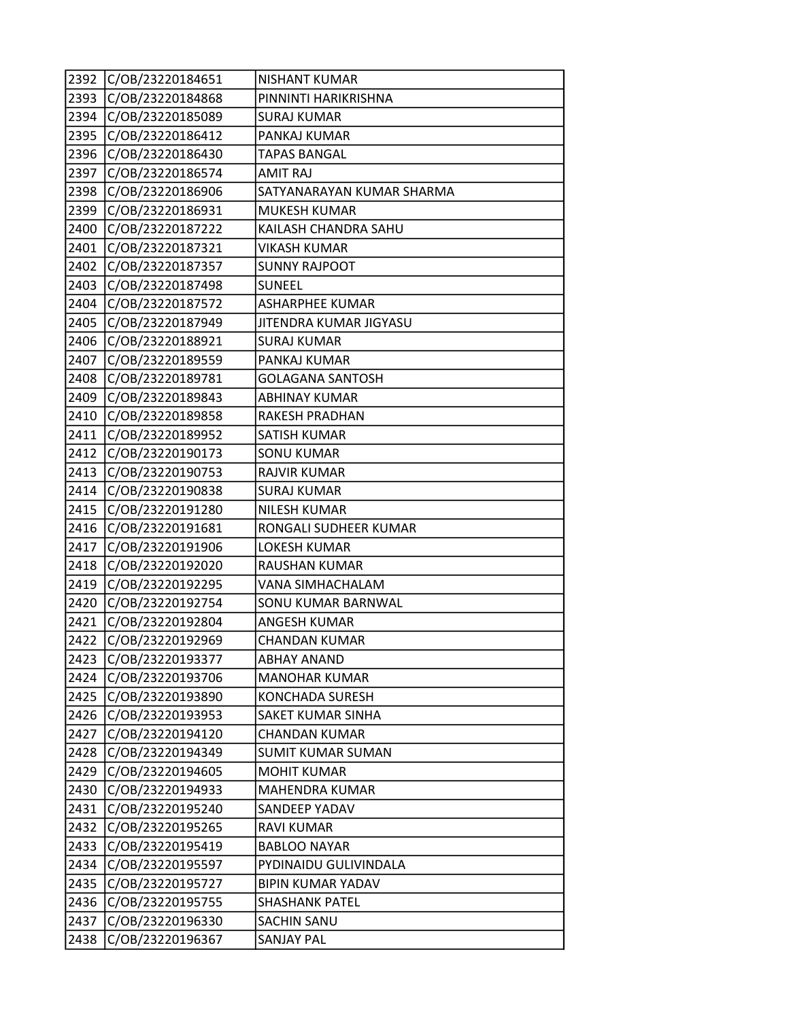| 2392 | C/OB/23220184651 | NISHANT KUMAR             |
|------|------------------|---------------------------|
| 2393 | C/OB/23220184868 | PINNINTI HARIKRISHNA      |
| 2394 | C/OB/23220185089 | <b>SURAJ KUMAR</b>        |
| 2395 | C/OB/23220186412 | PANKAJ KUMAR              |
| 2396 | C/OB/23220186430 | <b>TAPAS BANGAL</b>       |
| 2397 | C/OB/23220186574 | <b>AMIT RAJ</b>           |
| 2398 | C/OB/23220186906 | SATYANARAYAN KUMAR SHARMA |
| 2399 | C/OB/23220186931 | <b>MUKESH KUMAR</b>       |
| 2400 | C/OB/23220187222 | KAILASH CHANDRA SAHU      |
| 2401 | C/OB/23220187321 | <b>VIKASH KUMAR</b>       |
| 2402 | C/OB/23220187357 | <b>SUNNY RAJPOOT</b>      |
| 2403 | C/OB/23220187498 | <b>SUNEEL</b>             |
| 2404 | C/OB/23220187572 | <b>ASHARPHEE KUMAR</b>    |
| 2405 | C/OB/23220187949 | JITENDRA KUMAR JIGYASU    |
| 2406 | C/OB/23220188921 | <b>SURAJ KUMAR</b>        |
| 2407 | C/OB/23220189559 | PANKAJ KUMAR              |
| 2408 | C/OB/23220189781 | <b>GOLAGANA SANTOSH</b>   |
| 2409 | C/OB/23220189843 | <b>ABHINAY KUMAR</b>      |
| 2410 | C/OB/23220189858 | RAKESH PRADHAN            |
| 2411 | C/OB/23220189952 | SATISH KUMAR              |
| 2412 | C/OB/23220190173 | <b>SONU KUMAR</b>         |
| 2413 | C/OB/23220190753 | <b>RAJVIR KUMAR</b>       |
| 2414 | C/OB/23220190838 | <b>SURAJ KUMAR</b>        |
| 2415 | C/OB/23220191280 | <b>NILESH KUMAR</b>       |
| 2416 | C/OB/23220191681 | RONGALI SUDHEER KUMAR     |
| 2417 | C/OB/23220191906 | <b>LOKESH KUMAR</b>       |
| 2418 | C/OB/23220192020 | RAUSHAN KUMAR             |
| 2419 | C/OB/23220192295 | VANA SIMHACHALAM          |
| 2420 | C/OB/23220192754 | SONU KUMAR BARNWAL        |
| 2421 | C/OB/23220192804 | <b>ANGESH KUMAR</b>       |
| 2422 | C/OB/23220192969 | <b>CHANDAN KUMAR</b>      |
| 2423 | C/OB/23220193377 | <b>ABHAY ANAND</b>        |
| 2424 | C/OB/23220193706 | <b>MANOHAR KUMAR</b>      |
| 2425 | C/OB/23220193890 | <b>KONCHADA SURESH</b>    |
| 2426 | C/OB/23220193953 | SAKET KUMAR SINHA         |
| 2427 | C/OB/23220194120 | <b>CHANDAN KUMAR</b>      |
| 2428 | C/OB/23220194349 | SUMIT KUMAR SUMAN         |
| 2429 | C/OB/23220194605 | <b>MOHIT KUMAR</b>        |
| 2430 | C/OB/23220194933 | <b>MAHENDRA KUMAR</b>     |
| 2431 | C/OB/23220195240 | SANDEEP YADAV             |
| 2432 | C/OB/23220195265 | <b>RAVI KUMAR</b>         |
| 2433 | C/OB/23220195419 | <b>BABLOO NAYAR</b>       |
| 2434 | C/OB/23220195597 | PYDINAIDU GULIVINDALA     |
| 2435 | C/OB/23220195727 | <b>BIPIN KUMAR YADAV</b>  |
| 2436 | C/OB/23220195755 | <b>SHASHANK PATEL</b>     |
| 2437 | C/OB/23220196330 | SACHIN SANU               |
| 2438 | C/OB/23220196367 | SANJAY PAL                |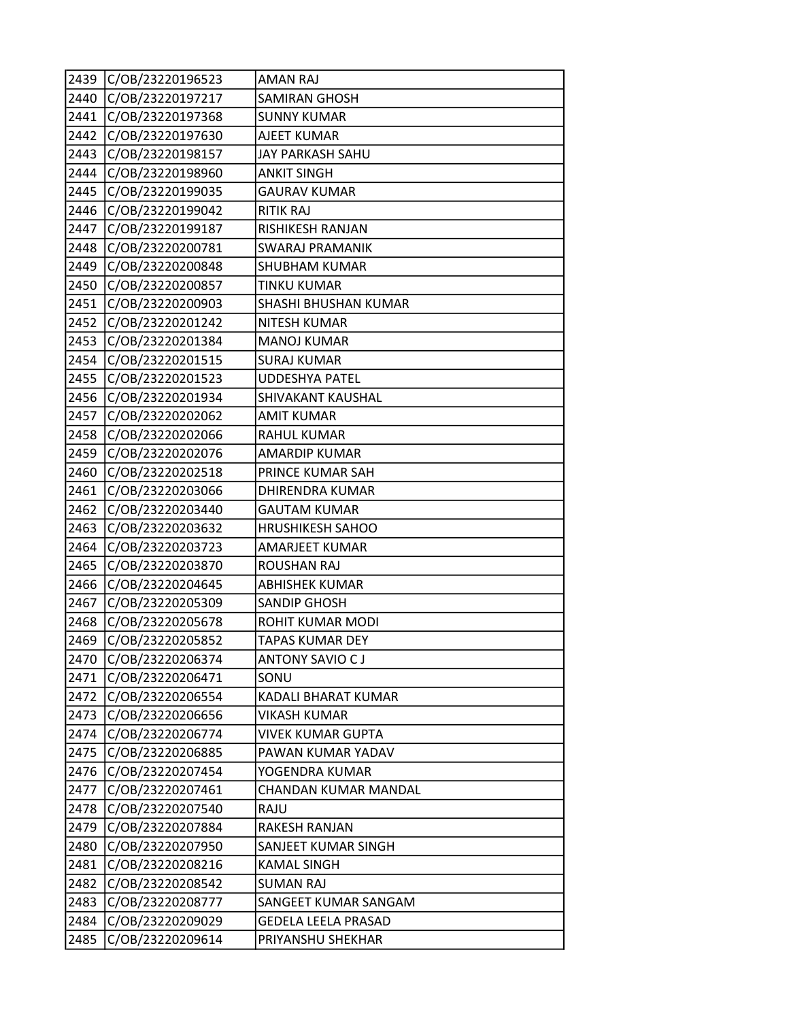| 2439 | C/OB/23220196523 | <b>AMAN RAJ</b>          |
|------|------------------|--------------------------|
| 2440 | C/OB/23220197217 | <b>SAMIRAN GHOSH</b>     |
| 2441 | C/OB/23220197368 | <b>SUNNY KUMAR</b>       |
| 2442 | C/OB/23220197630 | <b>AJEET KUMAR</b>       |
| 2443 | C/OB/23220198157 | JAY PARKASH SAHU         |
| 2444 | C/OB/23220198960 | <b>ANKIT SINGH</b>       |
| 2445 | C/OB/23220199035 | <b>GAURAV KUMAR</b>      |
| 2446 | C/OB/23220199042 | <b>RITIK RAJ</b>         |
| 2447 | C/OB/23220199187 | RISHIKESH RANJAN         |
| 2448 | C/OB/23220200781 | <b>SWARAJ PRAMANIK</b>   |
| 2449 | C/OB/23220200848 | <b>SHUBHAM KUMAR</b>     |
| 2450 | C/OB/23220200857 | <b>TINKU KUMAR</b>       |
| 2451 | C/OB/23220200903 | SHASHI BHUSHAN KUMAR     |
| 2452 | C/OB/23220201242 | <b>NITESH KUMAR</b>      |
| 2453 | C/OB/23220201384 | <b>MANOJ KUMAR</b>       |
| 2454 | C/OB/23220201515 | <b>SURAJ KUMAR</b>       |
| 2455 | C/OB/23220201523 | <b>UDDESHYA PATEL</b>    |
| 2456 | C/OB/23220201934 | <b>SHIVAKANT KAUSHAL</b> |
| 2457 | C/OB/23220202062 | <b>AMIT KUMAR</b>        |
| 2458 | C/OB/23220202066 | <b>RAHUL KUMAR</b>       |
| 2459 | C/OB/23220202076 | <b>AMARDIP KUMAR</b>     |
| 2460 | C/OB/23220202518 | PRINCE KUMAR SAH         |
| 2461 | C/OB/23220203066 | <b>DHIRENDRA KUMAR</b>   |
| 2462 | C/OB/23220203440 | <b>GAUTAM KUMAR</b>      |
| 2463 | C/OB/23220203632 | <b>HRUSHIKESH SAHOO</b>  |
| 2464 | C/OB/23220203723 | <b>AMARJEET KUMAR</b>    |
| 2465 | C/OB/23220203870 | <b>ROUSHAN RAJ</b>       |
| 2466 | C/OB/23220204645 | <b>ABHISHEK KUMAR</b>    |
| 2467 | C/OB/23220205309 | <b>SANDIP GHOSH</b>      |
| 2468 | C/OB/23220205678 | ROHIT KUMAR MODI         |
| 2469 | C/OB/23220205852 | <b>TAPAS KUMAR DEY</b>   |
| 2470 | C/OB/23220206374 | <b>ANTONY SAVIO CJ</b>   |
| 2471 | C/OB/23220206471 | SONU                     |
| 2472 | C/OB/23220206554 | KADALI BHARAT KUMAR      |
| 2473 | C/OB/23220206656 | <b>VIKASH KUMAR</b>      |
| 2474 | C/OB/23220206774 | <b>VIVEK KUMAR GUPTA</b> |
| 2475 | C/OB/23220206885 | PAWAN KUMAR YADAV        |
| 2476 | C/OB/23220207454 | YOGENDRA KUMAR           |
| 2477 | C/OB/23220207461 | CHANDAN KUMAR MANDAL     |
| 2478 | C/OB/23220207540 | RAJU                     |
| 2479 | C/OB/23220207884 | RAKESH RANJAN            |
| 2480 | C/OB/23220207950 | SANJEET KUMAR SINGH      |
| 2481 | C/OB/23220208216 | <b>KAMAL SINGH</b>       |
| 2482 | C/OB/23220208542 | <b>SUMAN RAJ</b>         |
| 2483 | C/OB/23220208777 | SANGEET KUMAR SANGAM     |
| 2484 | C/OB/23220209029 | GEDELA LEELA PRASAD      |
| 2485 | C/OB/23220209614 | PRIYANSHU SHEKHAR        |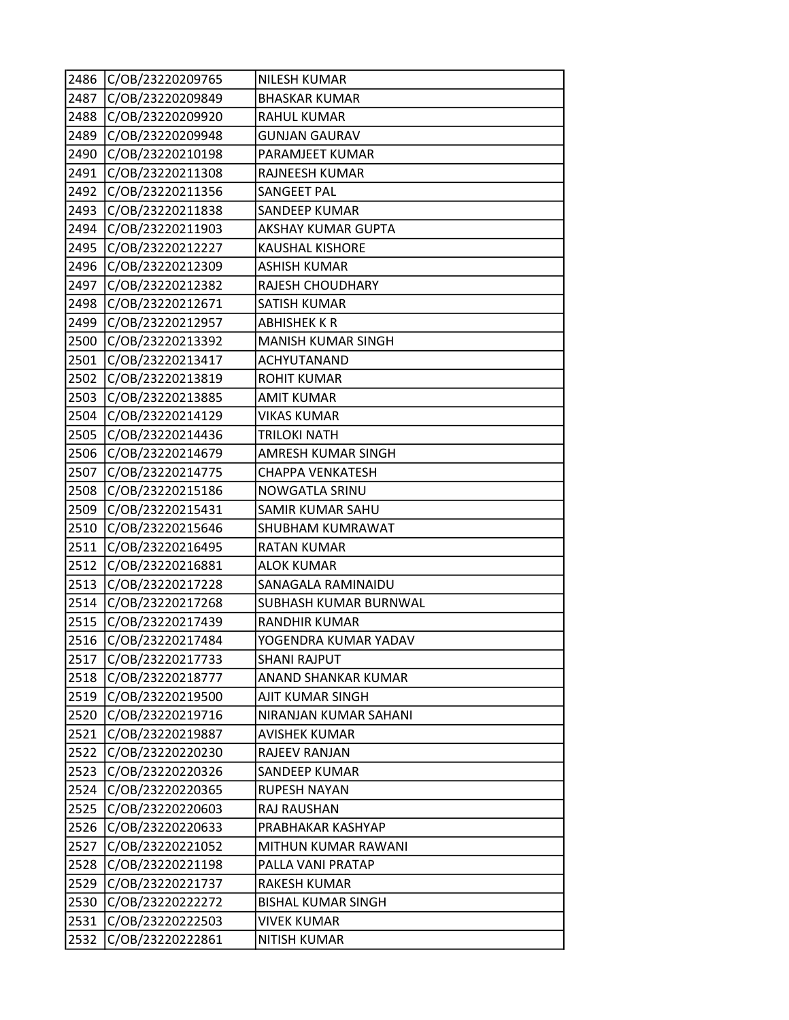| 2486 | C/OB/23220209765 | <b>NILESH KUMAR</b>       |
|------|------------------|---------------------------|
| 2487 | C/OB/23220209849 | <b>BHASKAR KUMAR</b>      |
| 2488 | C/OB/23220209920 | <b>RAHUL KUMAR</b>        |
| 2489 | C/OB/23220209948 | <b>GUNJAN GAURAV</b>      |
| 2490 | C/OB/23220210198 | PARAMJEET KUMAR           |
| 2491 | C/OB/23220211308 | RAJNEESH KUMAR            |
| 2492 | C/OB/23220211356 | SANGEET PAL               |
| 2493 | C/OB/23220211838 | <b>SANDEEP KUMAR</b>      |
| 2494 | C/OB/23220211903 | <b>AKSHAY KUMAR GUPTA</b> |
| 2495 | C/OB/23220212227 | <b>KAUSHAL KISHORE</b>    |
| 2496 | C/OB/23220212309 | <b>ASHISH KUMAR</b>       |
| 2497 | C/OB/23220212382 | RAJESH CHOUDHARY          |
| 2498 | C/OB/23220212671 | SATISH KUMAR              |
| 2499 | C/OB/23220212957 | <b>ABHISHEK K R</b>       |
| 2500 | C/OB/23220213392 | <b>MANISH KUMAR SINGH</b> |
| 2501 | C/OB/23220213417 | ACHYUTANAND               |
| 2502 | C/OB/23220213819 | <b>ROHIT KUMAR</b>        |
| 2503 | C/OB/23220213885 | <b>AMIT KUMAR</b>         |
| 2504 | C/OB/23220214129 | <b>VIKAS KUMAR</b>        |
| 2505 | C/OB/23220214436 | TRILOKI NATH              |
| 2506 | C/OB/23220214679 | AMRESH KUMAR SINGH        |
| 2507 | C/OB/23220214775 | <b>CHAPPA VENKATESH</b>   |
| 2508 | C/OB/23220215186 | NOWGATLA SRINU            |
| 2509 | C/OB/23220215431 | SAMIR KUMAR SAHU          |
| 2510 | C/OB/23220215646 | SHUBHAM KUMRAWAT          |
| 2511 | C/OB/23220216495 | <b>RATAN KUMAR</b>        |
| 2512 | C/OB/23220216881 | <b>ALOK KUMAR</b>         |
| 2513 | C/OB/23220217228 | SANAGALA RAMINAIDU        |
| 2514 | C/OB/23220217268 | SUBHASH KUMAR BURNWAL     |
| 2515 | C/OB/23220217439 | <b>RANDHIR KUMAR</b>      |
| 2516 | C/OB/23220217484 | YOGENDRA KUMAR YADAV      |
| 2517 | C/OB/23220217733 | <b>SHANI RAJPUT</b>       |
| 2518 | C/OB/23220218777 | ANAND SHANKAR KUMAR       |
| 2519 | C/OB/23220219500 | AJIT KUMAR SINGH          |
| 2520 | C/OB/23220219716 | NIRANJAN KUMAR SAHANI     |
| 2521 | C/OB/23220219887 | <b>AVISHEK KUMAR</b>      |
| 2522 | C/OB/23220220230 | RAJEEV RANJAN             |
| 2523 | C/OB/23220220326 | SANDEEP KUMAR             |
| 2524 | C/OB/23220220365 | <b>RUPESH NAYAN</b>       |
| 2525 | C/OB/23220220603 | RAJ RAUSHAN               |
| 2526 | C/OB/23220220633 | PRABHAKAR KASHYAP         |
| 2527 | C/OB/23220221052 | MITHUN KUMAR RAWANI       |
| 2528 | C/OB/23220221198 | PALLA VANI PRATAP         |
| 2529 | C/OB/23220221737 | RAKESH KUMAR              |
| 2530 | C/OB/23220222272 | <b>BISHAL KUMAR SINGH</b> |
| 2531 | C/OB/23220222503 | <b>VIVEK KUMAR</b>        |
| 2532 | C/OB/23220222861 | <b>NITISH KUMAR</b>       |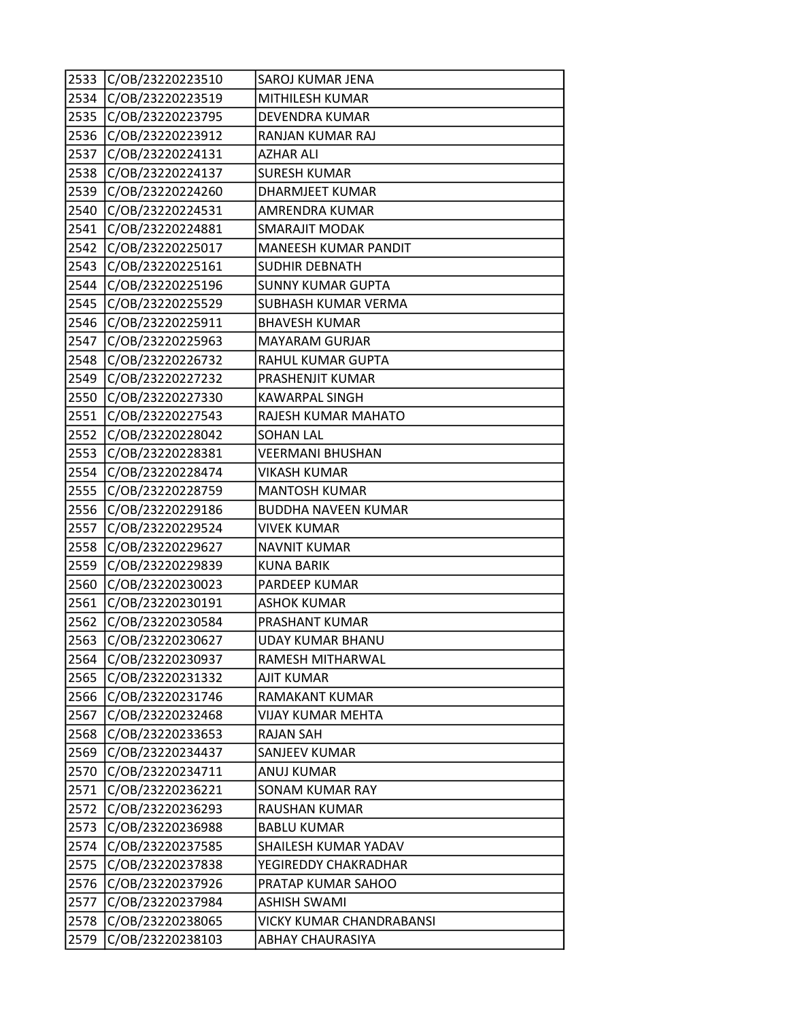| 2533 | C/OB/23220223510 | SAROJ KUMAR JENA                |
|------|------------------|---------------------------------|
| 2534 | C/OB/23220223519 | MITHILESH KUMAR                 |
| 2535 | C/OB/23220223795 | DEVENDRA KUMAR                  |
| 2536 | C/OB/23220223912 | RANJAN KUMAR RAJ                |
| 2537 | C/OB/23220224131 | <b>AZHAR ALI</b>                |
| 2538 | C/OB/23220224137 | <b>SURESH KUMAR</b>             |
| 2539 | C/OB/23220224260 | <b>DHARMJEET KUMAR</b>          |
| 2540 | C/OB/23220224531 | AMRENDRA KUMAR                  |
| 2541 | C/OB/23220224881 | <b>SMARAJIT MODAK</b>           |
| 2542 | C/OB/23220225017 | <b>MANEESH KUMAR PANDIT</b>     |
| 2543 | C/OB/23220225161 | <b>SUDHIR DEBNATH</b>           |
| 2544 | C/OB/23220225196 | <b>SUNNY KUMAR GUPTA</b>        |
| 2545 | C/OB/23220225529 | SUBHASH KUMAR VERMA             |
| 2546 | C/OB/23220225911 | <b>BHAVESH KUMAR</b>            |
| 2547 | C/OB/23220225963 | <b>MAYARAM GURJAR</b>           |
| 2548 | C/OB/23220226732 | RAHUL KUMAR GUPTA               |
| 2549 | C/OB/23220227232 | PRASHENJIT KUMAR                |
| 2550 | C/OB/23220227330 | <b>KAWARPAL SINGH</b>           |
| 2551 | C/OB/23220227543 | RAJESH KUMAR MAHATO             |
| 2552 | C/OB/23220228042 | <b>SOHAN LAL</b>                |
| 2553 | C/OB/23220228381 | <b>VEERMANI BHUSHAN</b>         |
| 2554 | C/OB/23220228474 | <b>VIKASH KUMAR</b>             |
| 2555 | C/OB/23220228759 | <b>MANTOSH KUMAR</b>            |
| 2556 | C/OB/23220229186 | <b>BUDDHA NAVEEN KUMAR</b>      |
| 2557 | C/OB/23220229524 | <b>VIVEK KUMAR</b>              |
| 2558 | C/OB/23220229627 | <b>NAVNIT KUMAR</b>             |
| 2559 | C/OB/23220229839 | <b>KUNA BARIK</b>               |
| 2560 | C/OB/23220230023 | PARDEEP KUMAR                   |
| 2561 | C/OB/23220230191 | <b>ASHOK KUMAR</b>              |
| 2562 | C/OB/23220230584 | PRASHANT KUMAR                  |
| 2563 | C/OB/23220230627 | <b>UDAY KUMAR BHANU</b>         |
| 2564 | C/OB/23220230937 | RAMESH MITHARWAL                |
| 2565 | C/OB/23220231332 | AJIT KUMAR                      |
| 2566 | C/OB/23220231746 | RAMAKANT KUMAR                  |
| 2567 | C/OB/23220232468 | VIJAY KUMAR MEHTA               |
| 2568 | C/OB/23220233653 | <b>RAJAN SAH</b>                |
| 2569 | C/OB/23220234437 | SANJEEV KUMAR                   |
| 2570 | C/OB/23220234711 | ANUJ KUMAR                      |
| 2571 | C/OB/23220236221 | <b>SONAM KUMAR RAY</b>          |
| 2572 | C/OB/23220236293 | RAUSHAN KUMAR                   |
| 2573 | C/OB/23220236988 | <b>BABLU KUMAR</b>              |
| 2574 | C/OB/23220237585 | SHAILESH KUMAR YADAV            |
| 2575 | C/OB/23220237838 | YEGIREDDY CHAKRADHAR            |
| 2576 | C/OB/23220237926 | PRATAP KUMAR SAHOO              |
| 2577 | C/OB/23220237984 | <b>ASHISH SWAMI</b>             |
| 2578 | C/OB/23220238065 | <b>VICKY KUMAR CHANDRABANSI</b> |
| 2579 | C/OB/23220238103 | <b>ABHAY CHAURASIYA</b>         |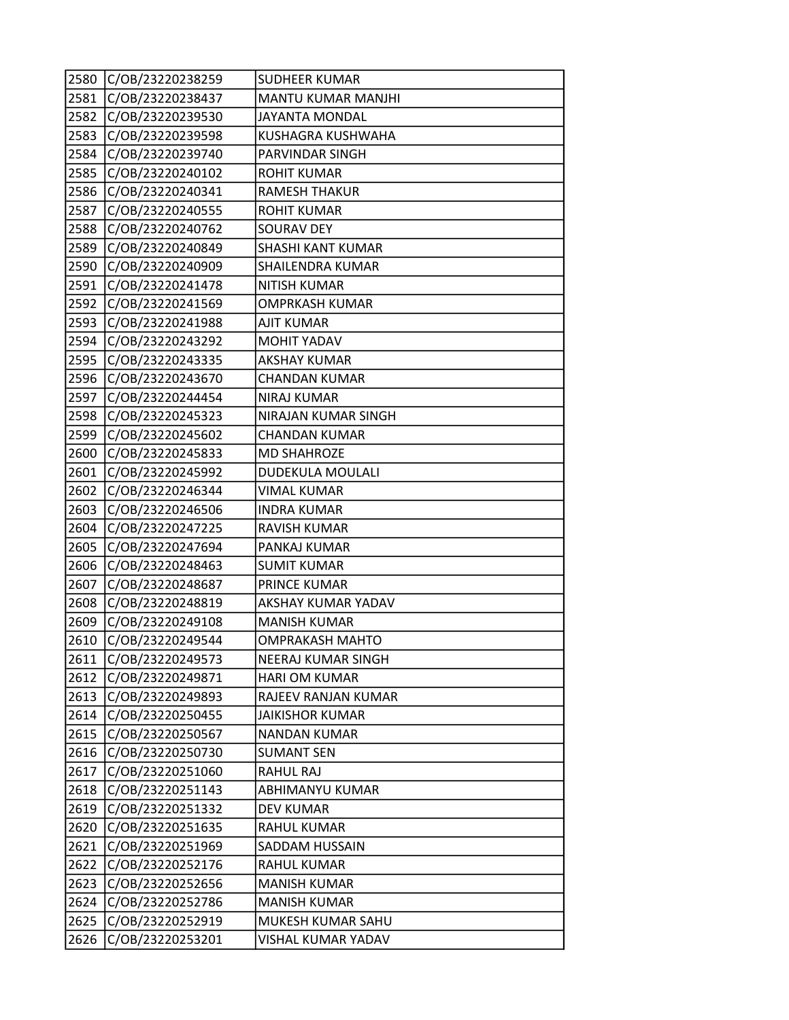| 2580 | C/OB/23220238259 | <b>SUDHEER KUMAR</b>   |
|------|------------------|------------------------|
| 2581 | C/OB/23220238437 | MANTU KUMAR MANJHI     |
| 2582 | C/OB/23220239530 | <b>JAYANTA MONDAL</b>  |
| 2583 | C/OB/23220239598 | KUSHAGRA KUSHWAHA      |
| 2584 | C/OB/23220239740 | PARVINDAR SINGH        |
| 2585 | C/OB/23220240102 | <b>ROHIT KUMAR</b>     |
| 2586 | C/OB/23220240341 | <b>RAMESH THAKUR</b>   |
| 2587 | C/OB/23220240555 | <b>ROHIT KUMAR</b>     |
| 2588 | C/OB/23220240762 | <b>SOURAV DEY</b>      |
| 2589 | C/OB/23220240849 | SHASHI KANT KUMAR      |
| 2590 | C/OB/23220240909 | SHAILENDRA KUMAR       |
| 2591 | C/OB/23220241478 | <b>NITISH KUMAR</b>    |
| 2592 | C/OB/23220241569 | OMPRKASH KUMAR         |
| 2593 | C/OB/23220241988 | <b>AJIT KUMAR</b>      |
| 2594 | C/OB/23220243292 | <b>MOHIT YADAV</b>     |
| 2595 | C/OB/23220243335 | <b>AKSHAY KUMAR</b>    |
| 2596 | C/OB/23220243670 | <b>CHANDAN KUMAR</b>   |
| 2597 | C/OB/23220244454 | <b>NIRAJ KUMAR</b>     |
| 2598 | C/OB/23220245323 | NIRAJAN KUMAR SINGH    |
| 2599 | C/OB/23220245602 | <b>CHANDAN KUMAR</b>   |
| 2600 | C/OB/23220245833 | <b>MD SHAHROZE</b>     |
| 2601 | C/OB/23220245992 | DUDEKULA MOULALI       |
| 2602 | C/OB/23220246344 | <b>VIMAL KUMAR</b>     |
| 2603 | C/OB/23220246506 | <b>INDRA KUMAR</b>     |
| 2604 | C/OB/23220247225 | <b>RAVISH KUMAR</b>    |
| 2605 | C/OB/23220247694 | PANKAJ KUMAR           |
| 2606 | C/OB/23220248463 | <b>SUMIT KUMAR</b>     |
| 2607 | C/OB/23220248687 | PRINCE KUMAR           |
| 2608 | C/OB/23220248819 | AKSHAY KUMAR YADAV     |
| 2609 | C/OB/23220249108 | <b>MANISH KUMAR</b>    |
| 2610 | C/OB/23220249544 | <b>OMPRAKASH MAHTO</b> |
| 2611 | C/OB/23220249573 | NEERAJ KUMAR SINGH     |
| 2612 | C/OB/23220249871 | <b>HARI OM KUMAR</b>   |
| 2613 | C/OB/23220249893 | RAJEEV RANJAN KUMAR    |
| 2614 | C/OB/23220250455 | <b>JAIKISHOR KUMAR</b> |
| 2615 | C/OB/23220250567 | <b>NANDAN KUMAR</b>    |
| 2616 | C/OB/23220250730 | <b>SUMANT SEN</b>      |
| 2617 | C/OB/23220251060 | RAHUL RAJ              |
| 2618 | C/OB/23220251143 | ABHIMANYU KUMAR        |
| 2619 | C/OB/23220251332 | <b>DEV KUMAR</b>       |
| 2620 | C/OB/23220251635 | <b>RAHUL KUMAR</b>     |
| 2621 | C/OB/23220251969 | SADDAM HUSSAIN         |
| 2622 | C/OB/23220252176 | RAHUL KUMAR            |
| 2623 | C/OB/23220252656 | <b>MANISH KUMAR</b>    |
| 2624 | C/OB/23220252786 | <b>MANISH KUMAR</b>    |
| 2625 | C/OB/23220252919 | MUKESH KUMAR SAHU      |
| 2626 | C/OB/23220253201 | VISHAL KUMAR YADAV     |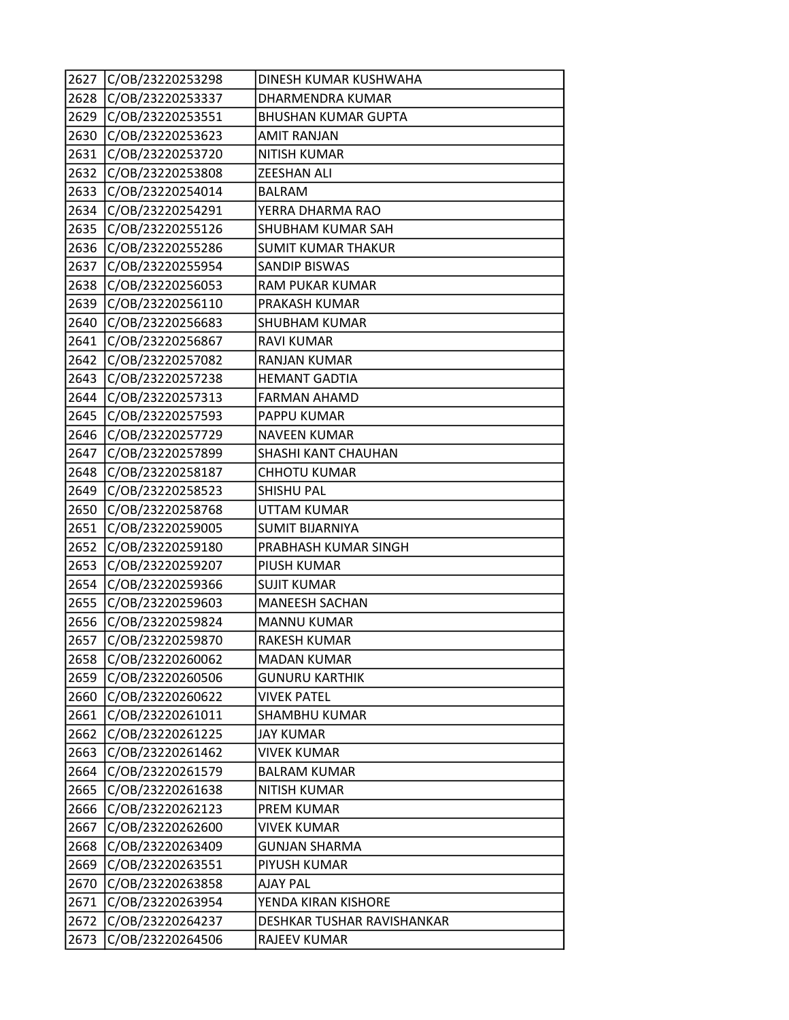| 2627 | C/OB/23220253298 | DINESH KUMAR KUSHWAHA      |
|------|------------------|----------------------------|
| 2628 | C/OB/23220253337 | DHARMENDRA KUMAR           |
| 2629 | C/OB/23220253551 | <b>BHUSHAN KUMAR GUPTA</b> |
| 2630 | C/OB/23220253623 | <b>AMIT RANJAN</b>         |
| 2631 | C/OB/23220253720 | <b>NITISH KUMAR</b>        |
| 2632 | C/OB/23220253808 | <b>ZEESHAN ALI</b>         |
| 2633 | C/OB/23220254014 | <b>BALRAM</b>              |
| 2634 | C/OB/23220254291 | YERRA DHARMA RAO           |
| 2635 | C/OB/23220255126 | SHUBHAM KUMAR SAH          |
| 2636 | C/OB/23220255286 | <b>SUMIT KUMAR THAKUR</b>  |
| 2637 | C/OB/23220255954 | <b>SANDIP BISWAS</b>       |
| 2638 | C/OB/23220256053 | RAM PUKAR KUMAR            |
| 2639 | C/OB/23220256110 | PRAKASH KUMAR              |
| 2640 | C/OB/23220256683 | <b>SHUBHAM KUMAR</b>       |
| 2641 | C/OB/23220256867 | <b>RAVI KUMAR</b>          |
| 2642 | C/OB/23220257082 | <b>RANJAN KUMAR</b>        |
| 2643 | C/OB/23220257238 | <b>HEMANT GADTIA</b>       |
| 2644 | C/OB/23220257313 | <b>FARMAN AHAMD</b>        |
| 2645 | C/OB/23220257593 | PAPPU KUMAR                |
| 2646 | C/OB/23220257729 | <b>NAVEEN KUMAR</b>        |
| 2647 | C/OB/23220257899 | SHASHI KANT CHAUHAN        |
| 2648 | C/OB/23220258187 | <b>CHHOTU KUMAR</b>        |
| 2649 | C/OB/23220258523 | <b>SHISHU PAL</b>          |
| 2650 | C/OB/23220258768 | <b>UTTAM KUMAR</b>         |
| 2651 | C/OB/23220259005 | <b>SUMIT BIJARNIYA</b>     |
| 2652 | C/OB/23220259180 | PRABHASH KUMAR SINGH       |
| 2653 | C/OB/23220259207 | PIUSH KUMAR                |
| 2654 | C/OB/23220259366 | <b>SUJIT KUMAR</b>         |
| 2655 | C/OB/23220259603 | <b>MANEESH SACHAN</b>      |
| 2656 | C/OB/23220259824 | <b>MANNU KUMAR</b>         |
| 2657 | C/OB/23220259870 | <b>RAKESH KUMAR</b>        |
| 2658 | C/OB/23220260062 | <b>MADAN KUMAR</b>         |
| 2659 | C/OB/23220260506 | <b>GUNURU KARTHIK</b>      |
| 2660 | C/OB/23220260622 | <b>VIVEK PATEL</b>         |
| 2661 | C/OB/23220261011 | SHAMBHU KUMAR              |
| 2662 | C/OB/23220261225 | <b>JAY KUMAR</b>           |
| 2663 | C/OB/23220261462 | <b>VIVEK KUMAR</b>         |
| 2664 | C/OB/23220261579 | <b>BALRAM KUMAR</b>        |
| 2665 | C/OB/23220261638 | <b>NITISH KUMAR</b>        |
| 2666 | C/OB/23220262123 | PREM KUMAR                 |
| 2667 | C/OB/23220262600 | <b>VIVEK KUMAR</b>         |
| 2668 | C/OB/23220263409 | <b>GUNJAN SHARMA</b>       |
| 2669 | C/OB/23220263551 | PIYUSH KUMAR               |
| 2670 | C/OB/23220263858 | AJAY PAL                   |
| 2671 | C/OB/23220263954 | YENDA KIRAN KISHORE        |
| 2672 | C/OB/23220264237 | DESHKAR TUSHAR RAVISHANKAR |
| 2673 | C/OB/23220264506 | <b>RAJEEV KUMAR</b>        |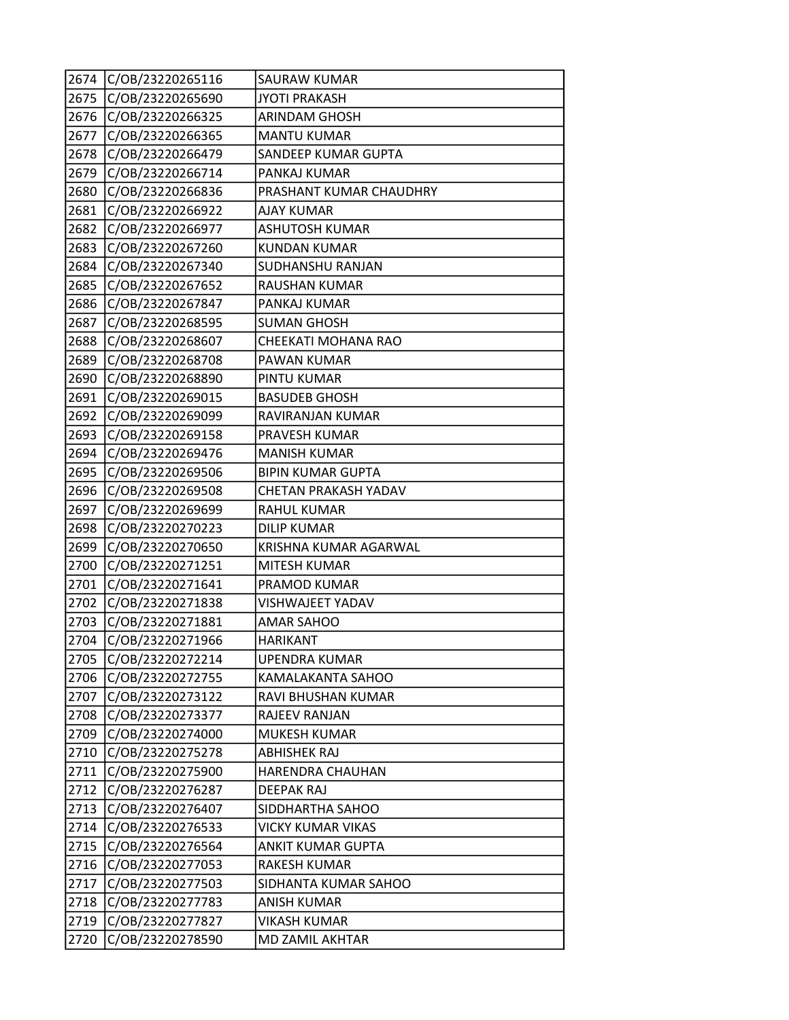| 2674 | C/OB/23220265116 | SAURAW KUMAR             |
|------|------------------|--------------------------|
| 2675 | C/OB/23220265690 | <b>JYOTI PRAKASH</b>     |
| 2676 | C/OB/23220266325 | <b>ARINDAM GHOSH</b>     |
| 2677 | C/OB/23220266365 | <b>MANTU KUMAR</b>       |
| 2678 | C/OB/23220266479 | SANDEEP KUMAR GUPTA      |
| 2679 | C/OB/23220266714 | PANKAJ KUMAR             |
| 2680 | C/OB/23220266836 | PRASHANT KUMAR CHAUDHRY  |
| 2681 | C/OB/23220266922 | <b>AJAY KUMAR</b>        |
| 2682 | C/OB/23220266977 | <b>ASHUTOSH KUMAR</b>    |
| 2683 | C/OB/23220267260 | <b>KUNDAN KUMAR</b>      |
| 2684 | C/OB/23220267340 | SUDHANSHU RANJAN         |
| 2685 | C/OB/23220267652 | <b>RAUSHAN KUMAR</b>     |
| 2686 | C/OB/23220267847 | PANKAJ KUMAR             |
| 2687 | C/OB/23220268595 | <b>SUMAN GHOSH</b>       |
| 2688 | C/OB/23220268607 | CHEEKATI MOHANA RAO      |
| 2689 | C/OB/23220268708 | PAWAN KUMAR              |
| 2690 | C/OB/23220268890 | PINTU KUMAR              |
| 2691 | C/OB/23220269015 | <b>BASUDEB GHOSH</b>     |
| 2692 | C/OB/23220269099 | RAVIRANJAN KUMAR         |
| 2693 | C/OB/23220269158 | PRAVESH KUMAR            |
| 2694 | C/OB/23220269476 | <b>MANISH KUMAR</b>      |
| 2695 | C/OB/23220269506 | <b>BIPIN KUMAR GUPTA</b> |
| 2696 | C/OB/23220269508 | CHETAN PRAKASH YADAV     |
| 2697 | C/OB/23220269699 | <b>RAHUL KUMAR</b>       |
| 2698 | C/OB/23220270223 | <b>DILIP KUMAR</b>       |
| 2699 | C/OB/23220270650 | KRISHNA KUMAR AGARWAL    |
| 2700 | C/OB/23220271251 | MITESH KUMAR             |
| 2701 | C/OB/23220271641 | PRAMOD KUMAR             |
| 2702 | C/OB/23220271838 | VISHWAJEET YADAV         |
| 2703 | C/OB/23220271881 | <b>AMAR SAHOO</b>        |
| 2704 | C/OB/23220271966 | <b>HARIKANT</b>          |
| 2705 | C/OB/23220272214 | UPENDRA KUMAR            |
| 2706 | C/OB/23220272755 | KAMALAKANTA SAHOO        |
| 2707 | C/OB/23220273122 | RAVI BHUSHAN KUMAR       |
| 2708 | C/OB/23220273377 | <b>RAJEEV RANJAN</b>     |
| 2709 | C/OB/23220274000 | <b>MUKESH KUMAR</b>      |
| 2710 | C/OB/23220275278 | <b>ABHISHEK RAJ</b>      |
| 2711 | C/OB/23220275900 | HARENDRA CHAUHAN         |
| 2712 | C/OB/23220276287 | <b>DEEPAK RAJ</b>        |
| 2713 | C/OB/23220276407 | SIDDHARTHA SAHOO         |
| 2714 | C/OB/23220276533 | <b>VICKY KUMAR VIKAS</b> |
| 2715 | C/OB/23220276564 | <b>ANKIT KUMAR GUPTA</b> |
| 2716 | C/OB/23220277053 | RAKESH KUMAR             |
| 2717 | C/OB/23220277503 | SIDHANTA KUMAR SAHOO     |
| 2718 | C/OB/23220277783 | <b>ANISH KUMAR</b>       |
| 2719 | C/OB/23220277827 | <b>VIKASH KUMAR</b>      |
| 2720 | C/OB/23220278590 | MD ZAMIL AKHTAR          |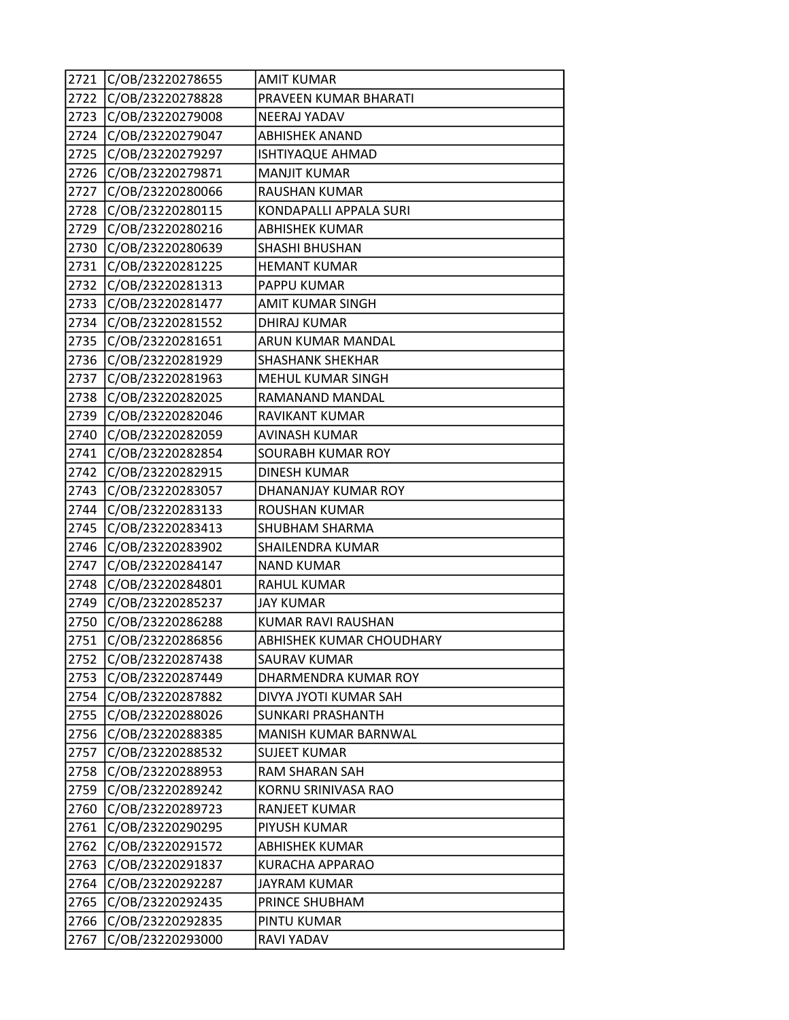| 2721 | C/OB/23220278655 | <b>AMIT KUMAR</b>         |
|------|------------------|---------------------------|
| 2722 | C/OB/23220278828 | PRAVEEN KUMAR BHARATI     |
| 2723 | C/OB/23220279008 | NEERAJ YADAV              |
| 2724 | C/OB/23220279047 | <b>ABHISHEK ANAND</b>     |
| 2725 | C/OB/23220279297 | <b>ISHTIYAQUE AHMAD</b>   |
| 2726 | C/OB/23220279871 | <b>MANJIT KUMAR</b>       |
| 2727 | C/OB/23220280066 | <b>RAUSHAN KUMAR</b>      |
| 2728 | C/OB/23220280115 | KONDAPALLI APPALA SURI    |
| 2729 | C/OB/23220280216 | <b>ABHISHEK KUMAR</b>     |
| 2730 | C/OB/23220280639 | <b>SHASHI BHUSHAN</b>     |
| 2731 | C/OB/23220281225 | <b>HEMANT KUMAR</b>       |
| 2732 | C/OB/23220281313 | PAPPU KUMAR               |
| 2733 | C/OB/23220281477 | AMIT KUMAR SINGH          |
| 2734 | C/OB/23220281552 | <b>DHIRAJ KUMAR</b>       |
| 2735 | C/OB/23220281651 | <b>ARUN KUMAR MANDAL</b>  |
| 2736 | C/OB/23220281929 | <b>SHASHANK SHEKHAR</b>   |
| 2737 | C/OB/23220281963 | MEHUL KUMAR SINGH         |
| 2738 | C/OB/23220282025 | RAMANAND MANDAL           |
| 2739 | C/OB/23220282046 | <b>RAVIKANT KUMAR</b>     |
| 2740 | C/OB/23220282059 | <b>AVINASH KUMAR</b>      |
| 2741 | C/OB/23220282854 | SOURABH KUMAR ROY         |
| 2742 | C/OB/23220282915 | <b>DINESH KUMAR</b>       |
| 2743 | C/OB/23220283057 | DHANANJAY KUMAR ROY       |
| 2744 | C/OB/23220283133 | <b>ROUSHAN KUMAR</b>      |
| 2745 | C/OB/23220283413 | SHUBHAM SHARMA            |
| 2746 | C/OB/23220283902 | SHAILENDRA KUMAR          |
| 2747 | C/OB/23220284147 | <b>NAND KUMAR</b>         |
| 2748 | C/OB/23220284801 | <b>RAHUL KUMAR</b>        |
| 2749 | C/OB/23220285237 | <b>JAY KUMAR</b>          |
| 2750 | C/OB/23220286288 | <b>KUMAR RAVI RAUSHAN</b> |
| 2751 | C/OB/23220286856 | ABHISHEK KUMAR CHOUDHARY  |
| 2752 | C/OB/23220287438 | <b>SAURAV KUMAR</b>       |
| 2753 | C/OB/23220287449 | DHARMENDRA KUMAR ROY      |
| 2754 | C/OB/23220287882 | DIVYA JYOTI KUMAR SAH     |
| 2755 | C/OB/23220288026 | <b>SUNKARI PRASHANTH</b>  |
| 2756 | C/OB/23220288385 | MANISH KUMAR BARNWAL      |
| 2757 | C/OB/23220288532 | <b>SUJEET KUMAR</b>       |
| 2758 | C/OB/23220288953 | RAM SHARAN SAH            |
| 2759 | C/OB/23220289242 | KORNU SRINIVASA RAO       |
| 2760 | C/OB/23220289723 | <b>RANJEET KUMAR</b>      |
| 2761 | C/OB/23220290295 | PIYUSH KUMAR              |
| 2762 | C/OB/23220291572 | <b>ABHISHEK KUMAR</b>     |
| 2763 | C/OB/23220291837 | KURACHA APPARAO           |
| 2764 | C/OB/23220292287 | JAYRAM KUMAR              |
| 2765 | C/OB/23220292435 | PRINCE SHUBHAM            |
| 2766 | C/OB/23220292835 | PINTU KUMAR               |
| 2767 | C/OB/23220293000 | RAVI YADAV                |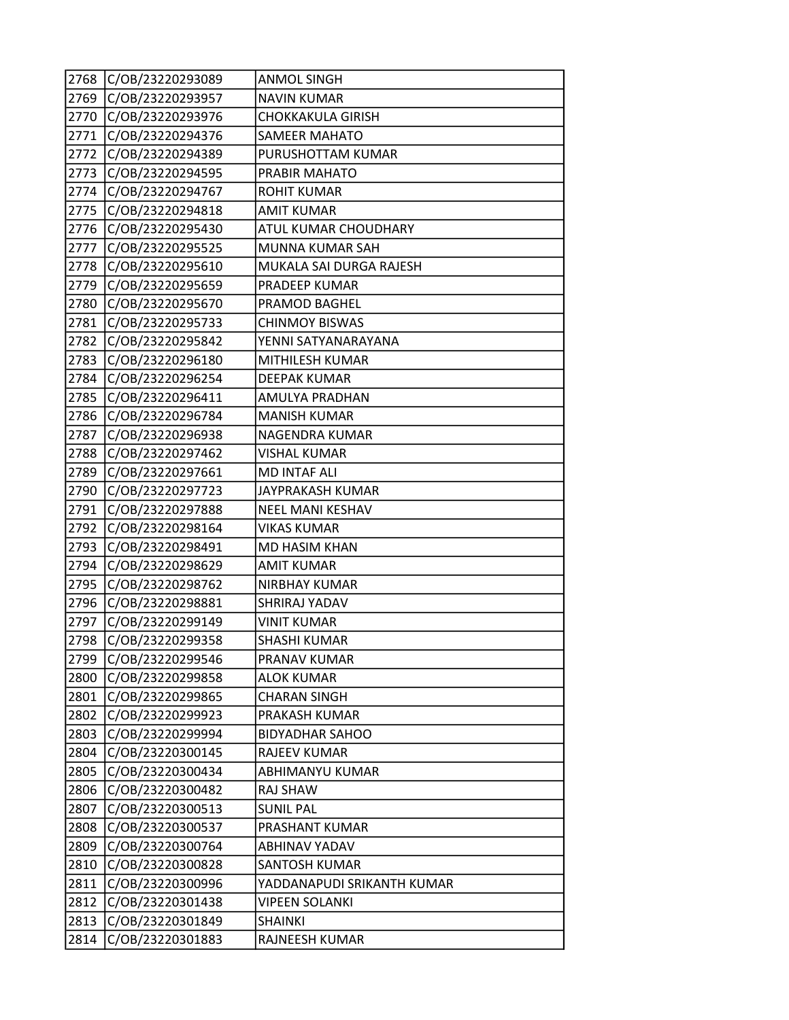| 2768 | C/OB/23220293089 | <b>ANMOL SINGH</b>          |
|------|------------------|-----------------------------|
| 2769 | C/OB/23220293957 | <b>NAVIN KUMAR</b>          |
| 2770 | C/OB/23220293976 | <b>CHOKKAKULA GIRISH</b>    |
| 2771 | C/OB/23220294376 | <b>SAMEER MAHATO</b>        |
| 2772 | C/OB/23220294389 | PURUSHOTTAM KUMAR           |
| 2773 | C/OB/23220294595 | PRABIR MAHATO               |
| 2774 | C/OB/23220294767 | <b>ROHIT KUMAR</b>          |
| 2775 | C/OB/23220294818 | <b>AMIT KUMAR</b>           |
| 2776 | C/OB/23220295430 | <b>ATUL KUMAR CHOUDHARY</b> |
| 2777 | C/OB/23220295525 | <b>MUNNA KUMAR SAH</b>      |
| 2778 | C/OB/23220295610 | MUKALA SAI DURGA RAJESH     |
| 2779 | C/OB/23220295659 | PRADEEP KUMAR               |
| 2780 | C/OB/23220295670 | <b>PRAMOD BAGHEL</b>        |
| 2781 | C/OB/23220295733 | <b>CHINMOY BISWAS</b>       |
| 2782 | C/OB/23220295842 | YENNI SATYANARAYANA         |
| 2783 | C/OB/23220296180 | MITHILESH KUMAR             |
| 2784 | C/OB/23220296254 | <b>DEEPAK KUMAR</b>         |
| 2785 | C/OB/23220296411 | <b>AMULYA PRADHAN</b>       |
| 2786 | C/OB/23220296784 | <b>MANISH KUMAR</b>         |
| 2787 | C/OB/23220296938 | NAGENDRA KUMAR              |
| 2788 | C/OB/23220297462 | <b>VISHAL KUMAR</b>         |
| 2789 | C/OB/23220297661 | <b>MD INTAF ALI</b>         |
| 2790 | C/OB/23220297723 | JAYPRAKASH KUMAR            |
| 2791 | C/OB/23220297888 | <b>NEEL MANI KESHAV</b>     |
| 2792 | C/OB/23220298164 | <b>VIKAS KUMAR</b>          |
| 2793 | C/OB/23220298491 | <b>MD HASIM KHAN</b>        |
| 2794 | C/OB/23220298629 | <b>AMIT KUMAR</b>           |
| 2795 | C/OB/23220298762 | <b>NIRBHAY KUMAR</b>        |
| 2796 | C/OB/23220298881 | <b>SHRIRAJ YADAV</b>        |
| 2797 | C/OB/23220299149 | <b>VINIT KUMAR</b>          |
| 2798 | C/OB/23220299358 | <b>SHASHI KUMAR</b>         |
| 2799 | C/OB/23220299546 | <b>PRANAV KUMAR</b>         |
| 2800 | C/OB/23220299858 | <b>ALOK KUMAR</b>           |
| 2801 | C/OB/23220299865 | <b>CHARAN SINGH</b>         |
| 2802 | C/OB/23220299923 | PRAKASH KUMAR               |
| 2803 | C/OB/23220299994 | <b>BIDYADHAR SAHOO</b>      |
| 2804 | C/OB/23220300145 | RAJEEV KUMAR                |
| 2805 | C/OB/23220300434 | ABHIMANYU KUMAR             |
| 2806 | C/OB/23220300482 | RAJ SHAW                    |
| 2807 | C/OB/23220300513 | <b>SUNIL PAL</b>            |
| 2808 | C/OB/23220300537 | PRASHANT KUMAR              |
| 2809 | C/OB/23220300764 | <b>ABHINAV YADAV</b>        |
| 2810 | C/OB/23220300828 | SANTOSH KUMAR               |
| 2811 | C/OB/23220300996 | YADDANAPUDI SRIKANTH KUMAR  |
| 2812 | C/OB/23220301438 | <b>VIPEEN SOLANKI</b>       |
| 2813 | C/OB/23220301849 | <b>SHAINKI</b>              |
| 2814 | C/OB/23220301883 | RAJNEESH KUMAR              |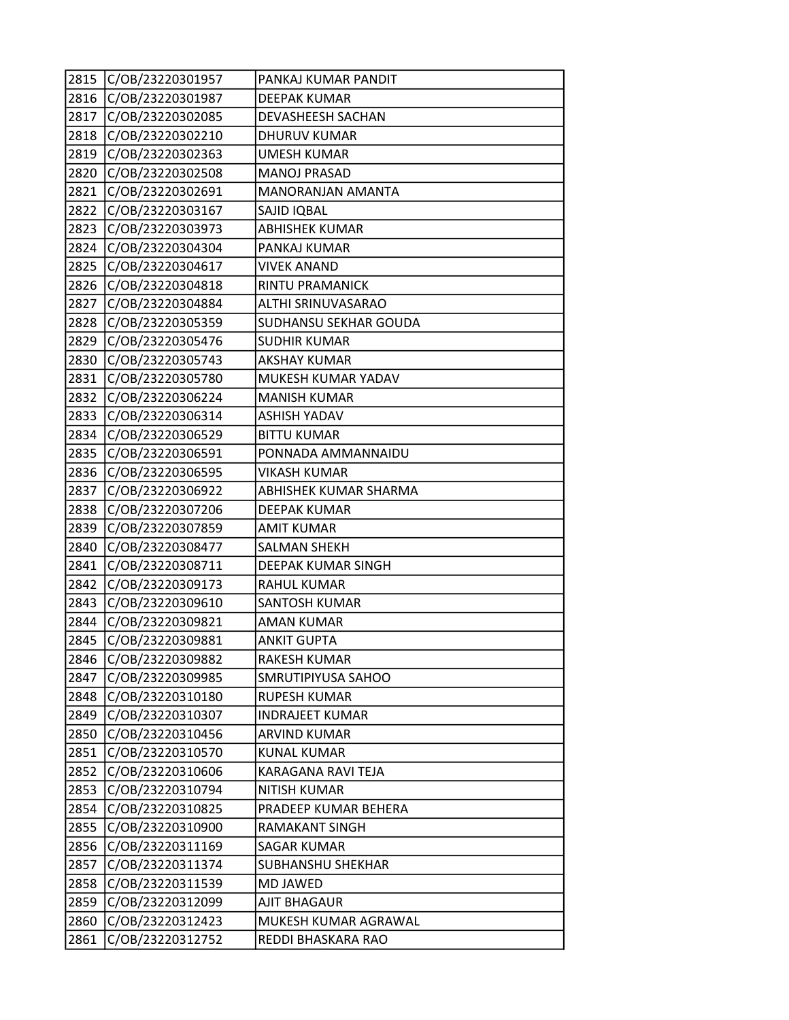| 2815 | C/OB/23220301957 | PANKAJ KUMAR PANDIT      |
|------|------------------|--------------------------|
| 2816 | C/OB/23220301987 | <b>DEEPAK KUMAR</b>      |
| 2817 | C/OB/23220302085 | DEVASHEESH SACHAN        |
| 2818 | C/OB/23220302210 | <b>DHURUV KUMAR</b>      |
| 2819 | C/OB/23220302363 | <b>UMESH KUMAR</b>       |
| 2820 | C/OB/23220302508 | <b>MANOJ PRASAD</b>      |
| 2821 | C/OB/23220302691 | MANORANJAN AMANTA        |
| 2822 | C/OB/23220303167 | SAJID IQBAL              |
| 2823 | C/OB/23220303973 | <b>ABHISHEK KUMAR</b>    |
| 2824 | C/OB/23220304304 | PANKAJ KUMAR             |
| 2825 | C/OB/23220304617 | <b>VIVEK ANAND</b>       |
| 2826 | C/OB/23220304818 | RINTU PRAMANICK          |
| 2827 | C/OB/23220304884 | ALTHI SRINUVASARAO       |
| 2828 | C/OB/23220305359 | SUDHANSU SEKHAR GOUDA    |
| 2829 | C/OB/23220305476 | <b>SUDHIR KUMAR</b>      |
| 2830 | C/OB/23220305743 | <b>AKSHAY KUMAR</b>      |
| 2831 | C/OB/23220305780 | MUKESH KUMAR YADAV       |
| 2832 | C/OB/23220306224 | <b>MANISH KUMAR</b>      |
| 2833 | C/OB/23220306314 | <b>ASHISH YADAV</b>      |
| 2834 | C/OB/23220306529 | <b>BITTU KUMAR</b>       |
| 2835 | C/OB/23220306591 | PONNADA AMMANNAIDU       |
| 2836 | C/OB/23220306595 | <b>VIKASH KUMAR</b>      |
| 2837 | C/OB/23220306922 | ABHISHEK KUMAR SHARMA    |
| 2838 | C/OB/23220307206 | <b>DEEPAK KUMAR</b>      |
| 2839 | C/OB/23220307859 | <b>AMIT KUMAR</b>        |
| 2840 | C/OB/23220308477 | SALMAN SHEKH             |
| 2841 | C/OB/23220308711 | DEEPAK KUMAR SINGH       |
| 2842 | C/OB/23220309173 | <b>RAHUL KUMAR</b>       |
| 2843 | C/OB/23220309610 | <b>SANTOSH KUMAR</b>     |
| 2844 | C/OB/23220309821 | AMAN KUMAR               |
| 2845 | C/OB/23220309881 | <b>ANKIT GUPTA</b>       |
| 2846 | C/OB/23220309882 | RAKESH KUMAR             |
| 2847 | C/OB/23220309985 | SMRUTIPIYUSA SAHOO       |
| 2848 | C/OB/23220310180 | <b>RUPESH KUMAR</b>      |
| 2849 | C/OB/23220310307 | <b>INDRAJEET KUMAR</b>   |
| 2850 | C/OB/23220310456 | <b>ARVIND KUMAR</b>      |
| 2851 | C/OB/23220310570 | KUNAL KUMAR              |
| 2852 | C/OB/23220310606 | KARAGANA RAVI TEJA       |
| 2853 | C/OB/23220310794 | <b>NITISH KUMAR</b>      |
| 2854 | C/OB/23220310825 | PRADEEP KUMAR BEHERA     |
| 2855 | C/OB/23220310900 | <b>RAMAKANT SINGH</b>    |
| 2856 | C/OB/23220311169 | SAGAR KUMAR              |
| 2857 | C/OB/23220311374 | <b>SUBHANSHU SHEKHAR</b> |
| 2858 | C/OB/23220311539 | MD JAWED                 |
| 2859 | C/OB/23220312099 | AJIT BHAGAUR             |
| 2860 | C/OB/23220312423 | MUKESH KUMAR AGRAWAL     |
| 2861 | C/OB/23220312752 | REDDI BHASKARA RAO       |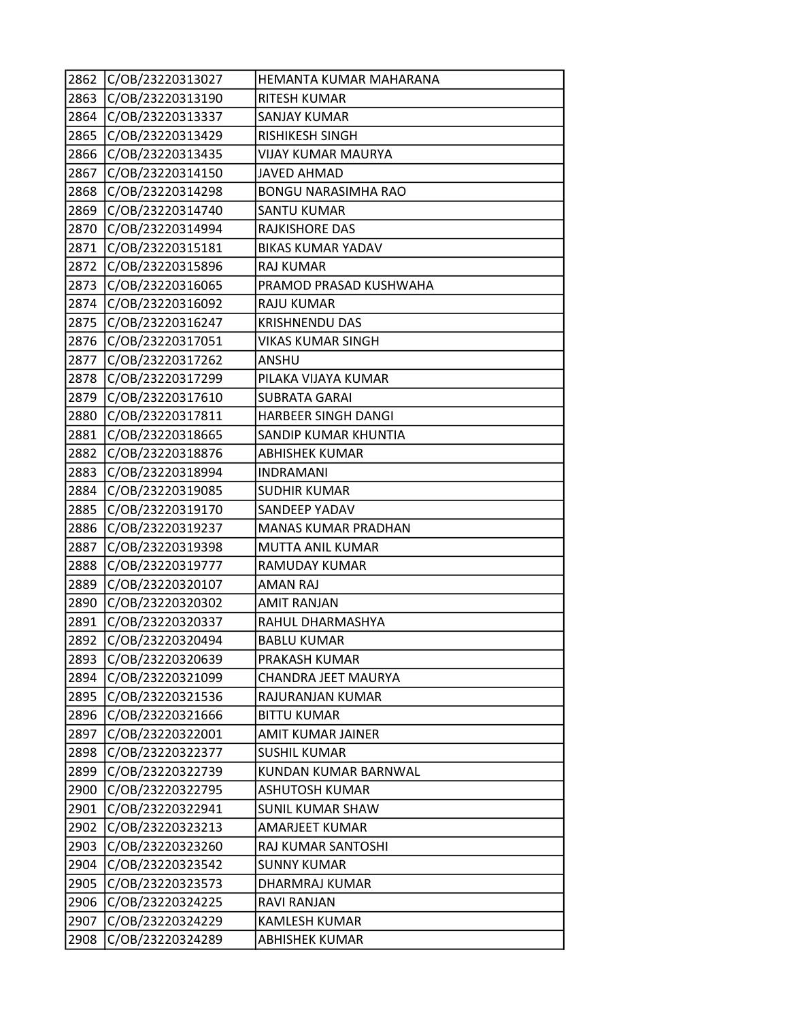| 2862 | C/OB/23220313027 | HEMANTA KUMAR MAHARANA     |
|------|------------------|----------------------------|
| 2863 | C/OB/23220313190 | <b>RITESH KUMAR</b>        |
| 2864 | C/OB/23220313337 | <b>SANJAY KUMAR</b>        |
| 2865 | C/OB/23220313429 | <b>RISHIKESH SINGH</b>     |
| 2866 | C/OB/23220313435 | <b>VIJAY KUMAR MAURYA</b>  |
| 2867 | C/OB/23220314150 | <b>JAVED AHMAD</b>         |
| 2868 | C/OB/23220314298 | <b>BONGU NARASIMHA RAO</b> |
| 2869 | C/OB/23220314740 | <b>SANTU KUMAR</b>         |
| 2870 | C/OB/23220314994 | RAJKISHORE DAS             |
| 2871 | C/OB/23220315181 | <b>BIKAS KUMAR YADAV</b>   |
| 2872 | C/OB/23220315896 | <b>RAJ KUMAR</b>           |
| 2873 | C/OB/23220316065 | PRAMOD PRASAD KUSHWAHA     |
| 2874 | C/OB/23220316092 | <b>RAJU KUMAR</b>          |
| 2875 | C/OB/23220316247 | <b>KRISHNENDU DAS</b>      |
| 2876 | C/OB/23220317051 | <b>VIKAS KUMAR SINGH</b>   |
| 2877 | C/OB/23220317262 | ANSHU                      |
| 2878 | C/OB/23220317299 | PILAKA VIJAYA KUMAR        |
| 2879 | C/OB/23220317610 | SUBRATA GARAI              |
| 2880 | C/OB/23220317811 | HARBEER SINGH DANGI        |
| 2881 | C/OB/23220318665 | SANDIP KUMAR KHUNTIA       |
| 2882 | C/OB/23220318876 | <b>ABHISHEK KUMAR</b>      |
| 2883 | C/OB/23220318994 | <b>INDRAMANI</b>           |
| 2884 | C/OB/23220319085 | <b>SUDHIR KUMAR</b>        |
| 2885 | C/OB/23220319170 | SANDEEP YADAV              |
| 2886 | C/OB/23220319237 | <b>MANAS KUMAR PRADHAN</b> |
| 2887 | C/OB/23220319398 | MUTTA ANIL KUMAR           |
| 2888 | C/OB/23220319777 | RAMUDAY KUMAR              |
| 2889 | C/OB/23220320107 | <b>AMAN RAJ</b>            |
| 2890 | C/OB/23220320302 | <b>AMIT RANJAN</b>         |
| 2891 | C/OB/23220320337 | RAHUL DHARMASHYA           |
| 2892 | C/OB/23220320494 | <b>BABLU KUMAR</b>         |
| 2893 | C/OB/23220320639 | PRAKASH KUMAR              |
| 2894 | C/OB/23220321099 | CHANDRA JEET MAURYA        |
| 2895 | C/OB/23220321536 | RAJURANJAN KUMAR           |
| 2896 | C/OB/23220321666 | <b>BITTU KUMAR</b>         |
| 2897 | C/OB/23220322001 | <b>AMIT KUMAR JAINER</b>   |
| 2898 | C/OB/23220322377 | SUSHIL KUMAR               |
| 2899 | C/OB/23220322739 | KUNDAN KUMAR BARNWAL       |
| 2900 | C/OB/23220322795 | <b>ASHUTOSH KUMAR</b>      |
| 2901 | C/OB/23220322941 | <b>SUNIL KUMAR SHAW</b>    |
| 2902 | C/OB/23220323213 | AMARJEET KUMAR             |
| 2903 | C/OB/23220323260 | RAJ KUMAR SANTOSHI         |
| 2904 | C/OB/23220323542 | <b>SUNNY KUMAR</b>         |
| 2905 | C/OB/23220323573 | DHARMRAJ KUMAR             |
| 2906 | C/OB/23220324225 | RAVI RANJAN                |
| 2907 | C/OB/23220324229 | KAMLESH KUMAR              |
| 2908 | C/OB/23220324289 | <b>ABHISHEK KUMAR</b>      |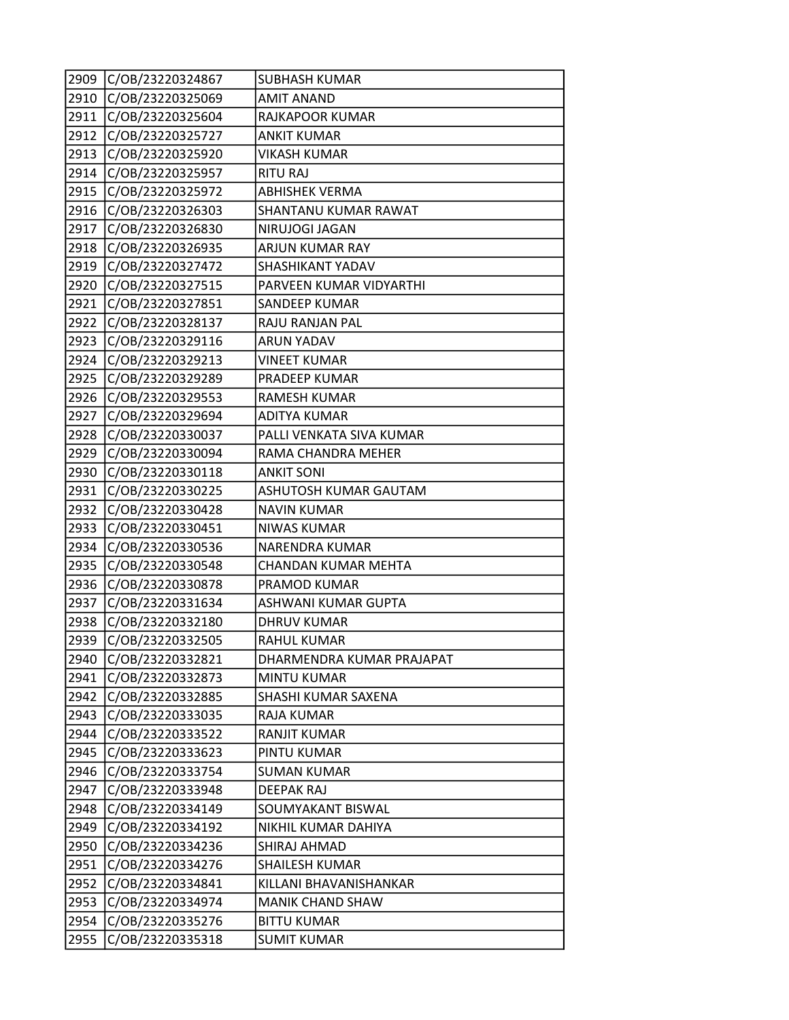| 2909 | C/OB/23220324867 | <b>SUBHASH KUMAR</b>      |
|------|------------------|---------------------------|
| 2910 | C/OB/23220325069 | <b>AMIT ANAND</b>         |
| 2911 | C/OB/23220325604 | RAJKAPOOR KUMAR           |
| 2912 | C/OB/23220325727 | <b>ANKIT KUMAR</b>        |
| 2913 | C/OB/23220325920 | <b>VIKASH KUMAR</b>       |
| 2914 | C/OB/23220325957 | <b>RITU RAJ</b>           |
| 2915 | C/OB/23220325972 | <b>ABHISHEK VERMA</b>     |
| 2916 | C/OB/23220326303 | SHANTANU KUMAR RAWAT      |
| 2917 | C/OB/23220326830 | NIRUJOGI JAGAN            |
| 2918 | C/OB/23220326935 | ARJUN KUMAR RAY           |
| 2919 | C/OB/23220327472 | SHASHIKANT YADAV          |
| 2920 | C/OB/23220327515 | PARVEEN KUMAR VIDYARTHI   |
| 2921 | C/OB/23220327851 | SANDEEP KUMAR             |
| 2922 | C/OB/23220328137 | RAJU RANJAN PAL           |
| 2923 | C/OB/23220329116 | ARUN YADAV                |
| 2924 | C/OB/23220329213 | <b>VINEET KUMAR</b>       |
| 2925 | C/OB/23220329289 | PRADEEP KUMAR             |
| 2926 | C/OB/23220329553 | RAMESH KUMAR              |
| 2927 | C/OB/23220329694 | <b>ADITYA KUMAR</b>       |
| 2928 | C/OB/23220330037 | PALLI VENKATA SIVA KUMAR  |
| 2929 | C/OB/23220330094 | RAMA CHANDRA MEHER        |
| 2930 | C/OB/23220330118 | <b>ANKIT SONI</b>         |
| 2931 | C/OB/23220330225 | ASHUTOSH KUMAR GAUTAM     |
| 2932 | C/OB/23220330428 | <b>NAVIN KUMAR</b>        |
| 2933 | C/OB/23220330451 | <b>NIWAS KUMAR</b>        |
| 2934 | C/OB/23220330536 | NARENDRA KUMAR            |
| 2935 | C/OB/23220330548 | CHANDAN KUMAR MEHTA       |
| 2936 | C/OB/23220330878 | PRAMOD KUMAR              |
| 2937 | C/OB/23220331634 | ASHWANI KUMAR GUPTA       |
| 2938 | C/OB/23220332180 | <b>DHRUV KUMAR</b>        |
| 2939 | C/OB/23220332505 | RAHUL KUMAR               |
| 2940 | C/OB/23220332821 | DHARMENDRA KUMAR PRAJAPAT |
| 2941 | C/OB/23220332873 | MINTU KUMAR               |
| 2942 | C/OB/23220332885 | SHASHI KUMAR SAXENA       |
| 2943 | C/OB/23220333035 | <b>RAJA KUMAR</b>         |
| 2944 | C/OB/23220333522 | RANJIT KUMAR              |
| 2945 | C/OB/23220333623 | PINTU KUMAR               |
| 2946 | C/OB/23220333754 | <b>SUMAN KUMAR</b>        |
| 2947 | C/OB/23220333948 | <b>DEEPAK RAJ</b>         |
| 2948 | C/OB/23220334149 | SOUMYAKANT BISWAL         |
| 2949 | C/OB/23220334192 | NIKHIL KUMAR DAHIYA       |
| 2950 | C/OB/23220334236 | SHIRAJ AHMAD              |
| 2951 | C/OB/23220334276 | SHAILESH KUMAR            |
| 2952 | C/OB/23220334841 | KILLANI BHAVANISHANKAR    |
| 2953 | C/OB/23220334974 | MANIK CHAND SHAW          |
| 2954 | C/OB/23220335276 | <b>BITTU KUMAR</b>        |
| 2955 | C/OB/23220335318 | <b>SUMIT KUMAR</b>        |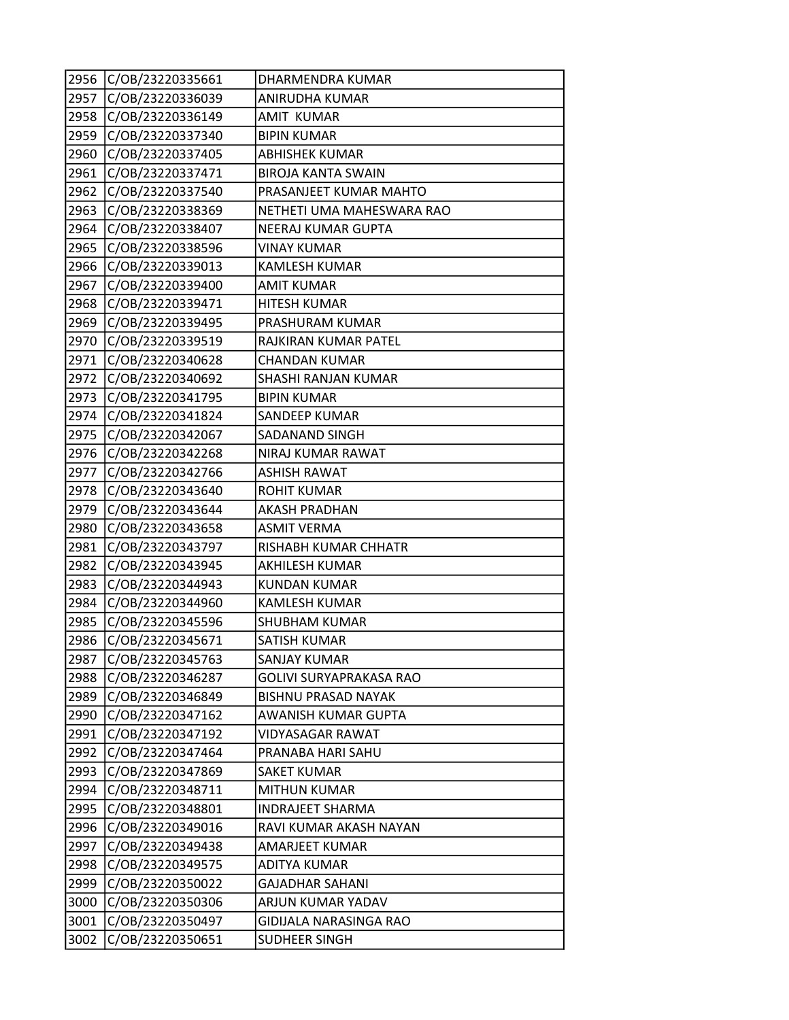| 2956 | C/OB/23220335661 | DHARMENDRA KUMAR               |
|------|------------------|--------------------------------|
| 2957 | C/OB/23220336039 | <b>ANIRUDHA KUMAR</b>          |
| 2958 | C/OB/23220336149 | <b>AMIT KUMAR</b>              |
| 2959 | C/OB/23220337340 | <b>BIPIN KUMAR</b>             |
| 2960 | C/OB/23220337405 | <b>ABHISHEK KUMAR</b>          |
| 2961 | C/OB/23220337471 | <b>BIROJA KANTA SWAIN</b>      |
| 2962 | C/OB/23220337540 | PRASANJEET KUMAR MAHTO         |
| 2963 | C/OB/23220338369 | NETHETI UMA MAHESWARA RAO      |
| 2964 | C/OB/23220338407 | NEERAJ KUMAR GUPTA             |
| 2965 | C/OB/23220338596 | <b>VINAY KUMAR</b>             |
| 2966 | C/OB/23220339013 | <b>KAMLESH KUMAR</b>           |
| 2967 | C/OB/23220339400 | <b>AMIT KUMAR</b>              |
| 2968 | C/OB/23220339471 | <b>HITESH KUMAR</b>            |
| 2969 | C/OB/23220339495 | PRASHURAM KUMAR                |
| 2970 | C/OB/23220339519 | RAJKIRAN KUMAR PATEL           |
| 2971 | C/OB/23220340628 | <b>CHANDAN KUMAR</b>           |
| 2972 | C/OB/23220340692 | SHASHI RANJAN KUMAR            |
| 2973 | C/OB/23220341795 | <b>BIPIN KUMAR</b>             |
| 2974 | C/OB/23220341824 | SANDEEP KUMAR                  |
| 2975 | C/OB/23220342067 | SADANAND SINGH                 |
| 2976 | C/OB/23220342268 | NIRAJ KUMAR RAWAT              |
| 2977 | C/OB/23220342766 | <b>ASHISH RAWAT</b>            |
| 2978 | C/OB/23220343640 | <b>ROHIT KUMAR</b>             |
| 2979 | C/OB/23220343644 | <b>AKASH PRADHAN</b>           |
| 2980 | C/OB/23220343658 | <b>ASMIT VERMA</b>             |
| 2981 | C/OB/23220343797 | RISHABH KUMAR CHHATR           |
| 2982 | C/OB/23220343945 | <b>AKHILESH KUMAR</b>          |
| 2983 | C/OB/23220344943 | <b>KUNDAN KUMAR</b>            |
| 2984 | C/OB/23220344960 | <b>KAMLESH KUMAR</b>           |
| 2985 | C/OB/23220345596 | <b>SHUBHAM KUMAR</b>           |
| 2986 | C/OB/23220345671 | SATISH KUMAR                   |
| 2987 | C/OB/23220345763 | <b>SANJAY KUMAR</b>            |
| 2988 | C/OB/23220346287 | <b>GOLIVI SURYAPRAKASA RAO</b> |
| 2989 | C/OB/23220346849 | <b>BISHNU PRASAD NAYAK</b>     |
| 2990 | C/OB/23220347162 | AWANISH KUMAR GUPTA            |
| 2991 | C/OB/23220347192 | <b>VIDYASAGAR RAWAT</b>        |
| 2992 | C/OB/23220347464 | PRANABA HARI SAHU              |
| 2993 | C/OB/23220347869 | <b>SAKET KUMAR</b>             |
| 2994 | C/OB/23220348711 | <b>MITHUN KUMAR</b>            |
| 2995 | C/OB/23220348801 | <b>INDRAJEET SHARMA</b>        |
| 2996 | C/OB/23220349016 | RAVI KUMAR AKASH NAYAN         |
| 2997 | C/OB/23220349438 | AMARJEET KUMAR                 |
| 2998 | C/OB/23220349575 | <b>ADITYA KUMAR</b>            |
| 2999 | C/OB/23220350022 | <b>GAJADHAR SAHANI</b>         |
| 3000 | C/OB/23220350306 | ARJUN KUMAR YADAV              |
| 3001 | C/OB/23220350497 | GIDIJALA NARASINGA RAO         |
| 3002 | C/OB/23220350651 | SUDHEER SINGH                  |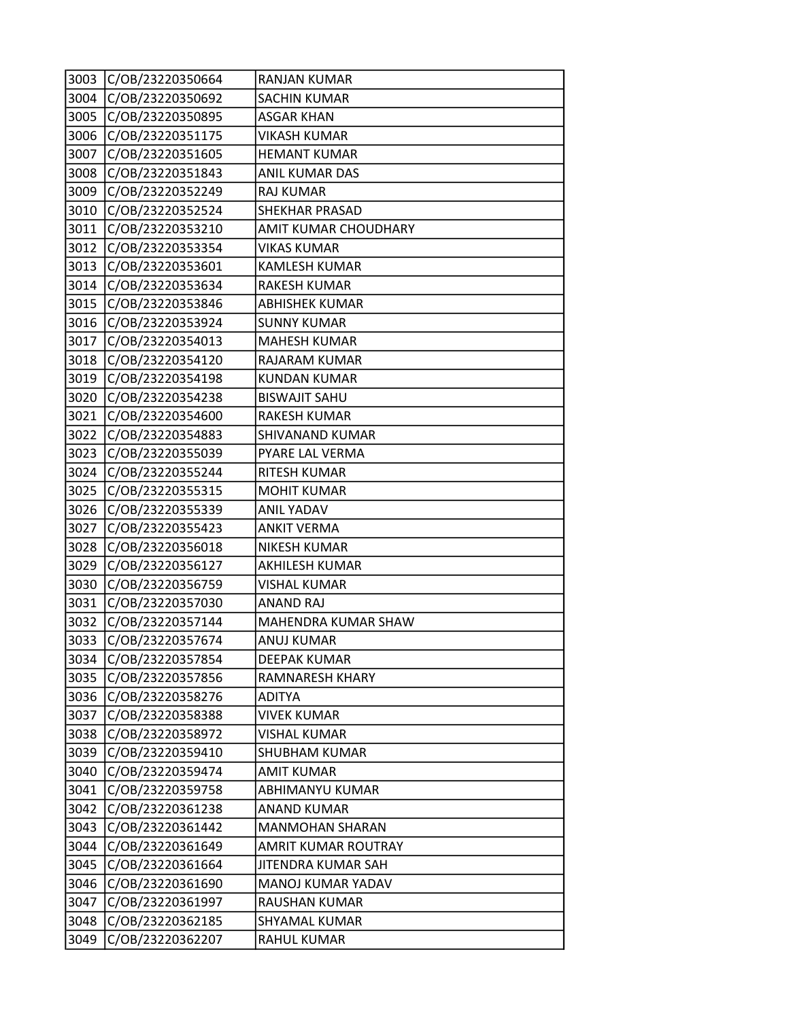| 3003 | C/OB/23220350664 | <b>RANJAN KUMAR</b>    |
|------|------------------|------------------------|
| 3004 | C/OB/23220350692 | <b>SACHIN KUMAR</b>    |
| 3005 | C/OB/23220350895 | <b>ASGAR KHAN</b>      |
| 3006 | C/OB/23220351175 | <b>VIKASH KUMAR</b>    |
| 3007 | C/OB/23220351605 | <b>HEMANT KUMAR</b>    |
| 3008 | C/OB/23220351843 | ANIL KUMAR DAS         |
| 3009 | C/OB/23220352249 | RAJ KUMAR              |
| 3010 | C/OB/23220352524 | <b>SHEKHAR PRASAD</b>  |
| 3011 | C/OB/23220353210 | AMIT KUMAR CHOUDHARY   |
| 3012 | C/OB/23220353354 | <b>VIKAS KUMAR</b>     |
| 3013 | C/OB/23220353601 | <b>KAMLESH KUMAR</b>   |
| 3014 | C/OB/23220353634 | RAKESH KUMAR           |
| 3015 | C/OB/23220353846 | <b>ABHISHEK KUMAR</b>  |
| 3016 | C/OB/23220353924 | <b>SUNNY KUMAR</b>     |
| 3017 | C/OB/23220354013 | <b>MAHESH KUMAR</b>    |
| 3018 | C/OB/23220354120 | <b>RAJARAM KUMAR</b>   |
| 3019 | C/OB/23220354198 | <b>KUNDAN KUMAR</b>    |
| 3020 | C/OB/23220354238 | <b>BISWAJIT SAHU</b>   |
| 3021 | C/OB/23220354600 | <b>RAKESH KUMAR</b>    |
| 3022 | C/OB/23220354883 | SHIVANAND KUMAR        |
| 3023 | C/OB/23220355039 | PYARE LAL VERMA        |
| 3024 | C/OB/23220355244 | RITESH KUMAR           |
| 3025 | C/OB/23220355315 | <b>MOHIT KUMAR</b>     |
| 3026 | C/OB/23220355339 | <b>ANIL YADAV</b>      |
| 3027 | C/OB/23220355423 | <b>ANKIT VERMA</b>     |
| 3028 | C/OB/23220356018 | <b>NIKESH KUMAR</b>    |
| 3029 | C/OB/23220356127 | AKHILESH KUMAR         |
| 3030 | C/OB/23220356759 | <b>VISHAL KUMAR</b>    |
| 3031 | C/OB/23220357030 | <b>ANAND RAJ</b>       |
| 3032 | C/OB/23220357144 | MAHENDRA KUMAR SHAW    |
| 3033 | C/OB/23220357674 | <b>ANUJ KUMAR</b>      |
| 3034 | C/OB/23220357854 | <b>DEEPAK KUMAR</b>    |
| 3035 | C/OB/23220357856 | <b>RAMNARESH KHARY</b> |
| 3036 | C/OB/23220358276 | ADITYA                 |
| 3037 | C/OB/23220358388 | <b>VIVEK KUMAR</b>     |
| 3038 | C/OB/23220358972 | <b>VISHAL KUMAR</b>    |
| 3039 | C/OB/23220359410 | <b>SHUBHAM KUMAR</b>   |
| 3040 | C/OB/23220359474 | <b>AMIT KUMAR</b>      |
| 3041 | C/OB/23220359758 | <b>ABHIMANYU KUMAR</b> |
| 3042 | C/OB/23220361238 | <b>ANAND KUMAR</b>     |
| 3043 | C/OB/23220361442 | <b>MANMOHAN SHARAN</b> |
| 3044 | C/OB/23220361649 | AMRIT KUMAR ROUTRAY    |
| 3045 | C/OB/23220361664 | JITENDRA KUMAR SAH     |
| 3046 | C/OB/23220361690 | MANOJ KUMAR YADAV      |
| 3047 | C/OB/23220361997 | RAUSHAN KUMAR          |
| 3048 | C/OB/23220362185 | SHYAMAL KUMAR          |
| 3049 | C/OB/23220362207 | RAHUL KUMAR            |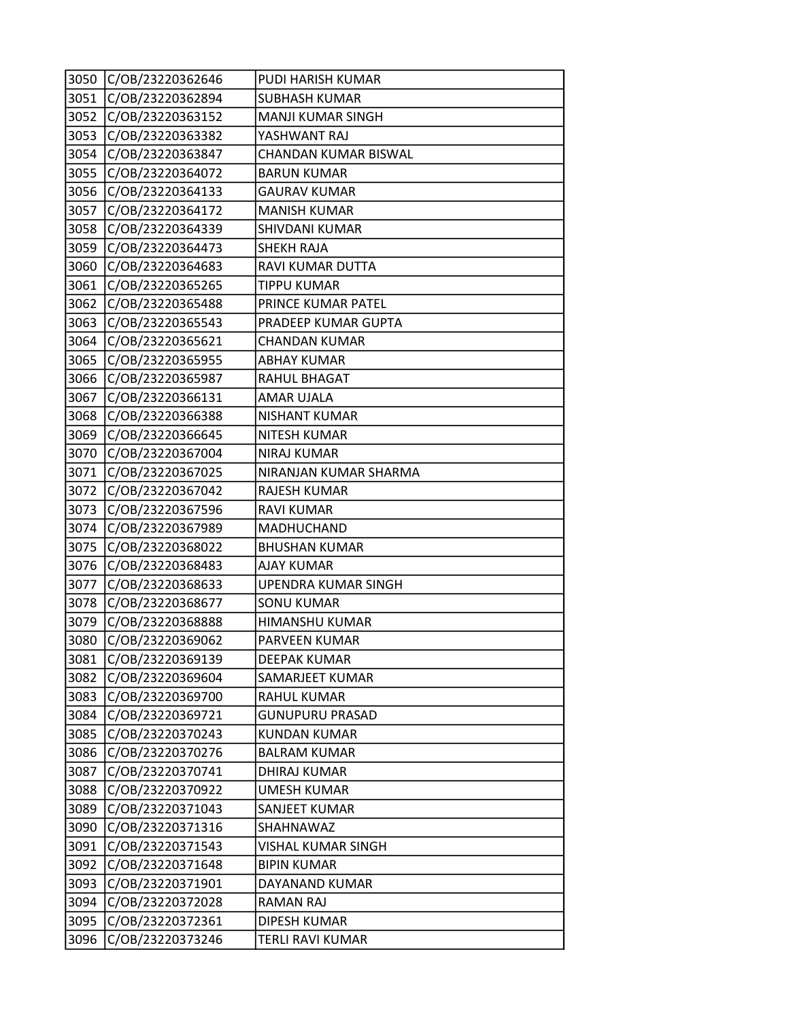| 3050 | C/OB/23220362646 | PUDI HARISH KUMAR        |
|------|------------------|--------------------------|
| 3051 | C/OB/23220362894 | <b>SUBHASH KUMAR</b>     |
| 3052 | C/OB/23220363152 | <b>MANJI KUMAR SINGH</b> |
| 3053 | C/OB/23220363382 | YASHWANT RAJ             |
| 3054 | C/OB/23220363847 | CHANDAN KUMAR BISWAL     |
| 3055 | C/OB/23220364072 | <b>BARUN KUMAR</b>       |
| 3056 | C/OB/23220364133 | <b>GAURAV KUMAR</b>      |
| 3057 | C/OB/23220364172 | <b>MANISH KUMAR</b>      |
| 3058 | C/OB/23220364339 | SHIVDANI KUMAR           |
| 3059 | C/OB/23220364473 | <b>SHEKH RAJA</b>        |
| 3060 | C/OB/23220364683 | RAVI KUMAR DUTTA         |
| 3061 | C/OB/23220365265 | <b>TIPPU KUMAR</b>       |
| 3062 | C/OB/23220365488 | PRINCE KUMAR PATEL       |
| 3063 | C/OB/23220365543 | PRADEEP KUMAR GUPTA      |
| 3064 | C/OB/23220365621 | <b>CHANDAN KUMAR</b>     |
| 3065 | C/OB/23220365955 | <b>ABHAY KUMAR</b>       |
| 3066 | C/OB/23220365987 | <b>RAHUL BHAGAT</b>      |
| 3067 | C/OB/23220366131 | AMAR UJALA               |
| 3068 | C/OB/23220366388 | <b>NISHANT KUMAR</b>     |
| 3069 | C/OB/23220366645 | <b>NITESH KUMAR</b>      |
| 3070 | C/OB/23220367004 | <b>NIRAJ KUMAR</b>       |
| 3071 | C/OB/23220367025 | NIRANJAN KUMAR SHARMA    |
| 3072 | C/OB/23220367042 | <b>RAJESH KUMAR</b>      |
| 3073 | C/OB/23220367596 | <b>RAVI KUMAR</b>        |
| 3074 | C/OB/23220367989 | MADHUCHAND               |
| 3075 | C/OB/23220368022 | <b>BHUSHAN KUMAR</b>     |
| 3076 | C/OB/23220368483 | <b>AJAY KUMAR</b>        |
| 3077 | C/OB/23220368633 | UPENDRA KUMAR SINGH      |
| 3078 | C/OB/23220368677 | <b>SONU KUMAR</b>        |
| 3079 | C/OB/23220368888 | HIMANSHU KUMAR           |
| 3080 | C/OB/23220369062 | PARVEEN KUMAR            |
| 3081 | C/OB/23220369139 | DEEPAK KUMAR             |
| 3082 | C/OB/23220369604 | SAMARJEET KUMAR          |
| 3083 | C/OB/23220369700 | <b>RAHUL KUMAR</b>       |
| 3084 | C/OB/23220369721 | <b>GUNUPURU PRASAD</b>   |
| 3085 | C/OB/23220370243 | <b>KUNDAN KUMAR</b>      |
| 3086 | C/OB/23220370276 | <b>BALRAM KUMAR</b>      |
| 3087 | C/OB/23220370741 | <b>DHIRAJ KUMAR</b>      |
| 3088 | C/OB/23220370922 | <b>UMESH KUMAR</b>       |
| 3089 | C/OB/23220371043 | SANJEET KUMAR            |
| 3090 | C/OB/23220371316 | SHAHNAWAZ                |
| 3091 | C/OB/23220371543 | VISHAL KUMAR SINGH       |
| 3092 | C/OB/23220371648 | <b>BIPIN KUMAR</b>       |
| 3093 | C/OB/23220371901 | DAYANAND KUMAR           |
| 3094 | C/OB/23220372028 | <b>RAMAN RAJ</b>         |
| 3095 | C/OB/23220372361 | <b>DIPESH KUMAR</b>      |
| 3096 | C/OB/23220373246 | TERLI RAVI KUMAR         |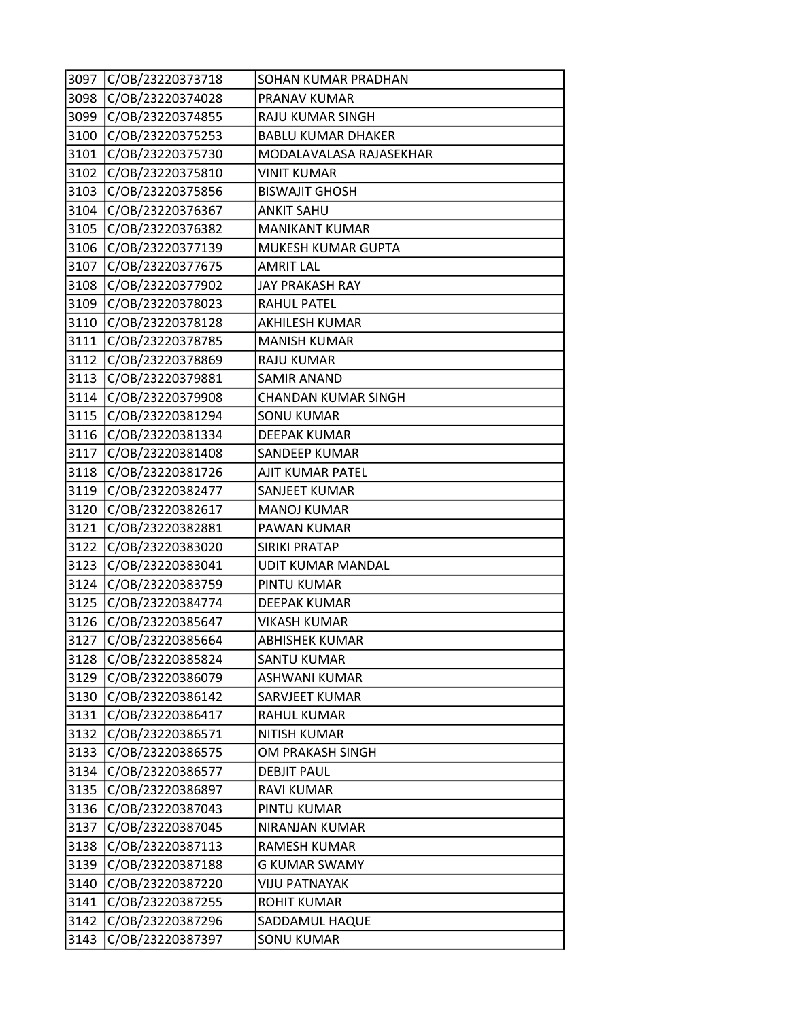| 3097 | C/OB/23220373718 | SOHAN KUMAR PRADHAN        |
|------|------------------|----------------------------|
| 3098 | C/OB/23220374028 | PRANAV KUMAR               |
| 3099 | C/OB/23220374855 | RAJU KUMAR SINGH           |
| 3100 | C/OB/23220375253 | <b>BABLU KUMAR DHAKER</b>  |
| 3101 | C/OB/23220375730 | MODALAVALASA RAJASEKHAR    |
| 3102 | C/OB/23220375810 | VINIT KUMAR                |
| 3103 | C/OB/23220375856 | <b>BISWAJIT GHOSH</b>      |
| 3104 | C/OB/23220376367 | <b>ANKIT SAHU</b>          |
| 3105 | C/OB/23220376382 | <b>MANIKANT KUMAR</b>      |
| 3106 | C/OB/23220377139 | MUKESH KUMAR GUPTA         |
| 3107 | C/OB/23220377675 | <b>AMRIT LAL</b>           |
| 3108 | C/OB/23220377902 | <b>JAY PRAKASH RAY</b>     |
| 3109 | C/OB/23220378023 | <b>RAHUL PATEL</b>         |
| 3110 | C/OB/23220378128 | AKHILESH KUMAR             |
| 3111 | C/OB/23220378785 | <b>MANISH KUMAR</b>        |
| 3112 | C/OB/23220378869 | <b>RAJU KUMAR</b>          |
| 3113 | C/OB/23220379881 | <b>SAMIR ANAND</b>         |
| 3114 | C/OB/23220379908 | <b>CHANDAN KUMAR SINGH</b> |
| 3115 | C/OB/23220381294 | <b>SONU KUMAR</b>          |
| 3116 | C/OB/23220381334 | <b>DEEPAK KUMAR</b>        |
| 3117 | C/OB/23220381408 | SANDEEP KUMAR              |
| 3118 | C/OB/23220381726 | AJIT KUMAR PATEL           |
| 3119 | C/OB/23220382477 | SANJEET KUMAR              |
| 3120 | C/OB/23220382617 | <b>MANOJ KUMAR</b>         |
| 3121 | C/OB/23220382881 | PAWAN KUMAR                |
| 3122 | C/OB/23220383020 | <b>SIRIKI PRATAP</b>       |
| 3123 | C/OB/23220383041 | <b>UDIT KUMAR MANDAL</b>   |
| 3124 | C/OB/23220383759 | PINTU KUMAR                |
| 3125 | C/OB/23220384774 | <b>DEEPAK KUMAR</b>        |
| 3126 | C/OB/23220385647 | <b>VIKASH KUMAR</b>        |
| 3127 | C/OB/23220385664 | <b>ABHISHEK KUMAR</b>      |
| 3128 | C/OB/23220385824 | SANTU KUMAR                |
| 3129 | C/OB/23220386079 | <b>ASHWANI KUMAR</b>       |
| 3130 | C/OB/23220386142 | SARVJEET KUMAR             |
| 3131 | C/OB/23220386417 | <b>RAHUL KUMAR</b>         |
| 3132 | C/OB/23220386571 | <b>NITISH KUMAR</b>        |
| 3133 | C/OB/23220386575 | OM PRAKASH SINGH           |
| 3134 | C/OB/23220386577 | <b>DEBJIT PAUL</b>         |
| 3135 | C/OB/23220386897 | <b>RAVI KUMAR</b>          |
| 3136 | C/OB/23220387043 | PINTU KUMAR                |
| 3137 | C/OB/23220387045 | NIRANJAN KUMAR             |
| 3138 | C/OB/23220387113 | <b>RAMESH KUMAR</b>        |
| 3139 | C/OB/23220387188 | <b>G KUMAR SWAMY</b>       |
| 3140 | C/OB/23220387220 | <b>VIJU PATNAYAK</b>       |
| 3141 | C/OB/23220387255 | <b>ROHIT KUMAR</b>         |
| 3142 | C/OB/23220387296 | SADDAMUL HAQUE             |
| 3143 | C/OB/23220387397 | <b>SONU KUMAR</b>          |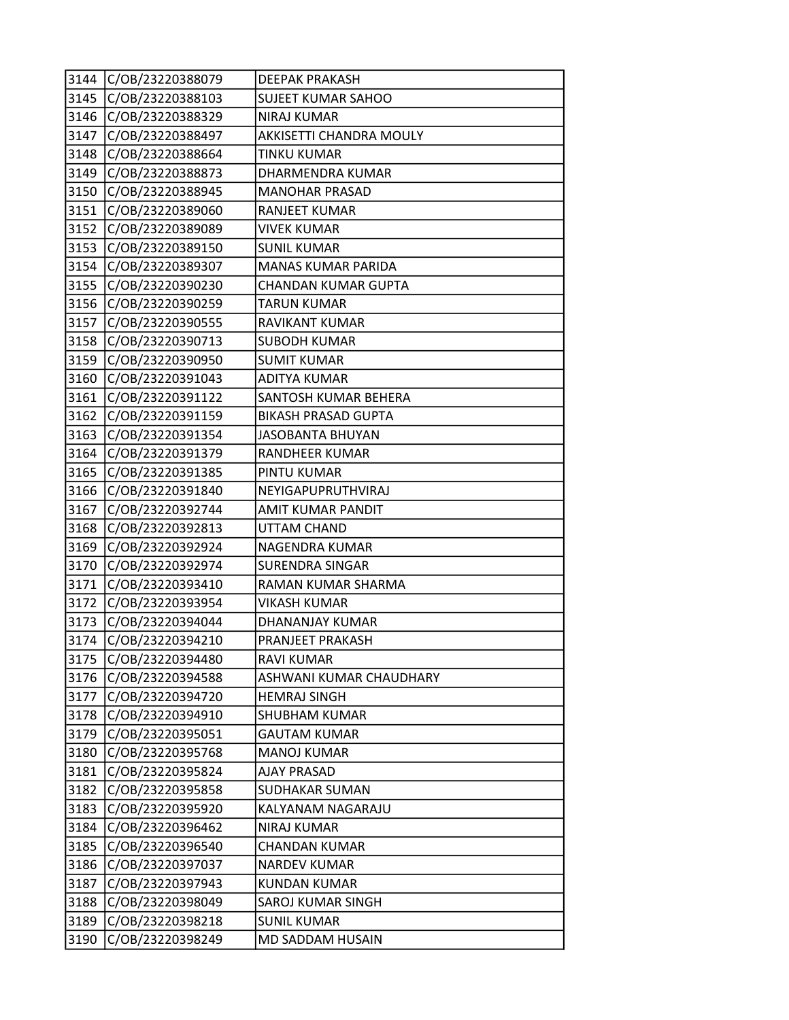| 3144 | C/OB/23220388079 | DEEPAK PRAKASH             |
|------|------------------|----------------------------|
| 3145 | C/OB/23220388103 | <b>SUJEET KUMAR SAHOO</b>  |
| 3146 | C/OB/23220388329 | <b>NIRAJ KUMAR</b>         |
| 3147 | C/OB/23220388497 | AKKISETTI CHANDRA MOULY    |
| 3148 | C/OB/23220388664 | <b>TINKU KUMAR</b>         |
| 3149 | C/OB/23220388873 | DHARMENDRA KUMAR           |
| 3150 | C/OB/23220388945 | <b>MANOHAR PRASAD</b>      |
| 3151 | C/OB/23220389060 | <b>RANJEET KUMAR</b>       |
| 3152 | C/OB/23220389089 | <b>VIVEK KUMAR</b>         |
| 3153 | C/OB/23220389150 | <b>SUNIL KUMAR</b>         |
| 3154 | C/OB/23220389307 | <b>MANAS KUMAR PARIDA</b>  |
| 3155 | C/OB/23220390230 | <b>CHANDAN KUMAR GUPTA</b> |
| 3156 | C/OB/23220390259 | <b>TARUN KUMAR</b>         |
| 3157 | C/OB/23220390555 | RAVIKANT KUMAR             |
| 3158 | C/OB/23220390713 | <b>SUBODH KUMAR</b>        |
| 3159 | C/OB/23220390950 | <b>SUMIT KUMAR</b>         |
| 3160 | C/OB/23220391043 | <b>ADITYA KUMAR</b>        |
| 3161 | C/OB/23220391122 | SANTOSH KUMAR BEHERA       |
| 3162 | C/OB/23220391159 | <b>BIKASH PRASAD GUPTA</b> |
| 3163 | C/OB/23220391354 | <b>JASOBANTA BHUYAN</b>    |
| 3164 | C/OB/23220391379 | RANDHEER KUMAR             |
| 3165 | C/OB/23220391385 | PINTU KUMAR                |
| 3166 | C/OB/23220391840 | NEYIGAPUPRUTHVIRAJ         |
| 3167 | C/OB/23220392744 | <b>AMIT KUMAR PANDIT</b>   |
| 3168 | C/OB/23220392813 | UTTAM CHAND                |
| 3169 | C/OB/23220392924 | NAGENDRA KUMAR             |
| 3170 | C/OB/23220392974 | <b>SURENDRA SINGAR</b>     |
| 3171 | C/OB/23220393410 | RAMAN KUMAR SHARMA         |
| 3172 | C/OB/23220393954 | <b>VIKASH KUMAR</b>        |
| 3173 | C/OB/23220394044 | DHANANJAY KUMAR            |
| 3174 | C/OB/23220394210 | PRANJEET PRAKASH           |
| 3175 | C/OB/23220394480 | <b>RAVI KUMAR</b>          |
| 3176 | C/OB/23220394588 | ASHWANI KUMAR CHAUDHARY    |
| 3177 | C/OB/23220394720 | <b>HEMRAJ SINGH</b>        |
| 3178 | C/OB/23220394910 | <b>SHUBHAM KUMAR</b>       |
| 3179 | C/OB/23220395051 | <b>GAUTAM KUMAR</b>        |
| 3180 | C/OB/23220395768 | <b>MANOJ KUMAR</b>         |
| 3181 | C/OB/23220395824 | <b>AJAY PRASAD</b>         |
| 3182 | C/OB/23220395858 | SUDHAKAR SUMAN             |
| 3183 | C/OB/23220395920 | KALYANAM NAGARAJU          |
| 3184 | C/OB/23220396462 | <b>NIRAJ KUMAR</b>         |
| 3185 | C/OB/23220396540 | CHANDAN KUMAR              |
| 3186 | C/OB/23220397037 | <b>NARDEV KUMAR</b>        |
| 3187 | C/OB/23220397943 | KUNDAN KUMAR               |
| 3188 | C/OB/23220398049 | SAROJ KUMAR SINGH          |
| 3189 | C/OB/23220398218 | <b>SUNIL KUMAR</b>         |
| 3190 | C/OB/23220398249 | MD SADDAM HUSAIN           |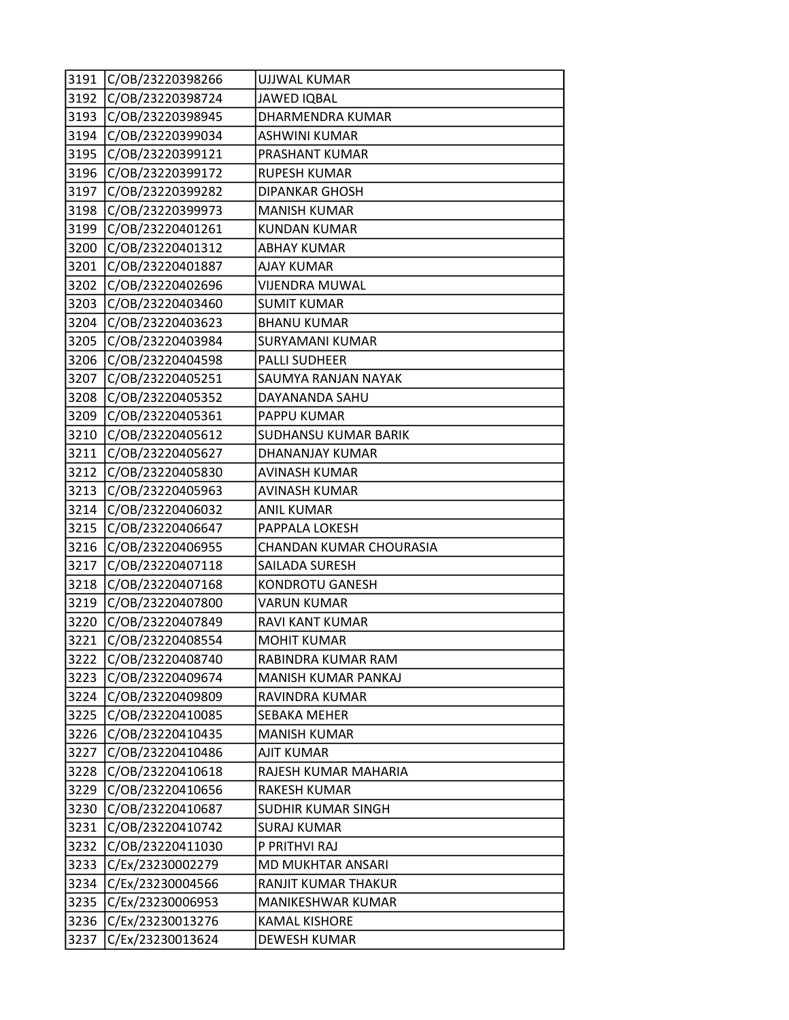| 3191 | C/OB/23220398266 | <b>UJJWAL KUMAR</b>       |
|------|------------------|---------------------------|
| 3192 | C/OB/23220398724 | <b>JAWED IQBAL</b>        |
| 3193 | C/OB/23220398945 | DHARMENDRA KUMAR          |
| 3194 | C/OB/23220399034 | <b>ASHWINI KUMAR</b>      |
| 3195 | C/OB/23220399121 | PRASHANT KUMAR            |
| 3196 | C/OB/23220399172 | <b>RUPESH KUMAR</b>       |
| 3197 | C/OB/23220399282 | <b>DIPANKAR GHOSH</b>     |
| 3198 | C/OB/23220399973 | <b>MANISH KUMAR</b>       |
| 3199 | C/OB/23220401261 | <b>KUNDAN KUMAR</b>       |
| 3200 | C/OB/23220401312 | <b>ABHAY KUMAR</b>        |
| 3201 | C/OB/23220401887 | <b>AJAY KUMAR</b>         |
| 3202 | C/OB/23220402696 | <b>VIJENDRA MUWAL</b>     |
| 3203 | C/OB/23220403460 | <b>SUMIT KUMAR</b>        |
| 3204 | C/OB/23220403623 | <b>BHANU KUMAR</b>        |
| 3205 | C/OB/23220403984 | <b>SURYAMANI KUMAR</b>    |
| 3206 | C/OB/23220404598 | <b>PALLI SUDHEER</b>      |
| 3207 | C/OB/23220405251 | SAUMYA RANJAN NAYAK       |
| 3208 | C/OB/23220405352 | DAYANANDA SAHU            |
| 3209 | C/OB/23220405361 | PAPPU KUMAR               |
| 3210 | C/OB/23220405612 | SUDHANSU KUMAR BARIK      |
| 3211 | C/OB/23220405627 | DHANANJAY KUMAR           |
| 3212 | C/OB/23220405830 | <b>AVINASH KUMAR</b>      |
| 3213 | C/OB/23220405963 | <b>AVINASH KUMAR</b>      |
| 3214 | C/OB/23220406032 | <b>ANIL KUMAR</b>         |
| 3215 | C/OB/23220406647 | PAPPALA LOKESH            |
| 3216 | C/OB/23220406955 | CHANDAN KUMAR CHOURASIA   |
| 3217 | C/OB/23220407118 | SAILADA SURESH            |
| 3218 | C/OB/23220407168 | <b>KONDROTU GANESH</b>    |
| 3219 | C/OB/23220407800 | <b>VARUN KUMAR</b>        |
| 3220 | C/OB/23220407849 | RAVI KANT KUMAR           |
| 3221 | C/OB/23220408554 | <b>MOHIT KUMAR</b>        |
| 3222 | C/OB/23220408740 | RABINDRA KUMAR RAM        |
| 3223 | C/OB/23220409674 | MANISH KUMAR PANKAJ       |
| 3224 | C/OB/23220409809 | RAVINDRA KUMAR            |
| 3225 | C/OB/23220410085 | SEBAKA MEHER              |
| 3226 | C/OB/23220410435 | <b>MANISH KUMAR</b>       |
| 3227 | C/OB/23220410486 | AJIT KUMAR                |
| 3228 | C/OB/23220410618 | RAJESH KUMAR MAHARIA      |
| 3229 | C/OB/23220410656 | <b>RAKESH KUMAR</b>       |
| 3230 | C/OB/23220410687 | <b>SUDHIR KUMAR SINGH</b> |
| 3231 | C/OB/23220410742 | <b>SURAJ KUMAR</b>        |
| 3232 | C/OB/23220411030 | P PRITHVI RAJ             |
| 3233 | C/Ex/23230002279 | MD MUKHTAR ANSARI         |
| 3234 | C/Ex/23230004566 | RANJIT KUMAR THAKUR       |
| 3235 | C/Ex/23230006953 | MANIKESHWAR KUMAR         |
| 3236 | C/Ex/23230013276 | <b>KAMAL KISHORE</b>      |
| 3237 | C/Ex/23230013624 | <b>DEWESH KUMAR</b>       |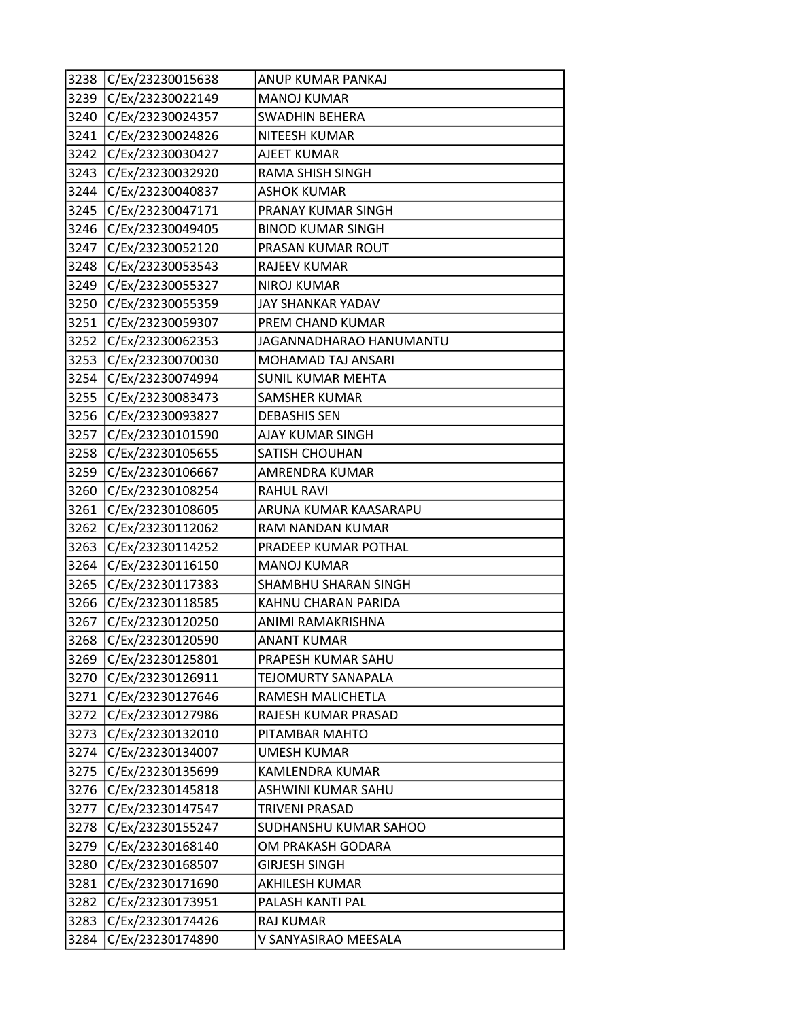| 3238 | C/Ex/23230015638 | ANUP KUMAR PANKAJ        |
|------|------------------|--------------------------|
| 3239 | C/Ex/23230022149 | <b>MANOJ KUMAR</b>       |
| 3240 | C/Ex/23230024357 | <b>SWADHIN BEHERA</b>    |
| 3241 | C/Ex/23230024826 | <b>NITEESH KUMAR</b>     |
| 3242 | C/Ex/23230030427 | AJEET KUMAR              |
| 3243 | C/Ex/23230032920 | RAMA SHISH SINGH         |
| 3244 | C/Ex/23230040837 | <b>ASHOK KUMAR</b>       |
| 3245 | C/Ex/23230047171 | PRANAY KUMAR SINGH       |
| 3246 | C/Ex/23230049405 | <b>BINOD KUMAR SINGH</b> |
| 3247 | C/Ex/23230052120 | PRASAN KUMAR ROUT        |
| 3248 | C/Ex/23230053543 | RAJEEV KUMAR             |
| 3249 | C/Ex/23230055327 | <b>NIROJ KUMAR</b>       |
| 3250 | C/Ex/23230055359 | JAY SHANKAR YADAV        |
| 3251 | C/Ex/23230059307 | PREM CHAND KUMAR         |
| 3252 | C/Ex/23230062353 | JAGANNADHARAO HANUMANTU  |
| 3253 | C/Ex/23230070030 | MOHAMAD TAJ ANSARI       |
| 3254 | C/Ex/23230074994 | <b>SUNIL KUMAR MEHTA</b> |
| 3255 | C/Ex/23230083473 | SAMSHER KUMAR            |
| 3256 | C/Ex/23230093827 | <b>DEBASHIS SEN</b>      |
| 3257 | C/Ex/23230101590 | AJAY KUMAR SINGH         |
| 3258 | C/Ex/23230105655 | SATISH CHOUHAN           |
| 3259 | C/Ex/23230106667 | AMRENDRA KUMAR           |
| 3260 | C/Ex/23230108254 | <b>RAHUL RAVI</b>        |
| 3261 | C/Ex/23230108605 | ARUNA KUMAR KAASARAPU    |
| 3262 | C/Ex/23230112062 | RAM NANDAN KUMAR         |
| 3263 | C/Ex/23230114252 | PRADEEP KUMAR POTHAL     |
| 3264 | C/Ex/23230116150 | <b>MANOJ KUMAR</b>       |
| 3265 | C/Ex/23230117383 | SHAMBHU SHARAN SINGH     |
| 3266 | C/Ex/23230118585 | KAHNU CHARAN PARIDA      |
| 3267 | C/Ex/23230120250 | ANIMI RAMAKRISHNA        |
| 3268 | C/Ex/23230120590 | ANANT KUMAR              |
| 3269 | C/Ex/23230125801 | PRAPESH KUMAR SAHU       |
| 3270 | C/Ex/23230126911 | TEJOMURTY SANAPALA       |
| 3271 | C/Ex/23230127646 | RAMESH MALICHETLA        |
| 3272 | C/Ex/23230127986 | RAJESH KUMAR PRASAD      |
| 3273 | C/Ex/23230132010 | PITAMBAR MAHTO           |
| 3274 | C/Ex/23230134007 | <b>UMESH KUMAR</b>       |
| 3275 | C/Ex/23230135699 | <b>KAMLENDRA KUMAR</b>   |
| 3276 | C/Ex/23230145818 | ASHWINI KUMAR SAHU       |
| 3277 | C/Ex/23230147547 | TRIVENI PRASAD           |
| 3278 | C/Ex/23230155247 | SUDHANSHU KUMAR SAHOO    |
| 3279 | C/Ex/23230168140 | OM PRAKASH GODARA        |
| 3280 | C/Ex/23230168507 | <b>GIRJESH SINGH</b>     |
| 3281 | C/Ex/23230171690 | AKHILESH KUMAR           |
| 3282 | C/Ex/23230173951 | PALASH KANTI PAL         |
| 3283 | C/Ex/23230174426 | <b>RAJ KUMAR</b>         |
| 3284 | C/Ex/23230174890 | V SANYASIRAO MEESALA     |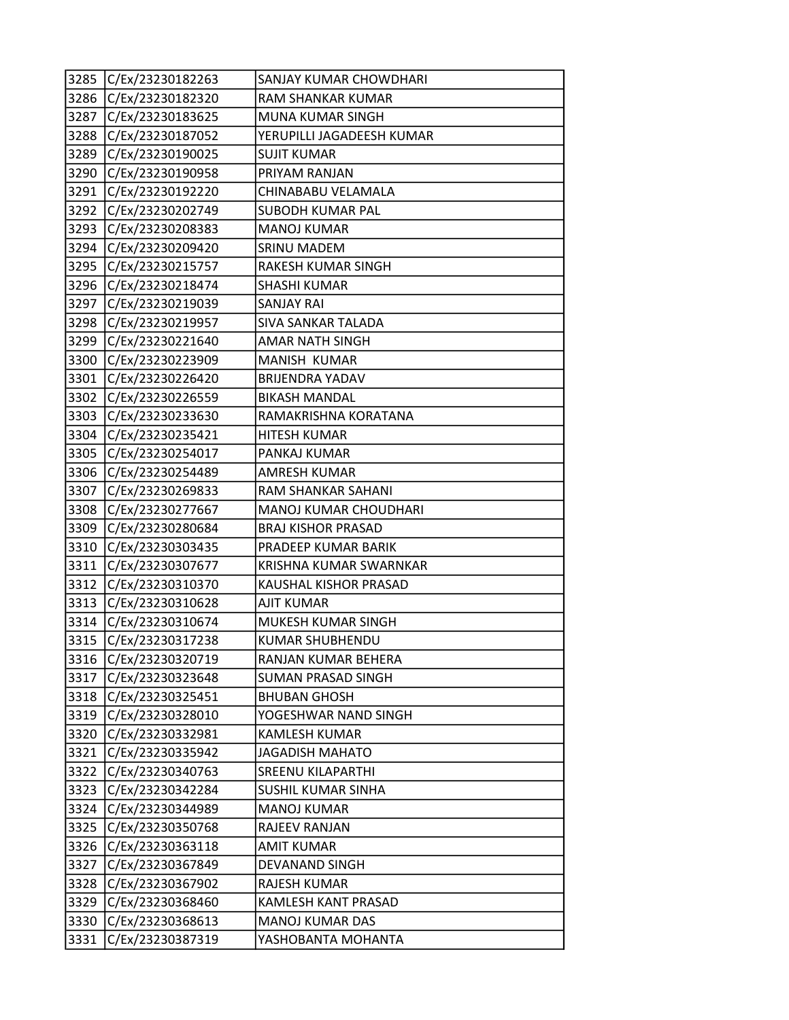| 3285 | C/Ex/23230182263 | SANJAY KUMAR CHOWDHARI    |
|------|------------------|---------------------------|
| 3286 | C/Ex/23230182320 | <b>RAM SHANKAR KUMAR</b>  |
| 3287 | C/Ex/23230183625 | MUNA KUMAR SINGH          |
| 3288 | C/Ex/23230187052 | YERUPILLI JAGADEESH KUMAR |
| 3289 | C/Ex/23230190025 | <b>SUJIT KUMAR</b>        |
| 3290 | C/Ex/23230190958 | PRIYAM RANJAN             |
| 3291 | C/Ex/23230192220 | CHINABABU VELAMALA        |
| 3292 | C/Ex/23230202749 | SUBODH KUMAR PAL          |
| 3293 | C/Ex/23230208383 | <b>MANOJ KUMAR</b>        |
| 3294 | C/Ex/23230209420 | <b>SRINU MADEM</b>        |
| 3295 | C/Ex/23230215757 | RAKESH KUMAR SINGH        |
| 3296 | C/Ex/23230218474 | SHASHI KUMAR              |
| 3297 | C/Ex/23230219039 | SANJAY RAI                |
| 3298 | C/Ex/23230219957 | SIVA SANKAR TALADA        |
| 3299 | C/Ex/23230221640 | AMAR NATH SINGH           |
| 3300 | C/Ex/23230223909 | MANISH KUMAR              |
| 3301 | C/Ex/23230226420 | <b>BRIJENDRA YADAV</b>    |
| 3302 | C/Ex/23230226559 | <b>BIKASH MANDAL</b>      |
| 3303 | C/Ex/23230233630 | RAMAKRISHNA KORATANA      |
| 3304 | C/Ex/23230235421 | <b>HITESH KUMAR</b>       |
| 3305 | C/Ex/23230254017 | PANKAJ KUMAR              |
| 3306 | C/Ex/23230254489 | AMRESH KUMAR              |
| 3307 | C/Ex/23230269833 | RAM SHANKAR SAHANI        |
| 3308 | C/Ex/23230277667 | MANOJ KUMAR CHOUDHARI     |
| 3309 | C/Ex/23230280684 | <b>BRAJ KISHOR PRASAD</b> |
| 3310 | C/Ex/23230303435 | PRADEEP KUMAR BARIK       |
| 3311 | C/Ex/23230307677 | KRISHNA KUMAR SWARNKAR    |
| 3312 | C/Ex/23230310370 | KAUSHAL KISHOR PRASAD     |
| 3313 | C/Ex/23230310628 | <b>AJIT KUMAR</b>         |
| 3314 | C/Ex/23230310674 | MUKESH KUMAR SINGH        |
| 3315 | C/Ex/23230317238 | <b>KUMAR SHUBHENDU</b>    |
| 3316 | C/Ex/23230320719 | RANJAN KUMAR BEHERA       |
| 3317 | C/Ex/23230323648 | SUMAN PRASAD SINGH        |
| 3318 | C/Ex/23230325451 | <b>BHUBAN GHOSH</b>       |
| 3319 | C/Ex/23230328010 | YOGESHWAR NAND SINGH      |
| 3320 | C/Ex/23230332981 | <b>KAMLESH KUMAR</b>      |
| 3321 | C/Ex/23230335942 | JAGADISH MAHATO           |
| 3322 | C/Ex/23230340763 | <b>SREENU KILAPARTHI</b>  |
| 3323 | C/Ex/23230342284 | SUSHIL KUMAR SINHA        |
| 3324 | C/Ex/23230344989 | <b>MANOJ KUMAR</b>        |
| 3325 | C/Ex/23230350768 | RAJEEV RANJAN             |
| 3326 | C/Ex/23230363118 | AMIT KUMAR                |
| 3327 | C/Ex/23230367849 | DEVANAND SINGH            |
| 3328 | C/Ex/23230367902 | RAJESH KUMAR              |
| 3329 | C/Ex/23230368460 | KAMLESH KANT PRASAD       |
| 3330 | C/Ex/23230368613 | <b>MANOJ KUMAR DAS</b>    |
| 3331 | C/Ex/23230387319 | YASHOBANTA MOHANTA        |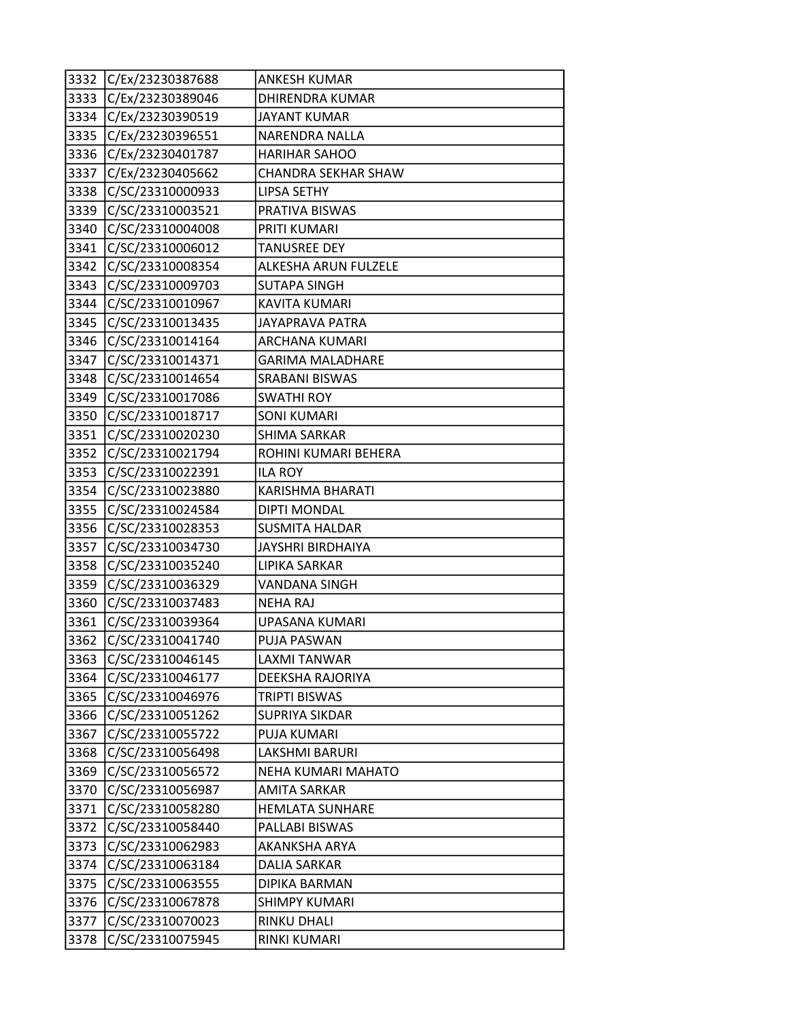|      | 3332 C/Ex/23230387688 | <b>ANKESH KUMAR</b>        |
|------|-----------------------|----------------------------|
| 3333 | C/Ex/23230389046      | <b>DHIRENDRA KUMAR</b>     |
|      | 3334 C/Ex/23230390519 | <b>JAYANT KUMAR</b>        |
| 3335 | C/Ex/23230396551      | <b>NARENDRA NALLA</b>      |
| 3336 | C/Ex/23230401787      | <b>HARIHAR SAHOO</b>       |
| 3337 | C/Ex/23230405662      | <b>CHANDRA SEKHAR SHAW</b> |
|      | 3338 C/SC/23310000933 | <b>LIPSA SETHY</b>         |
| 3339 | C/SC/23310003521      | PRATIVA BISWAS             |
| 3340 | C/SC/23310004008      | PRITI KUMARI               |
| 3341 | C/SC/23310006012      | <b>TANUSREE DEY</b>        |
|      | 3342 C/SC/23310008354 | ALKESHA ARUN FULZELE       |
| 3343 | C/SC/23310009703      | SUTAPA SINGH               |
| 3344 | C/SC/23310010967      | KAVITA KUMARI              |
| 3345 | C/SC/23310013435      | JAYAPRAVA PATRA            |
|      | 3346 C/SC/23310014164 | ARCHANA KUMARI             |
|      | 3347 C/SC/23310014371 | <b>GARIMA MALADHARE</b>    |
| 3348 | C/SC/23310014654      | <b>SRABANI BISWAS</b>      |
| 3349 | C/SC/23310017086      | <b>SWATHI ROY</b>          |
| 3350 | C/SC/23310018717      | <b>SONI KUMARI</b>         |
|      | 3351 C/SC/23310020230 | SHIMA SARKAR               |
|      | 3352 C/SC/23310021794 | ROHINI KUMARI BEHERA       |
| 3353 | C/SC/23310022391      | <b>ILA ROY</b>             |
| 3354 | C/SC/23310023880      | KARISHMA BHARATI           |
| 3355 | C/SC/23310024584      | <b>DIPTI MONDAL</b>        |
|      | 3356 C/SC/23310028353 | <b>SUSMITA HALDAR</b>      |
| 3357 | C/SC/23310034730      | JAYSHRI BIRDHAIYA          |
| 3358 | C/SC/23310035240      | LIPIKA SARKAR              |
| 3359 | C/SC/23310036329      | <b>VANDANA SINGH</b>       |
| 3360 | C/SC/23310037483      | <b>NEHA RAJ</b>            |
| 3361 | C/SC/23310039364      | UPASANA KUMARI             |
| 3362 | C/SC/23310041740      | PUJA PASWAN                |
| 3363 | C/SC/23310046145      | LAXMI TANWAR               |
| 3364 | C/SC/23310046177      | DEEKSHA RAJORIYA           |
| 3365 | C/SC/23310046976      | TRIPTI BISWAS              |
| 3366 | C/SC/23310051262      | <b>SUPRIYA SIKDAR</b>      |
| 3367 | C/SC/23310055722      | PUJA KUMARI                |
| 3368 | C/SC/23310056498      | LAKSHMI BARURI             |
| 3369 | C/SC/23310056572      | NEHA KUMARI MAHATO         |
| 3370 | C/SC/23310056987      | <b>AMITA SARKAR</b>        |
| 3371 | C/SC/23310058280      | <b>HEMLATA SUNHARE</b>     |
| 3372 | C/SC/23310058440      | PALLABI BISWAS             |
| 3373 | C/SC/23310062983      | AKANKSHA ARYA              |
| 3374 | C/SC/23310063184      | DALIA SARKAR               |
| 3375 | C/SC/23310063555      | DIPIKA BARMAN              |
| 3376 | C/SC/23310067878      | <b>SHIMPY KUMARI</b>       |
| 3377 | C/SC/23310070023      | RINKU DHALI                |
| 3378 | C/SC/23310075945      | RINKI KUMARI               |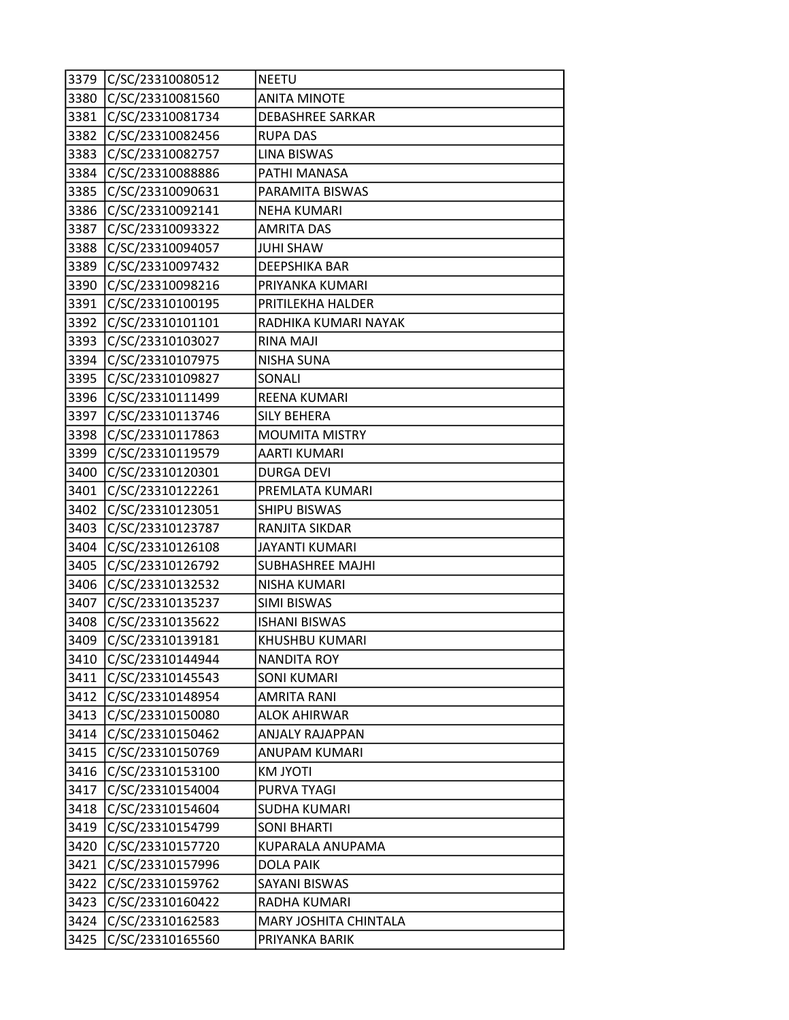| 3379 | C/SC/23310080512 | <b>NEETU</b>            |
|------|------------------|-------------------------|
| 3380 | C/SC/23310081560 | <b>ANITA MINOTE</b>     |
| 3381 | C/SC/23310081734 | DEBASHREE SARKAR        |
| 3382 | C/SC/23310082456 | <b>RUPA DAS</b>         |
| 3383 | C/SC/23310082757 | <b>LINA BISWAS</b>      |
| 3384 | C/SC/23310088886 | PATHI MANASA            |
| 3385 | C/SC/23310090631 | PARAMITA BISWAS         |
| 3386 | C/SC/23310092141 | <b>NEHA KUMARI</b>      |
| 3387 | C/SC/23310093322 | <b>AMRITA DAS</b>       |
| 3388 | C/SC/23310094057 | <b>JUHI SHAW</b>        |
| 3389 | C/SC/23310097432 | DEEPSHIKA BAR           |
| 3390 | C/SC/23310098216 | PRIYANKA KUMARI         |
| 3391 | C/SC/23310100195 | PRITILEKHA HALDER       |
| 3392 | C/SC/23310101101 | RADHIKA KUMARI NAYAK    |
| 3393 | C/SC/23310103027 | RINA MAJI               |
| 3394 | C/SC/23310107975 | <b>NISHA SUNA</b>       |
| 3395 | C/SC/23310109827 | SONALI                  |
| 3396 | C/SC/23310111499 | REENA KUMARI            |
| 3397 | C/SC/23310113746 | <b>SILY BEHERA</b>      |
| 3398 | C/SC/23310117863 | <b>MOUMITA MISTRY</b>   |
| 3399 | C/SC/23310119579 | <b>AARTI KUMARI</b>     |
| 3400 | C/SC/23310120301 | <b>DURGA DEVI</b>       |
| 3401 | C/SC/23310122261 | PREMLATA KUMARI         |
| 3402 | C/SC/23310123051 | <b>SHIPU BISWAS</b>     |
| 3403 | C/SC/23310123787 | RANJITA SIKDAR          |
| 3404 | C/SC/23310126108 | <b>JAYANTI KUMARI</b>   |
| 3405 | C/SC/23310126792 | <b>SUBHASHREE MAJHI</b> |
| 3406 | C/SC/23310132532 | NISHA KUMARI            |
| 3407 | C/SC/23310135237 | SIMI BISWAS             |
| 3408 | C/SC/23310135622 | <b>ISHANI BISWAS</b>    |
| 3409 | C/SC/23310139181 | KHUSHBU KUMARI          |
| 3410 | C/SC/23310144944 | <b>NANDITA ROY</b>      |
| 3411 | C/SC/23310145543 | <b>SONI KUMARI</b>      |
| 3412 | C/SC/23310148954 | AMRITA RANI             |
| 3413 | C/SC/23310150080 | <b>ALOK AHIRWAR</b>     |
| 3414 | C/SC/23310150462 | <b>ANJALY RAJAPPAN</b>  |
| 3415 | C/SC/23310150769 | ANUPAM KUMARI           |
| 3416 | C/SC/23310153100 | KM JYOTI                |
| 3417 | C/SC/23310154004 | PURVA TYAGI             |
| 3418 | C/SC/23310154604 | <b>SUDHA KUMARI</b>     |
| 3419 | C/SC/23310154799 | SONI BHARTI             |
| 3420 | C/SC/23310157720 | KUPARALA ANUPAMA        |
| 3421 | C/SC/23310157996 | DOLA PAIK               |
| 3422 | C/SC/23310159762 | SAYANI BISWAS           |
| 3423 | C/SC/23310160422 | RADHA KUMARI            |
| 3424 | C/SC/23310162583 | MARY JOSHITA CHINTALA   |
| 3425 | C/SC/23310165560 | PRIYANKA BARIK          |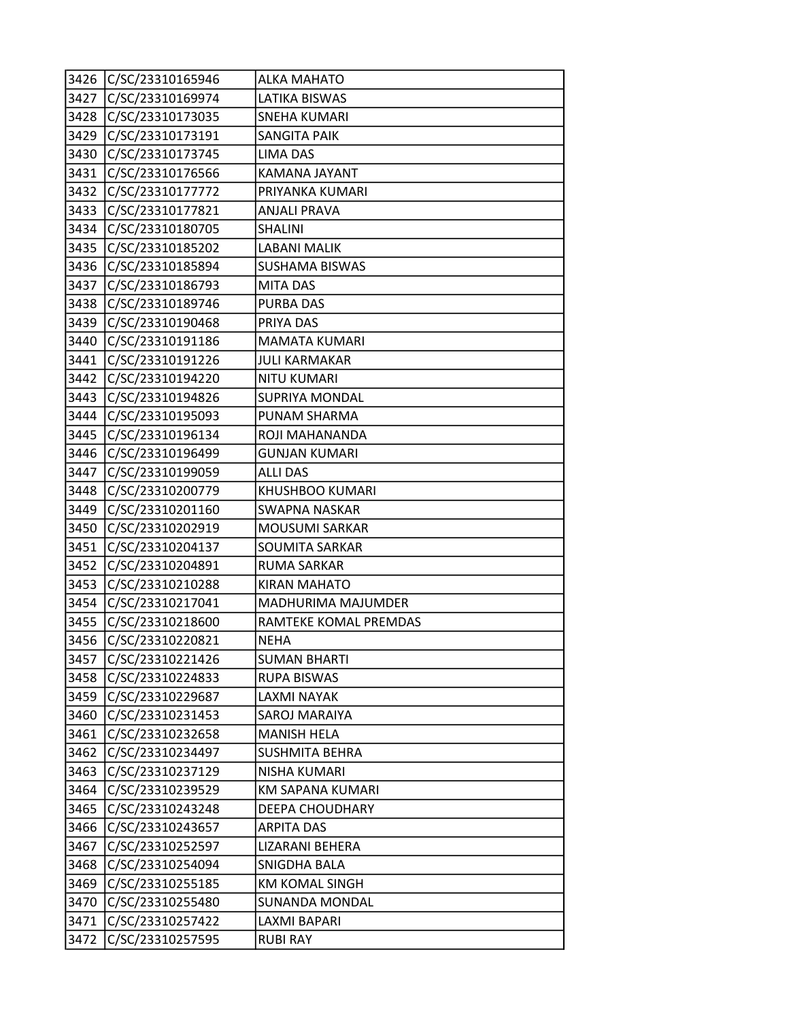| 3426 | C/SC/23310165946 | <b>ALKA MAHATO</b>    |
|------|------------------|-----------------------|
| 3427 | C/SC/23310169974 | LATIKA BISWAS         |
| 3428 | C/SC/23310173035 | <b>SNEHA KUMARI</b>   |
| 3429 | C/SC/23310173191 | SANGITA PAIK          |
| 3430 | C/SC/23310173745 | LIMA DAS              |
| 3431 | C/SC/23310176566 | KAMANA JAYANT         |
| 3432 | C/SC/23310177772 | PRIYANKA KUMARI       |
| 3433 | C/SC/23310177821 | ANJALI PRAVA          |
| 3434 | C/SC/23310180705 | <b>SHALINI</b>        |
| 3435 | C/SC/23310185202 | <b>LABANI MALIK</b>   |
| 3436 | C/SC/23310185894 | <b>SUSHAMA BISWAS</b> |
| 3437 | C/SC/23310186793 | <b>MITA DAS</b>       |
| 3438 | C/SC/23310189746 | <b>PURBA DAS</b>      |
| 3439 | C/SC/23310190468 | PRIYA DAS             |
| 3440 | C/SC/23310191186 | <b>MAMATA KUMARI</b>  |
| 3441 | C/SC/23310191226 | <b>JULI KARMAKAR</b>  |
| 3442 | C/SC/23310194220 | <b>NITU KUMARI</b>    |
| 3443 | C/SC/23310194826 | SUPRIYA MONDAL        |
| 3444 | C/SC/23310195093 | PUNAM SHARMA          |
| 3445 | C/SC/23310196134 | ROJI MAHANANDA        |
| 3446 | C/SC/23310196499 | <b>GUNJAN KUMARI</b>  |
| 3447 | C/SC/23310199059 | <b>ALLI DAS</b>       |
| 3448 | C/SC/23310200779 | KHUSHBOO KUMARI       |
| 3449 | C/SC/23310201160 | <b>SWAPNA NASKAR</b>  |
| 3450 | C/SC/23310202919 | <b>MOUSUMI SARKAR</b> |
| 3451 | C/SC/23310204137 | <b>SOUMITA SARKAR</b> |
| 3452 | C/SC/23310204891 | <b>RUMA SARKAR</b>    |
| 3453 | C/SC/23310210288 | <b>KIRAN MAHATO</b>   |
| 3454 | C/SC/23310217041 | MADHURIMA MAJUMDER    |
| 3455 | C/SC/23310218600 | RAMTEKE KOMAL PREMDAS |
| 3456 | C/SC/23310220821 | <b>NEHA</b>           |
| 3457 | C/SC/23310221426 | <b>SUMAN BHARTI</b>   |
| 3458 | C/SC/23310224833 | <b>RUPA BISWAS</b>    |
| 3459 | C/SC/23310229687 | LAXMI NAYAK           |
| 3460 | C/SC/23310231453 | SAROJ MARAIYA         |
| 3461 | C/SC/23310232658 | <b>MANISH HELA</b>    |
| 3462 | C/SC/23310234497 | SUSHMITA BEHRA        |
| 3463 | C/SC/23310237129 | NISHA KUMARI          |
| 3464 | C/SC/23310239529 | KM SAPANA KUMARI      |
| 3465 | C/SC/23310243248 | DEEPA CHOUDHARY       |
| 3466 | C/SC/23310243657 | ARPITA DAS            |
| 3467 | C/SC/23310252597 | LIZARANI BEHERA       |
| 3468 | C/SC/23310254094 | SNIGDHA BALA          |
| 3469 | C/SC/23310255185 | KM KOMAL SINGH        |
| 3470 | C/SC/23310255480 | <b>SUNANDA MONDAL</b> |
| 3471 | C/SC/23310257422 | LAXMI BAPARI          |
| 3472 | C/SC/23310257595 | <b>RUBI RAY</b>       |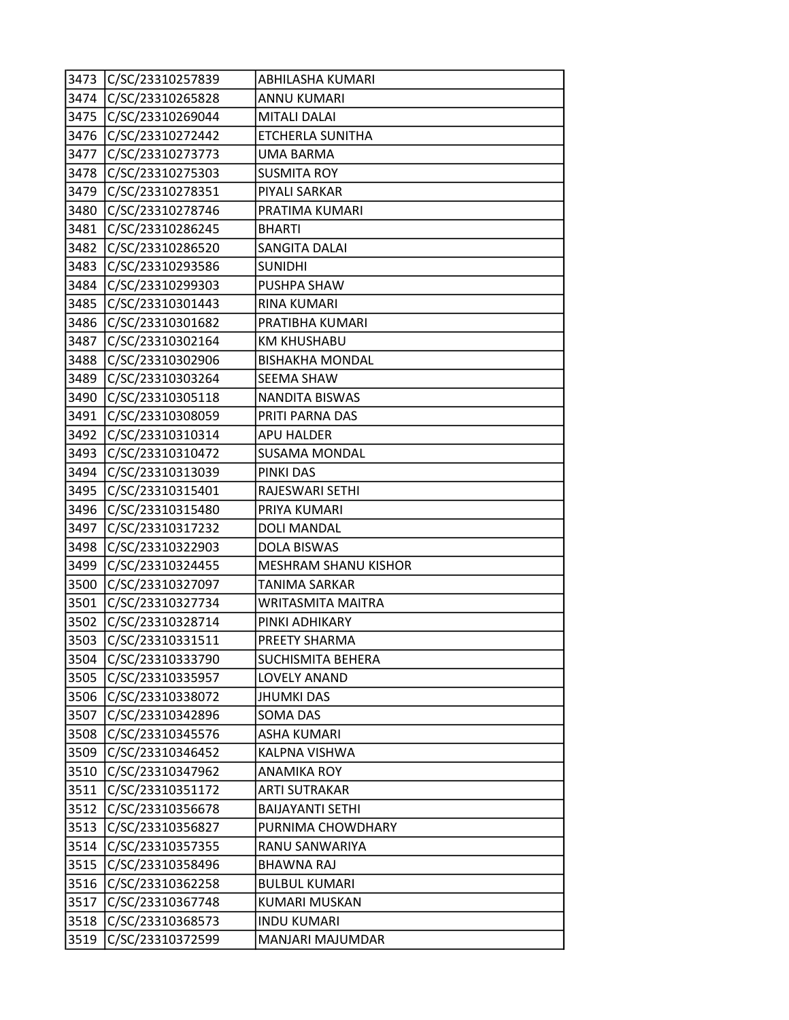| 3473 | C/SC/23310257839 | ABHILASHA KUMARI            |
|------|------------------|-----------------------------|
| 3474 | C/SC/23310265828 | <b>ANNU KUMARI</b>          |
| 3475 | C/SC/23310269044 | <b>MITALI DALAI</b>         |
| 3476 | C/SC/23310272442 | ETCHERLA SUNITHA            |
| 3477 | C/SC/23310273773 | <b>UMA BARMA</b>            |
| 3478 | C/SC/23310275303 | <b>SUSMITA ROY</b>          |
| 3479 | C/SC/23310278351 | PIYALI SARKAR               |
| 3480 | C/SC/23310278746 | PRATIMA KUMARI              |
| 3481 | C/SC/23310286245 | <b>BHARTI</b>               |
| 3482 | C/SC/23310286520 | SANGITA DALAI               |
| 3483 | C/SC/23310293586 | <b>SUNIDHI</b>              |
| 3484 | C/SC/23310299303 | PUSHPA SHAW                 |
| 3485 | C/SC/23310301443 | <b>RINA KUMARI</b>          |
| 3486 | C/SC/23310301682 | PRATIBHA KUMARI             |
| 3487 | C/SC/23310302164 | <b>KM KHUSHABU</b>          |
| 3488 | C/SC/23310302906 | <b>BISHAKHA MONDAL</b>      |
| 3489 | C/SC/23310303264 | <b>SEEMA SHAW</b>           |
| 3490 | C/SC/23310305118 | NANDITA BISWAS              |
| 3491 | C/SC/23310308059 | PRITI PARNA DAS             |
| 3492 | C/SC/23310310314 | <b>APU HALDER</b>           |
| 3493 | C/SC/23310310472 | <b>SUSAMA MONDAL</b>        |
| 3494 | C/SC/23310313039 | PINKI DAS                   |
| 3495 | C/SC/23310315401 | RAJESWARI SETHI             |
| 3496 | C/SC/23310315480 | PRIYA KUMARI                |
| 3497 | C/SC/23310317232 | <b>DOLI MANDAL</b>          |
| 3498 | C/SC/23310322903 | <b>DOLA BISWAS</b>          |
| 3499 | C/SC/23310324455 | <b>MESHRAM SHANU KISHOR</b> |
| 3500 | C/SC/23310327097 | <b>TANIMA SARKAR</b>        |
| 3501 | C/SC/23310327734 | <b>WRITASMITA MAITRA</b>    |
| 3502 | C/SC/23310328714 | PINKI ADHIKARY              |
| 3503 | C/SC/23310331511 | PREETY SHARMA               |
| 3504 | C/SC/23310333790 | <b>SUCHISMITA BEHERA</b>    |
| 3505 | C/SC/23310335957 | <b>LOVELY ANAND</b>         |
| 3506 | C/SC/23310338072 | <b>JHUMKI DAS</b>           |
| 3507 | C/SC/23310342896 | <b>SOMA DAS</b>             |
| 3508 | C/SC/23310345576 | <b>ASHA KUMARI</b>          |
| 3509 | C/SC/23310346452 | KALPNA VISHWA               |
| 3510 | C/SC/23310347962 | <b>ANAMIKA ROY</b>          |
| 3511 | C/SC/23310351172 | <b>ARTI SUTRAKAR</b>        |
| 3512 | C/SC/23310356678 | <b>BAIJAYANTI SETHI</b>     |
| 3513 | C/SC/23310356827 | PURNIMA CHOWDHARY           |
| 3514 | C/SC/23310357355 | RANU SANWARIYA              |
| 3515 | C/SC/23310358496 | <b>BHAWNA RAJ</b>           |
| 3516 | C/SC/23310362258 | <b>BULBUL KUMARI</b>        |
| 3517 | C/SC/23310367748 | <b>KUMARI MUSKAN</b>        |
| 3518 | C/SC/23310368573 | <b>INDU KUMARI</b>          |
| 3519 | C/SC/23310372599 | MANJARI MAJUMDAR            |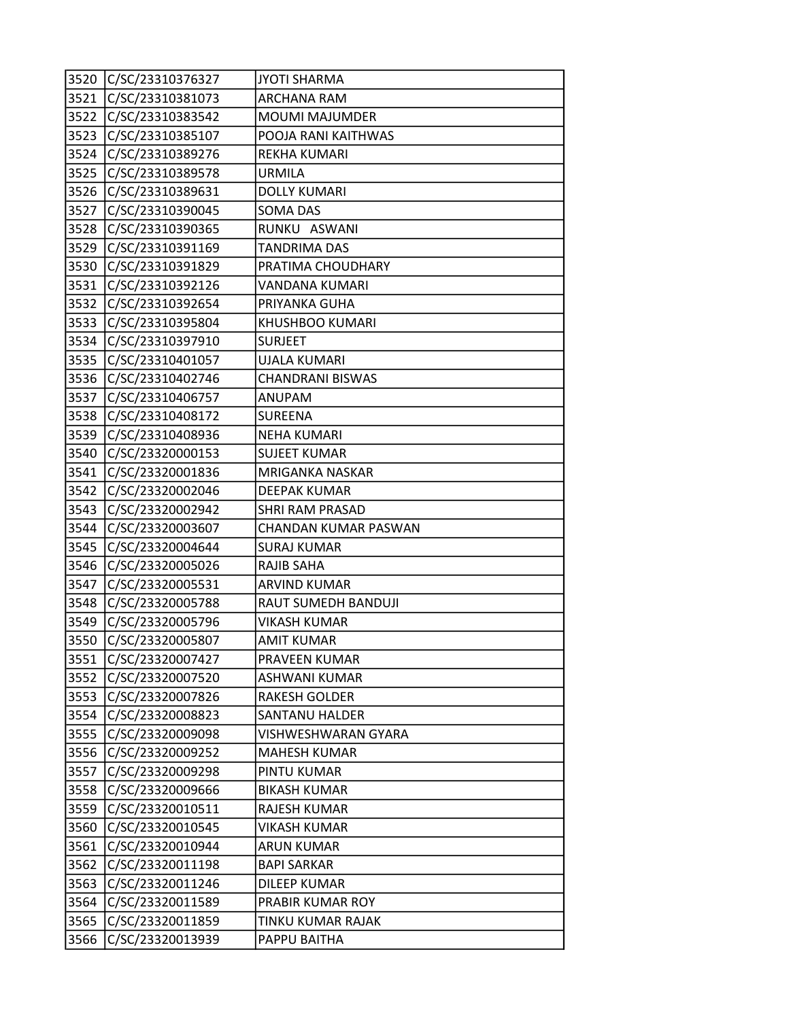|      | 3520 C/SC/23310376327 | <b>JYOTI SHARMA</b>        |
|------|-----------------------|----------------------------|
| 3521 | C/SC/23310381073      | <b>ARCHANA RAM</b>         |
| 3522 | C/SC/23310383542      | <b>MOUMI MAJUMDER</b>      |
| 3523 | C/SC/23310385107      | POOJA RANI KAITHWAS        |
| 3524 | C/SC/23310389276      | REKHA KUMARI               |
| 3525 | C/SC/23310389578      | <b>URMILA</b>              |
| 3526 | C/SC/23310389631      | <b>DOLLY KUMARI</b>        |
| 3527 | C/SC/23310390045      | SOMA DAS                   |
| 3528 | C/SC/23310390365      | RUNKU ASWANI               |
| 3529 | C/SC/23310391169      | <b>TANDRIMA DAS</b>        |
| 3530 | C/SC/23310391829      | PRATIMA CHOUDHARY          |
| 3531 | C/SC/23310392126      | VANDANA KUMARI             |
| 3532 | C/SC/23310392654      | PRIYANKA GUHA              |
| 3533 | C/SC/23310395804      | KHUSHBOO KUMARI            |
|      | 3534 C/SC/23310397910 | <b>SURJEET</b>             |
| 3535 | C/SC/23310401057      | <b>UJALA KUMARI</b>        |
| 3536 | C/SC/23310402746      | <b>CHANDRANI BISWAS</b>    |
| 3537 | C/SC/23310406757      | ANUPAM                     |
| 3538 | C/SC/23310408172      | SUREENA                    |
|      | 3539 C/SC/23310408936 | <b>NEHA KUMARI</b>         |
| 3540 | C/SC/23320000153      | <b>SUJEET KUMAR</b>        |
| 3541 | C/SC/23320001836      | <b>MRIGANKA NASKAR</b>     |
| 3542 | C/SC/23320002046      | <b>DEEPAK KUMAR</b>        |
| 3543 | C/SC/23320002942      | <b>SHRI RAM PRASAD</b>     |
|      | 3544 C/SC/23320003607 | CHANDAN KUMAR PASWAN       |
| 3545 | C/SC/23320004644      | <b>SURAJ KUMAR</b>         |
| 3546 | C/SC/23320005026      | RAJIB SAHA                 |
| 3547 | C/SC/23320005531      | <b>ARVIND KUMAR</b>        |
| 3548 | C/SC/23320005788      | <b>RAUT SUMEDH BANDUJI</b> |
| 3549 | C/SC/23320005796      | <b>VIKASH KUMAR</b>        |
| 3550 | C/SC/23320005807      | AMIT KUMAR                 |
| 3551 | C/SC/23320007427      | PRAVEEN KUMAR              |
| 3552 | C/SC/23320007520      | <b>ASHWANI KUMAR</b>       |
| 3553 | C/SC/23320007826      | RAKESH GOLDER              |
| 3554 | C/SC/23320008823      | <b>SANTANU HALDER</b>      |
| 3555 | C/SC/23320009098      | VISHWESHWARAN GYARA        |
| 3556 | C/SC/23320009252      | <b>MAHESH KUMAR</b>        |
| 3557 | C/SC/23320009298      | PINTU KUMAR                |
| 3558 | C/SC/23320009666      | <b>BIKASH KUMAR</b>        |
| 3559 | C/SC/23320010511      | RAJESH KUMAR               |
| 3560 | C/SC/23320010545      | <b>VIKASH KUMAR</b>        |
| 3561 | C/SC/23320010944      | <b>ARUN KUMAR</b>          |
| 3562 | C/SC/23320011198      | <b>BAPI SARKAR</b>         |
| 3563 | C/SC/23320011246      | DILEEP KUMAR               |
| 3564 | C/SC/23320011589      | PRABIR KUMAR ROY           |
| 3565 | C/SC/23320011859      | TINKU KUMAR RAJAK          |
| 3566 | C/SC/23320013939      | PAPPU BAITHA               |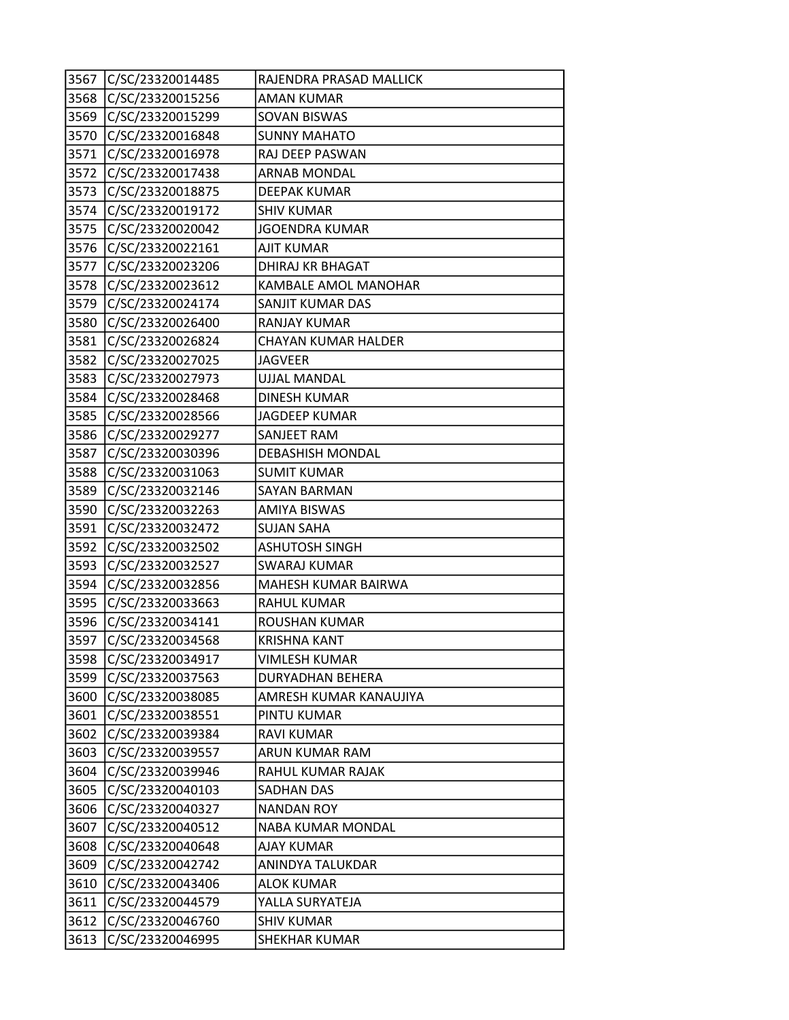| 3567 | C/SC/23320014485      | RAJENDRA PRASAD MALLICK    |
|------|-----------------------|----------------------------|
| 3568 | C/SC/23320015256      | <b>AMAN KUMAR</b>          |
| 3569 | C/SC/23320015299      | SOVAN BISWAS               |
| 3570 | C/SC/23320016848      | <b>SUNNY MAHATO</b>        |
| 3571 | C/SC/23320016978      | RAJ DEEP PASWAN            |
| 3572 | C/SC/23320017438      | <b>ARNAB MONDAL</b>        |
| 3573 | C/SC/23320018875      | <b>DEEPAK KUMAR</b>        |
|      | 3574 C/SC/23320019172 | <b>SHIV KUMAR</b>          |
| 3575 | C/SC/23320020042      | <b>JGOENDRA KUMAR</b>      |
| 3576 | C/SC/23320022161      | <b>AJIT KUMAR</b>          |
| 3577 | C/SC/23320023206      | DHIRAJ KR BHAGAT           |
| 3578 | C/SC/23320023612      | KAMBALE AMOL MANOHAR       |
| 3579 | C/SC/23320024174      | SANJIT KUMAR DAS           |
| 3580 | C/SC/23320026400      | <b>RANJAY KUMAR</b>        |
| 3581 | C/SC/23320026824      | <b>CHAYAN KUMAR HALDER</b> |
| 3582 | C/SC/23320027025      | <b>JAGVEER</b>             |
| 3583 | C/SC/23320027973      | <b>UJJAL MANDAL</b>        |
| 3584 | C/SC/23320028468      | DINESH KUMAR               |
| 3585 | C/SC/23320028566      | <b>JAGDEEP KUMAR</b>       |
|      | 3586 C/SC/23320029277 | SANJEET RAM                |
| 3587 | C/SC/23320030396      | <b>DEBASHISH MONDAL</b>    |
| 3588 | C/SC/23320031063      | <b>SUMIT KUMAR</b>         |
| 3589 | C/SC/23320032146      | <b>SAYAN BARMAN</b>        |
| 3590 | C/SC/23320032263      | <b>AMIYA BISWAS</b>        |
| 3591 | C/SC/23320032472      | <b>SUJAN SAHA</b>          |
| 3592 | C/SC/23320032502      | <b>ASHUTOSH SINGH</b>      |
| 3593 | C/SC/23320032527      | <b>SWARAJ KUMAR</b>        |
| 3594 | C/SC/23320032856      | MAHESH KUMAR BAIRWA        |
| 3595 | C/SC/23320033663      | <b>RAHUL KUMAR</b>         |
| 3596 | C/SC/23320034141      | ROUSHAN KUMAR              |
| 3597 | C/SC/23320034568      | <b>KRISHNA KANT</b>        |
| 3598 | C/SC/23320034917      | <b>VIMLESH KUMAR</b>       |
| 3599 | C/SC/23320037563      | DURYADHAN BEHERA           |
| 3600 | C/SC/23320038085      | AMRESH KUMAR KANAUJIYA     |
| 3601 | C/SC/23320038551      | PINTU KUMAR                |
| 3602 | C/SC/23320039384      | <b>RAVI KUMAR</b>          |
| 3603 | C/SC/23320039557      | ARUN KUMAR RAM             |
| 3604 | C/SC/23320039946      | RAHUL KUMAR RAJAK          |
| 3605 | C/SC/23320040103      | SADHAN DAS                 |
| 3606 | C/SC/23320040327      | <b>NANDAN ROY</b>          |
| 3607 | C/SC/23320040512      | NABA KUMAR MONDAL          |
| 3608 | C/SC/23320040648      | AJAY KUMAR                 |
| 3609 | C/SC/23320042742      | ANINDYA TALUKDAR           |
| 3610 | C/SC/23320043406      | ALOK KUMAR                 |
| 3611 | C/SC/23320044579      | YALLA SURYATEJA            |
| 3612 | C/SC/23320046760      | <b>SHIV KUMAR</b>          |
| 3613 | C/SC/23320046995      | SHEKHAR KUMAR              |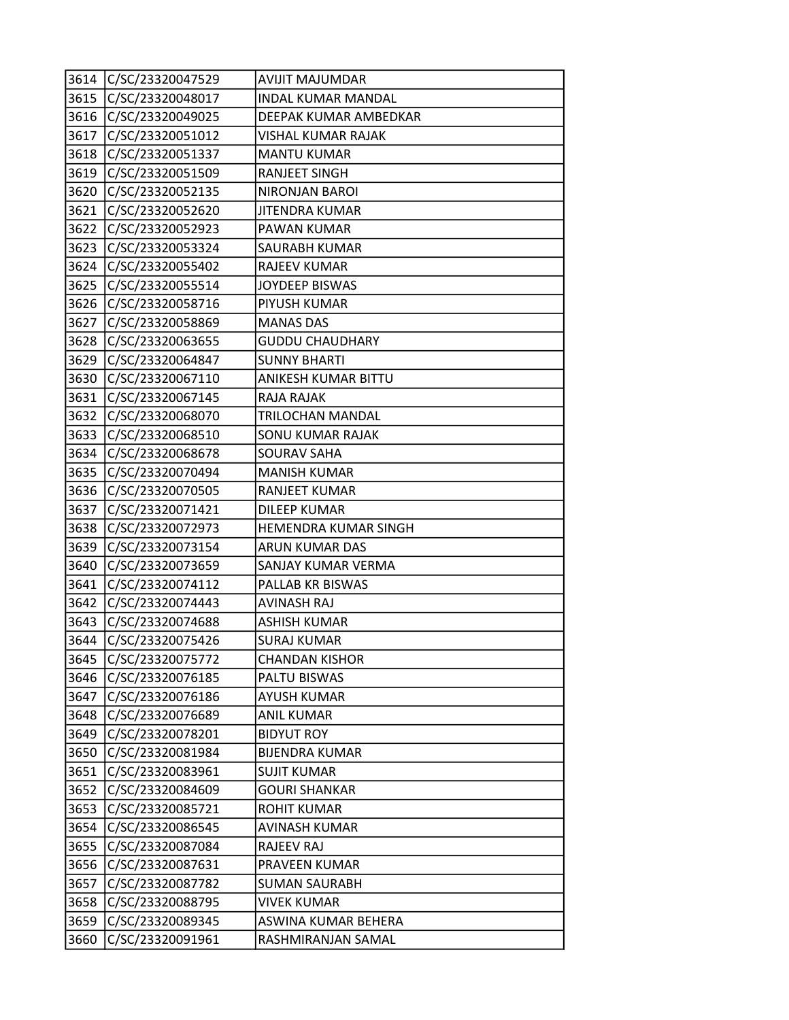|      | 3614 C/SC/23320047529 | <b>AVIJIT MAJUMDAR</b>    |
|------|-----------------------|---------------------------|
| 3615 | C/SC/23320048017      | <b>INDAL KUMAR MANDAL</b> |
| 3616 | C/SC/23320049025      | DEEPAK KUMAR AMBEDKAR     |
| 3617 | C/SC/23320051012      | VISHAL KUMAR RAJAK        |
| 3618 | C/SC/23320051337      | <b>MANTU KUMAR</b>        |
| 3619 | C/SC/23320051509      | <b>RANJEET SINGH</b>      |
| 3620 | C/SC/23320052135      | NIRONJAN BAROI            |
| 3621 | C/SC/23320052620      | JITENDRA KUMAR            |
| 3622 | C/SC/23320052923      | PAWAN KUMAR               |
| 3623 | C/SC/23320053324      | SAURABH KUMAR             |
|      | 3624 C/SC/23320055402 | <b>RAJEEV KUMAR</b>       |
| 3625 | C/SC/23320055514      | JOYDEEP BISWAS            |
| 3626 | C/SC/23320058716      | PIYUSH KUMAR              |
| 3627 | C/SC/23320058869      | <b>MANAS DAS</b>          |
| 3628 | C/SC/23320063655      | <b>GUDDU CHAUDHARY</b>    |
| 3629 | C/SC/23320064847      | <b>SUNNY BHARTI</b>       |
| 3630 | C/SC/23320067110      | ANIKESH KUMAR BITTU       |
| 3631 | C/SC/23320067145      | RAJA RAJAK                |
| 3632 | C/SC/23320068070      | TRILOCHAN MANDAL          |
| 3633 | C/SC/23320068510      | SONU KUMAR RAJAK          |
|      | 3634 C/SC/23320068678 | <b>SOURAV SAHA</b>        |
| 3635 | C/SC/23320070494      | <b>MANISH KUMAR</b>       |
| 3636 | C/SC/23320070505      | <b>RANJEET KUMAR</b>      |
| 3637 | C/SC/23320071421      | <b>DILEEP KUMAR</b>       |
| 3638 | C/SC/23320072973      | HEMENDRA KUMAR SINGH      |
| 3639 | C/SC/23320073154      | ARUN KUMAR DAS            |
| 3640 | C/SC/23320073659      | SANJAY KUMAR VERMA        |
| 3641 | C/SC/23320074112      | PALLAB KR BISWAS          |
| 3642 | C/SC/23320074443      | <b>AVINASH RAJ</b>        |
| 3643 | C/SC/23320074688      | <b>ASHISH KUMAR</b>       |
| 3644 | C/SC/23320075426      | <b>SURAJ KUMAR</b>        |
| 3645 | C/SC/23320075772      | <b>CHANDAN KISHOR</b>     |
| 3646 | C/SC/23320076185      | PALTU BISWAS              |
| 3647 | C/SC/23320076186      | <b>AYUSH KUMAR</b>        |
| 3648 | C/SC/23320076689      | <b>ANIL KUMAR</b>         |
| 3649 | C/SC/23320078201      | <b>BIDYUT ROY</b>         |
| 3650 | C/SC/23320081984      | <b>BIJENDRA KUMAR</b>     |
| 3651 | C/SC/23320083961      | <b>SUJIT KUMAR</b>        |
| 3652 | C/SC/23320084609      | <b>GOURI SHANKAR</b>      |
| 3653 | C/SC/23320085721      | <b>ROHIT KUMAR</b>        |
| 3654 | C/SC/23320086545      | AVINASH KUMAR             |
| 3655 | C/SC/23320087084      | <b>RAJEEV RAJ</b>         |
| 3656 | C/SC/23320087631      | PRAVEEN KUMAR             |
| 3657 | C/SC/23320087782      | <b>SUMAN SAURABH</b>      |
| 3658 | C/SC/23320088795      | <b>VIVEK KUMAR</b>        |
| 3659 | C/SC/23320089345      | ASWINA KUMAR BEHERA       |
| 3660 | C/SC/23320091961      | RASHMIRANJAN SAMAL        |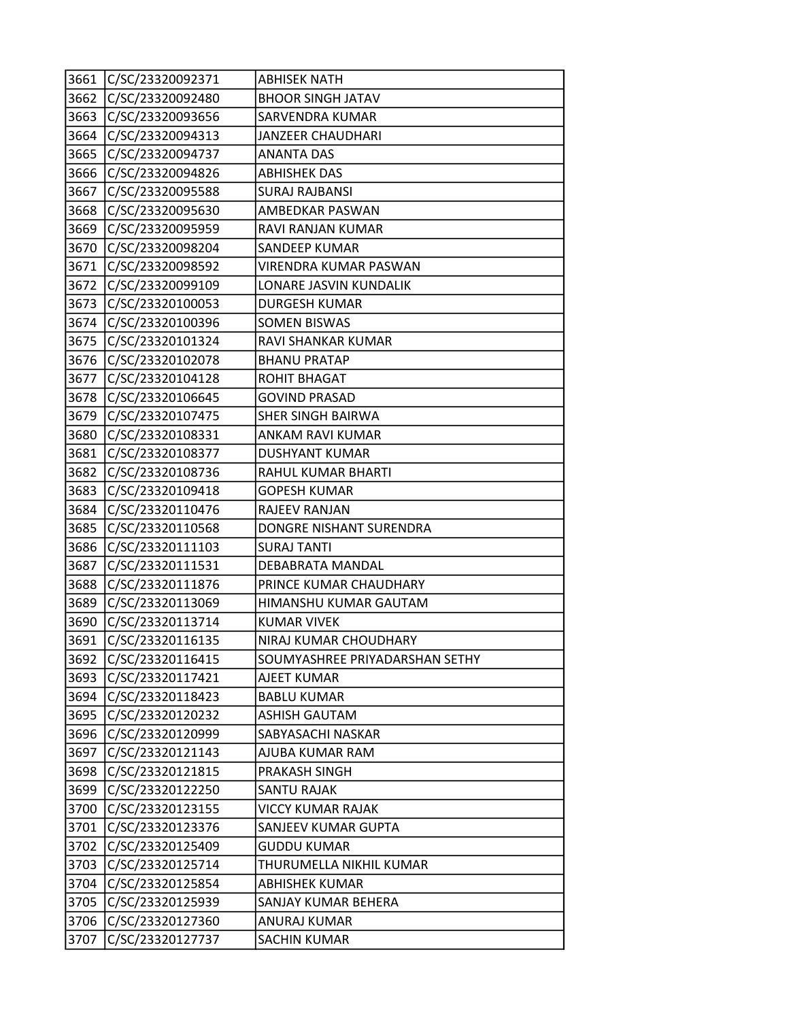| 3661 | C/SC/23320092371      | <b>ABHISEK NATH</b>            |
|------|-----------------------|--------------------------------|
| 3662 | C/SC/23320092480      | <b>BHOOR SINGH JATAV</b>       |
| 3663 | C/SC/23320093656      | SARVENDRA KUMAR                |
| 3664 | C/SC/23320094313      | JANZEER CHAUDHARI              |
| 3665 | C/SC/23320094737      | <b>ANANTA DAS</b>              |
| 3666 | C/SC/23320094826      | <b>ABHISHEK DAS</b>            |
| 3667 | C/SC/23320095588      | <b>SURAJ RAJBANSI</b>          |
| 3668 | C/SC/23320095630      | AMBEDKAR PASWAN                |
| 3669 | C/SC/23320095959      | RAVI RANJAN KUMAR              |
| 3670 | C/SC/23320098204      | SANDEEP KUMAR                  |
| 3671 | C/SC/23320098592      | VIRENDRA KUMAR PASWAN          |
| 3672 | C/SC/23320099109      | LONARE JASVIN KUNDALIK         |
| 3673 | C/SC/23320100053      | <b>DURGESH KUMAR</b>           |
| 3674 | C/SC/23320100396      | <b>SOMEN BISWAS</b>            |
| 3675 | C/SC/23320101324      | <b>RAVI SHANKAR KUMAR</b>      |
| 3676 | C/SC/23320102078      | <b>BHANU PRATAP</b>            |
| 3677 | C/SC/23320104128      | ROHIT BHAGAT                   |
| 3678 | C/SC/23320106645      | <b>GOVIND PRASAD</b>           |
| 3679 | C/SC/23320107475      | <b>SHER SINGH BAIRWA</b>       |
|      | 3680 C/SC/23320108331 | ANKAM RAVI KUMAR               |
| 3681 | C/SC/23320108377      | <b>DUSHYANT KUMAR</b>          |
| 3682 | C/SC/23320108736      | RAHUL KUMAR BHARTI             |
| 3683 | C/SC/23320109418      | <b>GOPESH KUMAR</b>            |
| 3684 | C/SC/23320110476      | RAJEEV RANJAN                  |
| 3685 | C/SC/23320110568      | DONGRE NISHANT SURENDRA        |
| 3686 | C/SC/23320111103      | <b>SURAJ TANTI</b>             |
| 3687 | C/SC/23320111531      | DEBABRATA MANDAL               |
| 3688 | C/SC/23320111876      | PRINCE KUMAR CHAUDHARY         |
| 3689 | C/SC/23320113069      | HIMANSHU KUMAR GAUTAM          |
| 3690 | C/SC/23320113714      | <b>KUMAR VIVEK</b>             |
| 3691 | C/SC/23320116135      | NIRAJ KUMAR CHOUDHARY          |
| 3692 | C/SC/23320116415      | SOUMYASHREE PRIYADARSHAN SETHY |
| 3693 | C/SC/23320117421      | AJEET KUMAR                    |
| 3694 | C/SC/23320118423      | <b>BABLU KUMAR</b>             |
| 3695 | C/SC/23320120232      | <b>ASHISH GAUTAM</b>           |
| 3696 | C/SC/23320120999      | SABYASACHI NASKAR              |
| 3697 | C/SC/23320121143      | AJUBA KUMAR RAM                |
| 3698 | C/SC/23320121815      | PRAKASH SINGH                  |
| 3699 | C/SC/23320122250      | SANTU RAJAK                    |
| 3700 | C/SC/23320123155      | <b>VICCY KUMAR RAJAK</b>       |
| 3701 | C/SC/23320123376      | SANJEEV KUMAR GUPTA            |
| 3702 | C/SC/23320125409      | <b>GUDDU KUMAR</b>             |
| 3703 | C/SC/23320125714      | THURUMELLA NIKHIL KUMAR        |
| 3704 | C/SC/23320125854      | <b>ABHISHEK KUMAR</b>          |
| 3705 | C/SC/23320125939      | SANJAY KUMAR BEHERA            |
| 3706 | C/SC/23320127360      | <b>ANURAJ KUMAR</b>            |
| 3707 | C/SC/23320127737      | SACHIN KUMAR                   |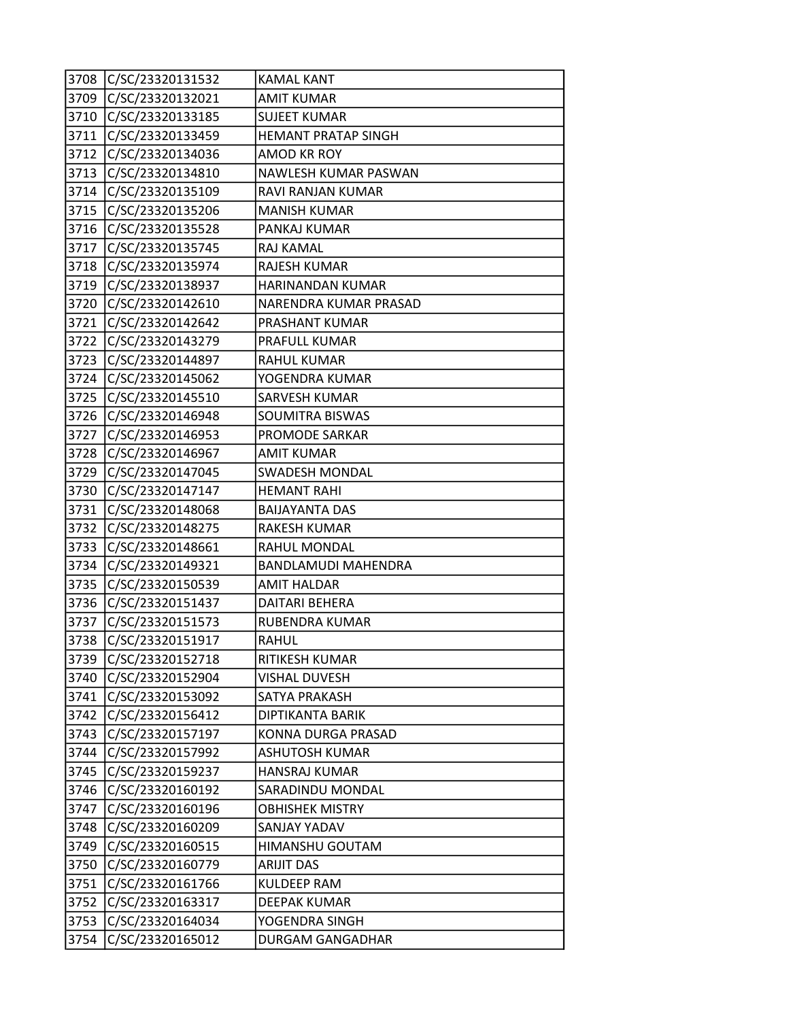|      | 3708 C/SC/23320131532 | <b>KAMAL KANT</b>          |
|------|-----------------------|----------------------------|
| 3709 | C/SC/23320132021      | <b>AMIT KUMAR</b>          |
|      | 3710 C/SC/23320133185 | <b>SUJEET KUMAR</b>        |
| 3711 | C/SC/23320133459      | HEMANT PRATAP SINGH        |
| 3712 | C/SC/23320134036      | <b>AMOD KR ROY</b>         |
| 3713 | C/SC/23320134810      | NAWLESH KUMAR PASWAN       |
|      | 3714 C/SC/23320135109 | RAVI RANJAN KUMAR          |
| 3715 | C/SC/23320135206      | <b>MANISH KUMAR</b>        |
| 3716 | C/SC/23320135528      | PANKAJ KUMAR               |
| 3717 | C/SC/23320135745      | RAJ KAMAL                  |
| 3718 | C/SC/23320135974      | <b>RAJESH KUMAR</b>        |
| 3719 | C/SC/23320138937      | HARINANDAN KUMAR           |
| 3720 | C/SC/23320142610      | NARENDRA KUMAR PRASAD      |
| 3721 | C/SC/23320142642      | PRASHANT KUMAR             |
| 3722 | C/SC/23320143279      | PRAFULL KUMAR              |
| 3723 | C/SC/23320144897      | RAHUL KUMAR                |
| 3724 | C/SC/23320145062      | YOGENDRA KUMAR             |
| 3725 | C/SC/23320145510      | SARVESH KUMAR              |
| 3726 | C/SC/23320146948      | <b>SOUMITRA BISWAS</b>     |
| 3727 | C/SC/23320146953      | PROMODE SARKAR             |
| 3728 | C/SC/23320146967      | <b>AMIT KUMAR</b>          |
| 3729 | C/SC/23320147045      | <b>SWADESH MONDAL</b>      |
| 3730 | C/SC/23320147147      | <b>HEMANT RAHI</b>         |
| 3731 | C/SC/23320148068      | <b>BAIJAYANTA DAS</b>      |
| 3732 | C/SC/23320148275      | <b>RAKESH KUMAR</b>        |
| 3733 | C/SC/23320148661      | RAHUL MONDAL               |
| 3734 | C/SC/23320149321      | <b>BANDLAMUDI MAHENDRA</b> |
| 3735 | C/SC/23320150539      | <b>AMIT HALDAR</b>         |
| 3736 | C/SC/23320151437      | DAITARI BEHERA             |
| 3737 | C/SC/23320151573      | RUBENDRA KUMAR             |
| 3738 | C/SC/23320151917      | RAHUL                      |
| 3739 | C/SC/23320152718      | RITIKESH KUMAR             |
| 3740 | C/SC/23320152904      | <b>VISHAL DUVESH</b>       |
| 3741 | C/SC/23320153092      | SATYA PRAKASH              |
| 3742 | C/SC/23320156412      | DIPTIKANTA BARIK           |
| 3743 | C/SC/23320157197      | KONNA DURGA PRASAD         |
| 3744 | C/SC/23320157992      | ASHUTOSH KUMAR             |
| 3745 | C/SC/23320159237      | <b>HANSRAJ KUMAR</b>       |
| 3746 | C/SC/23320160192      | SARADINDU MONDAL           |
| 3747 | C/SC/23320160196      | <b>OBHISHEK MISTRY</b>     |
| 3748 | C/SC/23320160209      | SANJAY YADAV               |
| 3749 | C/SC/23320160515      | HIMANSHU GOUTAM            |
| 3750 | C/SC/23320160779      | <b>ARIJIT DAS</b>          |
| 3751 | C/SC/23320161766      | <b>KULDEEP RAM</b>         |
| 3752 | C/SC/23320163317      | <b>DEEPAK KUMAR</b>        |
| 3753 | C/SC/23320164034      | YOGENDRA SINGH             |
| 3754 | C/SC/23320165012      | DURGAM GANGADHAR           |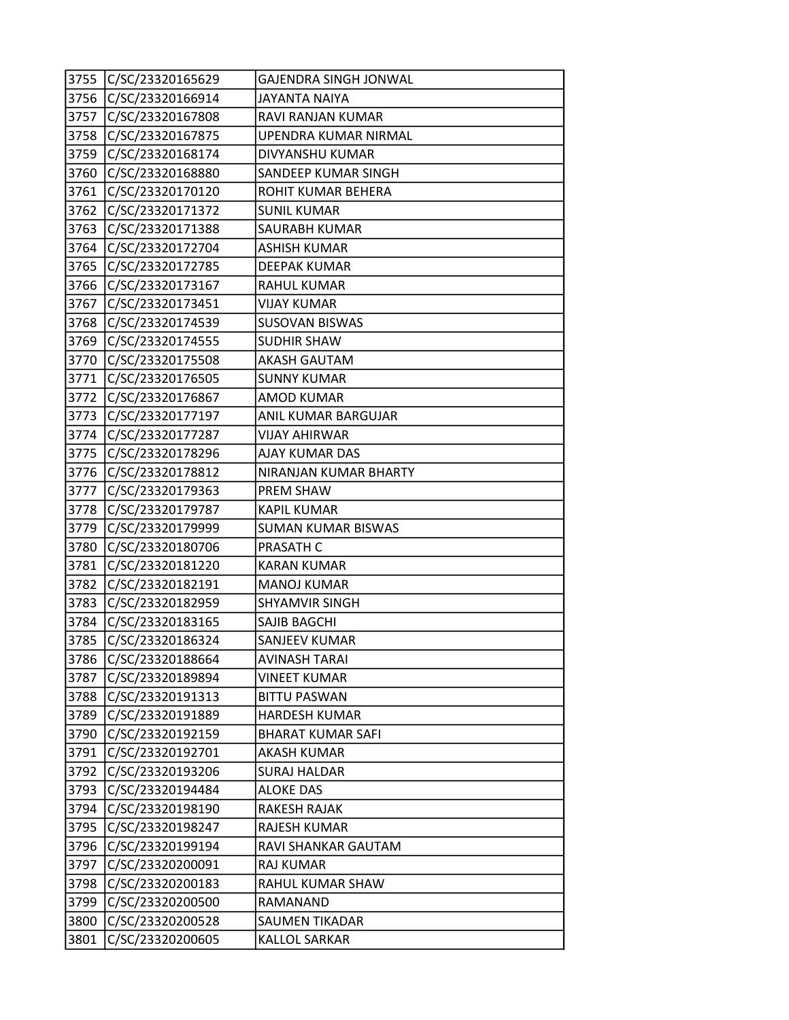| 3755 | C/SC/23320165629      | GAJENDRA SINGH JONWAL     |
|------|-----------------------|---------------------------|
|      | 3756 C/SC/23320166914 | <b>JAYANTA NAIYA</b>      |
| 3757 | C/SC/23320167808      | RAVI RANJAN KUMAR         |
| 3758 | C/SC/23320167875      | UPENDRA KUMAR NIRMAL      |
| 3759 | C/SC/23320168174      | DIVYANSHU KUMAR           |
|      | 3760 C/SC/23320168880 | SANDEEP KUMAR SINGH       |
| 3761 | C/SC/23320170120      | ROHIT KUMAR BEHERA        |
| 3762 | C/SC/23320171372      | <b>SUNIL KUMAR</b>        |
| 3763 | C/SC/23320171388      | SAURABH KUMAR             |
| 3764 | C/SC/23320172704      | <b>ASHISH KUMAR</b>       |
| 3765 | C/SC/23320172785      | <b>DEEPAK KUMAR</b>       |
| 3766 | C/SC/23320173167      | <b>RAHUL KUMAR</b>        |
| 3767 | C/SC/23320173451      | <b>VIJAY KUMAR</b>        |
| 3768 | C/SC/23320174539      | <b>SUSOVAN BISWAS</b>     |
| 3769 | C/SC/23320174555      | <b>SUDHIR SHAW</b>        |
| 3770 | C/SC/23320175508      | <b>AKASH GAUTAM</b>       |
| 3771 | C/SC/23320176505      | <b>SUNNY KUMAR</b>        |
| 3772 | C/SC/23320176867      | <b>AMOD KUMAR</b>         |
| 3773 | C/SC/23320177197      | ANIL KUMAR BARGUJAR       |
| 3774 | C/SC/23320177287      | <b>VIJAY AHIRWAR</b>      |
| 3775 | C/SC/23320178296      | AJAY KUMAR DAS            |
| 3776 | C/SC/23320178812      | NIRANJAN KUMAR BHARTY     |
| 3777 | C/SC/23320179363      | PREM SHAW                 |
| 3778 | C/SC/23320179787      | <b>KAPIL KUMAR</b>        |
|      | 3779 C/SC/23320179999 | <b>SUMAN KUMAR BISWAS</b> |
| 3780 | C/SC/23320180706      | PRASATH C                 |
| 3781 | C/SC/23320181220      | <b>KARAN KUMAR</b>        |
| 3782 | C/SC/23320182191      | <b>MANOJ KUMAR</b>        |
| 3783 | C/SC/23320182959      | <b>SHYAMVIR SINGH</b>     |
| 3784 | C/SC/23320183165      | SAJIB BAGCHI              |
| 3785 | C/SC/23320186324      | SANJEEV KUMAR             |
| 3786 | C/SC/23320188664      | AVINASH TARAI             |
| 3787 | C/SC/23320189894      | <b>VINEET KUMAR</b>       |
| 3788 | C/SC/23320191313      | <b>BITTU PASWAN</b>       |
| 3789 | C/SC/23320191889      | <b>HARDESH KUMAR</b>      |
| 3790 | C/SC/23320192159      | <b>BHARAT KUMAR SAFI</b>  |
| 3791 | C/SC/23320192701      | AKASH KUMAR               |
| 3792 | C/SC/23320193206      | <b>SURAJ HALDAR</b>       |
| 3793 | C/SC/23320194484      | <b>ALOKE DAS</b>          |
| 3794 | C/SC/23320198190      | <b>RAKESH RAJAK</b>       |
| 3795 | C/SC/23320198247      | RAJESH KUMAR              |
| 3796 | C/SC/23320199194      | RAVI SHANKAR GAUTAM       |
| 3797 | C/SC/23320200091      | RAJ KUMAR                 |
| 3798 | C/SC/23320200183      | RAHUL KUMAR SHAW          |
| 3799 | C/SC/23320200500      | RAMANAND                  |
| 3800 | C/SC/23320200528      | <b>SAUMEN TIKADAR</b>     |
| 3801 | C/SC/23320200605      | <b>KALLOL SARKAR</b>      |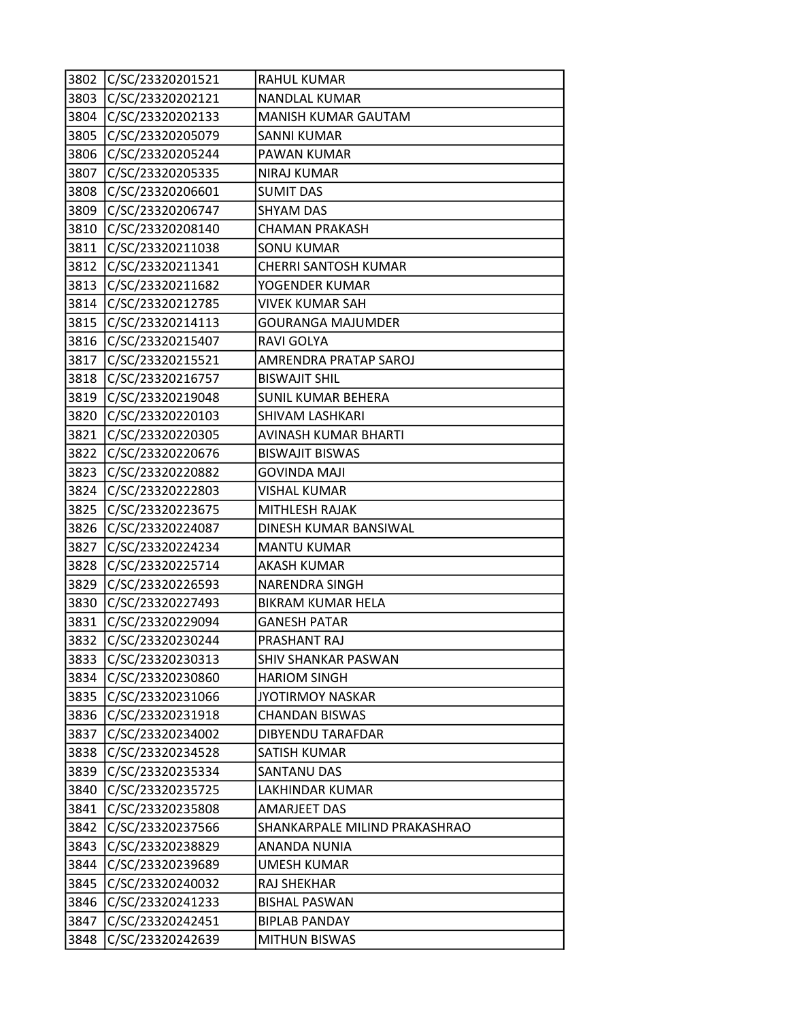| 3802 | C/SC/23320201521      | <b>RAHUL KUMAR</b>            |
|------|-----------------------|-------------------------------|
| 3803 | C/SC/23320202121      | NANDLAL KUMAR                 |
|      | 3804 C/SC/23320202133 | <b>MANISH KUMAR GAUTAM</b>    |
| 3805 | C/SC/23320205079      | <b>SANNI KUMAR</b>            |
| 3806 | C/SC/23320205244      | PAWAN KUMAR                   |
| 3807 | C/SC/23320205335      | <b>NIRAJ KUMAR</b>            |
|      | 3808 C/SC/23320206601 | <b>SUMIT DAS</b>              |
| 3809 | C/SC/23320206747      | <b>SHYAM DAS</b>              |
| 3810 | C/SC/23320208140      | <b>CHAMAN PRAKASH</b>         |
| 3811 | C/SC/23320211038      | <b>SONU KUMAR</b>             |
|      | 3812 C/SC/23320211341 | CHERRI SANTOSH KUMAR          |
| 3813 | C/SC/23320211682      | YOGENDER KUMAR                |
|      | 3814 C/SC/23320212785 | <b>VIVEK KUMAR SAH</b>        |
| 3815 | C/SC/23320214113      | <b>GOURANGA MAJUMDER</b>      |
| 3816 | C/SC/23320215407      | RAVI GOLYA                    |
|      | 3817 C/SC/23320215521 | AMRENDRA PRATAP SAROJ         |
| 3818 | C/SC/23320216757      | <b>BISWAJIT SHIL</b>          |
| 3819 | C/SC/23320219048      | <b>SUNIL KUMAR BEHERA</b>     |
| 3820 | C/SC/23320220103      | SHIVAM LASHKARI               |
|      | 3821 C/SC/23320220305 | AVINASH KUMAR BHARTI          |
|      | 3822 C/SC/23320220676 | <b>BISWAJIT BISWAS</b>        |
| 3823 | C/SC/23320220882      | <b>GOVINDA MAJI</b>           |
| 3824 | C/SC/23320222803      | <b>VISHAL KUMAR</b>           |
| 3825 | C/SC/23320223675      | MITHLESH RAJAK                |
| 3826 | C/SC/23320224087      | DINESH KUMAR BANSIWAL         |
| 3827 | C/SC/23320224234      | <b>MANTU KUMAR</b>            |
| 3828 | C/SC/23320225714      | <b>AKASH KUMAR</b>            |
| 3829 | C/SC/23320226593      | <b>NARENDRA SINGH</b>         |
| 3830 | C/SC/23320227493      | <b>BIKRAM KUMAR HELA</b>      |
| 3831 | C/SC/23320229094      | <b>GANESH PATAR</b>           |
| 3832 | C/SC/23320230244      | PRASHANT RAJ                  |
|      | 3833 C/SC/23320230313 | SHIV SHANKAR PASWAN           |
|      | 3834 C/SC/23320230860 | <b>HARIOM SINGH</b>           |
| 3835 | C/SC/23320231066      | <b>JYOTIRMOY NASKAR</b>       |
| 3836 | C/SC/23320231918      | <b>CHANDAN BISWAS</b>         |
| 3837 | C/SC/23320234002      | DIBYENDU TARAFDAR             |
| 3838 | C/SC/23320234528      | SATISH KUMAR                  |
| 3839 | C/SC/23320235334      | SANTANU DAS                   |
| 3840 | C/SC/23320235725      | LAKHINDAR KUMAR               |
| 3841 | C/SC/23320235808      | AMARJEET DAS                  |
| 3842 | C/SC/23320237566      | SHANKARPALE MILIND PRAKASHRAO |
| 3843 | C/SC/23320238829      | ANANDA NUNIA                  |
| 3844 | C/SC/23320239689      | UMESH KUMAR                   |
| 3845 | C/SC/23320240032      | RAJ SHEKHAR                   |
| 3846 | C/SC/23320241233      | <b>BISHAL PASWAN</b>          |
| 3847 | C/SC/23320242451      | <b>BIPLAB PANDAY</b>          |
| 3848 | C/SC/23320242639      | <b>MITHUN BISWAS</b>          |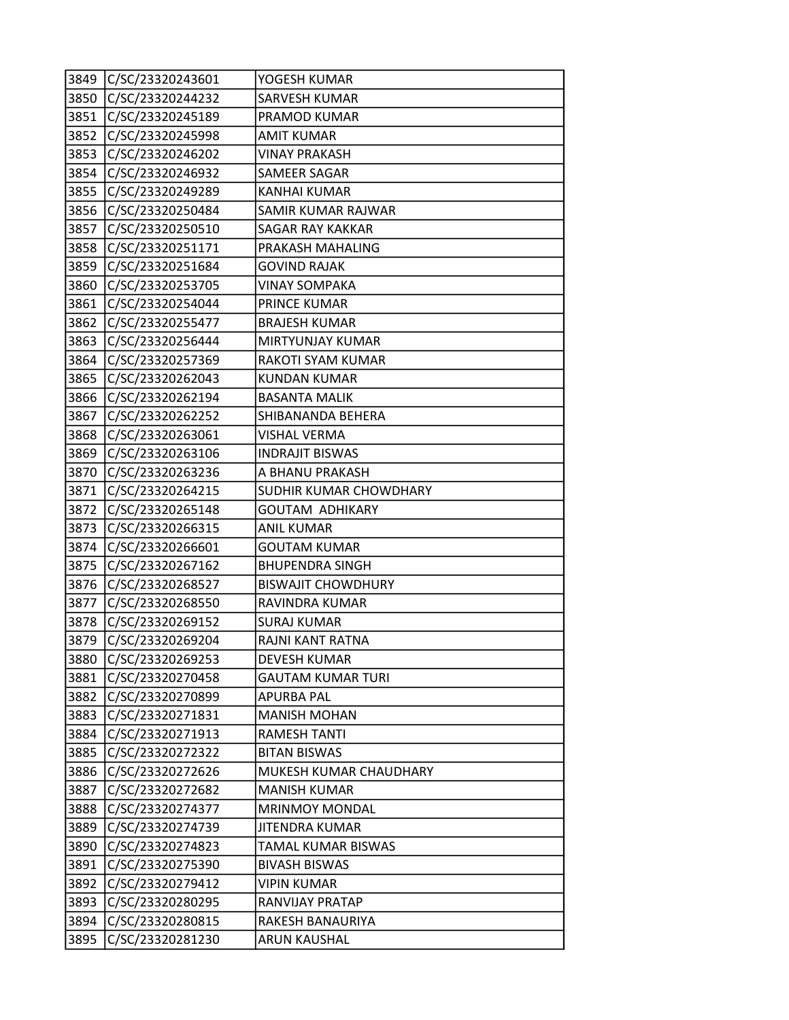| 3849 | C/SC/23320243601 | YOGESH KUMAR              |
|------|------------------|---------------------------|
| 3850 | C/SC/23320244232 | SARVESH KUMAR             |
| 3851 | C/SC/23320245189 | PRAMOD KUMAR              |
| 3852 | C/SC/23320245998 | <b>AMIT KUMAR</b>         |
| 3853 | C/SC/23320246202 | <b>VINAY PRAKASH</b>      |
| 3854 | C/SC/23320246932 | SAMEER SAGAR              |
| 3855 | C/SC/23320249289 | <b>KANHAI KUMAR</b>       |
| 3856 | C/SC/23320250484 | SAMIR KUMAR RAJWAR        |
| 3857 | C/SC/23320250510 | SAGAR RAY KAKKAR          |
| 3858 | C/SC/23320251171 | PRAKASH MAHALING          |
| 3859 | C/SC/23320251684 | GOVIND RAJAK              |
| 3860 | C/SC/23320253705 | <b>VINAY SOMPAKA</b>      |
| 3861 | C/SC/23320254044 | PRINCE KUMAR              |
| 3862 | C/SC/23320255477 | <b>BRAJESH KUMAR</b>      |
| 3863 | C/SC/23320256444 | MIRTYUNJAY KUMAR          |
| 3864 | C/SC/23320257369 | RAKOTI SYAM KUMAR         |
| 3865 | C/SC/23320262043 | <b>KUNDAN KUMAR</b>       |
| 3866 | C/SC/23320262194 | <b>BASANTA MALIK</b>      |
| 3867 | C/SC/23320262252 | SHIBANANDA BEHERA         |
| 3868 | C/SC/23320263061 | VISHAL VERMA              |
| 3869 | C/SC/23320263106 | <b>INDRAJIT BISWAS</b>    |
| 3870 | C/SC/23320263236 | A BHANU PRAKASH           |
| 3871 | C/SC/23320264215 | SUDHIR KUMAR CHOWDHARY    |
| 3872 | C/SC/23320265148 | GOUTAM ADHIKARY           |
| 3873 | C/SC/23320266315 | <b>ANIL KUMAR</b>         |
| 3874 | C/SC/23320266601 | <b>GOUTAM KUMAR</b>       |
| 3875 | C/SC/23320267162 | <b>BHUPENDRA SINGH</b>    |
| 3876 | C/SC/23320268527 | <b>BISWAJIT CHOWDHURY</b> |
| 3877 | C/SC/23320268550 | RAVINDRA KUMAR            |
| 3878 | C/SC/23320269152 | <b>SURAJ KUMAR</b>        |
| 3879 | C/SC/23320269204 | RAJNI KANT RATNA          |
| 3880 | C/SC/23320269253 | DEVESH KUMAR              |
| 3881 | C/SC/23320270458 | <b>GAUTAM KUMAR TURI</b>  |
| 3882 | C/SC/23320270899 | <b>APURBA PAL</b>         |
| 3883 | C/SC/23320271831 | <b>MANISH MOHAN</b>       |
| 3884 | C/SC/23320271913 | <b>RAMESH TANTI</b>       |
| 3885 | C/SC/23320272322 | <b>BITAN BISWAS</b>       |
| 3886 | C/SC/23320272626 | MUKESH KUMAR CHAUDHARY    |
| 3887 | C/SC/23320272682 | <b>MANISH KUMAR</b>       |
| 3888 | C/SC/23320274377 | <b>MRINMOY MONDAL</b>     |
| 3889 | C/SC/23320274739 | <b>JITENDRA KUMAR</b>     |
| 3890 | C/SC/23320274823 | TAMAL KUMAR BISWAS        |
| 3891 | C/SC/23320275390 | <b>BIVASH BISWAS</b>      |
| 3892 | C/SC/23320279412 | VIPIN KUMAR               |
| 3893 | C/SC/23320280295 | RANVIJAY PRATAP           |
| 3894 | C/SC/23320280815 | RAKESH BANAURIYA          |
| 3895 | C/SC/23320281230 | ARUN KAUSHAL              |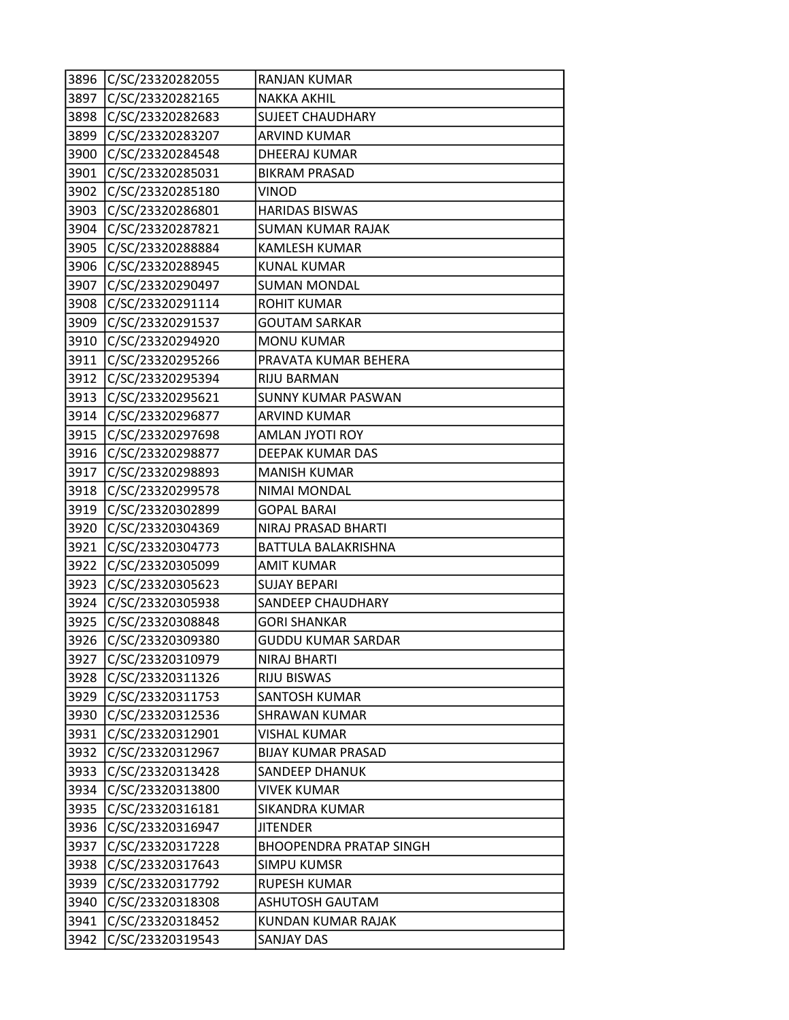| 3896 | C/SC/23320282055 | RANJAN KUMAR                   |
|------|------------------|--------------------------------|
| 3897 | C/SC/23320282165 | <b>NAKKA AKHIL</b>             |
| 3898 | C/SC/23320282683 | <b>SUJEET CHAUDHARY</b>        |
| 3899 | C/SC/23320283207 | <b>ARVIND KUMAR</b>            |
| 3900 | C/SC/23320284548 | DHEERAJ KUMAR                  |
| 3901 | C/SC/23320285031 | <b>BIKRAM PRASAD</b>           |
| 3902 | C/SC/23320285180 | VINOD                          |
| 3903 | C/SC/23320286801 | <b>HARIDAS BISWAS</b>          |
| 3904 | C/SC/23320287821 | SUMAN KUMAR RAJAK              |
| 3905 | C/SC/23320288884 | <b>KAMLESH KUMAR</b>           |
| 3906 | C/SC/23320288945 | <b>KUNAL KUMAR</b>             |
| 3907 | C/SC/23320290497 | <b>SUMAN MONDAL</b>            |
| 3908 | C/SC/23320291114 | <b>ROHIT KUMAR</b>             |
| 3909 | C/SC/23320291537 | <b>GOUTAM SARKAR</b>           |
| 3910 | C/SC/23320294920 | <b>MONU KUMAR</b>              |
| 3911 | C/SC/23320295266 | PRAVATA KUMAR BEHERA           |
| 3912 | C/SC/23320295394 | RIJU BARMAN                    |
| 3913 | C/SC/23320295621 | <b>SUNNY KUMAR PASWAN</b>      |
| 3914 | C/SC/23320296877 | <b>ARVIND KUMAR</b>            |
| 3915 | C/SC/23320297698 | AMLAN JYOTI ROY                |
| 3916 | C/SC/23320298877 | DEEPAK KUMAR DAS               |
| 3917 | C/SC/23320298893 | <b>MANISH KUMAR</b>            |
| 3918 | C/SC/23320299578 | NIMAI MONDAL                   |
| 3919 | C/SC/23320302899 | <b>GOPAL BARAI</b>             |
| 3920 | C/SC/23320304369 | NIRAJ PRASAD BHARTI            |
| 3921 | C/SC/23320304773 | BATTULA BALAKRISHNA            |
| 3922 | C/SC/23320305099 | AMIT KUMAR                     |
| 3923 | C/SC/23320305623 | <b>SUJAY BEPARI</b>            |
| 3924 | C/SC/23320305938 | SANDEEP CHAUDHARY              |
| 3925 | C/SC/23320308848 | GORI SHANKAR                   |
| 3926 | C/SC/23320309380 | <b>GUDDU KUMAR SARDAR</b>      |
| 3927 | C/SC/23320310979 | <b>NIRAJ BHARTI</b>            |
| 3928 | C/SC/23320311326 | <b>RIJU BISWAS</b>             |
| 3929 | C/SC/23320311753 | SANTOSH KUMAR                  |
| 3930 | C/SC/23320312536 | <b>SHRAWAN KUMAR</b>           |
| 3931 | C/SC/23320312901 | <b>VISHAL KUMAR</b>            |
| 3932 | C/SC/23320312967 | <b>BIJAY KUMAR PRASAD</b>      |
| 3933 | C/SC/23320313428 | <b>SANDEEP DHANUK</b>          |
| 3934 | C/SC/23320313800 | VIVEK KUMAR                    |
| 3935 | C/SC/23320316181 | SIKANDRA KUMAR                 |
| 3936 | C/SC/23320316947 | <b>JITENDER</b>                |
| 3937 | C/SC/23320317228 | <b>BHOOPENDRA PRATAP SINGH</b> |
| 3938 | C/SC/23320317643 | SIMPU KUMSR                    |
| 3939 | C/SC/23320317792 | RUPESH KUMAR                   |
| 3940 | C/SC/23320318308 | <b>ASHUTOSH GAUTAM</b>         |
| 3941 | C/SC/23320318452 | KUNDAN KUMAR RAJAK             |
| 3942 | C/SC/23320319543 | <b>SANJAY DAS</b>              |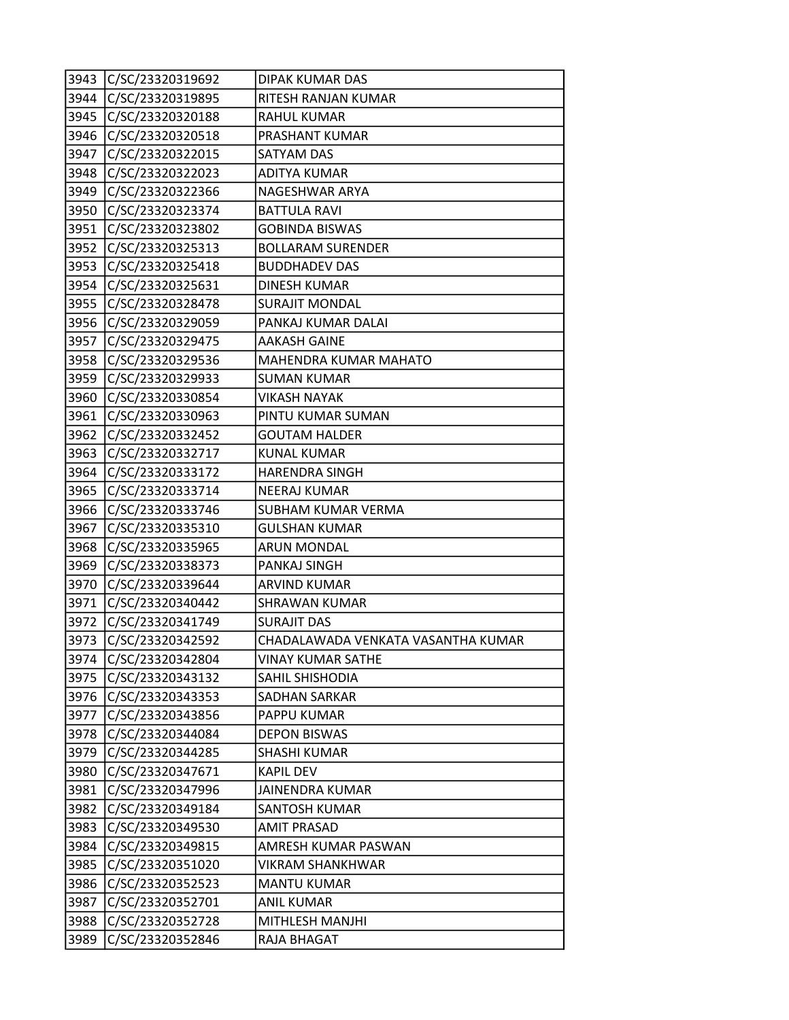|      | 3943 C/SC/23320319692 | DIPAK KUMAR DAS                    |
|------|-----------------------|------------------------------------|
|      | 3944 C/SC/23320319895 | RITESH RANJAN KUMAR                |
| 3945 | C/SC/23320320188      | RAHUL KUMAR                        |
| 3946 | C/SC/23320320518      | PRASHANT KUMAR                     |
| 3947 | C/SC/23320322015      | SATYAM DAS                         |
| 3948 | C/SC/23320322023      | <b>ADITYA KUMAR</b>                |
|      | 3949 C/SC/23320322366 | NAGESHWAR ARYA                     |
| 3950 | C/SC/23320323374      | <b>BATTULA RAVI</b>                |
| 3951 | C/SC/23320323802      | <b>GOBINDA BISWAS</b>              |
| 3952 | C/SC/23320325313      | <b>BOLLARAM SURENDER</b>           |
| 3953 | C/SC/23320325418      | <b>BUDDHADEV DAS</b>               |
| 3954 | C/SC/23320325631      | <b>DINESH KUMAR</b>                |
| 3955 | C/SC/23320328478      | <b>SURAJIT MONDAL</b>              |
| 3956 | C/SC/23320329059      | PANKAJ KUMAR DALAI                 |
|      | 3957 C/SC/23320329475 | <b>AAKASH GAINE</b>                |
| 3958 | C/SC/23320329536      | MAHENDRA KUMAR MAHATO              |
| 3959 | C/SC/23320329933      | <b>SUMAN KUMAR</b>                 |
| 3960 | C/SC/23320330854      | VIKASH NAYAK                       |
| 3961 | C/SC/23320330963      | PINTU KUMAR SUMAN                  |
|      | 3962 C/SC/23320332452 | <b>GOUTAM HALDER</b>               |
| 3963 | C/SC/23320332717      | <b>KUNAL KUMAR</b>                 |
| 3964 | C/SC/23320333172      | <b>HARENDRA SINGH</b>              |
| 3965 | C/SC/23320333714      | <b>NEERAJ KUMAR</b>                |
| 3966 | C/SC/23320333746      | SUBHAM KUMAR VERMA                 |
| 3967 | C/SC/23320335310      | <b>GULSHAN KUMAR</b>               |
| 3968 | C/SC/23320335965      | <b>ARUN MONDAL</b>                 |
| 3969 | C/SC/23320338373      | PANKAJ SINGH                       |
| 3970 | C/SC/23320339644      | <b>ARVIND KUMAR</b>                |
| 3971 | C/SC/23320340442      | <b>SHRAWAN KUMAR</b>               |
| 3972 | C/SC/23320341749      | <b>SURAJIT DAS</b>                 |
| 3973 | C/SC/23320342592      | CHADALAWADA VENKATA VASANTHA KUMAR |
|      | 3974 C/SC/23320342804 | <b>VINAY KUMAR SATHE</b>           |
| 3975 | C/SC/23320343132      | SAHIL SHISHODIA                    |
| 3976 | C/SC/23320343353      | SADHAN SARKAR                      |
| 3977 | C/SC/23320343856      | PAPPU KUMAR                        |
| 3978 | C/SC/23320344084      | <b>DEPON BISWAS</b>                |
| 3979 | C/SC/23320344285      | SHASHI KUMAR                       |
| 3980 | C/SC/23320347671      | <b>KAPIL DEV</b>                   |
| 3981 | C/SC/23320347996      | JAINENDRA KUMAR                    |
| 3982 | C/SC/23320349184      | <b>SANTOSH KUMAR</b>               |
| 3983 | C/SC/23320349530      | <b>AMIT PRASAD</b>                 |
| 3984 | C/SC/23320349815      | AMRESH KUMAR PASWAN                |
| 3985 | C/SC/23320351020      | <b>VIKRAM SHANKHWAR</b>            |
| 3986 | C/SC/23320352523      | <b>MANTU KUMAR</b>                 |
| 3987 | C/SC/23320352701      | <b>ANIL KUMAR</b>                  |
| 3988 | C/SC/23320352728      | MITHLESH MANJHI                    |
| 3989 | C/SC/23320352846      | RAJA BHAGAT                        |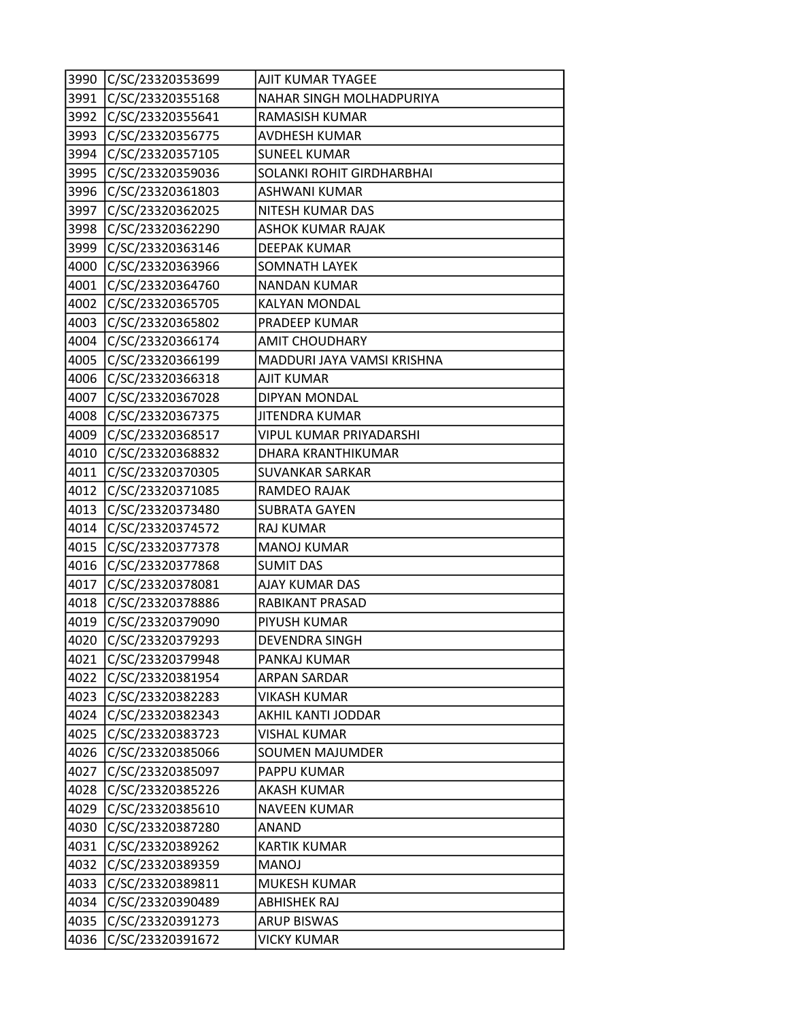|      | 3990 C/SC/23320353699 | AJIT KUMAR TYAGEE              |
|------|-----------------------|--------------------------------|
| 3991 | C/SC/23320355168      | NAHAR SINGH MOLHADPURIYA       |
|      | 3992 C/SC/23320355641 | RAMASISH KUMAR                 |
| 3993 | C/SC/23320356775      | AVDHESH KUMAR                  |
| 3994 | C/SC/23320357105      | <b>SUNEEL KUMAR</b>            |
| 3995 | C/SC/23320359036      | SOLANKI ROHIT GIRDHARBHAI      |
|      | 3996 C/SC/23320361803 | <b>ASHWANI KUMAR</b>           |
| 3997 | C/SC/23320362025      | NITESH KUMAR DAS               |
| 3998 | C/SC/23320362290      | <b>ASHOK KUMAR RAJAK</b>       |
| 3999 | C/SC/23320363146      | <b>DEEPAK KUMAR</b>            |
| 4000 | C/SC/23320363966      | <b>SOMNATH LAYEK</b>           |
| 4001 | C/SC/23320364760      | NANDAN KUMAR                   |
| 4002 | C/SC/23320365705      | <b>KALYAN MONDAL</b>           |
| 4003 | C/SC/23320365802      | PRADEEP KUMAR                  |
|      | 4004 C/SC/23320366174 | AMIT CHOUDHARY                 |
| 4005 | C/SC/23320366199      | MADDURI JAYA VAMSI KRISHNA     |
| 4006 | C/SC/23320366318      | <b>AJIT KUMAR</b>              |
| 4007 | C/SC/23320367028      | DIPYAN MONDAL                  |
| 4008 | C/SC/23320367375      | <b>JITENDRA KUMAR</b>          |
|      | 4009 C/SC/23320368517 | <b>VIPUL KUMAR PRIYADARSHI</b> |
|      | 4010 C/SC/23320368832 | DHARA KRANTHIKUMAR             |
| 4011 | C/SC/23320370305      | SUVANKAR SARKAR                |
| 4012 | C/SC/23320371085      | RAMDEO RAJAK                   |
| 4013 | C/SC/23320373480      | <b>SUBRATA GAYEN</b>           |
|      | 4014 C/SC/23320374572 | <b>RAJ KUMAR</b>               |
| 4015 | C/SC/23320377378      | <b>MANOJ KUMAR</b>             |
| 4016 | C/SC/23320377868      | <b>SUMIT DAS</b>               |
| 4017 | C/SC/23320378081      | AJAY KUMAR DAS                 |
| 4018 | C/SC/23320378886      | RABIKANT PRASAD                |
| 4019 | C/SC/23320379090      | PIYUSH KUMAR                   |
| 4020 | C/SC/23320379293      | <b>DEVENDRA SINGH</b>          |
| 4021 | C/SC/23320379948      | PANKAJ KUMAR                   |
| 4022 | C/SC/23320381954      | <b>ARPAN SARDAR</b>            |
| 4023 | C/SC/23320382283      | <b>VIKASH KUMAR</b>            |
| 4024 | C/SC/23320382343      | AKHIL KANTI JODDAR             |
| 4025 | C/SC/23320383723      | <b>VISHAL KUMAR</b>            |
| 4026 | C/SC/23320385066      | <b>SOUMEN MAJUMDER</b>         |
| 4027 | C/SC/23320385097      | PAPPU KUMAR                    |
| 4028 | C/SC/23320385226      | AKASH KUMAR                    |
| 4029 | C/SC/23320385610      | <b>NAVEEN KUMAR</b>            |
| 4030 | C/SC/23320387280      | ANAND                          |
| 4031 | C/SC/23320389262      | <b>KARTIK KUMAR</b>            |
| 4032 | C/SC/23320389359      | <b>MANOJ</b>                   |
| 4033 | C/SC/23320389811      | MUKESH KUMAR                   |
| 4034 | C/SC/23320390489      | <b>ABHISHEK RAJ</b>            |
| 4035 | C/SC/23320391273      | <b>ARUP BISWAS</b>             |
| 4036 | C/SC/23320391672      | <b>VICKY KUMAR</b>             |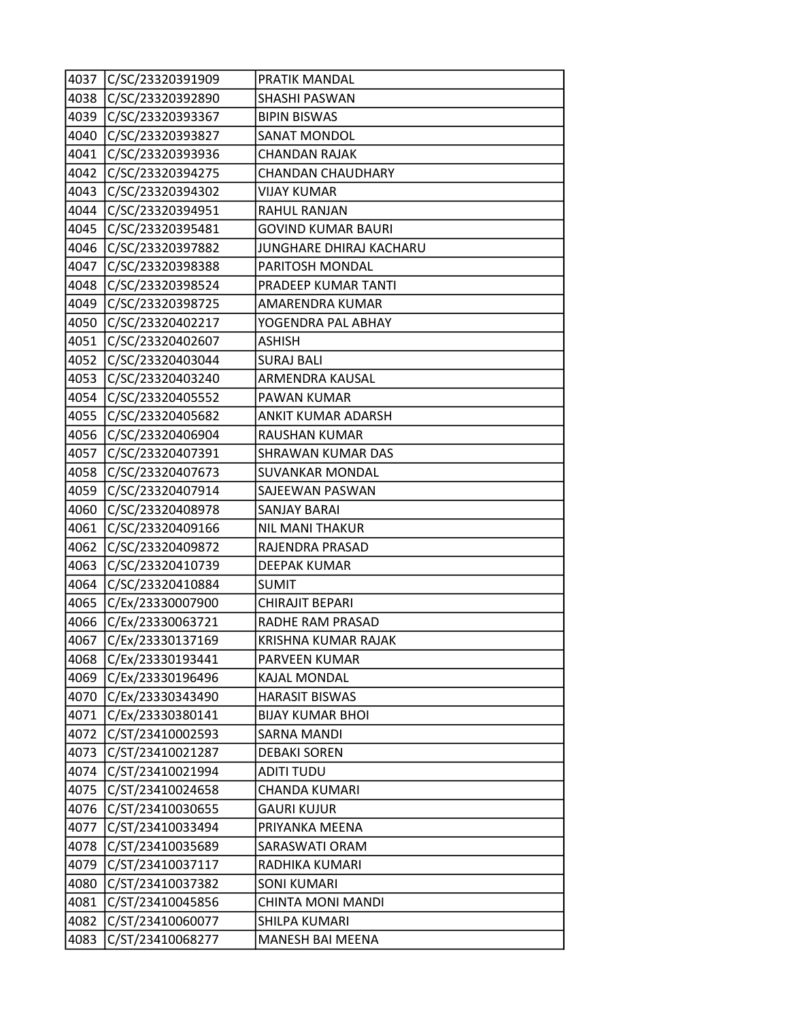| 4037 | C/SC/23320391909 | PRATIK MANDAL             |
|------|------------------|---------------------------|
| 4038 | C/SC/23320392890 | SHASHI PASWAN             |
| 4039 | C/SC/23320393367 | <b>BIPIN BISWAS</b>       |
| 4040 | C/SC/23320393827 | <b>SANAT MONDOL</b>       |
| 4041 | C/SC/23320393936 | <b>CHANDAN RAJAK</b>      |
| 4042 | C/SC/23320394275 | <b>CHANDAN CHAUDHARY</b>  |
| 4043 | C/SC/23320394302 | <b>VIJAY KUMAR</b>        |
| 4044 | C/SC/23320394951 | RAHUL RANJAN              |
| 4045 | C/SC/23320395481 | <b>GOVIND KUMAR BAURI</b> |
| 4046 | C/SC/23320397882 | JUNGHARE DHIRAJ KACHARU   |
| 4047 | C/SC/23320398388 | PARITOSH MONDAL           |
| 4048 | C/SC/23320398524 | PRADEEP KUMAR TANTI       |
| 4049 | C/SC/23320398725 | AMARENDRA KUMAR           |
| 4050 | C/SC/23320402217 | YOGENDRA PAL ABHAY        |
| 4051 | C/SC/23320402607 | ASHISH                    |
| 4052 | C/SC/23320403044 | <b>SURAJ BALI</b>         |
| 4053 | C/SC/23320403240 | ARMENDRA KAUSAL           |
| 4054 | C/SC/23320405552 | PAWAN KUMAR               |
| 4055 | C/SC/23320405682 | ANKIT KUMAR ADARSH        |
| 4056 | C/SC/23320406904 | RAUSHAN KUMAR             |
| 4057 | C/SC/23320407391 | SHRAWAN KUMAR DAS         |
| 4058 | C/SC/23320407673 | <b>SUVANKAR MONDAL</b>    |
| 4059 | C/SC/23320407914 | SAJEEWAN PASWAN           |
| 4060 | C/SC/23320408978 | SANJAY BARAI              |
| 4061 | C/SC/23320409166 | NIL MANI THAKUR           |
| 4062 | C/SC/23320409872 | RAJENDRA PRASAD           |
| 4063 | C/SC/23320410739 | DEEPAK KUMAR              |
| 4064 | C/SC/23320410884 | <b>SUMIT</b>              |
| 4065 | C/Ex/23330007900 | CHIRAJIT BEPARI           |
| 4066 | C/Ex/23330063721 | RADHE RAM PRASAD          |
| 4067 | C/Ex/23330137169 | KRISHNA KUMAR RAJAK       |
| 4068 | C/Ex/23330193441 | PARVEEN KUMAR             |
| 4069 | C/Ex/23330196496 | KAJAL MONDAL              |
| 4070 | C/Ex/23330343490 | <b>HARASIT BISWAS</b>     |
| 4071 | C/Ex/23330380141 | <b>BIJAY KUMAR BHOI</b>   |
| 4072 | C/ST/23410002593 | <b>SARNA MANDI</b>        |
| 4073 | C/ST/23410021287 | <b>DEBAKI SOREN</b>       |
| 4074 | C/ST/23410021994 | <b>ADITI TUDU</b>         |
| 4075 | C/ST/23410024658 | CHANDA KUMARI             |
| 4076 | C/ST/23410030655 | <b>GAURI KUJUR</b>        |
| 4077 | C/ST/23410033494 | PRIYANKA MEENA            |
| 4078 | C/ST/23410035689 | SARASWATI ORAM            |
| 4079 | C/ST/23410037117 | RADHIKA KUMARI            |
| 4080 | C/ST/23410037382 | <b>SONI KUMARI</b>        |
| 4081 | C/ST/23410045856 | <b>CHINTA MONI MANDI</b>  |
| 4082 | C/ST/23410060077 | SHILPA KUMARI             |
| 4083 | C/ST/23410068277 | MANESH BAI MEENA          |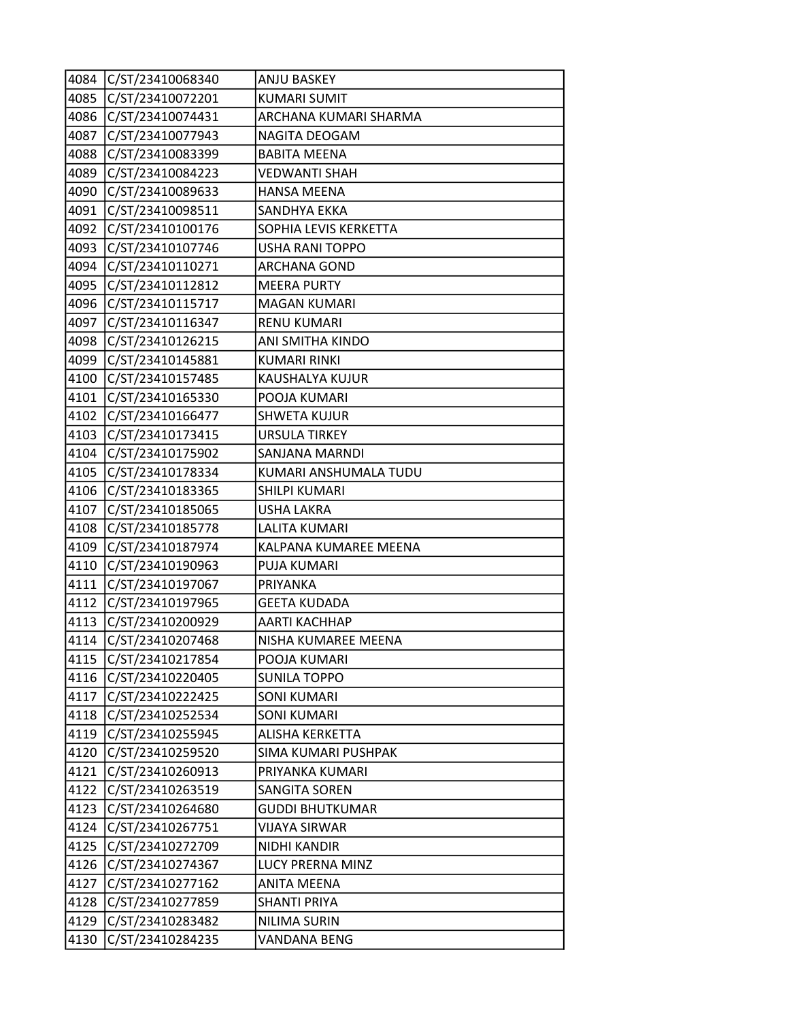|      | 4084 C/ST/23410068340 | <b>ANJU BASKEY</b>     |
|------|-----------------------|------------------------|
| 4085 | C/ST/23410072201      | <b>KUMARI SUMIT</b>    |
| 4086 | C/ST/23410074431      | ARCHANA KUMARI SHARMA  |
| 4087 | C/ST/23410077943      | NAGITA DEOGAM          |
| 4088 | C/ST/23410083399      | <b>BABITA MEENA</b>    |
| 4089 | C/ST/23410084223      | <b>VEDWANTI SHAH</b>   |
| 4090 | C/ST/23410089633      | <b>HANSA MEENA</b>     |
| 4091 | C/ST/23410098511      | SANDHYA EKKA           |
| 4092 | C/ST/23410100176      | SOPHIA LEVIS KERKETTA  |
| 4093 | C/ST/23410107746      | <b>USHA RANI TOPPO</b> |
|      | 4094 C/ST/23410110271 | <b>ARCHANA GOND</b>    |
| 4095 | C/ST/23410112812      | <b>MEERA PURTY</b>     |
| 4096 | C/ST/23410115717      | MAGAN KUMARI           |
| 4097 | C/ST/23410116347      | <b>RENU KUMARI</b>     |
|      | 4098 C/ST/23410126215 | ANI SMITHA KINDO       |
| 4099 | C/ST/23410145881      | <b>KUMARI RINKI</b>    |
| 4100 | C/ST/23410157485      | KAUSHALYA KUJUR        |
| 4101 | C/ST/23410165330      | POOJA KUMARI           |
| 4102 | C/ST/23410166477      | <b>SHWETA KUJUR</b>    |
|      | 4103 C/ST/23410173415 | <b>URSULA TIRKEY</b>   |
|      | 4104 C/ST/23410175902 | SANJANA MARNDI         |
| 4105 | C/ST/23410178334      | KUMARI ANSHUMALA TUDU  |
| 4106 | C/ST/23410183365      | SHILPI KUMARI          |
| 4107 | C/ST/23410185065      | <b>USHA LAKRA</b>      |
| 4108 | C/ST/23410185778      | LALITA KUMARI          |
| 4109 | C/ST/23410187974      | KALPANA KUMAREE MEENA  |
| 4110 | C/ST/23410190963      | PUJA KUMARI            |
| 4111 | C/ST/23410197067      | <b>PRIYANKA</b>        |
| 4112 | C/ST/23410197965      | <b>GEETA KUDADA</b>    |
| 4113 | C/ST/23410200929      | <b>AARTI KACHHAP</b>   |
| 4114 | C/ST/23410207468      | NISHA KUMAREE MEENA    |
| 4115 | C/ST/23410217854      | POOJA KUMARI           |
|      | 4116 C/ST/23410220405 | <b>SUNILA TOPPO</b>    |
| 4117 | C/ST/23410222425      | <b>SONI KUMARI</b>     |
| 4118 | C/ST/23410252534      | <b>SONI KUMARI</b>     |
| 4119 | C/ST/23410255945      | ALISHA KERKETTA        |
| 4120 | C/ST/23410259520      | SIMA KUMARI PUSHPAK    |
| 4121 | C/ST/23410260913      | PRIYANKA KUMARI        |
| 4122 | C/ST/23410263519      | <b>SANGITA SOREN</b>   |
| 4123 | C/ST/23410264680      | <b>GUDDI BHUTKUMAR</b> |
| 4124 | C/ST/23410267751      | VIJAYA SIRWAR          |
| 4125 | C/ST/23410272709      | NIDHI KANDIR           |
| 4126 | C/ST/23410274367      | LUCY PRERNA MINZ       |
| 4127 | C/ST/23410277162      | <b>ANITA MEENA</b>     |
| 4128 | C/ST/23410277859      | <b>SHANTI PRIYA</b>    |
| 4129 | C/ST/23410283482      | <b>NILIMA SURIN</b>    |
| 4130 | C/ST/23410284235      | <b>VANDANA BENG</b>    |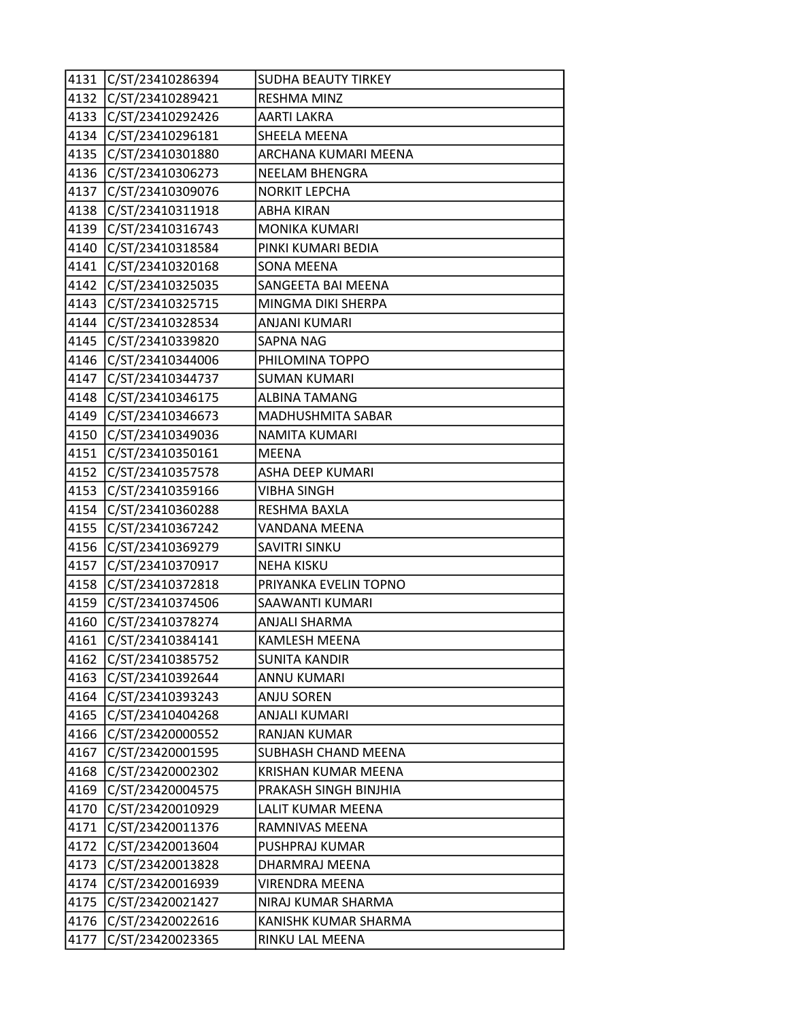|      | 4131 C/ST/23410286394 | <b>SUDHA BEAUTY TIRKEY</b> |
|------|-----------------------|----------------------------|
|      | 4132 C/ST/23410289421 | RESHMA MINZ                |
| 4133 | C/ST/23410292426      | AARTI LAKRA                |
|      | 4134 C/ST/23410296181 | SHEELA MEENA               |
| 4135 | C/ST/23410301880      | ARCHANA KUMARI MEENA       |
|      | 4136 C/ST/23410306273 | <b>NEELAM BHENGRA</b>      |
|      | 4137 C/ST/23410309076 | <b>NORKIT LEPCHA</b>       |
| 4138 | C/ST/23410311918      | ABHA KIRAN                 |
| 4139 | C/ST/23410316743      | <b>MONIKA KUMARI</b>       |
| 4140 | C/ST/23410318584      | PINKI KUMARI BEDIA         |
|      | 4141 C/ST/23410320168 | <b>SONA MEENA</b>          |
|      | 4142 C/ST/23410325035 | SANGEETA BAI MEENA         |
|      | 4143 C/ST/23410325715 | MINGMA DIKI SHERPA         |
|      | 4144 C/ST/23410328534 | ANJANI KUMARI              |
| 4145 | C/ST/23410339820      | SAPNA NAG                  |
|      | 4146 C/ST/23410344006 | PHILOMINA TOPPO            |
| 4147 | C/ST/23410344737      | <b>SUMAN KUMARI</b>        |
| 4148 | C/ST/23410346175      | <b>ALBINA TAMANG</b>       |
| 4149 | C/ST/23410346673      | MADHUSHMITA SABAR          |
|      | 4150 C/ST/23410349036 | <b>NAMITA KUMARI</b>       |
| 4151 | C/ST/23410350161      | <b>MEENA</b>               |
| 4152 | C/ST/23410357578      | ASHA DEEP KUMARI           |
| 4153 | C/ST/23410359166      | VIBHA SINGH                |
| 4154 | C/ST/23410360288      | RESHMA BAXLA               |
|      | 4155 C/ST/23410367242 | VANDANA MEENA              |
|      | 4156 C/ST/23410369279 | SAVITRI SINKU              |
| 4157 | C/ST/23410370917      | <b>NEHA KISKU</b>          |
| 4158 | C/ST/23410372818      | PRIYANKA EVELIN TOPNO      |
| 4159 | C/ST/23410374506      | SAAWANTI KUMARI            |
| 4160 | C/ST/23410378274      | ANJALI SHARMA              |
| 4161 | C/ST/23410384141      | KAMLESH MEENA              |
| 4162 | C/ST/23410385752      | <b>SUNITA KANDIR</b>       |
| 4163 | C/ST/23410392644      | ANNU KUMARI                |
|      | 4164 C/ST/23410393243 | <b>ANJU SOREN</b>          |
| 4165 | C/ST/23410404268      | <b>ANJALI KUMARI</b>       |
| 4166 | C/ST/23420000552      | <b>RANJAN KUMAR</b>        |
| 4167 | C/ST/23420001595      | SUBHASH CHAND MEENA        |
| 4168 | C/ST/23420002302      | <b>KRISHAN KUMAR MEENA</b> |
| 4169 | C/ST/23420004575      | PRAKASH SINGH BINJHIA      |
| 4170 | C/ST/23420010929      | LALIT KUMAR MEENA          |
| 4171 | C/ST/23420011376      | RAMNIVAS MEENA             |
|      | 4172 C/ST/23420013604 | PUSHPRAJ KUMAR             |
| 4173 | C/ST/23420013828      | DHARMRAJ MEENA             |
|      | 4174 C/ST/23420016939 | VIRENDRA MEENA             |
| 4175 | C/ST/23420021427      | NIRAJ KUMAR SHARMA         |
| 4176 | C/ST/23420022616      | KANISHK KUMAR SHARMA       |
| 4177 | C/ST/23420023365      | RINKU LAL MEENA            |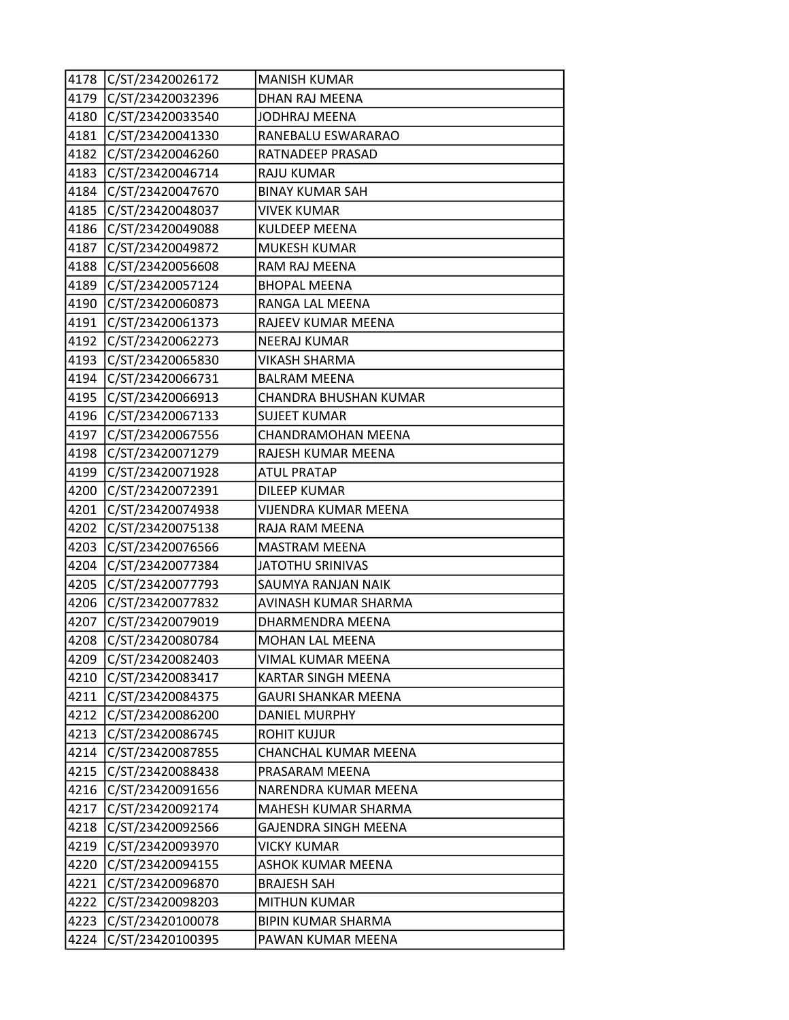| 4178 | C/ST/23420026172 | <b>MANISH KUMAR</b>         |
|------|------------------|-----------------------------|
| 4179 | C/ST/23420032396 | <b>DHAN RAJ MEENA</b>       |
| 4180 | C/ST/23420033540 | JODHRAJ MEENA               |
| 4181 | C/ST/23420041330 | RANEBALU ESWARARAO          |
| 4182 | C/ST/23420046260 | RATNADEEP PRASAD            |
| 4183 | C/ST/23420046714 | RAJU KUMAR                  |
| 4184 | C/ST/23420047670 | <b>BINAY KUMAR SAH</b>      |
| 4185 | C/ST/23420048037 | <b>VIVEK KUMAR</b>          |
| 4186 | C/ST/23420049088 | KULDEEP MEENA               |
| 4187 | C/ST/23420049872 | <b>MUKESH KUMAR</b>         |
| 4188 | C/ST/23420056608 | RAM RAJ MEENA               |
| 4189 | C/ST/23420057124 | <b>BHOPAL MEENA</b>         |
| 4190 | C/ST/23420060873 | RANGA LAL MEENA             |
| 4191 | C/ST/23420061373 | RAJEEV KUMAR MEENA          |
| 4192 | C/ST/23420062273 | <b>NEERAJ KUMAR</b>         |
| 4193 | C/ST/23420065830 | VIKASH SHARMA               |
| 4194 | C/ST/23420066731 | <b>BALRAM MEENA</b>         |
| 4195 | C/ST/23420066913 | CHANDRA BHUSHAN KUMAR       |
| 4196 | C/ST/23420067133 | <b>SUJEET KUMAR</b>         |
| 4197 | C/ST/23420067556 | CHANDRAMOHAN MEENA          |
| 4198 | C/ST/23420071279 | RAJESH KUMAR MEENA          |
| 4199 | C/ST/23420071928 | <b>ATUL PRATAP</b>          |
| 4200 | C/ST/23420072391 | <b>DILEEP KUMAR</b>         |
| 4201 | C/ST/23420074938 | <b>VIJENDRA KUMAR MEENA</b> |
| 4202 | C/ST/23420075138 | RAJA RAM MEENA              |
| 4203 | C/ST/23420076566 | <b>MASTRAM MEENA</b>        |
| 4204 | C/ST/23420077384 | <b>JATOTHU SRINIVAS</b>     |
| 4205 | C/ST/23420077793 | SAUMYA RANJAN NAIK          |
| 4206 | C/ST/23420077832 | AVINASH KUMAR SHARMA        |
| 4207 | C/ST/23420079019 | DHARMENDRA MEENA            |
| 4208 | C/ST/23420080784 | MOHAN LAL MEENA             |
| 4209 | C/ST/23420082403 | VIMAL KUMAR MEENA           |
| 4210 | C/ST/23420083417 | <b>KARTAR SINGH MEENA</b>   |
| 4211 | C/ST/23420084375 | GAURI SHANKAR MEENA         |
| 4212 | C/ST/23420086200 | <b>DANIEL MURPHY</b>        |
| 4213 | C/ST/23420086745 | ROHIT KUJUR                 |
| 4214 | C/ST/23420087855 | CHANCHAL KUMAR MEENA        |
| 4215 | C/ST/23420088438 | PRASARAM MEENA              |
| 4216 | C/ST/23420091656 | NARENDRA KUMAR MEENA        |
| 4217 | C/ST/23420092174 | MAHESH KUMAR SHARMA         |
| 4218 | C/ST/23420092566 | GAJENDRA SINGH MEENA        |
| 4219 | C/ST/23420093970 | <b>VICKY KUMAR</b>          |
| 4220 | C/ST/23420094155 | <b>ASHOK KUMAR MEENA</b>    |
| 4221 | C/ST/23420096870 | <b>BRAJESH SAH</b>          |
| 4222 | C/ST/23420098203 | <b>MITHUN KUMAR</b>         |
| 4223 | C/ST/23420100078 | <b>BIPIN KUMAR SHARMA</b>   |
| 4224 | C/ST/23420100395 | PAWAN KUMAR MEENA           |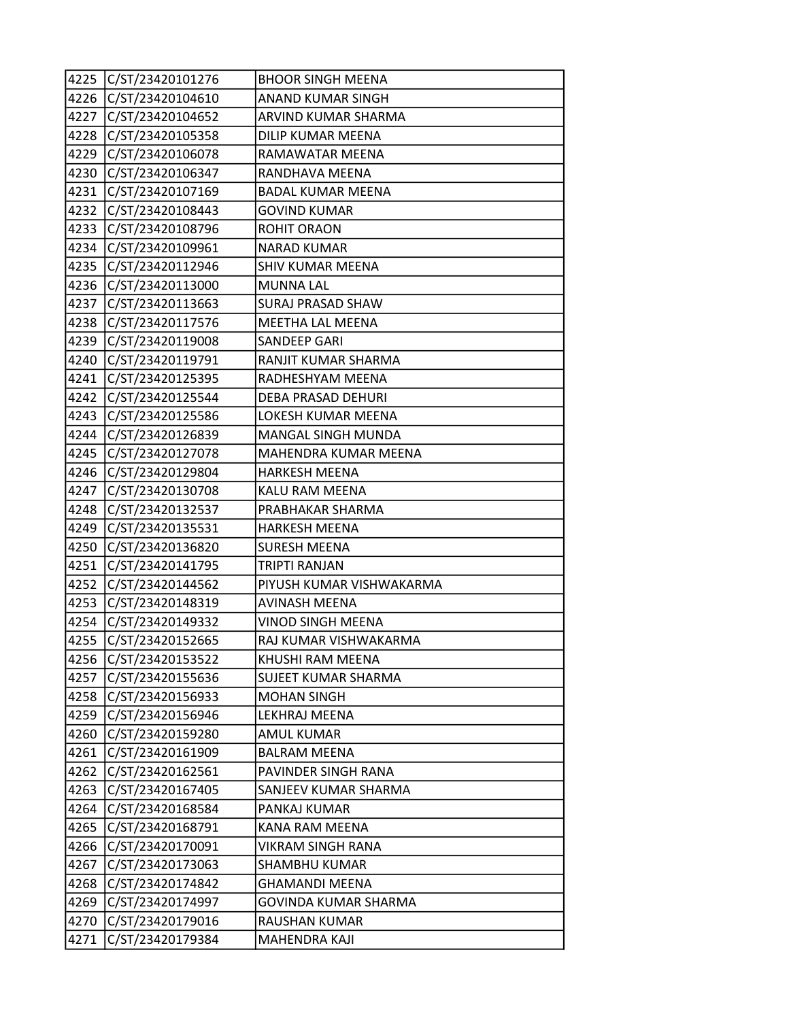|      | 4225 C/ST/23420101276 | <b>BHOOR SINGH MEENA</b> |
|------|-----------------------|--------------------------|
| 4226 | C/ST/23420104610      | ANAND KUMAR SINGH        |
| 4227 | C/ST/23420104652      | ARVIND KUMAR SHARMA      |
| 4228 | C/ST/23420105358      | DILIP KUMAR MEENA        |
| 4229 | C/ST/23420106078      | RAMAWATAR MEENA          |
| 4230 | C/ST/23420106347      | RANDHAVA MEENA           |
|      | 4231 C/ST/23420107169 | <b>BADAL KUMAR MEENA</b> |
| 4232 | C/ST/23420108443      | <b>GOVIND KUMAR</b>      |
| 4233 | C/ST/23420108796      | <b>ROHIT ORAON</b>       |
| 4234 | C/ST/23420109961      | <b>NARAD KUMAR</b>       |
| 4235 | C/ST/23420112946      | <b>SHIV KUMAR MEENA</b>  |
|      | 4236 C/ST/23420113000 | <b>MUNNA LAL</b>         |
| 4237 | C/ST/23420113663      | <b>SURAJ PRASAD SHAW</b> |
| 4238 | C/ST/23420117576      | MEETHA LAL MEENA         |
| 4239 | C/ST/23420119008      | SANDEEP GARI             |
| 4240 | C/ST/23420119791      | RANJIT KUMAR SHARMA      |
| 4241 | C/ST/23420125395      | RADHESHYAM MEENA         |
| 4242 | C/ST/23420125544      | DEBA PRASAD DEHURI       |
| 4243 | C/ST/23420125586      | LOKESH KUMAR MEENA       |
| 4244 | C/ST/23420126839      | MANGAL SINGH MUNDA       |
| 4245 | C/ST/23420127078      | MAHENDRA KUMAR MEENA     |
| 4246 | C/ST/23420129804      | <b>HARKESH MEENA</b>     |
| 4247 | C/ST/23420130708      | KALU RAM MEENA           |
| 4248 | C/ST/23420132537      | PRABHAKAR SHARMA         |
| 4249 | C/ST/23420135531      | <b>HARKESH MEENA</b>     |
| 4250 | C/ST/23420136820      | <b>SURESH MEENA</b>      |
| 4251 | C/ST/23420141795      | TRIPTI RANJAN            |
| 4252 | C/ST/23420144562      | PIYUSH KUMAR VISHWAKARMA |
| 4253 | C/ST/23420148319      | <b>AVINASH MEENA</b>     |
| 4254 | C/ST/23420149332      | VINOD SINGH MEENA        |
| 4255 | C/ST/23420152665      | RAJ KUMAR VISHWAKARMA    |
| 4256 | C/ST/23420153522      | KHUSHI RAM MEENA         |
|      | 4257 C/ST/23420155636 | SUJEET KUMAR SHARMA      |
|      | 4258 C/ST/23420156933 | <b>MOHAN SINGH</b>       |
| 4259 | C/ST/23420156946      | LEKHRAJ MEENA            |
| 4260 | C/ST/23420159280      | <b>AMUL KUMAR</b>        |
| 4261 | C/ST/23420161909      | <b>BALRAM MEENA</b>      |
| 4262 | C/ST/23420162561      | PAVINDER SINGH RANA      |
| 4263 | C/ST/23420167405      | SANJEEV KUMAR SHARMA     |
| 4264 | C/ST/23420168584      | PANKAJ KUMAR             |
| 4265 | C/ST/23420168791      | KANA RAM MEENA           |
| 4266 | C/ST/23420170091      | VIKRAM SINGH RANA        |
| 4267 | C/ST/23420173063      | SHAMBHU KUMAR            |
| 4268 | C/ST/23420174842      | <b>GHAMANDI MEENA</b>    |
| 4269 | C/ST/23420174997      | GOVINDA KUMAR SHARMA     |
| 4270 | C/ST/23420179016      | RAUSHAN KUMAR            |
| 4271 | C/ST/23420179384      | MAHENDRA KAJI            |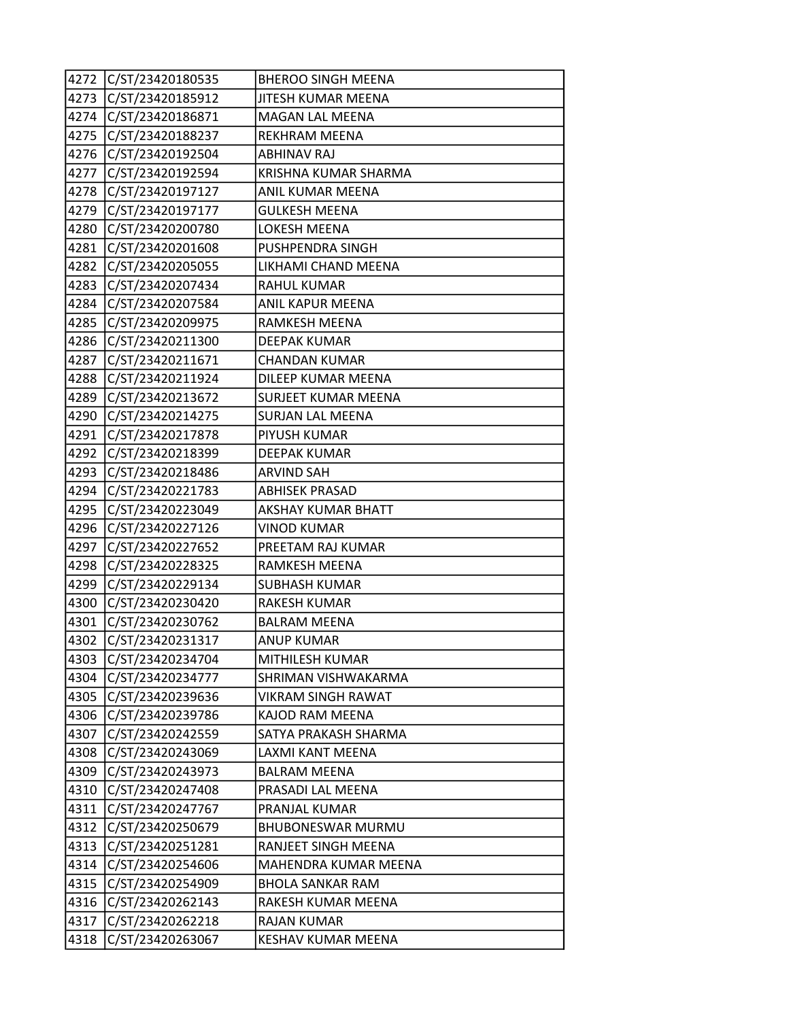| 4272 | C/ST/23420180535      | <b>BHEROO SINGH MEENA</b>  |
|------|-----------------------|----------------------------|
| 4273 | C/ST/23420185912      | JITESH KUMAR MEENA         |
| 4274 | C/ST/23420186871      | MAGAN LAL MEENA            |
| 4275 | C/ST/23420188237      | REKHRAM MEENA              |
| 4276 | C/ST/23420192504      | <b>ABHINAV RAJ</b>         |
| 4277 | C/ST/23420192594      | KRISHNA KUMAR SHARMA       |
| 4278 | C/ST/23420197127      | ANIL KUMAR MEENA           |
| 4279 | C/ST/23420197177      | <b>GULKESH MEENA</b>       |
| 4280 | C/ST/23420200780      | LOKESH MEENA               |
| 4281 | C/ST/23420201608      | PUSHPENDRA SINGH           |
| 4282 | C/ST/23420205055      | LIKHAMI CHAND MEENA        |
| 4283 | C/ST/23420207434      | <b>RAHUL KUMAR</b>         |
| 4284 | C/ST/23420207584      | ANIL KAPUR MEENA           |
| 4285 | C/ST/23420209975      | RAMKESH MEENA              |
| 4286 | C/ST/23420211300      | <b>DEEPAK KUMAR</b>        |
| 4287 | C/ST/23420211671      | <b>CHANDAN KUMAR</b>       |
| 4288 | C/ST/23420211924      | DILEEP KUMAR MEENA         |
| 4289 | C/ST/23420213672      | <b>SURJEET KUMAR MEENA</b> |
| 4290 | C/ST/23420214275      | <b>SURJAN LAL MEENA</b>    |
| 4291 | C/ST/23420217878      | PIYUSH KUMAR               |
| 4292 | C/ST/23420218399      | <b>DEEPAK KUMAR</b>        |
| 4293 | C/ST/23420218486      | ARVIND SAH                 |
| 4294 | C/ST/23420221783      | <b>ABHISEK PRASAD</b>      |
| 4295 | C/ST/23420223049      | <b>AKSHAY KUMAR BHATT</b>  |
| 4296 | C/ST/23420227126      | <b>VINOD KUMAR</b>         |
| 4297 | C/ST/23420227652      | PREETAM RAJ KUMAR          |
| 4298 | C/ST/23420228325      | RAMKESH MEENA              |
| 4299 | C/ST/23420229134      | <b>SUBHASH KUMAR</b>       |
| 4300 | C/ST/23420230420      | <b>RAKESH KUMAR</b>        |
| 4301 | C/ST/23420230762      | <b>BALRAM MEENA</b>        |
| 4302 | C/ST/23420231317      | <b>ANUP KUMAR</b>          |
|      | 4303 C/ST/23420234704 | MITHILESH KUMAR            |
|      | 4304 C/ST/23420234777 | SHRIMAN VISHWAKARMA        |
|      | 4305 C/ST/23420239636 | VIKRAM SINGH RAWAT         |
| 4306 | C/ST/23420239786      | KAJOD RAM MEENA            |
| 4307 | C/ST/23420242559      | SATYA PRAKASH SHARMA       |
| 4308 | C/ST/23420243069      | LAXMI KANT MEENA           |
| 4309 | C/ST/23420243973      | <b>BALRAM MEENA</b>        |
| 4310 | C/ST/23420247408      | PRASADI LAL MEENA          |
| 4311 | C/ST/23420247767      | PRANJAL KUMAR              |
| 4312 | C/ST/23420250679      | <b>BHUBONESWAR MURMU</b>   |
| 4313 | C/ST/23420251281      | RANJEET SINGH MEENA        |
|      | 4314 C/ST/23420254606 | MAHENDRA KUMAR MEENA       |
|      | 4315 C/ST/23420254909 | <b>BHOLA SANKAR RAM</b>    |
|      | 4316 C/ST/23420262143 | RAKESH KUMAR MEENA         |
| 4317 | C/ST/23420262218      | <b>RAJAN KUMAR</b>         |
| 4318 | C/ST/23420263067      | <b>KESHAV KUMAR MEENA</b>  |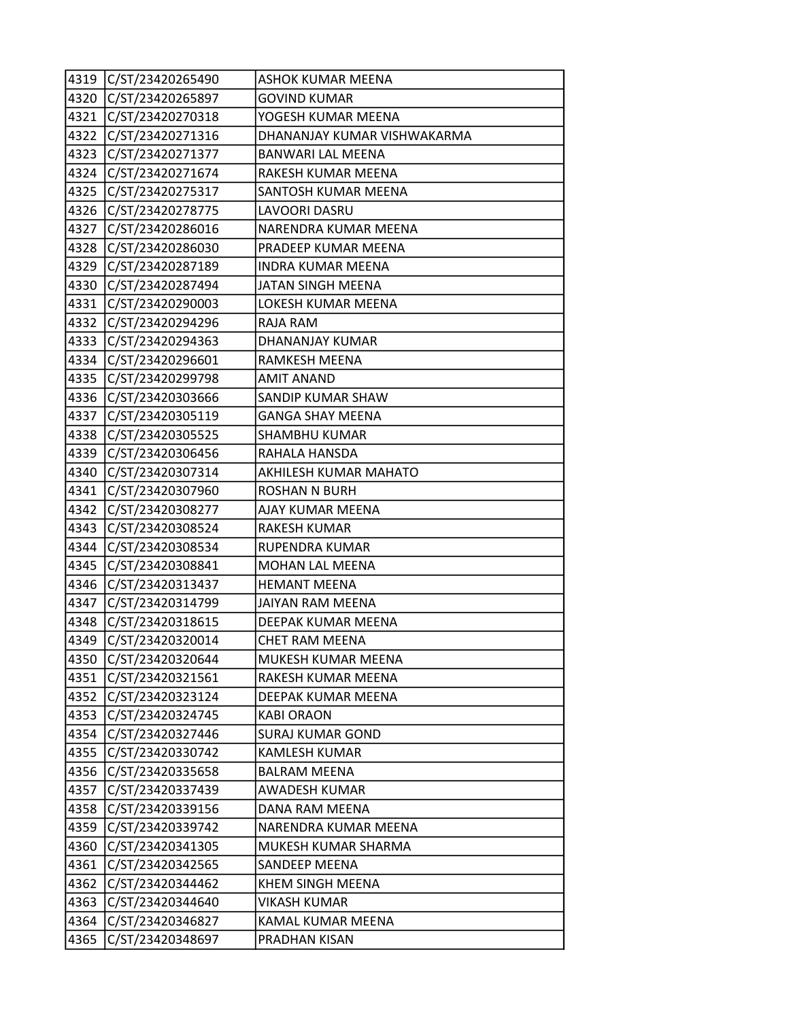|      | 4319 C/ST/23420265490 | ASHOK KUMAR MEENA           |
|------|-----------------------|-----------------------------|
|      | 4320 C/ST/23420265897 | <b>GOVIND KUMAR</b>         |
|      | 4321 C/ST/23420270318 | YOGESH KUMAR MEENA          |
|      | 4322 C/ST/23420271316 | DHANANJAY KUMAR VISHWAKARMA |
| 4323 | C/ST/23420271377      | BANWARI LAL MEENA           |
|      | 4324 C/ST/23420271674 | RAKESH KUMAR MEENA          |
|      | 4325 C/ST/23420275317 | SANTOSH KUMAR MEENA         |
|      | 4326 C/ST/23420278775 | LAVOORI DASRU               |
| 4327 | C/ST/23420286016      | NARENDRA KUMAR MEENA        |
| 4328 | C/ST/23420286030      | PRADEEP KUMAR MEENA         |
|      | 4329 C/ST/23420287189 | <b>INDRA KUMAR MEENA</b>    |
|      | 4330 C/ST/23420287494 | JATAN SINGH MEENA           |
|      | 4331 C/ST/23420290003 | LOKESH KUMAR MEENA          |
|      | 4332 C/ST/23420294296 | RAJA RAM                    |
| 4333 | C/ST/23420294363      | DHANANJAY KUMAR             |
|      | 4334 C/ST/23420296601 | RAMKESH MEENA               |
| 4335 | C/ST/23420299798      | <b>AMIT ANAND</b>           |
|      | 4336 C/ST/23420303666 | SANDIP KUMAR SHAW           |
| 4337 | C/ST/23420305119      | <b>GANGA SHAY MEENA</b>     |
|      | 4338 C/ST/23420305525 | SHAMBHU KUMAR               |
| 4339 | C/ST/23420306456      | RAHALA HANSDA               |
| 4340 | C/ST/23420307314      | AKHILESH KUMAR MAHATO       |
| 4341 | C/ST/23420307960      | <b>ROSHAN N BURH</b>        |
| 4342 | C/ST/23420308277      | AJAY KUMAR MEENA            |
|      | 4343 C/ST/23420308524 | <b>RAKESH KUMAR</b>         |
|      | 4344 C/ST/23420308534 | RUPENDRA KUMAR              |
| 4345 | C/ST/23420308841      | <b>MOHAN LAL MEENA</b>      |
| 4346 | C/ST/23420313437      | <b>HEMANT MEENA</b>         |
| 4347 | C/ST/23420314799      | JAIYAN RAM MEENA            |
| 4348 | C/ST/23420318615      | DEEPAK KUMAR MEENA          |
| 4349 | C/ST/23420320014      | CHET RAM MEENA              |
|      | 4350 C/ST/23420320644 | MUKESH KUMAR MEENA          |
|      | 4351 C/ST/23420321561 | RAKESH KUMAR MEENA          |
|      | 4352 C/ST/23420323124 | DEEPAK KUMAR MEENA          |
| 4353 | C/ST/23420324745      | <b>KABI ORAON</b>           |
| 4354 | C/ST/23420327446      | <b>SURAJ KUMAR GOND</b>     |
|      | 4355 C/ST/23420330742 | KAMLESH KUMAR               |
|      | 4356 C/ST/23420335658 | <b>BALRAM MEENA</b>         |
|      | 4357 C/ST/23420337439 | <b>AWADESH KUMAR</b>        |
| 4358 | C/ST/23420339156      | DANA RAM MEENA              |
| 4359 | C/ST/23420339742      | NARENDRA KUMAR MEENA        |
|      | 4360 C/ST/23420341305 | MUKESH KUMAR SHARMA         |
| 4361 | C/ST/23420342565      | SANDEEP MEENA               |
|      | 4362 C/ST/23420344462 | KHEM SINGH MEENA            |
| 4363 | C/ST/23420344640      | <b>VIKASH KUMAR</b>         |
|      | 4364 C/ST/23420346827 | KAMAL KUMAR MEENA           |
| 4365 | C/ST/23420348697      | PRADHAN KISAN               |